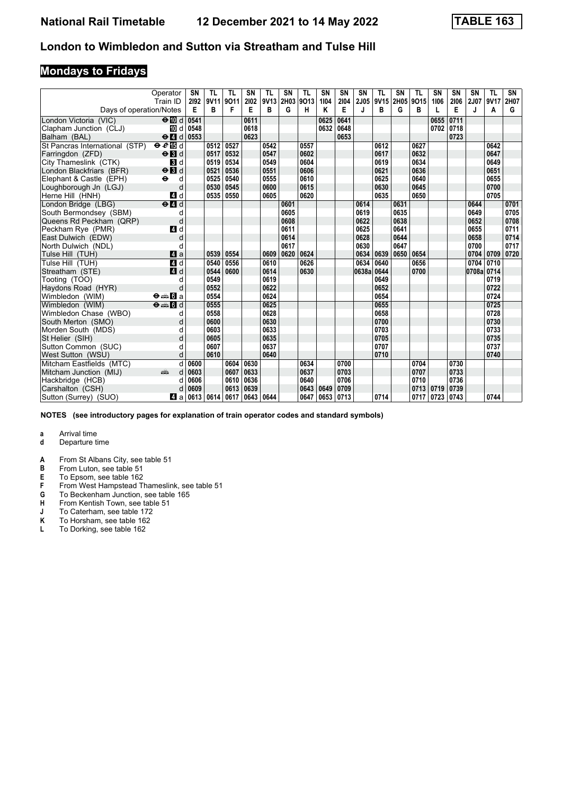### **Mondays to Fridays**

|                                | Operator<br>Train ID                     | SN<br>2192 | TL<br>9V11 | TL<br>9011 | <b>SN</b><br>2102 | TL<br>9V13 | SN<br>2H03 | TL<br>9013 | SN<br>1104 | <b>SN</b><br>2104 | <b>SN</b><br>2J05 | TL<br>9V15 | <b>SN</b><br>2H05 | <b>TL</b><br>9015 | <b>SN</b><br>1106 | SN<br>2106 | SN<br><b>2J07</b> | <b>TL</b><br>9V17 | SN<br>2H07 |
|--------------------------------|------------------------------------------|------------|------------|------------|-------------------|------------|------------|------------|------------|-------------------|-------------------|------------|-------------------|-------------------|-------------------|------------|-------------------|-------------------|------------|
| Days of operation/Notes        |                                          | Е          | в          | F          | Е                 | в          | G          | н          | Κ          | Е                 | J                 | в          | G                 | в                 |                   | E          | J                 | A                 | G          |
| London Victoria (VIC)          | $\Theta$ M d                             | 0541       |            |            | 0611              |            |            |            | 0625       | 0641              |                   |            |                   |                   | 0655              | 0711       |                   |                   |            |
| Clapham Junction (CLJ)         | IM d                                     | 0548       |            |            | 0618              |            |            |            | 0632       | 0648              |                   |            |                   |                   | 0702              | 0718       |                   |                   |            |
| Balham (BAL)                   | $\Theta$ 4 d 0553                        |            |            |            | 0623              |            |            |            |            | 0653              |                   |            |                   |                   |                   | 0723       |                   |                   |            |
| St Pancras International (STP) | eE                                       |            | 0512       | 0527       |                   | 0542       |            | 0557       |            |                   |                   | 0612       |                   | 0627              |                   |            |                   | 0642              |            |
| Farringdon (ZFD)               | $\Theta$ <b>R</b> d                      |            | 0517       | 0532       |                   | 0547       |            | 0602       |            |                   |                   | 0617       |                   | 0632              |                   |            |                   | 0647              |            |
| City Thameslink (CTK)          | $\blacksquare$                           |            | 0519       | 0534       |                   | 0549       |            | 0604       |            |                   |                   | 0619       |                   | 0634              |                   |            |                   | 0649              |            |
| London Blackfriars (BFR)       | $\Theta$ $\blacksquare$                  |            | 0521       | 0536       |                   | 0551       |            | 0606       |            |                   |                   | 0621       |                   | 0636              |                   |            |                   | 0651              |            |
| Elephant & Castle (EPH)        | $\bullet$<br>d                           |            | 0525       | 0540       |                   | 0555       |            | 0610       |            |                   |                   | 0625       |                   | 0640              |                   |            |                   | 0655              |            |
| Loughborough Jn (LGJ)          | d                                        |            | 0530       | 0545       |                   | 0600       |            | 0615       |            |                   |                   | 0630       |                   | 0645              |                   |            |                   | 0700              |            |
| Herne Hill (HNH)               | 4 d                                      |            | 0535       | 0550       |                   | 0605       |            | 0620       |            |                   |                   | 0635       |                   | 0650              |                   |            |                   | 0705              |            |
| London Bridge (LBG)            | $e$ $d$                                  |            |            |            |                   |            | 0601       |            |            |                   | 0614              |            | 0631              |                   |                   |            | 0644              |                   | 0701       |
| South Bermondsey (SBM)         | d                                        |            |            |            |                   |            | 0605       |            |            |                   | 0619              |            | 0635              |                   |                   |            | 0649              |                   | 0705       |
| Queens Rd Peckham (QRP)        | d                                        |            |            |            |                   |            | 0608       |            |            |                   | 0622              |            | 0638              |                   |                   |            | 0652              |                   | 0708       |
| Peckham Rye (PMR)              | 4 d                                      |            |            |            |                   |            | 0611       |            |            |                   | 0625              |            | 0641              |                   |                   |            | 0655              |                   | 0711       |
| East Dulwich (EDW)             | d                                        |            |            |            |                   |            | 0614       |            |            |                   | 0628              |            | 0644              |                   |                   |            | 0658              |                   | 0714       |
| North Dulwich (NDL)            | d                                        |            |            |            |                   |            | 0617       |            |            |                   | 0630              |            | 0647              |                   |                   |            | 0700              |                   | 0717       |
| Tulse Hill (TUH)               | Zi a                                     |            | 0539       | 0554       |                   | 0609       | 0620       | 0624       |            |                   | 0634              | 0639       | 0650              | 0654              |                   |            | 0704              | 0709              | 0720       |
| Tulse Hill (TUH)               | 4d                                       |            | 0540       | 0556       |                   | 0610       |            | 0626       |            |                   | 0634              | 0640       |                   | 0656              |                   |            | 0704              | 0710              |            |
| Streatham (STE)                | 4 d                                      |            | 0544       | 0600       |                   | 0614       |            | 0630       |            |                   | 0638a             | 0644       |                   | 0700              |                   |            | 0708a 0714        |                   |            |
| Tooting (TOO)                  | d                                        |            | 0549       |            |                   | 0619       |            |            |            |                   |                   | 0649       |                   |                   |                   |            |                   | 0719              |            |
| Haydons Road (HYR)             | d                                        |            | 0552       |            |                   | 0622       |            |            |            |                   |                   | 0652       |                   |                   |                   |            |                   | 0722              |            |
| Wimbledon (WIM)                | $\Theta = \blacksquare$ $\blacksquare$ a |            | 0554       |            |                   | 0624       |            |            |            |                   |                   | 0654       |                   |                   |                   |            |                   | 0724              |            |
| Wimbledon (WIM)                | $\Theta = \blacksquare$ $d$              |            | 0555       |            |                   | 0625       |            |            |            |                   |                   | 0655       |                   |                   |                   |            |                   | 0725              |            |
| Wimbledon Chase (WBO)          | d                                        |            | 0558       |            |                   | 0628       |            |            |            |                   |                   | 0658       |                   |                   |                   |            |                   | 0728              |            |
| South Merton (SMO)             | d                                        |            | 0600       |            |                   | 0630       |            |            |            |                   |                   | 0700       |                   |                   |                   |            |                   | 0730              |            |
| Morden South (MDS)             | d                                        |            | 0603       |            |                   | 0633       |            |            |            |                   |                   | 0703       |                   |                   |                   |            |                   | 0733              |            |
| St Helier (SIH)                | d                                        |            | 0605       |            |                   | 0635       |            |            |            |                   |                   | 0705       |                   |                   |                   |            |                   | 0735              |            |
| Sutton Common (SUC)            | d                                        |            | 0607       |            |                   | 0637       |            |            |            |                   |                   | 0707       |                   |                   |                   |            |                   | 0737              |            |
| West Sutton (WSU)              | d                                        |            | 0610       |            |                   | 0640       |            |            |            |                   |                   | 0710       |                   |                   |                   |            |                   | 0740              |            |
| Mitcham Eastfields (MTC)       |                                          | 0600       |            | 0604       | 0630              |            |            | 0634       |            | 0700              |                   |            |                   | 0704              |                   | 0730       |                   |                   |            |
| Mitcham Junction (MIJ)         | ۳Ĥ                                       | 0603       |            | 0607       | 0633              |            |            | 0637       |            | 0703              |                   |            |                   | 0707              |                   | 0733       |                   |                   |            |
| Hackbridge (HCB)               |                                          | 0606       |            | 0610       | 0636              |            |            | 0640       |            | 0706              |                   |            |                   | 0710              |                   | 0736       |                   |                   |            |
| Carshalton (CSH)               |                                          | 0609       |            | 0613       | 0639              |            |            | 0643       | 0649       | 0709              |                   |            |                   | 0713              | 0719              | 0739       |                   |                   |            |
| Sutton (Surrey) (SUO)          | zi a                                     |            | 0613 0614  | 0617       | 0643              | 0644       |            | 0647       | 0653       | 0713              |                   | 0714       |                   | 0717              | 0723              | 0743       |                   | 0744              |            |

**NOTES (see introductory pages for explanation of train operator codes and standard symbols)**

- **d** Departure time
- **A** From St Albans City, see table 51<br>**B** From Luton, see table 51
- **B** From Luton, see table 51<br>**E** To Epsom, see table 162
- **E** To Epsom, see table 162<br>**F** From West Hampstead Theory
- **F** From West Hampstead Thameslink, see table 51<br>**G** To Beckenham Junction, see table 165
- **6** To Beckenham Junction, see table 165<br>**H** From Kentish Town, see table 51
- **+** From Kentish Town, see table 51<br>**J** To Caterham, see table 172
- **-** To Caterham, see table 172<br>**K** To Horsham, see table 162
- **K** To Horsham, see table 162<br>**L** To Dorking, see table 162
- To Dorking, see table 162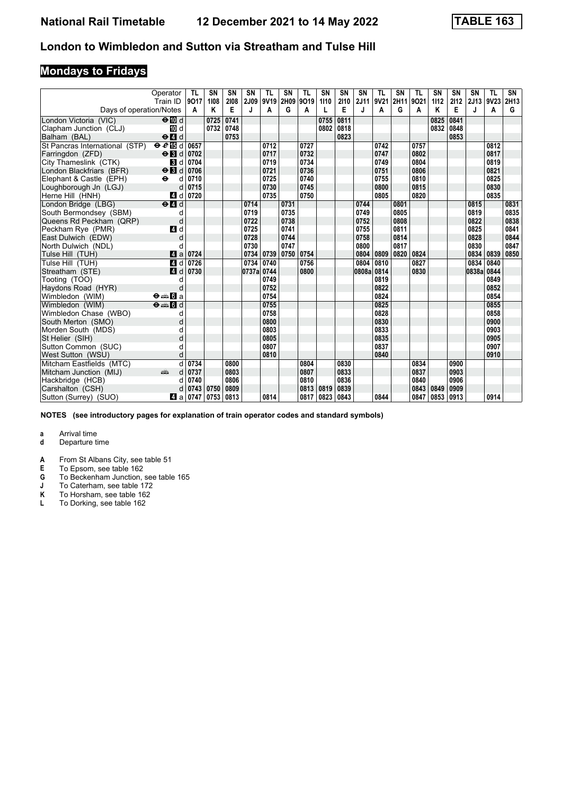# **Mondays to Fridays**

|                                | Operator<br>Train ID                      | TL<br>9017 | <b>SN</b><br>1108 | <b>SN</b><br>2108 | <b>SN</b><br>2J09 | TL<br>9V19 | SN<br>2H09 | TL<br>9019 | SN<br>1110 | <b>SN</b><br>2110 | <b>SN</b><br>2J11 | TL<br>9V21 | <b>SN</b><br>2H11 | <b>TL</b><br>9021 | <b>SN</b><br>1112 | SN<br>2112 | SN<br>2J13 | <b>TL</b><br>9V23 | SN<br>2H13 |
|--------------------------------|-------------------------------------------|------------|-------------------|-------------------|-------------------|------------|------------|------------|------------|-------------------|-------------------|------------|-------------------|-------------------|-------------------|------------|------------|-------------------|------------|
| Days of operation/Notes        |                                           | A          | Κ                 | Е                 | J                 | A          | G          | Α          | L          | Е                 | J                 | Α          | G                 | A                 | Κ                 | E          | J          | Α                 | G          |
| London Victoria (VIC)          | $\Theta$ M d                              |            | 0725              | 0741              |                   |            |            |            | 0755       | 0811              |                   |            |                   |                   | 0825              | 0841       |            |                   |            |
| Clapham Junction (CLJ)         | <b>M</b> d                                |            | 0732              | 0748              |                   |            |            |            | 0802       | 0818              |                   |            |                   |                   | 0832              | 0848       |            |                   |            |
| Balham (BAL)                   | $\Theta$ $\blacksquare$ d                 |            |                   | 0753              |                   |            |            |            |            | 0823              |                   |            |                   |                   |                   | 0853       |            |                   |            |
| St Pancras International (STP) | $eE$ is d                                 | 0657       |                   |                   |                   | 0712       |            | 0727       |            |                   |                   | 0742       |                   | 0757              |                   |            |            | 0812              |            |
| Farringdon (ZFD)               | $\Theta$ <b>N</b> d                       | 0702       |                   |                   |                   | 0717       |            | 0732       |            |                   |                   | 0747       |                   | 0802              |                   |            |            | 0817              |            |
| City Thameslink (CTK)          | <b>B</b> d                                | 0704       |                   |                   |                   | 0719       |            | 0734       |            |                   |                   | 0749       |                   | 0804              |                   |            |            | 0819              |            |
| London Blackfriars (BFR)       | $\Theta$ <b>B</b> d                       | 0706       |                   |                   |                   | 0721       |            | 0736       |            |                   |                   | 0751       |                   | 0806              |                   |            |            | 0821              |            |
| Elephant & Castle (EPH)        | $\ddot{\mathbf{e}}$<br>d                  | 0710       |                   |                   |                   | 0725       |            | 0740       |            |                   |                   | 0755       |                   | 0810              |                   |            |            | 0825              |            |
| Loughborough Jn (LGJ)          | d                                         | 0715       |                   |                   |                   | 0730       |            | 0745       |            |                   |                   | 0800       |                   | 0815              |                   |            |            | 0830              |            |
| Herne Hill (HNH)               | 4 d                                       | 0720       |                   |                   |                   | 0735       |            | 0750       |            |                   |                   | 0805       |                   | 0820              |                   |            |            | 0835              |            |
| London Bridge (LBG)            | $\Theta$ <sup><math>\Omega</math></sup> d |            |                   |                   | 0714              |            | 0731       |            |            |                   | 0744              |            | 0801              |                   |                   |            | 0815       |                   | 0831       |
| South Bermondsey (SBM)         | d                                         |            |                   |                   | 0719              |            | 0735       |            |            |                   | 0749              |            | 0805              |                   |                   |            | 0819       |                   | 0835       |
| Queens Rd Peckham (QRP)        | d                                         |            |                   |                   | 0722              |            | 0738       |            |            |                   | 0752              |            | 0808              |                   |                   |            | 0822       |                   | 0838       |
| Peckham Rve (PMR)              | 4 d                                       |            |                   |                   | 0725              |            | 0741       |            |            |                   | 0755              |            | 0811              |                   |                   |            | 0825       |                   | 0841       |
| East Dulwich (EDW)             | d                                         |            |                   |                   | 0728              |            | 0744       |            |            |                   | 0758              |            | 0814              |                   |                   |            | 0828       |                   | 0844       |
| North Dulwich (NDL)            | d                                         |            |                   |                   | 0730              |            | 0747       |            |            |                   | 0800              |            | 0817              |                   |                   |            | 0830       |                   | 0847       |
| Tulse Hill (TUH)               | ZI a                                      | 0724       |                   |                   | 0734              | 0739       | 0750       | 0754       |            |                   | 0804              | 0809       | 0820              | 0824              |                   |            | 0834       | 0839              | 0850       |
| Tulse Hill (TUH)               | 4d                                        | 0726       |                   |                   | 0734              | 0740       |            | 0756       |            |                   | 0804              | 0810       |                   | 0827              |                   |            | 0834       | 0840              |            |
| Streatham (STE)                | ZI d                                      | 0730       |                   |                   | 0737a             | 0744       |            | 0800       |            |                   | 0808a             | 0814       |                   | 0830              |                   |            | 0838a 0844 |                   |            |
| Tooting (TOO)                  | d                                         |            |                   |                   |                   | 0749       |            |            |            |                   |                   | 0819       |                   |                   |                   |            |            | 0849              |            |
| Haydons Road (HYR)             | d                                         |            |                   |                   |                   | 0752       |            |            |            |                   |                   | 0822       |                   |                   |                   |            |            | 0852              |            |
| Wimbledon (WIM)                | $\Theta = \blacksquare$ $\blacksquare$ a  |            |                   |                   |                   | 0754       |            |            |            |                   |                   | 0824       |                   |                   |                   |            |            | 0854              |            |
| Wimbledon (WIM)                | $\Theta = \blacksquare$ $\blacksquare$ d  |            |                   |                   |                   | 0755       |            |            |            |                   |                   | 0825       |                   |                   |                   |            |            | 0855              |            |
| Wimbledon Chase (WBO)          | d                                         |            |                   |                   |                   | 0758       |            |            |            |                   |                   | 0828       |                   |                   |                   |            |            | 0858              |            |
| South Merton (SMO)             | d                                         |            |                   |                   |                   | 0800       |            |            |            |                   |                   | 0830       |                   |                   |                   |            |            | 0900              |            |
| Morden South (MDS)             | d                                         |            |                   |                   |                   | 0803       |            |            |            |                   |                   | 0833       |                   |                   |                   |            |            | 0903              |            |
| St Helier (SIH)                | d                                         |            |                   |                   |                   | 0805       |            |            |            |                   |                   | 0835       |                   |                   |                   |            |            | 0905              |            |
| Sutton Common (SUC)            | d                                         |            |                   |                   |                   | 0807       |            |            |            |                   |                   | 0837       |                   |                   |                   |            |            | 0907              |            |
| West Sutton (WSU)              | d                                         |            |                   |                   |                   | 0810       |            |            |            |                   |                   | 0840       |                   |                   |                   |            |            | 0910              |            |
| Mitcham Eastfields (MTC)       |                                           | 0734       |                   | 0800              |                   |            |            | 0804       |            | 0830              |                   |            |                   | 0834              |                   | 0900       |            |                   |            |
| Mitcham Junction (MIJ)         | am                                        | 0737       |                   | 0803              |                   |            |            | 0807       |            | 0833              |                   |            |                   | 0837              |                   | 0903       |            |                   |            |
| Hackbridge (HCB)               |                                           | 0740       |                   | 0806              |                   |            |            | 0810       |            | 0836              |                   |            |                   | 0840              |                   | 0906       |            |                   |            |
| Carshalton (CSH)               |                                           | 0743       | 0750              | 0809              |                   |            |            | 0813       | 0819       | 0839              |                   |            |                   | 0843              | 0849              | 0909       |            |                   |            |
| Sutton (Surrey) (SUO)          | Z1 a                                      | 0747       | 0753              | 0813              |                   | 0814       |            | 0817       | 0823 0843  |                   |                   | 0844       |                   | 0847              | 0853              | 0913       |            | 0914              |            |

**NOTES (see introductory pages for explanation of train operator codes and standard symbols)**

- **d** Departure time
- **A** From St Albans City, see table 51<br>**E** To Epsom, see table 162
- **E** To Epsom, see table 162<br>**G** To Beckenham Junction,
- **6** To Beckenham Junction, see table 165
- **J** To Caterham, see table 172
- **.** To Caterham, see table 172<br>**K** To Horsham, see table 162<br>**L** To Dorking, see table 162
- To Dorking, see table 162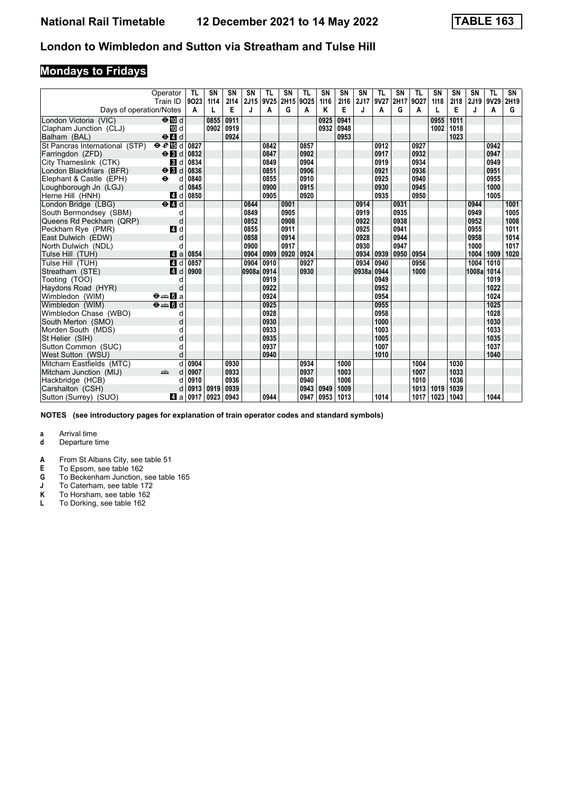# **Mondays to Fridays**

|                                | Operator<br>Train ID                                                                                                                                                                                                          | TL<br>9023 | <b>SN</b><br>1114 | SN<br>2114 | <b>SN</b><br>2J15 | TL<br>9V25 | SN<br>2H15 | TL<br>9025 | SN<br>1116 | <b>SN</b><br>2116 | SN<br>2J17 | TL<br>9V27 | <b>SN</b><br>2H17 | <b>TL</b><br>9027 | <b>SN</b><br>1118 | SN<br>2118 | SN<br>2J19 | <b>TL</b><br>9V29 | SN<br>2H19 |
|--------------------------------|-------------------------------------------------------------------------------------------------------------------------------------------------------------------------------------------------------------------------------|------------|-------------------|------------|-------------------|------------|------------|------------|------------|-------------------|------------|------------|-------------------|-------------------|-------------------|------------|------------|-------------------|------------|
| Days of operation/Notes        |                                                                                                                                                                                                                               | Α          | L                 | E          | J                 | A          | G          | Α          | Κ          | Е                 | J          | Α          | G                 | A                 |                   | E          | J.         | Α                 | G          |
| London Victoria (VIC)          | $\Theta$ III d                                                                                                                                                                                                                |            | 0855              | 0911       |                   |            |            |            | 0925       | 0941              |            |            |                   |                   | 0955              | 1011       |            |                   |            |
| Clapham Junction (CLJ)         | <b>M</b> d                                                                                                                                                                                                                    |            | 0902              | 0919       |                   |            |            |            | 0932       | 0948              |            |            |                   |                   | 1002              | 1018       |            |                   |            |
| Balham (BAL)                   | $\Theta$ $\blacksquare$ d                                                                                                                                                                                                     |            |                   | 0924       |                   |            |            |            |            | 0953              |            |            |                   |                   |                   | 1023       |            |                   |            |
| St Pancras International (STP) | $e$ and                                                                                                                                                                                                                       | 0827       |                   |            |                   | 0842       |            | 0857       |            |                   |            | 0912       |                   | 0927              |                   |            |            | 0942              |            |
| Farringdon (ZFD)               | $\Theta$ $\blacksquare$                                                                                                                                                                                                       | 0832       |                   |            |                   | 0847       |            | 0902       |            |                   |            | 0917       |                   | 0932              |                   |            |            | 0947              |            |
| City Thameslink (CTK)          | $\blacksquare$                                                                                                                                                                                                                | 0834       |                   |            |                   | 0849       |            | 0904       |            |                   |            | 0919       |                   | 0934              |                   |            |            | 0949              |            |
| London Blackfriars (BFR)       | $\Theta$ <b>B</b> d                                                                                                                                                                                                           | 0836       |                   |            |                   | 0851       |            | 0906       |            |                   |            | 0921       |                   | 0936              |                   |            |            | 0951              |            |
| Elephant & Castle (EPH)        | $\ddot{\mathbf{e}}$<br>d                                                                                                                                                                                                      | 0840       |                   |            |                   | 0855       |            | 0910       |            |                   |            | 0925       |                   | 0940              |                   |            |            | 0955              |            |
| Loughborough Jn (LGJ)          | d                                                                                                                                                                                                                             | 0845       |                   |            |                   | 0900       |            | 0915       |            |                   |            | 0930       |                   | 0945              |                   |            |            | 1000              |            |
| Herne Hill (HNH)               | 4 d                                                                                                                                                                                                                           | 0850       |                   |            |                   | 0905       |            | 0920       |            |                   |            | 0935       |                   | 0950              |                   |            |            | 1005              |            |
| London Bridge (LBG)            | $\Theta$ <sup><math>\Omega</math></sup> d                                                                                                                                                                                     |            |                   |            | 0844              |            | 0901       |            |            |                   | 0914       |            | 0931              |                   |                   |            | 0944       |                   | 1001       |
| South Bermondsey (SBM)         | d                                                                                                                                                                                                                             |            |                   |            | 0849              |            | 0905       |            |            |                   | 0919       |            | 0935              |                   |                   |            | 0949       |                   | 1005       |
| Queens Rd Peckham (QRP)        | d                                                                                                                                                                                                                             |            |                   |            | 0852              |            | 0908       |            |            |                   | 0922       |            | 0938              |                   |                   |            | 0952       |                   | 1008       |
| Peckham Rye (PMR)              | 4 d                                                                                                                                                                                                                           |            |                   |            | 0855              |            | 0911       |            |            |                   | 0925       |            | 0941              |                   |                   |            | 0955       |                   | 1011       |
| East Dulwich (EDW)             | d                                                                                                                                                                                                                             |            |                   |            | 0858              |            | 0914       |            |            |                   | 0928       |            | 0944              |                   |                   |            | 0958       |                   | 1014       |
| North Dulwich (NDL)            | d                                                                                                                                                                                                                             |            |                   |            | 0900              |            | 0917       |            |            |                   | 0930       |            | 0947              |                   |                   |            | 1000       |                   | 1017       |
| Tulse Hill (TUH)               | ZI a                                                                                                                                                                                                                          | 0854       |                   |            | 0904              | 0909       | 0920       | 0924       |            |                   | 0934       | 0939       | 0950              | 0954              |                   |            | 1004       | 1009              | 1020       |
| Tulse Hill (TUH)               | 41 d                                                                                                                                                                                                                          | 0857       |                   |            | 0904              | 0910       |            | 0927       |            |                   | 0934       | 0940       |                   | 0956              |                   |            | 1004       | 1010              |            |
| Streatham (STE)                | 4 <sup>d</sup>                                                                                                                                                                                                                | 0900       |                   |            | 0908a             | 0914       |            | 0930       |            |                   | 0938a      | 0944       |                   | 1000              |                   |            | 1008a      | 1014              |            |
| Tooting (TOO)                  | d                                                                                                                                                                                                                             |            |                   |            |                   | 0919       |            |            |            |                   |            | 0949       |                   |                   |                   |            |            | 1019              |            |
| Haydons Road (HYR)             | d                                                                                                                                                                                                                             |            |                   |            |                   | 0922       |            |            |            |                   |            | 0952       |                   |                   |                   |            |            | 1022              |            |
| Wimbledon (WIM)                | $\Theta = \blacksquare$ $\blacksquare$ a                                                                                                                                                                                      |            |                   |            |                   | 0924       |            |            |            |                   |            | 0954       |                   |                   |                   |            |            | 1024              |            |
| Wimbledon (WIM)                | $\Theta = \Pi d$                                                                                                                                                                                                              |            |                   |            |                   | 0925       |            |            |            |                   |            | 0955       |                   |                   |                   |            |            | 1025              |            |
| Wimbledon Chase (WBO)          | d                                                                                                                                                                                                                             |            |                   |            |                   | 0928       |            |            |            |                   |            | 0958       |                   |                   |                   |            |            | 1028              |            |
| South Merton (SMO)             | d                                                                                                                                                                                                                             |            |                   |            |                   | 0930       |            |            |            |                   |            | 1000       |                   |                   |                   |            |            | 1030              |            |
| Morden South (MDS)             | d                                                                                                                                                                                                                             |            |                   |            |                   | 0933       |            |            |            |                   |            | 1003       |                   |                   |                   |            |            | 1033              |            |
| St Helier (SIH)                | d                                                                                                                                                                                                                             |            |                   |            |                   | 0935       |            |            |            |                   |            | 1005       |                   |                   |                   |            |            | 1035              |            |
| Sutton Common (SUC)            | d                                                                                                                                                                                                                             |            |                   |            |                   | 0937       |            |            |            |                   |            | 1007       |                   |                   |                   |            |            | 1037              |            |
| West Sutton (WSU)              | d                                                                                                                                                                                                                             |            |                   |            |                   | 0940       |            |            |            |                   |            | 1010       |                   |                   |                   |            |            | 1040              |            |
| Mitcham Eastfields (MTC)       | d                                                                                                                                                                                                                             | 0904       |                   | 0930       |                   |            |            | 0934       |            | 1000              |            |            |                   | 1004              |                   | 1030       |            |                   |            |
| Mitcham Junction (MIJ)         | and the second second second second the second second second second second second second second second second second second second second second second second second second second second second second second second second | 0907       |                   | 0933       |                   |            |            | 0937       |            | 1003              |            |            |                   | 1007              |                   | 1033       |            |                   |            |
| Hackbridge (HCB)               | C                                                                                                                                                                                                                             | 0910       |                   | 0936       |                   |            |            | 0940       |            | 1006              |            |            |                   | 1010              |                   | 1036       |            |                   |            |
| Carshalton (CSH)               |                                                                                                                                                                                                                               | 0913       | 0919              | 0939       |                   |            |            | 0943       | 0949       | 1009              |            |            |                   | 1013              | 1019              | 1039       |            |                   |            |
| Sutton (Surrey) (SUO)          | 41 a                                                                                                                                                                                                                          | 0917       | 0923              | 0943       |                   | 0944       |            | 0947       | 0953       | 1013              |            | 1014       |                   | 1017              | 1023              | 1043       |            | 1044              |            |

**NOTES (see introductory pages for explanation of train operator codes and standard symbols)**

- **d** Departure time
- **A** From St Albans City, see table 51<br>**E** To Epsom, see table 162
- **E** To Epsom, see table 162<br>**G** To Beckenham Junction,
- **6** To Beckenham Junction, see table 165
- **J** To Caterham, see table 172
- **.** To Caterham, see table 172<br>**K** To Horsham, see table 162<br>**L** To Dorking, see table 162
- To Dorking, see table 162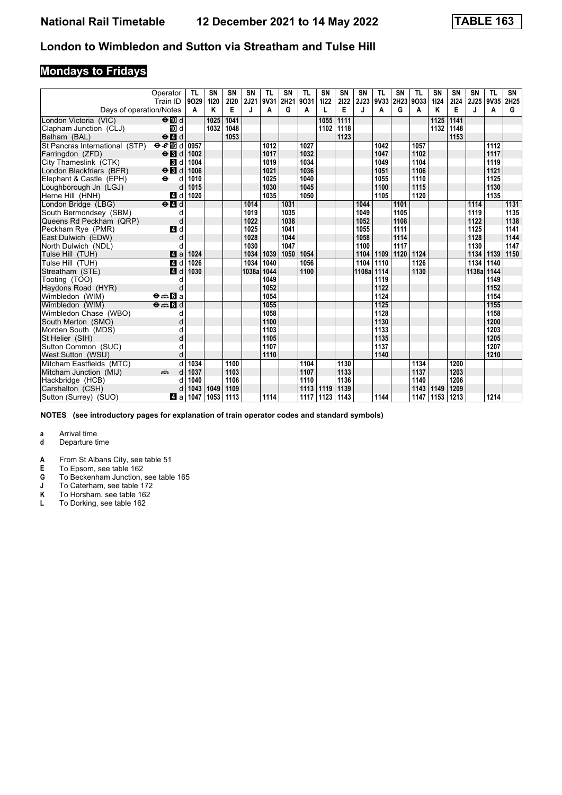# **Mondays to Fridays**

|                                | Operator<br>Train ID                            | TL<br>9029 | <b>SN</b><br>1120 | SN<br>2120 | <b>SN</b><br>2J21 | <b>TL</b><br>9V31 | SN<br>2H21 | TL<br>9031   | SN<br>1122   | SΝ<br>2122 | <b>SN</b><br>2J23 | TL<br>9V33 | SN<br>2H23 | <b>TL</b><br>9033 | <b>SN</b><br>1124 | <b>SN</b><br>2124 | <b>SN</b><br><b>2J25</b> | <b>TL</b><br>9V35 2H25 | SN   |
|--------------------------------|-------------------------------------------------|------------|-------------------|------------|-------------------|-------------------|------------|--------------|--------------|------------|-------------------|------------|------------|-------------------|-------------------|-------------------|--------------------------|------------------------|------|
| Days of operation/Notes        |                                                 | А          | Κ                 | E          | J                 | A                 | G          | A            | L            | Е          | J                 | A          | G          | A                 | Κ                 | Е                 | J                        | Α                      | G    |
|                                | $\Theta$ M d                                    |            | 1025              | 1041       |                   |                   |            |              |              | 1111       |                   |            |            |                   | 1125              |                   |                          |                        |      |
| London Victoria (VIC)          | <b>M</b> d                                      |            | 1032              | 1048       |                   |                   |            |              | 1055<br>1102 | 1118       |                   |            |            |                   | 1132              | 1141<br>1148      |                          |                        |      |
| Clapham Junction (CLJ)         | $\Theta$ <sup><math>\blacksquare</math> d</sup> |            |                   | 1053       |                   |                   |            |              |              | 1123       |                   |            |            |                   |                   | 1153              |                          |                        |      |
| Balham (BAL)                   |                                                 |            |                   |            |                   |                   |            |              |              |            |                   | 1042       |            | 1057              |                   |                   |                          |                        |      |
| St Pancras International (STP) | $eE$ is d                                       | 0957       |                   |            |                   | 1012              |            | 1027<br>1032 |              |            |                   |            |            |                   |                   |                   |                          | 1112                   |      |
| Farringdon (ZFD)               | $\Theta$ $\blacksquare$                         | 1002       |                   |            |                   | 1017              |            |              |              |            |                   | 1047       |            | 1102              |                   |                   |                          | 1117                   |      |
| City Thameslink (CTK)          | <b>B</b> d                                      | 1004       |                   |            |                   | 1019              |            | 1034         |              |            |                   | 1049       |            | 1104              |                   |                   |                          | 1119                   |      |
| London Blackfriars (BFR)       | $\Theta$ <b>B</b> d                             | 1006       |                   |            |                   | 1021              |            | 1036         |              |            |                   | 1051       |            | 1106              |                   |                   |                          | 1121                   |      |
| Elephant & Castle (EPH)        | $\ddot{\mathbf{e}}$<br>d                        | 1010       |                   |            |                   | 1025              |            | 1040         |              |            |                   | 1055       |            | 1110              |                   |                   |                          | 1125                   |      |
| Loughborough Jn (LGJ)          | d                                               | 1015       |                   |            |                   | 1030              |            | 1045         |              |            |                   | 1100       |            | 1115              |                   |                   |                          | 1130                   |      |
| Herne Hill (HNH)               | ZI d                                            | 1020       |                   |            |                   | 1035              |            | 1050         |              |            |                   | 1105       |            | 1120              |                   |                   |                          | 1135                   |      |
| London Bridge (LBG)            | $\Theta$ <sup><math>\Omega</math></sup> d       |            |                   |            | 1014              |                   | 1031       |              |              |            | 1044              |            | 1101       |                   |                   |                   | 1114                     |                        | 1131 |
| South Bermondsey (SBM)         | d                                               |            |                   |            | 1019              |                   | 1035       |              |              |            | 1049              |            | 1105       |                   |                   |                   | 1119                     |                        | 1135 |
| Queens Rd Peckham (QRP)        | d                                               |            |                   |            | 1022              |                   | 1038       |              |              |            | 1052              |            | 1108       |                   |                   |                   | 1122                     |                        | 1138 |
| Peckham Rve (PMR)              | 4 d                                             |            |                   |            | 1025              |                   | 1041       |              |              |            | 1055              |            | 1111       |                   |                   |                   | 1125                     |                        | 1141 |
| East Dulwich (EDW)             | d                                               |            |                   |            | 1028              |                   | 1044       |              |              |            | 1058              |            | 1114       |                   |                   |                   | 1128                     |                        | 1144 |
| North Dulwich (NDL)            | d                                               |            |                   |            | 1030              |                   | 1047       |              |              |            | 1100              |            | 1117       |                   |                   |                   | 1130                     |                        | 1147 |
| Tulse Hill (TUH)               | 4a                                              | 1024       |                   |            | 1034              | 1039              | 1050       | 1054         |              |            | 1104              | 1109       | 1120       | 1124              |                   |                   | 1134                     | 1139                   | 1150 |
| Tulse Hill (TUH)               | $\blacksquare$                                  | 1026       |                   |            | 1034              | 1040              |            | 1056         |              |            | 1104              | 1110       |            | 1126              |                   |                   | 1134                     | 1140                   |      |
| Streatham (STE)                | 4d                                              | 1030       |                   |            | 1038a             | 1044              |            | 1100         |              |            | 1108a             | 1114       |            | 1130              |                   |                   | 1138al                   | 1144                   |      |
| Tooting (TOO)                  | d                                               |            |                   |            |                   | 1049              |            |              |              |            |                   | 1119       |            |                   |                   |                   |                          | 1149                   |      |
| Haydons Road (HYR)             | d                                               |            |                   |            |                   | 1052              |            |              |              |            |                   | 1122       |            |                   |                   |                   |                          | 1152                   |      |
| Wimbledon (WIM)                | <b>⊖⊯Ba</b>                                     |            |                   |            |                   | 1054              |            |              |              |            |                   | 1124       |            |                   |                   |                   |                          | 1154                   |      |
| Wimbledon (WIM)                | $\Theta = \blacksquare$ $\blacksquare$ d        |            |                   |            |                   | 1055              |            |              |              |            |                   | 1125       |            |                   |                   |                   |                          | 1155                   |      |
| Wimbledon Chase (WBO)          | d                                               |            |                   |            |                   | 1058              |            |              |              |            |                   | 1128       |            |                   |                   |                   |                          | 1158                   |      |
| South Merton (SMO)             | d                                               |            |                   |            |                   | 1100              |            |              |              |            |                   | 1130       |            |                   |                   |                   |                          | 1200                   |      |
| Morden South (MDS)             | d                                               |            |                   |            |                   | 1103              |            |              |              |            |                   | 1133       |            |                   |                   |                   |                          | 1203                   |      |
| St Helier (SIH)                |                                                 |            |                   |            |                   | 1105              |            |              |              |            |                   | 1135       |            |                   |                   |                   |                          | 1205                   |      |
| Sutton Common (SUC)            | d                                               |            |                   |            |                   | 1107              |            |              |              |            |                   | 1137       |            |                   |                   |                   |                          | 1207                   |      |
| West Sutton (WSU)              | d                                               |            |                   |            |                   | 1110              |            |              |              |            |                   | 1140       |            |                   |                   |                   |                          | 1210                   |      |
| Mitcham Eastfields (MTC)       | d                                               | 1034       |                   | 1100       |                   |                   |            | 1104         |              | 1130       |                   |            |            | 1134              |                   | 1200              |                          |                        |      |
| Mitcham Junction (MIJ)         | and a series                                    | 1037       |                   | 1103       |                   |                   |            | 1107         |              | 1133       |                   |            |            | 1137              |                   | 1203              |                          |                        |      |
| Hackbridge (HCB)               | C                                               | 1040       |                   | 1106       |                   |                   |            | 1110         |              | 1136       |                   |            |            | 1140              |                   | 1206              |                          |                        |      |
| Carshalton (CSH)               | C                                               | 1043       | 1049              | 1109       |                   |                   |            | 1113         | 1119         | 1139       |                   |            |            | 1143              | 1149              | 1209              |                          |                        |      |
| Sutton (Surrey) (SUO)          | Z1 a                                            | 1047       | 1053              | 1113       |                   | 1114              |            | 1117         | 1123         | 1143       |                   | 1144       |            | 1147              | 1153              | 1213              |                          | 1214                   |      |

**NOTES (see introductory pages for explanation of train operator codes and standard symbols)**

- **d** Departure time
- **A** From St Albans City, see table 51<br>**E** To Epsom, see table 162
- **E** To Epsom, see table 162<br>**G** To Beckenham Junction,
- **6** To Beckenham Junction, see table 165
- **J** To Caterham, see table 172
- **.** To Caterham, see table 172<br>**K** To Horsham, see table 162<br>**L** To Dorking, see table 162
- To Dorking, see table 162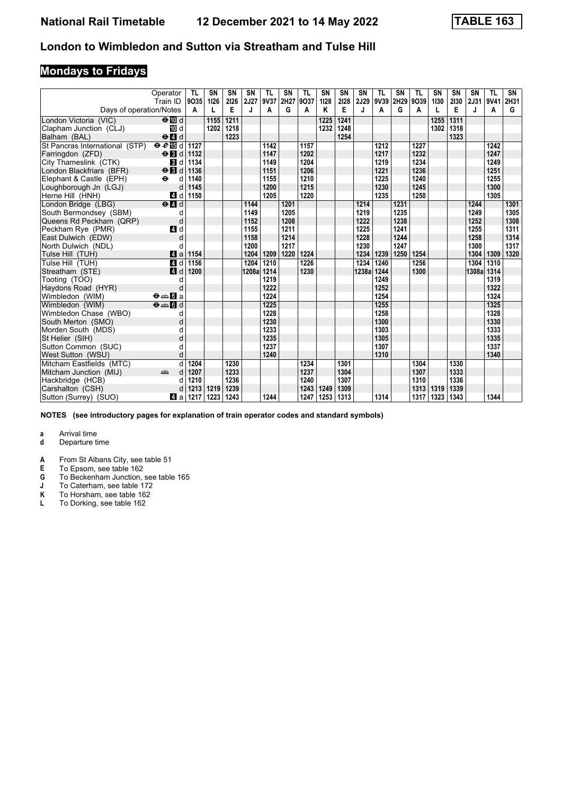# **Mondays to Fridays**

|                                | Operator<br>Train ID                      | TL<br>9035 | <b>SN</b><br>1126 | SN<br>2126 | <b>SN</b><br>2J27 | TL<br>9V37 | SN<br>2H27 | TL<br>9037 | SN<br>1128 | SΝ<br>2128 | <b>SN</b><br>2J29 | TL<br>9V39 | SN<br>2H29 | <b>TL</b><br>9039 | <b>SN</b><br>1130 | <b>SN</b><br>2130 | <b>SN</b><br>2J31 | <b>TL</b><br>9V41 | SN<br>2H31 |
|--------------------------------|-------------------------------------------|------------|-------------------|------------|-------------------|------------|------------|------------|------------|------------|-------------------|------------|------------|-------------------|-------------------|-------------------|-------------------|-------------------|------------|
| Days of operation/Notes        |                                           | A          |                   | E          | J                 | A          | G          | A          | Κ          | Е          | J                 | A          | G          | A                 |                   | Е                 | J                 | A                 | G          |
| London Victoria (VIC)          | $\Theta$ III d                            |            | 1155              | 1211       |                   |            |            |            | 1225       | 1241       |                   |            |            |                   | 1255              | 1311              |                   |                   |            |
| Clapham Junction (CLJ)         | [10] d                                    |            | 1202              | 1218       |                   |            |            |            | 1232       | 1248       |                   |            |            |                   | 1302              | 1318              |                   |                   |            |
| Balham (BAL)                   | $\Theta$ <sup><math>d</math></sup>        |            |                   | 1223       |                   |            |            |            |            | 1254       |                   |            |            |                   |                   | 1323              |                   |                   |            |
| St Pancras International (STP) | $eE$ is d                                 | 1127       |                   |            |                   | 1142       |            | 1157       |            |            |                   | 1212       |            | 1227              |                   |                   |                   | 1242              |            |
| Farringdon (ZFD)               | $\Theta$ <b>B</b> d                       | 1132       |                   |            |                   | 1147       |            | 1202       |            |            |                   | 1217       |            | 1232              |                   |                   |                   | 1247              |            |
| City Thameslink (CTK)          | <b>B</b> d                                | 1134       |                   |            |                   | 1149       |            | 1204       |            |            |                   | 1219       |            | 1234              |                   |                   |                   | 1249              |            |
| London Blackfriars (BFR)       | $\Theta$ <b>B</b> d                       | 1136       |                   |            |                   | 1151       |            | 1206       |            |            |                   | 1221       |            | 1236              |                   |                   |                   | 1251              |            |
| Elephant & Castle (EPH)        | $\bullet$<br>d                            | 1140       |                   |            |                   | 1155       |            | 1210       |            |            |                   | 1225       |            | 1240              |                   |                   |                   | 1255              |            |
| Loughborough Jn (LGJ)          | d                                         | 1145       |                   |            |                   | 1200       |            | 1215       |            |            |                   | 1230       |            | 1245              |                   |                   |                   | 1300              |            |
| Herne Hill (HNH)               | 4 d                                       | 1150       |                   |            |                   | 1205       |            | 1220       |            |            |                   | 1235       |            | 1250              |                   |                   |                   | 1305              |            |
| London Bridge (LBG)            | $\Theta$ <sup><math>\Omega</math></sup> d |            |                   |            | 1144              |            | 1201       |            |            |            | 1214              |            | 1231       |                   |                   |                   | 1244              |                   | 1301       |
| South Bermondsey (SBM)         | d                                         |            |                   |            | 1149              |            | 1205       |            |            |            | 1219              |            | 1235       |                   |                   |                   | 1249              |                   | 1305       |
| Queens Rd Peckham (QRP)        | d                                         |            |                   |            | 1152              |            | 1208       |            |            |            | 1222              |            | 1238       |                   |                   |                   | 1252              |                   | 1308       |
| Peckham Rye (PMR)              | 4 d                                       |            |                   |            | 1155              |            | 1211       |            |            |            | 1225              |            | 1241       |                   |                   |                   | 1255              |                   | 1311       |
| East Dulwich (EDW)             | d                                         |            |                   |            | 1158              |            | 1214       |            |            |            | 1228              |            | 1244       |                   |                   |                   | 1258              |                   | 1314       |
| North Dulwich (NDL)            | C                                         |            |                   |            | 1200              |            | 1217       |            |            |            | 1230              |            | 1247       |                   |                   |                   | 1300              |                   | 1317       |
| Tulse Hill (TUH)               | ZI a                                      | 1154       |                   |            | 1204              | 1209       | 1220       | 1224       |            |            | 1234              | 1239       | 1250       | 1254              |                   |                   | 1304              | 1309              | 1320       |
| Tulse Hill (TUH)               | 4 d                                       | 1156       |                   |            | 1204              | 1210       |            | 1226       |            |            | 1234              | 1240       |            | 1256              |                   |                   | 1304              | 1310              |            |
| Streatham (STE)                | 4d                                        | 1200       |                   |            | 1208a             | 1214       |            | 1230       |            |            | 1238a             | 1244       |            | 1300              |                   |                   | 1308a 1314        |                   |            |
| Tooting (TOO)                  | d                                         |            |                   |            |                   | 1219       |            |            |            |            |                   | 1249       |            |                   |                   |                   |                   | 1319              |            |
| Haydons Road (HYR)             | d                                         |            |                   |            |                   | 1222       |            |            |            |            |                   | 1252       |            |                   |                   |                   |                   | 1322              |            |
| Wimbledon (WIM)                | $\Theta = \blacksquare$ $\blacksquare$ a  |            |                   |            |                   | 1224       |            |            |            |            |                   | 1254       |            |                   |                   |                   |                   | 1324              |            |
| Wimbledon (WIM)                | $\Theta = \blacksquare$ $\blacksquare$ d  |            |                   |            |                   | 1225       |            |            |            |            |                   | 1255       |            |                   |                   |                   |                   | 1325              |            |
| Wimbledon Chase (WBO)          | d                                         |            |                   |            |                   | 1228       |            |            |            |            |                   | 1258       |            |                   |                   |                   |                   | 1328              |            |
| South Merton (SMO)             | d                                         |            |                   |            |                   | 1230       |            |            |            |            |                   | 1300       |            |                   |                   |                   |                   | 1330              |            |
| Morden South (MDS)             | d                                         |            |                   |            |                   | 1233       |            |            |            |            |                   | 1303       |            |                   |                   |                   |                   | 1333              |            |
| St Helier (SIH)                | d                                         |            |                   |            |                   | 1235       |            |            |            |            |                   | 1305       |            |                   |                   |                   |                   | 1335              |            |
| Sutton Common (SUC)            | d                                         |            |                   |            |                   | 1237       |            |            |            |            |                   | 1307       |            |                   |                   |                   |                   | 1337              |            |
| West Sutton (WSU)              | d                                         |            |                   |            |                   | 1240       |            |            |            |            |                   | 1310       |            |                   |                   |                   |                   | 1340              |            |
| Mitcham Eastfields (MTC)       | d                                         | 1204       |                   | 1230       |                   |            |            | 1234       |            | 1301       |                   |            |            | 1304              |                   | 1330              |                   |                   |            |
| Mitcham Junction (MIJ)         | din 1<br>d                                | 1207       |                   | 1233       |                   |            |            | 1237       |            | 1304       |                   |            |            | 1307              |                   | 1333              |                   |                   |            |
| Hackbridge (HCB)               | C                                         | 1210       |                   | 1236       |                   |            |            | 1240       |            | 1307       |                   |            |            | 1310              |                   | 1336              |                   |                   |            |
| Carshalton (CSH)               | C                                         | 1213       | 1219              | 1239       |                   |            |            | 1243       | 1249       | 1309       |                   |            |            | 1313              | 1319              | 1339              |                   |                   |            |
| Sutton (Surrey) (SUO)          | Z1 a                                      | 1217       | 1223              | 1243       |                   | 1244       |            | 1247       | 1253       | 1313       |                   | 1314       |            | 1317              | 1323              | 1343              |                   | 1344              |            |

**NOTES (see introductory pages for explanation of train operator codes and standard symbols)**

- **d** Departure time
- **A** From St Albans City, see table 51<br>**E** To Epsom, see table 162
- **E** To Epsom, see table 162<br>**G** To Beckenham Junction,
- **6** To Beckenham Junction, see table 165
- **J** To Caterham, see table 172
- **.** To Caterham, see table 172<br>**K** To Horsham, see table 162<br>**L** To Dorking, see table 162
- To Dorking, see table 162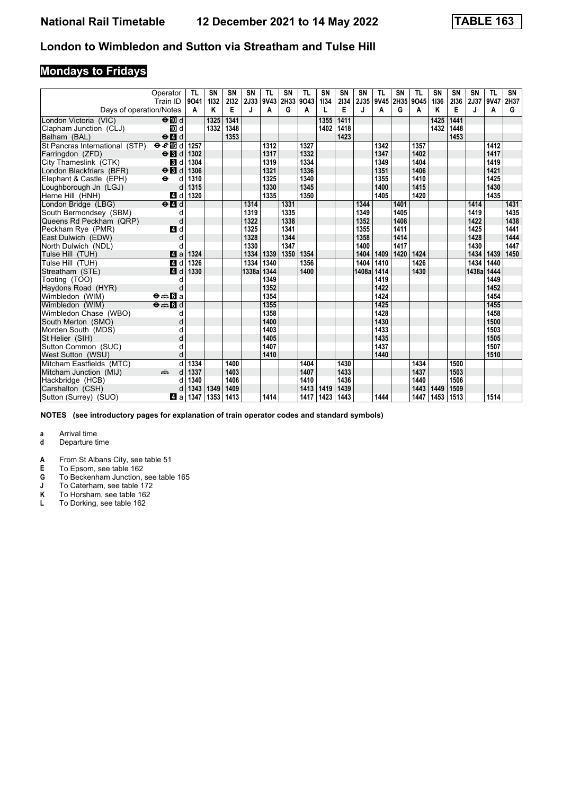# **Mondays to Fridays**

|                                | Operator<br>Train ID                                                                                                                                                                                                               | TL<br>9041 | <b>SN</b><br>1132 | <b>SN</b><br>2132 | SN<br>2J33 | TL<br>9V43 | SN   | TL<br>2H33 9O43 | SN<br>1134 | <b>SN</b><br>2134 | <b>SN</b><br>2J35 | TL<br>9V45 | <b>SN</b><br>2H35 | <b>TL</b><br>9045 | SN<br>1136 | SN<br>2136 | SN<br>2J37 | <b>TL</b><br>9V47 | SN<br>2H37 |
|--------------------------------|------------------------------------------------------------------------------------------------------------------------------------------------------------------------------------------------------------------------------------|------------|-------------------|-------------------|------------|------------|------|-----------------|------------|-------------------|-------------------|------------|-------------------|-------------------|------------|------------|------------|-------------------|------------|
| Days of operation/Notes        |                                                                                                                                                                                                                                    | A          | Κ                 | Е                 | J          | A          | G    | Α               | L          | E                 | J                 | Α          | G                 | A                 | Κ          | Е          | J          | Α                 | G          |
| London Victoria (VIC)          | $\Theta$ III d                                                                                                                                                                                                                     |            | 1325              | 1341              |            |            |      |                 | 1355       | 1411              |                   |            |                   |                   | 1425       | 1441       |            |                   |            |
| Clapham Junction (CLJ)         | 10 d                                                                                                                                                                                                                               |            | 1332              | 1348              |            |            |      |                 | 1402       | 1418              |                   |            |                   |                   | 1432       | 1448       |            |                   |            |
| Balham (BAL)                   | $\Theta$ $\blacksquare$ d                                                                                                                                                                                                          |            |                   | 1353              |            |            |      |                 |            | 1423              |                   |            |                   |                   |            | 1453       |            |                   |            |
| St Pancras International (STP) | $eE$ is d                                                                                                                                                                                                                          | 1257       |                   |                   |            | 1312       |      | 1327            |            |                   |                   | 1342       |                   | 1357              |            |            |            | 1412              |            |
| Farringdon (ZFD)               | $\Theta$ $\blacksquare$                                                                                                                                                                                                            | 1302       |                   |                   |            | 1317       |      | 1332            |            |                   |                   | 1347       |                   | 1402              |            |            |            | 1417              |            |
| City Thameslink (CTK)          | <b>B</b> d                                                                                                                                                                                                                         | 1304       |                   |                   |            | 1319       |      | 1334            |            |                   |                   | 1349       |                   | 1404              |            |            |            | 1419              |            |
| London Blackfriars (BFR)       | $\Theta$ <b>B</b> d                                                                                                                                                                                                                | 1306       |                   |                   |            | 1321       |      | 1336            |            |                   |                   | 1351       |                   | 1406              |            |            |            | 1421              |            |
| Elephant & Castle (EPH)        | $\ddot{\mathbf{e}}$<br>d                                                                                                                                                                                                           | 1310       |                   |                   |            | 1325       |      | 1340            |            |                   |                   | 1355       |                   | 1410              |            |            |            | 1425              |            |
| Loughborough Jn (LGJ)          | d                                                                                                                                                                                                                                  | 1315       |                   |                   |            | 1330       |      | 1345            |            |                   |                   | 1400       |                   | 1415              |            |            |            | 1430              |            |
| Herne Hill (HNH)               | ZI d                                                                                                                                                                                                                               | 1320       |                   |                   |            | 1335       |      | 1350            |            |                   |                   | 1405       |                   | 1420              |            |            |            | 1435              |            |
| London Bridge (LBG)            | $\Theta$ <sup><math>d</math></sup>                                                                                                                                                                                                 |            |                   |                   | 1314       |            | 1331 |                 |            |                   | 1344              |            | 1401              |                   |            |            | 1414       |                   | 1431       |
| South Bermondsey (SBM)         | d                                                                                                                                                                                                                                  |            |                   |                   | 1319       |            | 1335 |                 |            |                   | 1349              |            | 1405              |                   |            |            | 1419       |                   | 1435       |
| Queens Rd Peckham (QRP)        | d                                                                                                                                                                                                                                  |            |                   |                   | 1322       |            | 1338 |                 |            |                   | 1352              |            | 1408              |                   |            |            | 1422       |                   | 1438       |
| Peckham Rye (PMR)              | 4 d                                                                                                                                                                                                                                |            |                   |                   | 1325       |            | 1341 |                 |            |                   | 1355              |            | 1411              |                   |            |            | 1425       |                   | 1441       |
| East Dulwich (EDW)             | d                                                                                                                                                                                                                                  |            |                   |                   | 1328       |            | 1344 |                 |            |                   | 1358              |            | 1414              |                   |            |            | 1428       |                   | 1444       |
| North Dulwich (NDL)            | d                                                                                                                                                                                                                                  |            |                   |                   | 1330       |            | 1347 |                 |            |                   | 1400              |            | 1417              |                   |            |            | 1430       |                   | 1447       |
| Tulse Hill (TUH)               | ZI a                                                                                                                                                                                                                               | 1324       |                   |                   | 1334       | 1339       | 1350 | 1354            |            |                   | 1404              | 1409       | 1420              | 1424              |            |            | 1434       | 1439              | 1450       |
| Tulse Hill (TUH)               | ZI d                                                                                                                                                                                                                               | 1326       |                   |                   | 1334       | 1340       |      | 1356            |            |                   | 1404              | 1410       |                   | 1426              |            |            | 1434       | 1440              |            |
| Streatham (STE)                | 4 <sup>d</sup>                                                                                                                                                                                                                     | 1330       |                   |                   | 1338a      | 1344       |      | 1400            |            |                   | 1408a             | 1414       |                   | 1430              |            |            | 1438al     | 1444              |            |
| Tooting (TOO)                  | d                                                                                                                                                                                                                                  |            |                   |                   |            | 1349       |      |                 |            |                   |                   | 1419       |                   |                   |            |            |            | 1449              |            |
| Haydons Road (HYR)             | d                                                                                                                                                                                                                                  |            |                   |                   |            | 1352       |      |                 |            |                   |                   | 1422       |                   |                   |            |            |            | 1452              |            |
| Wimbledon (WIM)                | $\Theta = \blacksquare$ $\blacksquare$ a                                                                                                                                                                                           |            |                   |                   |            | 1354       |      |                 |            |                   |                   | 1424       |                   |                   |            |            |            | 1454              |            |
| Wimbledon (WIM)                | $\Theta = \blacksquare$ $\blacksquare$ $\blacksquare$                                                                                                                                                                              |            |                   |                   |            | 1355       |      |                 |            |                   |                   | 1425       |                   |                   |            |            |            | 1455              |            |
| Wimbledon Chase (WBO)          | d                                                                                                                                                                                                                                  |            |                   |                   |            | 1358       |      |                 |            |                   |                   | 1428       |                   |                   |            |            |            | 1458              |            |
| South Merton (SMO)             | d                                                                                                                                                                                                                                  |            |                   |                   |            | 1400       |      |                 |            |                   |                   | 1430       |                   |                   |            |            |            | 1500              |            |
| Morden South (MDS)             | d                                                                                                                                                                                                                                  |            |                   |                   |            | 1403       |      |                 |            |                   |                   | 1433       |                   |                   |            |            |            | 1503              |            |
| St Helier (SIH)                | d                                                                                                                                                                                                                                  |            |                   |                   |            | 1405       |      |                 |            |                   |                   | 1435       |                   |                   |            |            |            | 1505              |            |
| Sutton Common (SUC)            | d                                                                                                                                                                                                                                  |            |                   |                   |            | 1407       |      |                 |            |                   |                   | 1437       |                   |                   |            |            |            | 1507              |            |
| West Sutton (WSU)              | d                                                                                                                                                                                                                                  |            |                   |                   |            | 1410       |      |                 |            |                   |                   | 1440       |                   |                   |            |            |            | 1510              |            |
| Mitcham Eastfields (MTC)       | d                                                                                                                                                                                                                                  | 1334       |                   | 1400              |            |            |      | 1404            |            | 1430              |                   |            |                   | 1434              |            | 1500       |            |                   |            |
| Mitcham Junction (MIJ)         | and the second second second second the second second second second second second second second second second second second second second second second second second second second second second second second second second<br>d | 1337       |                   | 1403              |            |            |      | 1407            |            | 1433              |                   |            |                   | 1437              |            | 1503       |            |                   |            |
| Hackbridge (HCB)               | d                                                                                                                                                                                                                                  | 1340       |                   | 1406              |            |            |      | 1410            |            | 1436              |                   |            |                   | 1440              |            | 1506       |            |                   |            |
| Carshalton (CSH)               |                                                                                                                                                                                                                                    | 1343       | 1349              | 1409              |            |            |      | 1413            | 1419       | 1439              |                   |            |                   | 1443              | 1449       | 1509       |            |                   |            |
| Sutton (Surrey) (SUO)          | Z1 a                                                                                                                                                                                                                               | 1347       | 1353              | 1413              |            | 1414       |      | 1417            | 1423       | 1443              |                   | 1444       |                   | 1447              | 1453       | 1513       |            | 1514              |            |

**NOTES (see introductory pages for explanation of train operator codes and standard symbols)**

- **d** Departure time
- **A** From St Albans City, see table 51<br>**E** To Epsom, see table 162
- **E** To Epsom, see table 162<br>**G** To Beckenham Junction,
- **6** To Beckenham Junction, see table 165
- **J** To Caterham, see table 172
- **.** To Caterham, see table 172<br>**K** To Horsham, see table 162<br>**L** To Dorking, see table 162
- To Dorking, see table 162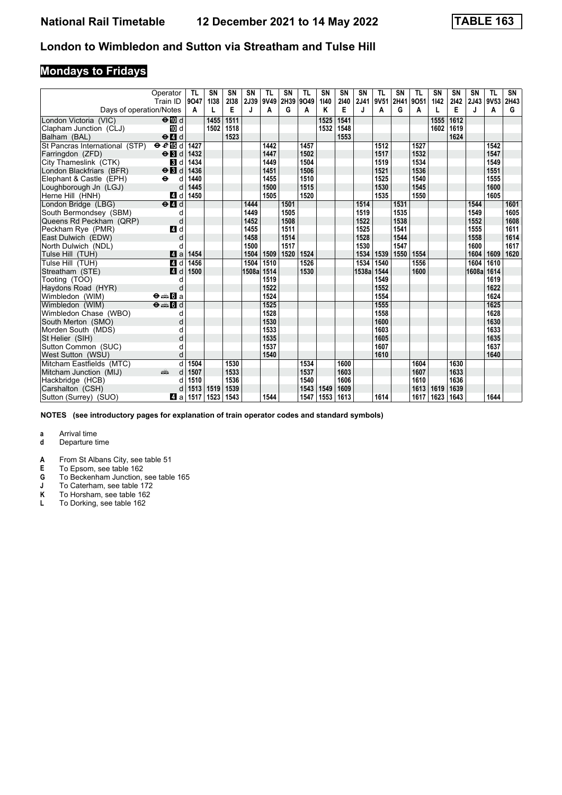# **Mondays to Fridays**

|                                | Operator<br>Train ID                            | TL<br>9047 | <b>SN</b><br>1138 | SN<br>2138 | <b>SN</b><br>2J39 | TL<br>9V49 | SN<br>2H39 9O49 | TL   | SN<br>1140 | SΝ<br>2140 | <b>SN</b><br>2J41 | TL<br>9V51 | SN<br>2H41 | <b>TL</b><br>9051 | <b>SN</b><br>1142 | SN<br>2142 | <b>SN</b><br>2J43 | <b>TL</b><br>9V53 2H43 | SN   |
|--------------------------------|-------------------------------------------------|------------|-------------------|------------|-------------------|------------|-----------------|------|------------|------------|-------------------|------------|------------|-------------------|-------------------|------------|-------------------|------------------------|------|
| Days of operation/Notes        |                                                 | A          |                   | Е          | J                 | A          | G               | A    | Κ          | Е          | J                 | A          | G          | A                 |                   | Е          | J                 | A                      | G    |
| London Victoria (VIC)          | $\Theta$ III d                                  |            | 1455              | 1511       |                   |            |                 |      | 1525       | 1541       |                   |            |            |                   | 1555              | 1612       |                   |                        |      |
| Clapham Junction (CLJ)         | [10] d                                          |            | 1502              | 1518       |                   |            |                 |      | 1532       | 1548       |                   |            |            |                   | 1602              | 1619       |                   |                        |      |
| Balham (BAL)                   | $\Theta$ <sup><math>\blacksquare</math> d</sup> |            |                   | 1523       |                   |            |                 |      |            | 1553       |                   |            |            |                   |                   | 1624       |                   |                        |      |
| St Pancras International (STP) | $eE$ is d                                       | 1427       |                   |            |                   | 1442       |                 | 1457 |            |            |                   | 1512       |            | 1527              |                   |            |                   | 1542                   |      |
| Farringdon (ZFD)               | $\Theta$ <b>B</b> d                             | 1432       |                   |            |                   | 1447       |                 | 1502 |            |            |                   | 1517       |            | 1532              |                   |            |                   | 1547                   |      |
| City Thameslink (CTK)          | <b>B</b> d                                      | 1434       |                   |            |                   | 1449       |                 | 1504 |            |            |                   | 1519       |            | 1534              |                   |            |                   | 1549                   |      |
| London Blackfriars (BFR)       | $\Theta$ <b>B</b> d                             | 1436       |                   |            |                   | 1451       |                 | 1506 |            |            |                   | 1521       |            | 1536              |                   |            |                   | 1551                   |      |
| Elephant & Castle (EPH)        | $\ddot{\mathbf{e}}$<br>d                        | 1440       |                   |            |                   | 1455       |                 | 1510 |            |            |                   | 1525       |            | 1540              |                   |            |                   | 1555                   |      |
| Loughborough Jn (LGJ)          | d                                               | 1445       |                   |            |                   | 1500       |                 | 1515 |            |            |                   | 1530       |            | 1545              |                   |            |                   | 1600                   |      |
| Herne Hill (HNH)               | 4 d                                             | 1450       |                   |            |                   | 1505       |                 | 1520 |            |            |                   | 1535       |            | 1550              |                   |            |                   | 1605                   |      |
| London Bridge (LBG)            | $\Theta$ <sup><math>\Omega</math></sup> d       |            |                   |            | 1444              |            | 1501            |      |            |            | 1514              |            | 1531       |                   |                   |            | 1544              |                        | 1601 |
| South Bermondsey (SBM)         | d                                               |            |                   |            | 1449              |            | 1505            |      |            |            | 1519              |            | 1535       |                   |                   |            | 1549              |                        | 1605 |
| Queens Rd Peckham (QRP)        | d                                               |            |                   |            | 1452              |            | 1508            |      |            |            | 1522              |            | 1538       |                   |                   |            | 1552              |                        | 1608 |
| Peckham Rye (PMR)              | 4 d                                             |            |                   |            | 1455              |            | 1511            |      |            |            | 1525              |            | 1541       |                   |                   |            | 1555              |                        | 1611 |
| East Dulwich (EDW)             | d                                               |            |                   |            | 1458              |            | 1514            |      |            |            | 1528              |            | 1544       |                   |                   |            | 1558              |                        | 1614 |
| North Dulwich (NDL)            | C                                               |            |                   |            | 1500              |            | 1517            |      |            |            | 1530              |            | 1547       |                   |                   |            | 1600              |                        | 1617 |
| Tulse Hill (TUH)               | ZI a                                            | 1454       |                   |            | 1504              | 1509       | 1520            | 1524 |            |            | 1534              | 1539       | 1550       | 1554              |                   |            | 1604              | 1609                   | 1620 |
| Tulse Hill (TUH)               | $\blacksquare$ d                                | 1456       |                   |            | 1504              | 1510       |                 | 1526 |            |            | 1534              | 1540       |            | 1556              |                   |            | 1604              | 1610                   |      |
| Streatham (STE)                | 4d                                              | 1500       |                   |            | 1508a             | 1514       |                 | 1530 |            |            | 1538a             | 1544       |            | 1600              |                   |            | 1608a 1614        |                        |      |
| Tooting (TOO)                  | d                                               |            |                   |            |                   | 1519       |                 |      |            |            |                   | 1549       |            |                   |                   |            |                   | 1619                   |      |
| Haydons Road (HYR)             | d                                               |            |                   |            |                   | 1522       |                 |      |            |            |                   | 1552       |            |                   |                   |            |                   | 1622                   |      |
| Wimbledon (WIM)                | $\Theta = \blacksquare$ $\blacksquare$ a        |            |                   |            |                   | 1524       |                 |      |            |            |                   | 1554       |            |                   |                   |            |                   | 1624                   |      |
| Wimbledon (WIM)                | $\Theta = \blacksquare$ $\blacksquare$ d        |            |                   |            |                   | 1525       |                 |      |            |            |                   | 1555       |            |                   |                   |            |                   | 1625                   |      |
| Wimbledon Chase (WBO)          | d                                               |            |                   |            |                   | 1528       |                 |      |            |            |                   | 1558       |            |                   |                   |            |                   | 1628                   |      |
| South Merton (SMO)             | d                                               |            |                   |            |                   | 1530       |                 |      |            |            |                   | 1600       |            |                   |                   |            |                   | 1630                   |      |
| Morden South (MDS)             | d                                               |            |                   |            |                   | 1533       |                 |      |            |            |                   | 1603       |            |                   |                   |            |                   | 1633                   |      |
| St Helier (SIH)                | d                                               |            |                   |            |                   | 1535       |                 |      |            |            |                   | 1605       |            |                   |                   |            |                   | 1635                   |      |
| Sutton Common (SUC)            | d                                               |            |                   |            |                   | 1537       |                 |      |            |            |                   | 1607       |            |                   |                   |            |                   | 1637                   |      |
| West Sutton (WSU)              | d                                               |            |                   |            |                   | 1540       |                 |      |            |            |                   | 1610       |            |                   |                   |            |                   | 1640                   |      |
| Mitcham Eastfields (MTC)       |                                                 | 1504       |                   | 1530       |                   |            |                 | 1534 |            | 1600       |                   |            |            | 1604              |                   | 1630       |                   |                        |      |
| Mitcham Junction (MIJ)         | din 1                                           | 1507       |                   | 1533       |                   |            |                 | 1537 |            | 1603       |                   |            |            | 1607              |                   | 1633       |                   |                        |      |
| Hackbridge (HCB)               | C                                               | 1510       |                   | 1536       |                   |            |                 | 1540 |            | 1606       |                   |            |            | 1610              |                   | 1636       |                   |                        |      |
| Carshalton (CSH)               | C                                               | 1513       | 1519              | 1539       |                   |            |                 | 1543 | 1549       | 1609       |                   |            |            | 1613              | 1619              | 1639       |                   |                        |      |
| Sutton (Surrey) (SUO)          | Z1 a                                            | 1517       | 1523              | 1543       |                   | 1544       |                 | 1547 | 1553       | 1613       |                   | 1614       |            | 1617              | 1623              | 1643       |                   | 1644                   |      |

**NOTES (see introductory pages for explanation of train operator codes and standard symbols)**

- **d** Departure time
- **A** From St Albans City, see table 51<br>**E** To Epsom, see table 162
- **E** To Epsom, see table 162<br>**G** To Beckenham Junction,
- **6** To Beckenham Junction, see table 165
- **J** To Caterham, see table 172
- **.** To Caterham, see table 172<br>**K** To Horsham, see table 162<br>**L** To Dorking, see table 162
- To Dorking, see table 162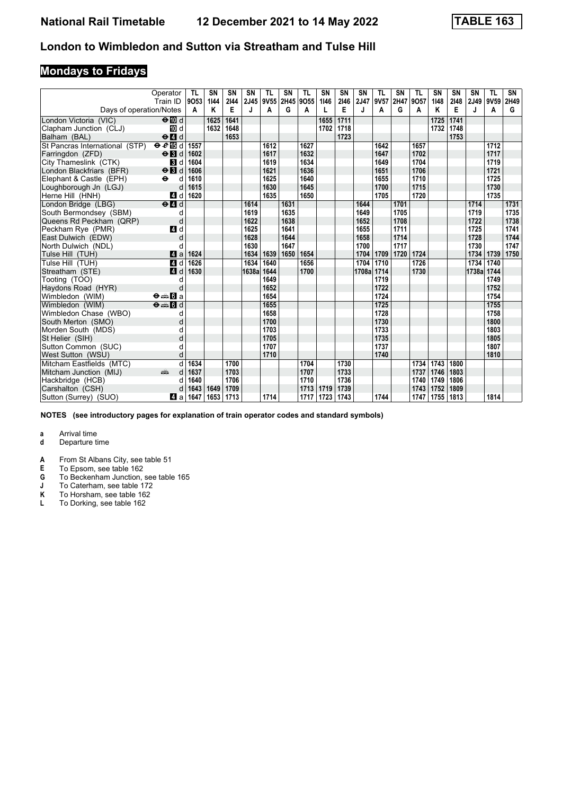# **Mondays to Fridays**

|                                | Operator<br>Train ID                                                                                                                                                                                                               | TL<br>9053 | SN<br>1144 | SN<br>2144 | SN<br>2J45 | TL<br>9V55 | SN   | TL<br>2H45 9O55 | SN<br>1146 | <b>SN</b><br>2146 | SN<br>2J47 | TL<br>9V57 | <b>SN</b><br>2H47 | <b>TL</b><br>9057 | SN<br>1148 | SN<br>2148 | SN<br>2J49 | <b>TL</b><br>9V59 | SN<br>2H49 |
|--------------------------------|------------------------------------------------------------------------------------------------------------------------------------------------------------------------------------------------------------------------------------|------------|------------|------------|------------|------------|------|-----------------|------------|-------------------|------------|------------|-------------------|-------------------|------------|------------|------------|-------------------|------------|
| Days of operation/Notes        |                                                                                                                                                                                                                                    | A          | Κ          | E          | J          | A          | G    | Α               | L          | Е                 | J          | Α          | G                 | A                 | Κ          | Е          | J          | Α                 | G          |
| London Victoria (VIC)          | $\Theta$ M d                                                                                                                                                                                                                       |            | 1625       | 1641       |            |            |      |                 | 1655       | 1711              |            |            |                   |                   | 1725       | 1741       |            |                   |            |
| Clapham Junction (CLJ)         | 10 d                                                                                                                                                                                                                               |            | 1632       | 1648       |            |            |      |                 | 1702       | 1718              |            |            |                   |                   | 1732       | 1748       |            |                   |            |
| Balham (BAL)                   | $\Theta$ $\blacksquare$ d                                                                                                                                                                                                          |            |            | 1653       |            |            |      |                 |            | 1723              |            |            |                   |                   |            | 1753       |            |                   |            |
| St Pancras International (STP) | $\Theta$ $\ell$ is d                                                                                                                                                                                                               | 1557       |            |            |            | 1612       |      | 1627            |            |                   |            | 1642       |                   | 1657              |            |            |            | 1712              |            |
| Farringdon (ZFD)               | $\Theta$ $\blacksquare$                                                                                                                                                                                                            | 1602       |            |            |            | 1617       |      | 1632            |            |                   |            | 1647       |                   | 1702              |            |            |            | 1717              |            |
| City Thameslink (CTK)          | <b>B</b> d                                                                                                                                                                                                                         | 1604       |            |            |            | 1619       |      | 1634            |            |                   |            | 1649       |                   | 1704              |            |            |            | 1719              |            |
| London Blackfriars (BFR)       | $\Theta$ <b>B</b> d                                                                                                                                                                                                                | 1606       |            |            |            | 1621       |      | 1636            |            |                   |            | 1651       |                   | 1706              |            |            |            | 1721              |            |
| Elephant & Castle (EPH)        | $\ddot{\mathbf{e}}$<br>d                                                                                                                                                                                                           | 1610       |            |            |            | 1625       |      | 1640            |            |                   |            | 1655       |                   | 1710              |            |            |            | 1725              |            |
| Loughborough Jn (LGJ)          | d                                                                                                                                                                                                                                  | 1615       |            |            |            | 1630       |      | 1645            |            |                   |            | 1700       |                   | 1715              |            |            |            | 1730              |            |
| Herne Hill (HNH)               | ZI d                                                                                                                                                                                                                               | 1620       |            |            |            | 1635       |      | 1650            |            |                   |            | 1705       |                   | 1720              |            |            |            | 1735              |            |
| London Bridge (LBG)            | $\Theta$ <sup><math>\Omega</math></sup> d                                                                                                                                                                                          |            |            |            | 1614       |            | 1631 |                 |            |                   | 1644       |            | 1701              |                   |            |            | 1714       |                   | 1731       |
| South Bermondsey (SBM)         | d                                                                                                                                                                                                                                  |            |            |            | 1619       |            | 1635 |                 |            |                   | 1649       |            | 1705              |                   |            |            | 1719       |                   | 1735       |
| Queens Rd Peckham (QRP)        | d                                                                                                                                                                                                                                  |            |            |            | 1622       |            | 1638 |                 |            |                   | 1652       |            | 1708              |                   |            |            | 1722       |                   | 1738       |
| Peckham Rye (PMR)              | 4 d                                                                                                                                                                                                                                |            |            |            | 1625       |            | 1641 |                 |            |                   | 1655       |            | 1711              |                   |            |            | 1725       |                   | 1741       |
| East Dulwich (EDW)             | d                                                                                                                                                                                                                                  |            |            |            | 1628       |            | 1644 |                 |            |                   | 1658       |            | 1714              |                   |            |            | 1728       |                   | 1744       |
| North Dulwich (NDL)            | d                                                                                                                                                                                                                                  |            |            |            | 1630       |            | 1647 |                 |            |                   | 1700       |            | 1717              |                   |            |            | 1730       |                   | 1747       |
| Tulse Hill (TUH)               | 4a                                                                                                                                                                                                                                 | 1624       |            |            | 1634       | 1639       | 1650 | 1654            |            |                   | 1704       | 1709       | 1720              | 1724              |            |            | 1734       | 1739              | 1750       |
| Tulse Hill (TUH)               | $\blacksquare$                                                                                                                                                                                                                     | 1626       |            |            | 1634       | 1640       |      | 1656            |            |                   | 1704       | 1710       |                   | 1726              |            |            | 1734       | 1740              |            |
| Streatham (STE)                | 4 <sup>d</sup>                                                                                                                                                                                                                     | 1630       |            |            | 1638a      | 1644       |      | 1700            |            |                   | 1708a      | 1714       |                   | 1730              |            |            | 1738a 1744 |                   |            |
| Tooting (TOO)                  | d                                                                                                                                                                                                                                  |            |            |            |            | 1649       |      |                 |            |                   |            | 1719       |                   |                   |            |            |            | 1749              |            |
| Haydons Road (HYR)             | d                                                                                                                                                                                                                                  |            |            |            |            | 1652       |      |                 |            |                   |            | 1722       |                   |                   |            |            |            | 1752              |            |
| Wimbledon (WIM)                | $\Theta = \blacksquare$ $\blacksquare$ a                                                                                                                                                                                           |            |            |            |            | 1654       |      |                 |            |                   |            | 1724       |                   |                   |            |            |            | 1754              |            |
| Wimbledon (WIM)                | $\Theta = \blacksquare$ $\blacksquare$ $\blacksquare$                                                                                                                                                                              |            |            |            |            | 1655       |      |                 |            |                   |            | 1725       |                   |                   |            |            |            | 1755              |            |
| Wimbledon Chase (WBO)          | d                                                                                                                                                                                                                                  |            |            |            |            | 1658       |      |                 |            |                   |            | 1728       |                   |                   |            |            |            | 1758              |            |
| South Merton (SMO)             | d                                                                                                                                                                                                                                  |            |            |            |            | 1700       |      |                 |            |                   |            | 1730       |                   |                   |            |            |            | 1800              |            |
| Morden South (MDS)             | d                                                                                                                                                                                                                                  |            |            |            |            | 1703       |      |                 |            |                   |            | 1733       |                   |                   |            |            |            | 1803              |            |
| St Helier (SIH)                | d                                                                                                                                                                                                                                  |            |            |            |            | 1705       |      |                 |            |                   |            | 1735       |                   |                   |            |            |            | 1805              |            |
| Sutton Common (SUC)            | d                                                                                                                                                                                                                                  |            |            |            |            | 1707       |      |                 |            |                   |            | 1737       |                   |                   |            |            |            | 1807              |            |
| West Sutton (WSU)              | d                                                                                                                                                                                                                                  |            |            |            |            | 1710       |      |                 |            |                   |            | 1740       |                   |                   |            |            |            | 1810              |            |
| Mitcham Eastfields (MTC)       | d                                                                                                                                                                                                                                  | 1634       |            | 1700       |            |            |      | 1704            |            | 1730              |            |            |                   | 1734              | 1743       | 1800       |            |                   |            |
| Mitcham Junction (MIJ)         | and the second second second second the second second second second second second second second second second second second second second second second second second second second second second second second second second<br>d | 1637       |            | 1703       |            |            |      | 1707            |            | 1733              |            |            |                   | 1737              | 1746       | 1803       |            |                   |            |
| Hackbridge (HCB)               | d                                                                                                                                                                                                                                  | 1640       |            | 1706       |            |            |      | 1710            |            | 1736              |            |            |                   | 1740              | 1749       | 1806       |            |                   |            |
| Carshalton (CSH)               |                                                                                                                                                                                                                                    | 1643       | 1649       | 1709       |            |            |      | 1713            | 1719       | 1739              |            |            |                   | 1743              | 1752       | 1809       |            |                   |            |
| Sutton (Surrey) (SUO)          | Z1 a                                                                                                                                                                                                                               | 1647       | 1653       | 1713       |            | 1714       |      | 1717            | 1723       | 1743              |            | 1744       |                   | 1747              | 1755       | 1813       |            | 1814              |            |

**NOTES (see introductory pages for explanation of train operator codes and standard symbols)**

- **d** Departure time
- **A** From St Albans City, see table 51<br>**E** To Epsom, see table 162
- **E** To Epsom, see table 162<br>**G** To Beckenham Junction,
- **6** To Beckenham Junction, see table 165
- **J** To Caterham, see table 172
- **.** To Caterham, see table 172<br>**K** To Horsham, see table 162<br>**L** To Dorking, see table 162
- To Dorking, see table 162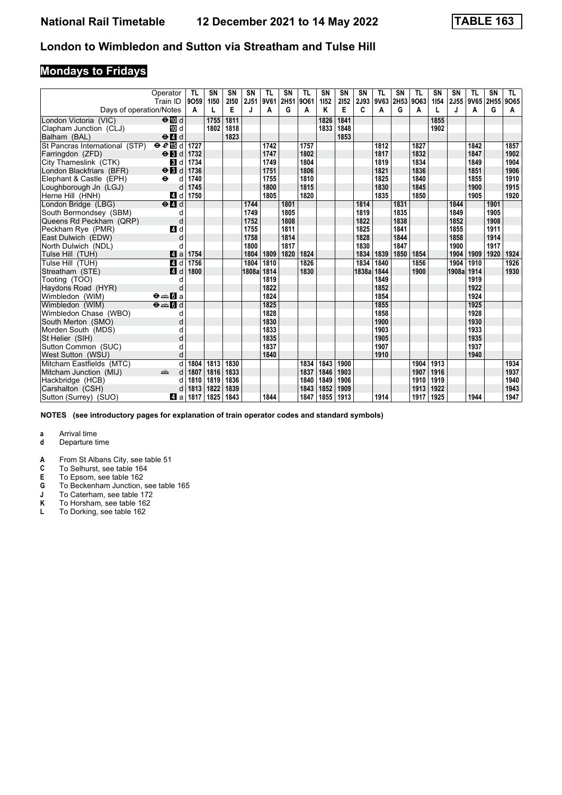# **Mondays to Fridays**

|                                | Operator<br>Train ID                                                                                                                                                                                                               | TL<br>9059 | <b>SN</b><br>1150 | SN<br>2150 | SN<br>2J51 | <b>TL</b><br>9V61 | <b>SN</b><br>2H51 | TL<br>9061 | <b>SN</b><br>1152 | SN<br>2152 | <b>SN</b><br>2J93 | TL<br>9V63 | <b>SN</b><br><b>2H53</b> | <b>TL</b><br>9063 | SN<br>1154 | SN<br>2J55 | TL<br>9V65 | <b>SN</b><br>2H <sub>55</sub> | TL.<br>9065 |
|--------------------------------|------------------------------------------------------------------------------------------------------------------------------------------------------------------------------------------------------------------------------------|------------|-------------------|------------|------------|-------------------|-------------------|------------|-------------------|------------|-------------------|------------|--------------------------|-------------------|------------|------------|------------|-------------------------------|-------------|
| Days of operation/Notes        |                                                                                                                                                                                                                                    | A          | L                 | E          | J          | A                 | G                 | Α          | Κ                 | Е          | C                 | Α          | G                        | A                 |            | J          | A          | G                             | A           |
| London Victoria (VIC)          | $\Theta$ III d                                                                                                                                                                                                                     |            | 1755              | 1811       |            |                   |                   |            | 1826              | 1841       |                   |            |                          |                   | 1855       |            |            |                               |             |
| Clapham Junction (CLJ)         | III d                                                                                                                                                                                                                              |            | 1802              | 1818       |            |                   |                   |            | 1833              | 1848       |                   |            |                          |                   | 1902       |            |            |                               |             |
| Balham (BAL)                   | $\Theta$ $\blacksquare$ d                                                                                                                                                                                                          |            |                   | 1823       |            |                   |                   |            |                   | 1853       |                   |            |                          |                   |            |            |            |                               |             |
| St Pancras International (STP) | $eE$ in d                                                                                                                                                                                                                          | 1727       |                   |            |            | 1742              |                   | 1757       |                   |            |                   | 1812       |                          | 1827              |            |            | 1842       |                               | 1857        |
| Farringdon (ZFD)               | $\Theta$ <b>B</b> d                                                                                                                                                                                                                | 1732       |                   |            |            | 1747              |                   | 1802       |                   |            |                   | 1817       |                          | 1832              |            |            | 1847       |                               | 1902        |
| City Thameslink (CTK)          | <b>B</b> d                                                                                                                                                                                                                         | 1734       |                   |            |            | 1749              |                   | 1804       |                   |            |                   | 1819       |                          | 1834              |            |            | 1849       |                               | 1904        |
| London Blackfriars (BFR)       | $\Theta$ <b>B</b> d                                                                                                                                                                                                                | 1736       |                   |            |            | 1751              |                   | 1806       |                   |            |                   | 1821       |                          | 1836              |            |            | 1851       |                               | 1906        |
| Elephant & Castle (EPH)        | $\ddot{\mathbf{e}}$<br>d                                                                                                                                                                                                           | 1740       |                   |            |            | 1755              |                   | 1810       |                   |            |                   | 1825       |                          | 1840              |            |            | 1855       |                               | 1910        |
| Loughborough Jn (LGJ)          | d                                                                                                                                                                                                                                  | 1745       |                   |            |            | 1800              |                   | 1815       |                   |            |                   | 1830       |                          | 1845              |            |            | 1900       |                               | 1915        |
| Herne Hill (HNH)               | 4 d                                                                                                                                                                                                                                | 1750       |                   |            |            | 1805              |                   | 1820       |                   |            |                   | 1835       |                          | 1850              |            |            | 1905       |                               | 1920        |
| London Bridge (LBG)            | $\Theta$ <sup><math>\Omega</math></sup> d                                                                                                                                                                                          |            |                   |            | 1744       |                   | 1801              |            |                   |            | 1814              |            | 1831                     |                   |            | 1844       |            | 1901                          |             |
| South Bermondsey (SBM)         | d                                                                                                                                                                                                                                  |            |                   |            | 1749       |                   | 1805              |            |                   |            | 1819              |            | 1835                     |                   |            | 1849       |            | 1905                          |             |
| Queens Rd Peckham (QRP)        | d                                                                                                                                                                                                                                  |            |                   |            | 1752       |                   | 1808              |            |                   |            | 1822              |            | 1838                     |                   |            | 1852       |            | 1908                          |             |
| Peckham Rye (PMR)              | 4 d                                                                                                                                                                                                                                |            |                   |            | 1755       |                   | 1811              |            |                   |            | 1825              |            | 1841                     |                   |            | 1855       |            | 1911                          |             |
| East Dulwich (EDW)             | d                                                                                                                                                                                                                                  |            |                   |            | 1758       |                   | 1814              |            |                   |            | 1828              |            | 1844                     |                   |            | 1858       |            | 1914                          |             |
| North Dulwich (NDL)            | d                                                                                                                                                                                                                                  |            |                   |            | 1800       |                   | 1817              |            |                   |            | 1830              |            | 1847                     |                   |            | 1900       |            | 1917                          |             |
| Tulse Hill (TUH)               | ZI a                                                                                                                                                                                                                               | 1754       |                   |            | 1804       | 1809              | 1820              | 1824       |                   |            | 1834              | 1839       | 1850                     | 1854              |            | 1904       | 1909       | 1920                          | 1924        |
| Tulse Hill (TUH)               | 4 d                                                                                                                                                                                                                                | 1756       |                   |            | 1804       | 1810              |                   | 1826       |                   |            | 1834              | 1840       |                          | 1856              |            | 1904       | 1910       |                               | 1926        |
| Streatham (STE)                | 4 <sup>d</sup>                                                                                                                                                                                                                     | 1800       |                   |            | 1808a      | 1814              |                   | 1830       |                   |            | 1838a             | 1844       |                          | 1900              |            | 1908a      | 1914       |                               | 1930        |
| Tooting (TOO)                  | d                                                                                                                                                                                                                                  |            |                   |            |            | 1819              |                   |            |                   |            |                   | 1849       |                          |                   |            |            | 1919       |                               |             |
| Haydons Road (HYR)             | d                                                                                                                                                                                                                                  |            |                   |            |            | 1822              |                   |            |                   |            |                   | 1852       |                          |                   |            |            | 1922       |                               |             |
| Wimbledon (WIM)                | $\Theta = \blacksquare$ $\blacksquare$ a                                                                                                                                                                                           |            |                   |            |            | 1824              |                   |            |                   |            |                   | 1854       |                          |                   |            |            | 1924       |                               |             |
| Wimbledon (WIM)                | $\Theta = \blacksquare$ $\blacksquare$ d                                                                                                                                                                                           |            |                   |            |            | 1825              |                   |            |                   |            |                   | 1855       |                          |                   |            |            | 1925       |                               |             |
| Wimbledon Chase (WBO)          | d                                                                                                                                                                                                                                  |            |                   |            |            | 1828              |                   |            |                   |            |                   | 1858       |                          |                   |            |            | 1928       |                               |             |
| South Merton (SMO)             | d                                                                                                                                                                                                                                  |            |                   |            |            | 1830              |                   |            |                   |            |                   | 1900       |                          |                   |            |            | 1930       |                               |             |
| Morden South (MDS)             | d                                                                                                                                                                                                                                  |            |                   |            |            | 1833              |                   |            |                   |            |                   | 1903       |                          |                   |            |            | 1933       |                               |             |
| St Helier (SIH)                | d                                                                                                                                                                                                                                  |            |                   |            |            | 1835              |                   |            |                   |            |                   | 1905       |                          |                   |            |            | 1935       |                               |             |
| Sutton Common (SUC)            | d                                                                                                                                                                                                                                  |            |                   |            |            | 1837              |                   |            |                   |            |                   | 1907       |                          |                   |            |            | 1937       |                               |             |
| West Sutton (WSU)              | d                                                                                                                                                                                                                                  |            |                   |            |            | 1840              |                   |            |                   |            |                   | 1910       |                          |                   |            |            | 1940       |                               |             |
| Mitcham Eastfields (MTC)       | d                                                                                                                                                                                                                                  | 1804       | 1813              | 1830       |            |                   |                   | 1834       | 1843              | 1900       |                   |            |                          | 1904              | 1913       |            |            |                               | 1934        |
| Mitcham Junction (MIJ)         | and the second second second second the second second second second second second second second second second second second second second second second second second second second second second second second second second<br>d | 1807       | 1816              | 1833       |            |                   |                   | 1837       | 1846              | 1903       |                   |            |                          | 1907              | 1916       |            |            |                               | 1937        |
| Hackbridge (HCB)               | d                                                                                                                                                                                                                                  | 1810       | 1819              | 1836       |            |                   |                   | 1840       | 1849              | 1906       |                   |            |                          | 1910              | 1919       |            |            |                               | 1940        |
| Carshalton (CSH)               |                                                                                                                                                                                                                                    | 1813       | 1822              | 1839       |            |                   |                   | 1843       | 1852              | 1909       |                   |            |                          | 1913              | 1922       |            |            |                               | 1943        |
| Sutton (Surrey) (SUO)          | 41 a                                                                                                                                                                                                                               | 1817       | 1825              | 1843       |            | 1844              |                   | 1847       | 1855              | 1913       |                   | 1914       |                          | 1917              | 1925       |            | 1944       |                               | 1947        |

**NOTES (see introductory pages for explanation of train operator codes and standard symbols)**

- **d** Departure time
- **A** From St Albans City, see table 51<br>**C** To Selhurst, see table 164
- **C** To Selhurst, see table 164<br>**E** To Epsom, see table 162
- 
- **E** To Epsom, see table 162<br>**G** To Beckenham Junction, s<br>**J** To Caterham, see table 1 To Beckenham Junction, see table 165
- **-** To Caterham, see table 172<br>**K** To Horsham, see table 162
- **K** To Horsham, see table 162<br>**L** To Dorking, see table 162
- To Dorking, see table 162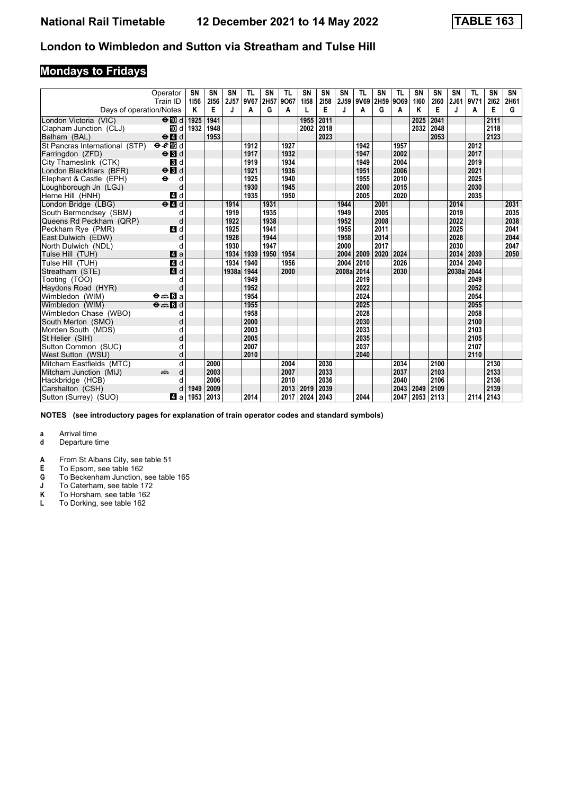# **Mondays to Fridays**

|                                            | Operator<br>Train ID                                                                                                                                                                                                                | <b>SN</b><br>1156 | SN<br>2156 | SN<br>2J57 | <b>TL</b><br>9V67 | SN<br>2H57 | <b>TL</b><br>9067 | SN<br>1158 | SN<br>2158 | SΝ<br>2J59 | TL<br>9V69   | <b>SN</b><br>2H59 | TL<br>9069 | SN<br>1160 | <b>SN</b><br>2160 | <b>SN</b><br>2J61 | TL<br>9V71   | SN<br>2162 | SN<br>2H61 |
|--------------------------------------------|-------------------------------------------------------------------------------------------------------------------------------------------------------------------------------------------------------------------------------------|-------------------|------------|------------|-------------------|------------|-------------------|------------|------------|------------|--------------|-------------------|------------|------------|-------------------|-------------------|--------------|------------|------------|
| Days of operation/Notes                    |                                                                                                                                                                                                                                     | Κ                 | Е          | J          | A                 | G          | A                 | L          | E          | J          | A            | G                 | A          | Κ          | Е                 | J                 | A            | Е          | G          |
| London Victoria (VIC)                      | $\Theta$ III d                                                                                                                                                                                                                      | 1925              | 1941       |            |                   |            |                   | 1955       | 2011       |            |              |                   |            | 2025       | 2041              |                   |              | 2111       |            |
| Clapham Junction (CLJ)                     | III d                                                                                                                                                                                                                               | 1932              | 1948       |            |                   |            |                   | 2002       | 2018       |            |              |                   |            | 2032       | 2048              |                   |              | 2118       |            |
| Balham (BAL)                               | $\Theta$ $\blacksquare$ d                                                                                                                                                                                                           |                   | 1953       |            |                   |            |                   |            | 2023       |            |              |                   |            |            | 2053              |                   |              | 2123       |            |
| St Pancras International (STP)             | $e$ and                                                                                                                                                                                                                             |                   |            |            | 1912              |            | 1927              |            |            |            | 1942         |                   | 1957       |            |                   |                   | 2012         |            |            |
| Farringdon (ZFD)                           | $\Theta$ <b>N</b> d                                                                                                                                                                                                                 |                   |            |            | 1917              |            | 1932              |            |            |            | 1947         |                   | 2002       |            |                   |                   | 2017         |            |            |
| City Thameslink (CTK)                      | <b>3</b> d                                                                                                                                                                                                                          |                   |            |            | 1919              |            | 1934              |            |            |            | 1949         |                   | 2004       |            |                   |                   | 2019         |            |            |
| London Blackfriars (BFR)                   | $\Theta$ <b>B</b> d                                                                                                                                                                                                                 |                   |            |            | 1921              |            | 1936              |            |            |            | 1951         |                   | 2006       |            |                   |                   | 2021         |            |            |
| Elephant & Castle (EPH)                    | $\ddot{\mathbf{e}}$<br>d                                                                                                                                                                                                            |                   |            |            | 1925              |            | 1940              |            |            |            | 1955         |                   | 2010       |            |                   |                   | 2025         |            |            |
| Loughborough Jn (LGJ)                      | d                                                                                                                                                                                                                                   |                   |            |            | 1930              |            | 1945              |            |            |            | 2000         |                   | 2015       |            |                   |                   | 2030         |            |            |
| Herne Hill (HNH)                           | 4 d                                                                                                                                                                                                                                 |                   |            |            | 1935              |            | 1950              |            |            |            | 2005         |                   | 2020       |            |                   |                   | 2035         |            |            |
| London Bridge (LBG)                        | $\Theta$ <sup><math>\Box</math> d</sup>                                                                                                                                                                                             |                   |            | 1914       |                   | 1931       |                   |            |            | 1944       |              | 2001              |            |            |                   | 2014              |              |            | 2031       |
| South Bermondsev (SBM)                     | d                                                                                                                                                                                                                                   |                   |            | 1919       |                   | 1935       |                   |            |            | 1949       |              | 2005              |            |            |                   | 2019              |              |            | 2035       |
| Queens Rd Peckham (QRP)                    | d                                                                                                                                                                                                                                   |                   |            | 1922       |                   | 1938       |                   |            |            | 1952       |              | 2008              |            |            |                   | 2022              |              |            | 2038       |
| Peckham Rye (PMR)                          | 4 d                                                                                                                                                                                                                                 |                   |            | 1925       |                   | 1941       |                   |            |            | 1955       |              | 2011              |            |            |                   | 2025              |              |            | 2041       |
| East Dulwich (EDW)                         | d                                                                                                                                                                                                                                   |                   |            | 1928       |                   | 1944       |                   |            |            | 1958       |              | 2014              |            |            |                   | 2028              |              |            | 2044       |
| North Dulwich (NDL)                        | d                                                                                                                                                                                                                                   |                   |            | 1930       |                   | 1947       |                   |            |            | 2000       |              | 2017              |            |            |                   | 2030              |              |            | 2047       |
| Tulse Hill (TUH)                           | 4a                                                                                                                                                                                                                                  |                   |            | 1934       | 1939              | 1950       | 1954              |            |            | 2004       | 2009         | 2020              | 2024       |            |                   | 2034              | 2039         |            | 2050       |
| Tulse Hill (TUH)                           | 4 d                                                                                                                                                                                                                                 |                   |            | 1934       | 1940              |            | 1956              |            |            | 2004       | 2010         |                   | 2026       |            |                   | 2034              | 2040         |            |            |
| Streatham (STE)                            | 4 d                                                                                                                                                                                                                                 |                   |            | 1938a      | 1944              |            | 2000              |            |            | 2008a      | 2014         |                   | 2030       |            |                   | 2038a             | 2044         |            |            |
| Tooting (TOO)                              | d                                                                                                                                                                                                                                   |                   |            |            | 1949              |            |                   |            |            |            | 2019         |                   |            |            |                   |                   | 2049         |            |            |
| Haydons Road (HYR)                         | d                                                                                                                                                                                                                                   |                   |            |            | 1952              |            |                   |            |            |            | 2022         |                   |            |            |                   |                   | 2052         |            |            |
| Wimbledon (WIM)                            | $\Theta = \blacksquare$ $\blacksquare$ a                                                                                                                                                                                            |                   |            |            | 1954              |            |                   |            |            |            | 2024         |                   |            |            |                   |                   | 2054         |            |            |
| Wimbledon (WIM)                            | $\Theta = \Pi d$                                                                                                                                                                                                                    |                   |            |            | 1955              |            |                   |            |            |            | 2025         |                   |            |            |                   |                   | 2055         |            |            |
| Wimbledon Chase (WBO)                      | d                                                                                                                                                                                                                                   |                   |            |            | 1958              |            |                   |            |            |            | 2028         |                   |            |            |                   |                   | 2058         |            |            |
| South Merton (SMO)                         | d                                                                                                                                                                                                                                   |                   |            |            | 2000              |            |                   |            |            |            | 2030         |                   |            |            |                   |                   | 2100         |            |            |
| Morden South (MDS)                         | d                                                                                                                                                                                                                                   |                   |            |            | 2003              |            |                   |            |            |            | 2033<br>2035 |                   |            |            |                   |                   | 2103<br>2105 |            |            |
| St Helier (SIH)                            | d                                                                                                                                                                                                                                   |                   |            |            | 2005              |            |                   |            |            |            | 2037         |                   |            |            |                   |                   | 2107         |            |            |
| Sutton Common (SUC)                        | d<br>d                                                                                                                                                                                                                              |                   |            |            | 2007<br>2010      |            |                   |            |            |            | 2040         |                   |            |            |                   |                   | 2110         |            |            |
| West Sutton (WSU)                          | q                                                                                                                                                                                                                                   |                   | 2000       |            |                   |            | 2004              |            | 2030       |            |              |                   | 2034       |            | 2100              |                   |              | 2130       |            |
| Mitcham Eastfields (MTC)                   | and the second second second second second second second second second second second second second second second second second second second second second second second second second second second second second second seco<br>d |                   | 2003       |            |                   |            | 2007              |            | 2033       |            |              |                   | 2037       |            | 2103              |                   |              | 2133       |            |
| Mitcham Junction (MIJ)<br>Hackbridge (HCB) | d                                                                                                                                                                                                                                   |                   | 2006       |            |                   |            | 2010              |            | 2036       |            |              |                   | 2040       |            | 2106              |                   |              | 2136       |            |
| Carshalton (CSH)                           | d                                                                                                                                                                                                                                   | 1949              | 2009       |            |                   |            | 2013              | 2019       | 2039       |            |              |                   | 2043       | 2049       | 2109              |                   |              | 2139       |            |
| Sutton (Surrey) (SUO)                      | Z1 a                                                                                                                                                                                                                                | 1953              | 2013       |            | 2014              |            | 2017              | 2024       | 2043       |            | 2044         |                   | 2047       | 2053       | 2113              |                   | 2114 2143    |            |            |
|                                            |                                                                                                                                                                                                                                     |                   |            |            |                   |            |                   |            |            |            |              |                   |            |            |                   |                   |              |            |            |

**NOTES (see introductory pages for explanation of train operator codes and standard symbols)**

- **d** Departure time
- **A** From St Albans City, see table 51<br>**E** To Epsom, see table 162
- **E** To Epsom, see table 162<br>**G** To Beckenham Junction,
- **6** To Beckenham Junction, see table 165
- **J** To Caterham, see table 172
- **.** To Caterham, see table 172<br>**K** To Horsham, see table 162<br>**L** To Dorking, see table 162
- To Dorking, see table 162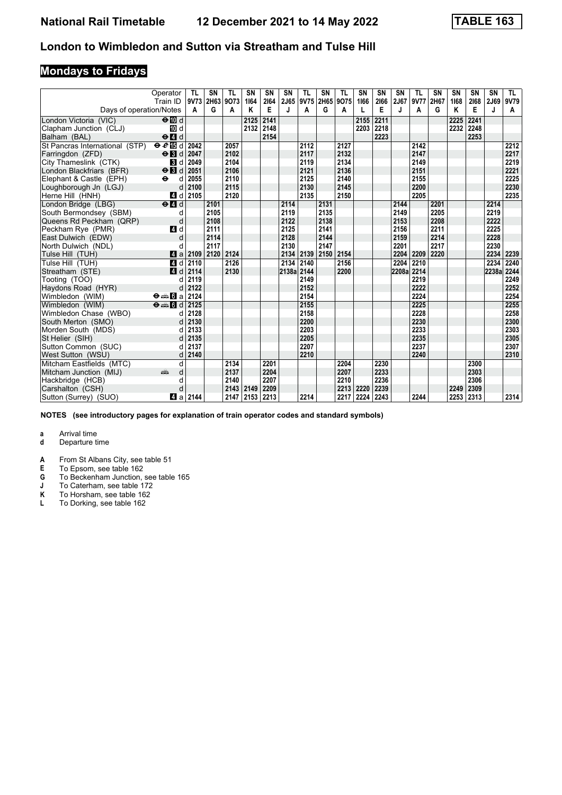# **Mondays to Fridays**

|                                | Operator<br>Train ID                              | -TL  | <b>SN</b><br>9V73 2H63 | <b>TL</b><br>9073 | SN<br>1164 | SN<br>2164 | SN<br>2J65 | TL<br>9V75 | <b>SN</b><br>2H65 9O75 | <b>TL</b> | SN<br>1166 | <b>SN</b><br>2166 | <b>SN</b><br>2J67 | <b>TL</b><br>9V77 | SN<br>2H67 | SN<br>1168 | SN<br>2168 | <b>SN</b><br>2J69 | TL.<br>9V79 |
|--------------------------------|---------------------------------------------------|------|------------------------|-------------------|------------|------------|------------|------------|------------------------|-----------|------------|-------------------|-------------------|-------------------|------------|------------|------------|-------------------|-------------|
| Days of operation/Notes        |                                                   | A    | G                      | A                 | Κ          | E          | J          | A          | G                      | A         |            | E                 | J                 | A                 | G          | K          | Е          | J                 | A           |
| London Victoria (VIC)          | $\Theta$ III d                                    |      |                        |                   | 2125       | 2141       |            |            |                        |           | 2155       | 2211              |                   |                   |            | 2225       | 2241       |                   |             |
| Clapham Junction (CLJ)         | 10 d                                              |      |                        |                   | 2132       | 2148       |            |            |                        |           | 2203       | 2218              |                   |                   |            | 2232       | 2248       |                   |             |
| Balham (BAL)                   | $\Theta$ <sup><math>\Omega</math></sup> d         |      |                        |                   |            | 2154       |            |            |                        |           |            | 2223              |                   |                   |            |            | 2253       |                   |             |
| St Pancras International (STP) | $e$ and                                           | 2042 |                        | 2057              |            |            |            | 2112       |                        | 2127      |            |                   |                   | 2142              |            |            |            |                   | 2212        |
| Farringdon (ZFD)               | $\Theta$ <b>B</b> d                               | 2047 |                        | 2102              |            |            |            | 2117       |                        | 2132      |            |                   |                   | 2147              |            |            |            |                   | 2217        |
| City Thameslink (CTK)          | <b>3</b> d                                        | 2049 |                        | 2104              |            |            |            | 2119       |                        | 2134      |            |                   |                   | 2149              |            |            |            |                   | 2219        |
| London Blackfriars (BFR)       | $\Theta$ <b>B</b> d                               | 2051 |                        | 2106              |            |            |            | 2121       |                        | 2136      |            |                   |                   | 2151              |            |            |            |                   | 2221        |
| Elephant & Castle (EPH)        | $\ddot{\mathbf{e}}$<br>d                          | 2055 |                        | 2110              |            |            |            | 2125       |                        | 2140      |            |                   |                   | 2155              |            |            |            |                   | 2225        |
| Loughborough Jn (LGJ)          | d                                                 | 2100 |                        | 2115              |            |            |            | 2130       |                        | 2145      |            |                   |                   | 2200              |            |            |            |                   | 2230        |
| Herne Hill (HNH)               | 4 d                                               | 2105 |                        | 2120              |            |            |            | 2135       |                        | 2150      |            |                   |                   | 2205              |            |            |            |                   | 2235        |
| London Bridge (LBG)            | $e$ $d$                                           |      | 2101                   |                   |            |            | 2114       |            | 2131                   |           |            |                   | 2144              |                   | 2201       |            |            | 2214              |             |
| South Bermondsey (SBM)         | d                                                 |      | 2105                   |                   |            |            | 2119       |            | 2135                   |           |            |                   | 2149              |                   | 2205       |            |            | 2219              |             |
| Queens Rd Peckham (QRP)        | d                                                 |      | 2108                   |                   |            |            | 2122       |            | 2138                   |           |            |                   | 2153              |                   | 2208       |            |            | 2222              |             |
| Peckham Rye (PMR)              | 4 d                                               |      | 2111                   |                   |            |            | 2125       |            | 2141                   |           |            |                   | 2156              |                   | 2211       |            |            | 2225              |             |
| East Dulwich (EDW)             | d                                                 |      | 2114                   |                   |            |            | 2128       |            | 2144                   |           |            |                   | 2159              |                   | 2214       |            |            | 2228              |             |
| North Dulwich (NDL)            | d                                                 |      | 2117                   |                   |            |            | 2130       |            | 2147                   |           |            |                   | 2201              |                   | 2217       |            |            | 2230              |             |
| Tulse Hill (TUH)               | ZI a                                              | 2109 | 2120                   | 2124              |            |            | 2134       | 2139       | 2150                   | 2154      |            |                   | 2204              | 2209              | 2220       |            |            | 2234              | 2239        |
| Tulse Hill (TUH)               | 4 d                                               | 2110 |                        | 2126              |            |            | 2134       | 2140       |                        | 2156      |            |                   | 2204              | 2210              |            |            |            | 2234              | 2240        |
| Streatham (STE)                | 4 <sup>d</sup>                                    | 2114 |                        | 2130              |            |            | 2138a 2144 |            |                        | 2200      |            |                   | 2208a             | 2214              |            |            |            | 2238a             | 2244        |
| Tooting (TOO)                  | d                                                 | 2119 |                        |                   |            |            |            | 2149       |                        |           |            |                   |                   | 2219              |            |            |            |                   | 2249        |
| Haydons Road (HYR)             |                                                   | 2122 |                        |                   |            |            |            | 2152       |                        |           |            |                   |                   | 2222              |            |            |            |                   | 2252        |
| Wimbledon (WIM)                | $\Theta = \begin{bmatrix} 1 \\ 0 \end{bmatrix}$ a | 2124 |                        |                   |            |            |            | 2154       |                        |           |            |                   |                   | 2224              |            |            |            |                   | 2254        |
| Wimbledon (WIM)                | $\Theta = \blacksquare$ $\blacksquare$ d          | 2125 |                        |                   |            |            |            | 2155       |                        |           |            |                   |                   | 2225              |            |            |            |                   | 2255        |
| Wimbledon Chase (WBO)          | d                                                 | 2128 |                        |                   |            |            |            | 2158       |                        |           |            |                   |                   | 2228              |            |            |            |                   | 2258        |
| South Merton (SMO)             |                                                   | 2130 |                        |                   |            |            |            | 2200       |                        |           |            |                   |                   | 2230              |            |            |            |                   | 2300        |
| Morden South (MDS)             |                                                   | 2133 |                        |                   |            |            |            | 2203       |                        |           |            |                   |                   | 2233              |            |            |            |                   | 2303        |
| St Helier (SIH)                |                                                   | 2135 |                        |                   |            |            |            | 2205       |                        |           |            |                   |                   | 2235              |            |            |            |                   | 2305        |
| Sutton Common (SUC)            |                                                   | 2137 |                        |                   |            |            |            | 2207       |                        |           |            |                   |                   | 2237              |            |            |            |                   | 2307        |
| West Sutton (WSU)              | d                                                 | 2140 |                        |                   |            |            |            | 2210       |                        |           |            |                   |                   | 2240              |            |            |            |                   | 2310        |
| Mitcham Eastfields (MTC)       | d                                                 |      |                        | 2134              |            | 2201       |            |            |                        | 2204      |            | 2230              |                   |                   |            |            | 2300       |                   |             |
| Mitcham Junction (MIJ)         | añ,<br>d                                          |      |                        | 2137              |            | 2204       |            |            |                        | 2207      |            | 2233              |                   |                   |            |            | 2303       |                   |             |
| Hackbridge (HCB)               | d                                                 |      |                        | 2140              |            | 2207       |            |            |                        | 2210      |            | 2236              |                   |                   |            |            | 2306       |                   |             |
| Carshalton (CSH)               |                                                   |      |                        | 2143              | 2149       | 2209       |            |            |                        | 2213      | 2220       | 2239              |                   |                   |            | 2249       | 2309       |                   |             |
| Sutton (Surrey) (SUO)          | 41 a                                              | 2144 |                        | 2147              | 2153       | 2213       |            | 2214       |                        | 2217      | 2224       | 2243              |                   | 2244              |            | 2253       | 2313       |                   | 2314        |

**NOTES (see introductory pages for explanation of train operator codes and standard symbols)**

- **d** Departure time
- **A** From St Albans City, see table 51<br>**E** To Epsom, see table 162
- **E** To Epsom, see table 162<br>**G** To Beckenham Junction,
- **6** To Beckenham Junction, see table 165
- **J** To Caterham, see table 172
- **.** To Caterham, see table 172<br>**K** To Horsham, see table 162<br>**L** To Dorking, see table 162
- To Dorking, see table 162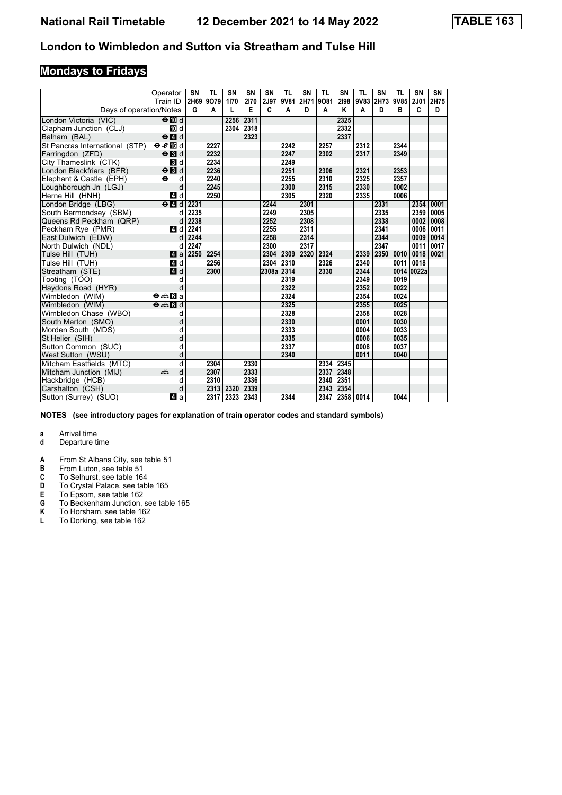# **Mondays to Fridays**

|                                | Operator                           | <b>SN</b> | <b>TL</b> | SN   | SN   | SN    | <b>TL</b> | SN   | <b>TL</b> | SN   | <b>TL</b> | SN   | TL   | SN          | SN   |
|--------------------------------|------------------------------------|-----------|-----------|------|------|-------|-----------|------|-----------|------|-----------|------|------|-------------|------|
|                                | Train ID                           | 2H69      | 9079      | 1170 | 2170 | 2J97  | 9V81      | 2H71 | 9081      | 2198 | 9V83      | 2H73 | 9V85 | <b>2J01</b> | 2H75 |
| Days of operation/Notes        |                                    | G         | A         | L    | Е    | c     | A         | D    | A         | Κ    | A         | D    | в    | c           | D    |
| London Victoria (VIC)          | $\Theta$ III d                     |           |           | 2256 | 2311 |       |           |      |           | 2325 |           |      |      |             |      |
| Clapham Junction (CLJ)         | TO d                               |           |           | 2304 | 2318 |       |           |      |           | 2332 |           |      |      |             |      |
| Balham (BAL)                   | $\Theta$ <sup><math>d</math></sup> |           |           |      | 2323 |       |           |      |           | 2337 |           |      |      |             |      |
| St Pancras International (STP) | $\Theta$ $\ell$ is d               |           | 2227      |      |      |       | 2242      |      | 2257      |      | 2312      |      | 2344 |             |      |
| Farringdon (ZFD)               | $\Theta$ <b>B</b> d                |           | 2232      |      |      |       | 2247      |      | 2302      |      | 2317      |      | 2349 |             |      |
| City Thameslink (CTK)          | <b>B</b> d                         |           | 2234      |      |      |       | 2249      |      |           |      |           |      |      |             |      |
| London Blackfriars (BFR)       | $\Theta$ <b>B</b> d                |           | 2236      |      |      |       | 2251      |      | 2306      |      | 2321      |      | 2353 |             |      |
| Elephant & Castle (EPH)        | d<br>$\bullet$                     |           | 2240      |      |      |       | 2255      |      | 2310      |      | 2325      |      | 2357 |             |      |
| Loughborough Jn (LGJ)          | d                                  |           | 2245      |      |      |       | 2300      |      | 2315      |      | 2330      |      | 0002 |             |      |
| Herne Hill (HNH)               | 4 d                                |           | 2250      |      |      |       | 2305      |      | 2320      |      | 2335      |      | 0006 |             |      |
| London Bridge (LBG)            | $e$ $d$                            | 2231      |           |      |      | 2244  |           | 2301 |           |      |           | 2331 |      | 2354        | 0001 |
| South Bermondsey (SBM)         | d                                  | 2235      |           |      |      | 2249  |           | 2305 |           |      |           | 2335 |      | 2359        | 0005 |
| Queens Rd Peckham (QRP)        | d                                  | 2238      |           |      |      | 2252  |           | 2308 |           |      |           | 2338 |      | 0002        | 0008 |
| Peckham Rye (PMR)              | 4 d                                | 2241      |           |      |      | 2255  |           | 2311 |           |      |           | 2341 |      | 0006        | 0011 |
| East Dulwich (EDW)             | d                                  | 2244      |           |      |      | 2258  |           | 2314 |           |      |           | 2344 |      | 0009        | 0014 |
| North Dulwich (NDL)            | d                                  | 2247      |           |      |      | 2300  |           | 2317 |           |      |           | 2347 |      | 0011        | 0017 |
| Tulse Hill (TUH)               | <b>Z</b> a                         | 2250      | 2254      |      |      | 2304  | 2309      | 2320 | 2324      |      | 2339      | 2350 | 0010 | 0018        | 0021 |
| Tulse Hill (TUH)               | 4 d                                |           | 2256      |      |      | 2304  | 2310      |      | 2326      |      | 2340      |      | 0011 | 0018        |      |
| Streatham (STE)                | 4 d                                |           | 2300      |      |      | 2308a | 2314      |      | 2330      |      | 2344      |      |      | 0014 0022a  |      |
| Tooting (TOO)                  | d                                  |           |           |      |      |       | 2319      |      |           |      | 2349      |      | 0019 |             |      |
| Haydons Road (HYR)             | d                                  |           |           |      |      |       | 2322      |      |           |      | 2352      |      | 0022 |             |      |
| Wimbledon (WIM)                | $\Theta = \boxed{3}$ a             |           |           |      |      |       | 2324      |      |           |      | 2354      |      | 0024 |             |      |
| Wimbledon (WIM)                | $\Theta = \blacksquare$ o          |           |           |      |      |       | 2325      |      |           |      | 2355      |      | 0025 |             |      |
| Wimbledon Chase (WBO)          | d                                  |           |           |      |      |       | 2328      |      |           |      | 2358      |      | 0028 |             |      |
| South Merton (SMO)             | d                                  |           |           |      |      |       | 2330      |      |           |      | 0001      |      | 0030 |             |      |
| Morden South (MDS)             | d                                  |           |           |      |      |       | 2333      |      |           |      | 0004      |      | 0033 |             |      |
| St Helier (SIH)                | d                                  |           |           |      |      |       | 2335      |      |           |      | 0006      |      | 0035 |             |      |
| Sutton Common (SUC)            | d                                  |           |           |      |      |       | 2337      |      |           |      | 0008      |      | 0037 |             |      |
| West Sutton (WSU)              | d                                  |           |           |      |      |       | 2340      |      |           |      | 0011      |      | 0040 |             |      |
| Mitcham Eastfields (MTC)       | d                                  |           | 2304      |      | 2330 |       |           |      | 2334      | 2345 |           |      |      |             |      |
| Mitcham Junction (MIJ)         | d<br>and a series                  |           | 2307      |      | 2333 |       |           |      | 2337      | 2348 |           |      |      |             |      |
| Hackbridge (HCB)               | d                                  |           | 2310      |      | 2336 |       |           |      | 2340      | 2351 |           |      |      |             |      |
| Carshalton (CSH)               | d                                  |           | 2313      | 2320 | 2339 |       |           |      | 2343      | 2354 |           |      |      |             |      |
| Sutton (Surrey) (SUO)          | 41 a                               |           | 2317      | 2323 | 2343 |       | 2344      |      | 2347      | 2358 | 0014      |      | 0044 |             |      |

**NOTES (see introductory pages for explanation of train operator codes and standard symbols)**

- **a** Arrival time<br>**d** Departure t **d** Departure time
- **A** From St Albans City, see table 51<br>**B** From Luton, see table 51
- **B** From Luton, see table 51<br>**C** To Selhurst, see table 16
- 
- **C** To Selhurst, see table 164<br>**D** To Crystal Palace, see table<br>**E** To Epsom, see table 162 To Crystal Palace, see table 165
- **E** To Epsom, see table 162<br>**G** To Beckenham Junction,
- **4** To Beckenham Junction, see table 165<br>**K** To Horsham, see table 162<br>**L** To Dorking, see table 162
- To Horsham, see table 162
- To Dorking, see table 162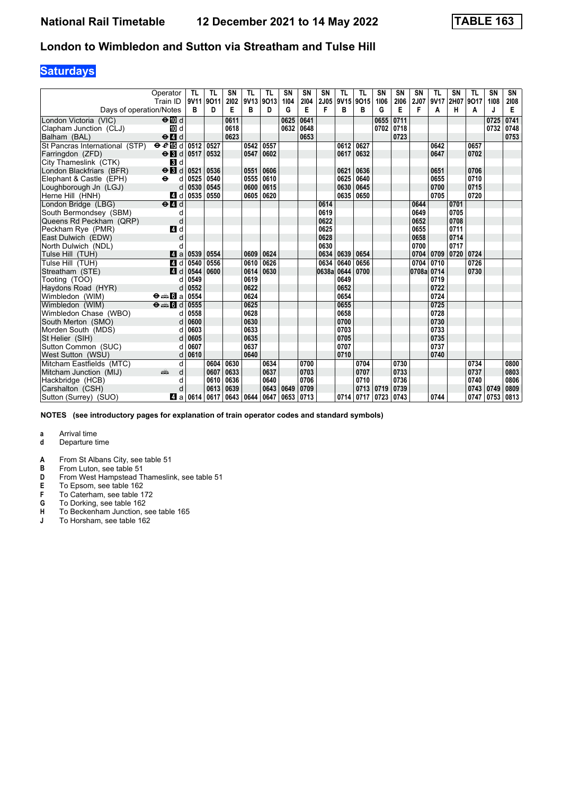## **Saturdays**

|                                | Operator<br>Train ID                            | <b>TL</b><br>9V11 9O11 | TL   | <b>SN</b><br>2102 | <b>TL</b><br>9V13 | <b>TL</b><br>9013 | SN<br>1104 | <b>SN</b><br>2104 | <b>SN</b><br>2J05 | <b>TL</b><br>9V15 9O15 | <b>TL</b> | SN<br>1106          | <b>SN</b><br>2106 | <b>SN</b><br><b>2J07</b> | <b>TL</b><br>9V17 | <b>SN</b><br>2H07 9O17 | <b>TL</b> | SN<br>1108 | SN<br>2108 |
|--------------------------------|-------------------------------------------------|------------------------|------|-------------------|-------------------|-------------------|------------|-------------------|-------------------|------------------------|-----------|---------------------|-------------------|--------------------------|-------------------|------------------------|-----------|------------|------------|
| Days of operation/Notes        |                                                 | в                      | D    | Е                 | в                 | D                 | G          | E                 | F                 | в                      | B         | G                   | E                 | F                        | A                 | н                      | A         | J          | Е          |
| London Victoria (VIC)          | $\Theta$ III d                                  |                        |      | 0611              |                   |                   | 0625       | 0641              |                   |                        |           | 0655                | 0711              |                          |                   |                        |           | 0725       | 0741       |
| Clapham Junction (CLJ)         | 10 d                                            |                        |      | 0618              |                   |                   | 0632       | 0648              |                   |                        |           | $0702$ 0718         |                   |                          |                   |                        |           | 0732       | 0748       |
| Balham (BAL)                   | $\Theta$ <sup><math>\Omega</math></sup> d       |                        |      | 0623              |                   |                   |            | 0653              |                   |                        |           |                     | 0723              |                          |                   |                        |           |            | 0753       |
| St Pancras International (STP) | $\Theta$ $\mathcal{C}$ is denoted at $\Theta$   |                        | 0527 |                   | 0542              | 0557              |            |                   |                   | 0612                   | 0627      |                     |                   |                          | 0642              |                        | 0657      |            |            |
| Farringdon (ZFD)               | $\Theta$ id 0517                                |                        | 0532 |                   | 0547              | 0602              |            |                   |                   | 0617                   | 0632      |                     |                   |                          | 0647              |                        | 0702      |            |            |
| City Thameslink (CTK)          | $\mathbf{3}$ d                                  |                        |      |                   |                   |                   |            |                   |                   |                        |           |                     |                   |                          |                   |                        |           |            |            |
| London Blackfriars (BFR)       | $\Theta$ <b>B</b> d                             | 0521                   | 0536 |                   | 0551              | 0606              |            |                   |                   | 0621                   | 0636      |                     |                   |                          | 0651              |                        | 0706      |            |            |
| Elephant & Castle (EPH)        | $\bullet$<br>d                                  | 0525                   | 0540 |                   | 0555              | 0610              |            |                   |                   | 0625                   | 0640      |                     |                   |                          | 0655              |                        | 0710      |            |            |
| Loughborough Jn (LGJ)          | d                                               | 0530                   | 0545 |                   | 0600              | 0615              |            |                   |                   | 0630                   | 0645      |                     |                   |                          | 0700              |                        | 0715      |            |            |
| Herne Hill (HNH)               | 4 d                                             | 0535                   | 0550 |                   | 0605              | 0620              |            |                   |                   | 0635                   | 0650      |                     |                   |                          | 0705              |                        | 0720      |            |            |
| London Bridge (LBG)            | $\Theta$ <sup><math>\blacksquare</math> d</sup> |                        |      |                   |                   |                   |            |                   | 0614              |                        |           |                     |                   | 0644                     |                   | 0701                   |           |            |            |
| South Bermondsey (SBM)         | d                                               |                        |      |                   |                   |                   |            |                   | 0619              |                        |           |                     |                   | 0649                     |                   | 0705                   |           |            |            |
| Queens Rd Peckham (QRP)        | d                                               |                        |      |                   |                   |                   |            |                   | 0622              |                        |           |                     |                   | 0652                     |                   | 0708                   |           |            |            |
| Peckham Rye (PMR)              | 4 d                                             |                        |      |                   |                   |                   |            |                   | 0625              |                        |           |                     |                   | 0655                     |                   | 0711                   |           |            |            |
| East Dulwich (EDW)             | d                                               |                        |      |                   |                   |                   |            |                   | 0628              |                        |           |                     |                   | 0658                     |                   | 0714                   |           |            |            |
| North Dulwich (NDL)            |                                                 |                        |      |                   |                   |                   |            |                   | 0630              |                        |           |                     |                   | 0700                     |                   | 0717                   |           |            |            |
| Tulse Hill (TUH)               | ZI a                                            | 0539                   | 0554 |                   | 0609              | 0624              |            |                   | 0634 0639         |                        | 0654      |                     |                   | 0704                     | 0709              | 0720                   | 0724      |            |            |
| Tulse Hill (TUH)               | 4 d                                             | 0540                   | 0556 |                   | 0610              | 0626              |            |                   | 0634              | 0640                   | 0656      |                     |                   | 0704                     | 0710              |                        | 0726      |            |            |
| Streatham (STE)                | 4d                                              | 0544                   | 0600 |                   | 0614              | 0630              |            |                   | 0638a             | 0644                   | 0700      |                     |                   | 0708a                    | 0714              |                        | 0730      |            |            |
| Tooting (TOO)                  | d                                               | 0549                   |      |                   | 0619              |                   |            |                   |                   | 0649                   |           |                     |                   |                          | 0719              |                        |           |            |            |
| Haydons Road (HYR)             | d                                               | 0552                   |      |                   | 0622              |                   |            |                   |                   | 0652                   |           |                     |                   |                          | 0722              |                        |           |            |            |
| Wimbledon (WIM)                | $\Theta = \blacksquare$ $\blacksquare$ a        | 0554                   |      |                   | 0624              |                   |            |                   |                   | 0654                   |           |                     |                   |                          | 0724              |                        |           |            |            |
| Wimbledon (WIM)                | $\Theta = \blacksquare$ $\blacksquare$ d        | 0555                   |      |                   | 0625              |                   |            |                   |                   | 0655                   |           |                     |                   |                          | 0725              |                        |           |            |            |
| Wimbledon Chase (WBO)          | d                                               | 0558                   |      |                   | 0628              |                   |            |                   |                   | 0658                   |           |                     |                   |                          | 0728              |                        |           |            |            |
| South Merton (SMO)             |                                                 | 0600                   |      |                   | 0630              |                   |            |                   |                   | 0700                   |           |                     |                   |                          | 0730              |                        |           |            |            |
| Morden South (MDS)             |                                                 | 0603                   |      |                   | 0633              |                   |            |                   |                   | 0703                   |           |                     |                   |                          | 0733              |                        |           |            |            |
| St Helier (SIH)                |                                                 | 0605                   |      |                   | 0635              |                   |            |                   |                   | 0705                   |           |                     |                   |                          | 0735              |                        |           |            |            |
| Sutton Common (SUC)            |                                                 | 0607                   |      |                   | 0637              |                   |            |                   |                   | 0707                   |           |                     |                   |                          | 0737              |                        |           |            |            |
| West Sutton (WSU)              | d                                               | 0610                   |      |                   | 0640              |                   |            |                   |                   | 0710                   |           |                     |                   |                          | 0740              |                        |           |            |            |
| Mitcham Eastfields (MTC)       | d                                               |                        | 0604 | 0630              |                   | 0634              |            | 0700              |                   |                        | 0704      |                     | 0730              |                          |                   |                        | 0734      |            | 0800       |
| Mitcham Junction (MIJ)         | am<br>d                                         |                        | 0607 | 0633              |                   | 0637              |            | 0703              |                   |                        | 0707      |                     | 0733              |                          |                   |                        | 0737      |            | 0803       |
| Hackbridge (HCB)               | d                                               |                        | 0610 | 0636              |                   | 0640              |            | 0706              |                   |                        | 0710      |                     | 0736              |                          |                   |                        | 0740      |            | 0806       |
| Carshalton (CSH)               | d                                               |                        | 0613 | 0639              |                   | 0643              | 0649       | 0709              |                   |                        |           | 0713 0719           | 0739              |                          |                   |                        | 0743      | 0749       | 0809       |
| Sutton (Surrey) (SUO)          |                                                 | Z1 a 0614              | 0617 | 0643 0644         |                   | 0647              | 0653 0713  |                   |                   |                        |           | 0714 0717 0723 0743 |                   |                          | 0744              |                        |           | 0747 0753  | 0813       |

**NOTES (see introductory pages for explanation of train operator codes and standard symbols)**

- **d** Departure time
- **A** From St Albans City, see table 51<br>**B** From Luton, see table 51
- **B** From Luton, see table 51<br>**D** From West Hampstead T
- **D** From West Hampstead Thameslink, see table 51<br> **E** To Epsom, see table 162<br> **F** To Caterham, see table 172
- To Epsom, see table 162
- **F** To Caterham, see table 172<br>**G** To Dorking, see table 162
- **4** To Dorking, see table 162<br>**H** To Beckenham Junction, s<br>**J** To Horsham, see table 162
- To Beckenham Junction, see table 165
- To Horsham, see table 162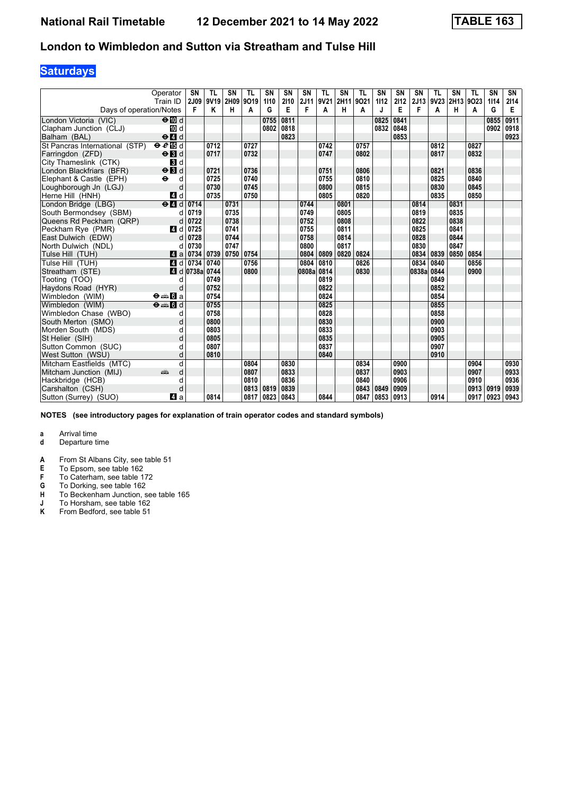## **Saturdays**

|                                | Operator<br>Train ID                                               | <b>SN</b><br><b>2J09</b> | <b>TL</b><br>9V19 | <b>SN</b><br>2H09 | <b>TL</b><br>9019 | SN<br>1110 | SN<br>2110 | <b>SN</b><br>2J11 | <b>TL</b><br>9V21 | SN<br>2H11 | <b>TL</b><br>9021 | SN<br>1112 | <b>SN</b><br>2112 | <b>SN</b><br>2J13 | <b>TL</b><br>9V23 | SN<br>2H13 9O23 | <b>TL</b> | SN<br>1114 | SN<br>2114 |
|--------------------------------|--------------------------------------------------------------------|--------------------------|-------------------|-------------------|-------------------|------------|------------|-------------------|-------------------|------------|-------------------|------------|-------------------|-------------------|-------------------|-----------------|-----------|------------|------------|
| Days of operation/Notes        |                                                                    | F                        | Κ                 | н                 | A                 | G          | Е          | F                 | A                 | н          | A                 | J          | E                 | F                 | A                 | н               | A         | G          | E          |
| London Victoria (VIC)          | $\Theta$ III d                                                     |                          |                   |                   |                   | 0755       | 0811       |                   |                   |            |                   | 0825       | 0841              |                   |                   |                 |           | 0855       | 0911       |
| Clapham Junction (CLJ)         | 10 d                                                               |                          |                   |                   |                   | 0802       | 0818       |                   |                   |            |                   | 0832       | 0848              |                   |                   |                 |           | 0902       | 0918       |
| Balham (BAL)                   | $\Theta$ <sup><math>\blacksquare</math> d</sup>                    |                          |                   |                   |                   |            | 0823       |                   |                   |            |                   |            | 0853              |                   |                   |                 |           |            | 0923       |
| St Pancras International (STP) | eE                                                                 |                          | 0712              |                   | 0727              |            |            |                   | 0742              |            | 0757              |            |                   |                   | 0812              |                 | 0827      |            |            |
| Farringdon (ZFD)               | $\Theta$ <b>B</b> d                                                |                          | 0717              |                   | 0732              |            |            |                   | 0747              |            | 0802              |            |                   |                   | 0817              |                 | 0832      |            |            |
| City Thameslink (CTK)          | $\mathbf{3}$ d                                                     |                          |                   |                   |                   |            |            |                   |                   |            |                   |            |                   |                   |                   |                 |           |            |            |
| London Blackfriars (BFR)       | $\Theta$ $\blacksquare$                                            |                          | 0721              |                   | 0736              |            |            |                   | 0751              |            | 0806              |            |                   |                   | 0821              |                 | 0836      |            |            |
| Elephant & Castle (EPH)        | $\ddot{\boldsymbol{\Theta}}$<br>d                                  |                          | 0725              |                   | 0740              |            |            |                   | 0755              |            | 0810              |            |                   |                   | 0825              |                 | 0840      |            |            |
| Loughborough Jn (LGJ)          | d                                                                  |                          | 0730              |                   | 0745              |            |            |                   | 0800              |            | 0815              |            |                   |                   | 0830              |                 | 0845      |            |            |
| Herne Hill (HNH)               | 4d                                                                 |                          | 0735              |                   | 0750              |            |            |                   | 0805              |            | 0820              |            |                   |                   | 0835              |                 | 0850      |            |            |
| London Bridge (LBG)            | $\Theta$ <sup><math>\Box</math></sup> d                            | 0714                     |                   | 0731              |                   |            |            | 0744              |                   | 0801       |                   |            |                   | 0814              |                   | 0831            |           |            |            |
| South Bermondsey (SBM)         | d                                                                  | 0719                     |                   | 0735              |                   |            |            | 0749              |                   | 0805       |                   |            |                   | 0819              |                   | 0835            |           |            |            |
| Queens Rd Peckham (QRP)        | d                                                                  | 0722                     |                   | 0738              |                   |            |            | 0752              |                   | 0808       |                   |            |                   | 0822              |                   | 0838            |           |            |            |
| Peckham Rve (PMR)              | 4 d                                                                | 0725                     |                   | 0741              |                   |            |            | 0755              |                   | 0811       |                   |            |                   | 0825              |                   | 0841            |           |            |            |
| East Dulwich (EDW)             | d                                                                  | 0728                     |                   | 0744              |                   |            |            | 0758              |                   | 0814       |                   |            |                   | 0828              |                   | 0844            |           |            |            |
| North Dulwich (NDL)            | d                                                                  | 0730                     |                   | 0747              |                   |            |            | 0800              |                   | 0817       |                   |            |                   | 0830              |                   | 0847            |           |            |            |
| Tulse Hill (TUH)               | Zi a                                                               | 0734                     | 0739              | 0750              | 0754              |            |            | 0804              | 0809              | 0820       | 0824              |            |                   | 0834              | 0839              | 0850            | 0854      |            |            |
| Tulse Hill (TUH)               | 4 d                                                                | 0734                     | 0740              |                   | 0756              |            |            | 0804              | 0810              |            | 0826              |            |                   | 0834              | 0840              |                 | 0856      |            |            |
| Streatham (STE)                |                                                                    | $\blacksquare$ d 0738a   | 0744              |                   | 0800              |            |            | 0808a 0814        |                   |            | 0830              |            |                   | 0838a             | 0844              |                 | 0900      |            |            |
| Tooting (TOO)                  | d                                                                  |                          | 0749              |                   |                   |            |            |                   | 0819              |            |                   |            |                   |                   | 0849              |                 |           |            |            |
| Haydons Road (HYR)             | d                                                                  |                          | 0752              |                   |                   |            |            |                   | 0822              |            |                   |            |                   |                   | 0852              |                 |           |            |            |
| Wimbledon (WIM)                | $\Theta = \blacksquare$ $\blacksquare$ a                           |                          | 0754              |                   |                   |            |            |                   | 0824              |            |                   |            |                   |                   | 0854              |                 |           |            |            |
| Wimbledon (WIM)                | $\overline{\Theta}$ $\overline{\bullet}$ $\overline{\mathbf{G}}$ d |                          | 0755              |                   |                   |            |            |                   | 0825              |            |                   |            |                   |                   | 0855              |                 |           |            |            |
| Wimbledon Chase (WBO)          | d                                                                  |                          | 0758              |                   |                   |            |            |                   | 0828              |            |                   |            |                   |                   | 0858              |                 |           |            |            |
| South Merton (SMO)             | d                                                                  |                          | 0800              |                   |                   |            |            |                   | 0830              |            |                   |            |                   |                   | 0900              |                 |           |            |            |
| Morden South (MDS)             |                                                                    |                          | 0803              |                   |                   |            |            |                   | 0833              |            |                   |            |                   |                   | 0903              |                 |           |            |            |
| St Helier (SIH)                |                                                                    |                          | 0805              |                   |                   |            |            |                   | 0835              |            |                   |            |                   |                   | 0905              |                 |           |            |            |
| Sutton Common (SUC)            | d                                                                  |                          | 0807              |                   |                   |            |            |                   | 0837              |            |                   |            |                   |                   | 0907              |                 |           |            |            |
| West Sutton (WSU)              | d                                                                  |                          | 0810              |                   |                   |            |            |                   | 0840              |            |                   |            |                   |                   | 0910              |                 |           |            |            |
| Mitcham Eastfields (MTC)       | d                                                                  |                          |                   |                   | 0804              |            | 0830       |                   |                   |            | 0834              |            | 0900              |                   |                   |                 | 0904      |            | 0930       |
| Mitcham Junction (MIJ)         | d<br>پېښتنه                                                        |                          |                   |                   | 0807              |            | 0833       |                   |                   |            | 0837              |            | 0903              |                   |                   |                 | 0907      |            | 0933       |
| Hackbridge (HCB)               | d                                                                  |                          |                   |                   | 0810              |            | 0836       |                   |                   |            | 0840              |            | 0906              |                   |                   |                 | 0910      |            | 0936       |
| Carshalton (CSH)               | d                                                                  |                          |                   |                   | 0813              | 0819       | 0839       |                   |                   |            | 0843 0849         |            | 0909              |                   |                   |                 | 0913      | 0919       | 0939       |
| Sutton (Surrey) (SUO)          | ZI a                                                               |                          | 0814              |                   | 0817              | 0823       | 0843       |                   | 0844              |            | 0847              | 0853       | 0913              |                   | 0914              |                 | 0917      | 0923       | 0943       |

**NOTES (see introductory pages for explanation of train operator codes and standard symbols)**

# **a** Arrival time<br>**d** Departure t

- **d** Departure time
- **A** From St Albans City, see table 51<br>**E** To Epsom, see table 162

- **F** To Caterham, see table 172<br>**G** To Dorking, see table 162
- **6** To Dorking, see table 162<br>**H** To Beckenham Junction, s
- **+** To Beckenham Junction, see table 165<br> **1** To Horsham, see table 162<br> **K** From Bedford, see table 51
- To Horsham, see table 162
- From Bedford, see table 51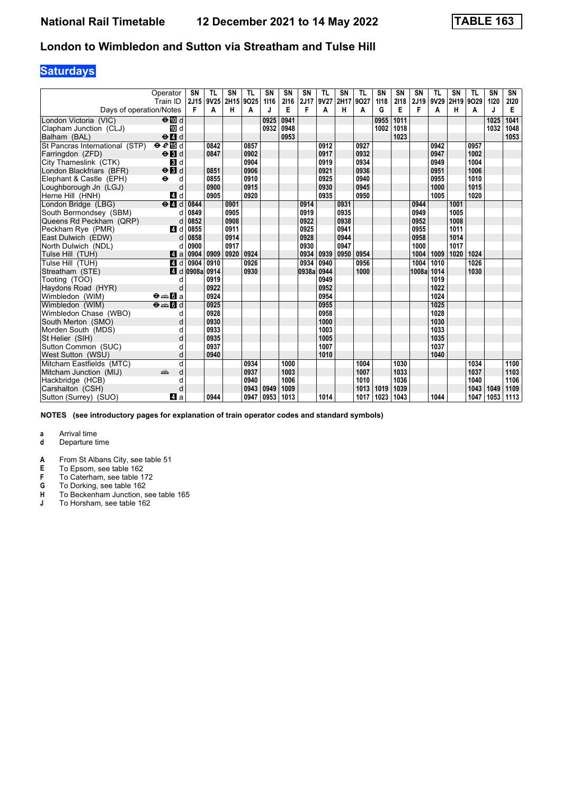## **Saturdays**

|                                | Operator<br>Train ID                            | <b>SN</b><br>2J15 | <b>TL</b><br>9V25 | <b>SN</b><br>2H15 | <b>TL</b><br>9025 | SN<br>1116 | SN<br>2116 | <b>SN</b><br>2J17 | <b>TL</b><br>9V27 | SN<br>2H17 | <b>TL</b><br>9027 | SN<br>1118 | <b>SN</b><br>2118 | <b>SN</b><br>2J19 | <b>TL</b><br>9V29 | SN<br>2H19 | <b>TL</b><br>9029 | SN<br>1120 | SN<br>2120 |
|--------------------------------|-------------------------------------------------|-------------------|-------------------|-------------------|-------------------|------------|------------|-------------------|-------------------|------------|-------------------|------------|-------------------|-------------------|-------------------|------------|-------------------|------------|------------|
| Days of operation/Notes        |                                                 | F                 | A                 | н                 | A                 |            | Е          | F                 | A                 | н          | A                 | G          | Е                 | F                 | A                 | н          | A                 | J          | Е          |
| London Victoria (VIC)          | $\Theta$ III d                                  |                   |                   |                   |                   | 0925       | 0941       |                   |                   |            |                   | 0955       | 1011              |                   |                   |            |                   | 1025       | 1041       |
| Clapham Junction (CLJ)         | iD d                                            |                   |                   |                   |                   | 0932       | 0948       |                   |                   |            |                   | 1002       | 1018              |                   |                   |            |                   | 1032       | 1048       |
| Balham (BAL)                   | $\Theta$ <sup><math>\blacksquare</math> d</sup> |                   |                   |                   |                   |            | 0953       |                   |                   |            |                   |            | 1023              |                   |                   |            |                   |            | 1053       |
| St Pancras International (STP) | eE                                              |                   | 0842              |                   | 0857              |            |            |                   | 0912              |            | 0927              |            |                   |                   | 0942              |            | 0957              |            |            |
| Farringdon (ZFD)               | $\Theta$ $\blacksquare$                         |                   | 0847              |                   | 0902              |            |            |                   | 0917              |            | 0932              |            |                   |                   | 0947              |            | 1002              |            |            |
| City Thameslink (CTK)          | $\mathbf{3}$ d                                  |                   |                   |                   | 0904              |            |            |                   | 0919              |            | 0934              |            |                   |                   | 0949              |            | 1004              |            |            |
| London Blackfriars (BFR)       | $\Theta$ $\blacksquare$                         |                   | 0851              |                   | 0906              |            |            |                   | 0921              |            | 0936              |            |                   |                   | 0951              |            | 1006              |            |            |
| Elephant & Castle (EPH)        | $\ddot{\boldsymbol{\Theta}}$<br>d               |                   | 0855              |                   | 0910              |            |            |                   | 0925              |            | 0940              |            |                   |                   | 0955              |            | 1010              |            |            |
| Loughborough Jn (LGJ)          | d                                               |                   | 0900              |                   | 0915              |            |            |                   | 0930              |            | 0945              |            |                   |                   | 1000              |            | 1015              |            |            |
| Herne Hill (HNH)               | 4 d                                             |                   | 0905              |                   | 0920              |            |            |                   | 0935              |            | 0950              |            |                   |                   | 1005              |            | 1020              |            |            |
| London Bridge (LBG)            | $e$ $d$                                         | 0844              |                   | 0901              |                   |            |            | 0914              |                   | 0931       |                   |            |                   | 0944              |                   | 1001       |                   |            |            |
| South Bermondsey (SBM)         | d                                               | 0849              |                   | 0905              |                   |            |            | 0919              |                   | 0935       |                   |            |                   | 0949              |                   | 1005       |                   |            |            |
| Queens Rd Peckham (QRP)        | d                                               | 0852              |                   | 0908              |                   |            |            | 0922              |                   | 0938       |                   |            |                   | 0952              |                   | 1008       |                   |            |            |
| Peckham Rve (PMR)              | 4 d                                             | 0855              |                   | 0911              |                   |            |            | 0925              |                   | 0941       |                   |            |                   | 0955              |                   | 1011       |                   |            |            |
| East Dulwich (EDW)             | d                                               | 0858              |                   | 0914              |                   |            |            | 0928              |                   | 0944       |                   |            |                   | 0958              |                   | 1014       |                   |            |            |
| North Dulwich (NDL)            |                                                 | 0900              |                   | 0917              |                   |            |            | 0930              |                   | 0947       |                   |            |                   | 1000              |                   | 1017       |                   |            |            |
| Tulse Hill (TUH)               | ZI a                                            | 0904              | 0909              | 0920              | 0924              |            |            | 0934              | 0939              | 0950       | 0954              |            |                   | 1004              | 1009              | 1020       | 1024              |            |            |
| Tulse Hill (TUH)               | 4 d                                             | 0904              | 0910              |                   | 0926              |            |            | 0934              | 0940              |            | 0956              |            |                   | 1004              | 1010              |            | 1026              |            |            |
| Streatham (STE)                | ZI d                                            | 0908a             | 0914              |                   | 0930              |            |            | 0938a 0944        |                   |            | 1000              |            |                   | 1008a             | 1014              |            | 1030              |            |            |
| Tooting (TOO)                  | d                                               |                   | 0919              |                   |                   |            |            |                   | 0949              |            |                   |            |                   |                   | 1019              |            |                   |            |            |
| Haydons Road (HYR)             | d                                               |                   | 0922              |                   |                   |            |            |                   | 0952              |            |                   |            |                   |                   | 1022              |            |                   |            |            |
| Wimbledon (WIM)                | $\Theta = \blacksquare$ $\blacksquare$ a        |                   | 0924              |                   |                   |            |            |                   | 0954              |            |                   |            |                   |                   | 1024              |            |                   |            |            |
| Wimbledon (WIM)                | $\Theta = \begin{bmatrix} 1 \\ 0 \end{bmatrix}$ |                   | 0925              |                   |                   |            |            |                   | 0955              |            |                   |            |                   |                   | 1025              |            |                   |            |            |
| Wimbledon Chase (WBO)          | d                                               |                   | 0928              |                   |                   |            |            |                   | 0958              |            |                   |            |                   |                   | 1028              |            |                   |            |            |
| South Merton (SMO)             | d                                               |                   | 0930              |                   |                   |            |            |                   | 1000              |            |                   |            |                   |                   | 1030              |            |                   |            |            |
| Morden South (MDS)             | d                                               |                   | 0933              |                   |                   |            |            |                   | 1003              |            |                   |            |                   |                   | 1033              |            |                   |            |            |
| St Helier (SIH)                | d                                               |                   | 0935              |                   |                   |            |            |                   | 1005              |            |                   |            |                   |                   | 1035              |            |                   |            |            |
| Sutton Common (SUC)            | d                                               |                   | 0937              |                   |                   |            |            |                   | 1007              |            |                   |            |                   |                   | 1037              |            |                   |            |            |
| West Sutton (WSU)              | d                                               |                   | 0940              |                   |                   |            |            |                   | 1010              |            |                   |            |                   |                   | 1040              |            |                   |            |            |
| Mitcham Eastfields (MTC)       | q                                               |                   |                   |                   | 0934              |            | 1000       |                   |                   |            | 1004              |            | 1030              |                   |                   |            | 1034              |            | 1100       |
| Mitcham Junction (MIJ)         | d<br>añ,                                        |                   |                   |                   | 0937              |            | 1003       |                   |                   |            | 1007              |            | 1033              |                   |                   |            | 1037              |            | 1103       |
| Hackbridge (HCB)               | d                                               |                   |                   |                   | 0940              |            | 1006       |                   |                   |            | 1010              |            | 1036              |                   |                   |            | 1040              |            | 1106       |
| Carshalton (CSH)               | d                                               |                   |                   |                   | 0943              | 0949       | 1009       |                   |                   |            | 1013              | 1019       | 1039              |                   |                   |            | 1043              | 1049       | 1109       |
| Sutton (Surrey) (SUO)          | ZI a                                            |                   | 0944              |                   | 0947              | 0953       | 1013       |                   | 1014              |            | 1017              | 1023       | 1043              |                   | 1044              |            | 1047              | 1053       | 1113       |

**NOTES (see introductory pages for explanation of train operator codes and standard symbols)**

- **d** Departure time
- **A** From St Albans City, see table 51<br>**E** To Epsom, see table 162
- **E** To Epsom, see table 162<br>**F** To Caterham, see table 1
- **F** To Caterham, see table 172<br>**G** To Dorking, see table 162
- **G** To Dorking, see table 162
- **H** To Beckenham Junction, see table 165
- **J** To Horsham, see table 162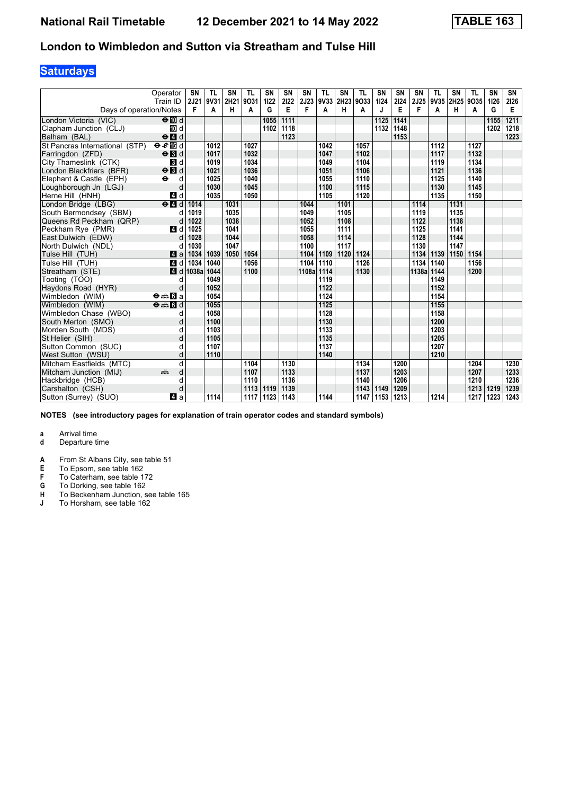## **Saturdays**

|                                | Operator<br>Train ID                            | <b>SN</b><br>2J21 | <b>TL</b><br>9V31 | <b>SN</b><br>2H21 | <b>TL</b><br>9031 | SN<br>1122 | SN<br>2122 | <b>SN</b><br><b>2J23</b> | <b>TL</b> | SN<br>9V33 2H23 9O33 | <b>TL</b> | SN<br>1124 | <b>SN</b><br>2124 | <b>SN</b><br>2J25 | <b>TL</b><br>9V35 | SN   | <b>TL</b><br>2H25 9O35 | <b>SN</b><br>1126 | SN<br>2126 |
|--------------------------------|-------------------------------------------------|-------------------|-------------------|-------------------|-------------------|------------|------------|--------------------------|-----------|----------------------|-----------|------------|-------------------|-------------------|-------------------|------|------------------------|-------------------|------------|
| Days of operation/Notes        |                                                 | F                 | A                 | н                 | A                 | G          | Е          | F                        | Α         | н                    | A         | J          | Е                 | F                 | A                 | н    | A                      | G                 | Е          |
| London Victoria (VIC)          | $\Theta$ III d                                  |                   |                   |                   |                   | 1055       | 1111       |                          |           |                      |           | 1125       | 1141              |                   |                   |      |                        | 1155              | 1211       |
| Clapham Junction (CLJ)         | iD d                                            |                   |                   |                   |                   | 1102       | 1118       |                          |           |                      |           | 1132       | 1148              |                   |                   |      |                        | 1202              | 1218       |
| Balham (BAL)                   | $\Theta$ <sup><math>\blacksquare</math> d</sup> |                   |                   |                   |                   |            | 1123       |                          |           |                      |           |            | 1153              |                   |                   |      |                        |                   | 1223       |
| St Pancras International (STP) | eE                                              |                   | 1012              |                   | 1027              |            |            |                          | 1042      |                      | 1057      |            |                   |                   | 1112              |      | 1127                   |                   |            |
| Farringdon (ZFD)               | $\Theta$ $\blacksquare$                         |                   | 1017              |                   | 1032              |            |            |                          | 1047      |                      | 1102      |            |                   |                   | 1117              |      | 1132                   |                   |            |
| City Thameslink (CTK)          | $\mathbf{B}$ d                                  |                   | 1019              |                   | 1034              |            |            |                          | 1049      |                      | 1104      |            |                   |                   | 1119              |      | 1134                   |                   |            |
| London Blackfriars (BFR)       | $\Theta$ $\blacksquare$                         |                   | 1021              |                   | 1036              |            |            |                          | 1051      |                      | 1106      |            |                   |                   | 1121              |      | 1136                   |                   |            |
| Elephant & Castle (EPH)        | $\ddot{\phantom{1}}$<br>d                       |                   | 1025              |                   | 1040              |            |            |                          | 1055      |                      | 1110      |            |                   |                   | 1125              |      | 1140                   |                   |            |
| Loughborough Jn (LGJ)          | d                                               |                   | 1030              |                   | 1045              |            |            |                          | 1100      |                      | 1115      |            |                   |                   | 1130              |      | 1145                   |                   |            |
| Herne Hill (HNH)               | 4 d                                             |                   | 1035              |                   | 1050              |            |            |                          | 1105      |                      | 1120      |            |                   |                   | 1135              |      | 1150                   |                   |            |
| London Bridge (LBG)            | $e$ $d$                                         | 1014              |                   | 1031              |                   |            |            | 1044                     |           | 1101                 |           |            |                   | 1114              |                   | 1131 |                        |                   |            |
| South Bermondsey (SBM)         | d                                               | 1019              |                   | 1035              |                   |            |            | 1049                     |           | 1105                 |           |            |                   | 1119              |                   | 1135 |                        |                   |            |
| Queens Rd Peckham (QRP)        | d                                               | 1022              |                   | 1038              |                   |            |            | 1052                     |           | 1108                 |           |            |                   | 1122              |                   | 1138 |                        |                   |            |
| Peckham Rve (PMR)              | 4 d                                             | 1025              |                   | 1041              |                   |            |            | 1055                     |           | 1111                 |           |            |                   | 1125              |                   | 1141 |                        |                   |            |
| East Dulwich (EDW)             | d                                               | 1028              |                   | 1044              |                   |            |            | 1058                     |           | 1114                 |           |            |                   | 1128              |                   | 1144 |                        |                   |            |
| North Dulwich (NDL)            |                                                 | 1030              |                   | 1047              |                   |            |            | 1100                     |           | 1117                 |           |            |                   | 1130              |                   | 1147 |                        |                   |            |
| Tulse Hill (TUH)               | ZI a                                            | 1034              | 1039              | 1050              | 1054              |            |            | 1104                     |           | 1109 1120            | 1124      |            |                   | 1134              | 1139              | 1150 | 1154                   |                   |            |
| Tulse Hill (TUH)               | 4 d                                             | 1034              | 1040              |                   | 1056              |            |            | 1104                     | 1110      |                      | 1126      |            |                   | 1134              | 1140              |      | 1156                   |                   |            |
| Streatham (STE)                | ZI d                                            | 1038a             | 1044              |                   | 1100              |            |            | 1108a 1114               |           |                      | 1130      |            |                   | 1138a             | 1144              |      | 1200                   |                   |            |
| Tooting (TOO)                  | d                                               |                   | 1049              |                   |                   |            |            |                          | 1119      |                      |           |            |                   |                   | 1149              |      |                        |                   |            |
| Haydons Road (HYR)             | d                                               |                   | 1052              |                   |                   |            |            |                          | 1122      |                      |           |            |                   |                   | 1152              |      |                        |                   |            |
| Wimbledon (WIM)                | $\Theta = \blacksquare$ $\blacksquare$ a        |                   | 1054              |                   |                   |            |            |                          | 1124      |                      |           |            |                   |                   | 1154              |      |                        |                   |            |
| Wimbledon (WIM)                | $\Theta = \blacksquare$ $\blacksquare$ d        |                   | 1055              |                   |                   |            |            |                          | 1125      |                      |           |            |                   |                   | 1155              |      |                        |                   |            |
| Wimbledon Chase (WBO)          | d                                               |                   | 1058              |                   |                   |            |            |                          | 1128      |                      |           |            |                   |                   | 1158              |      |                        |                   |            |
| South Merton (SMO)             | d                                               |                   | 1100              |                   |                   |            |            |                          | 1130      |                      |           |            |                   |                   | 1200              |      |                        |                   |            |
| Morden South (MDS)             | d                                               |                   | 1103              |                   |                   |            |            |                          | 1133      |                      |           |            |                   |                   | 1203              |      |                        |                   |            |
| St Helier (SIH)                | d                                               |                   | 1105              |                   |                   |            |            |                          | 1135      |                      |           |            |                   |                   | 1205              |      |                        |                   |            |
| Sutton Common (SUC)            | d                                               |                   | 1107              |                   |                   |            |            |                          | 1137      |                      |           |            |                   |                   | 1207              |      |                        |                   |            |
| West Sutton (WSU)              | d                                               |                   | 1110              |                   |                   |            |            |                          | 1140      |                      |           |            |                   |                   | 1210              |      |                        |                   |            |
| Mitcham Eastfields (MTC)       | q                                               |                   |                   |                   | 1104              |            | 1130       |                          |           |                      | 1134      |            | 1200              |                   |                   |      | 1204                   |                   | 1230       |
| Mitcham Junction (MIJ)         | d<br>dia 1                                      |                   |                   |                   | 1107              |            | 1133       |                          |           |                      | 1137      |            | 1203              |                   |                   |      | 1207                   |                   | 1233       |
| Hackbridge (HCB)               | d                                               |                   |                   |                   | 1110              |            | 1136       |                          |           |                      | 1140      |            | 1206              |                   |                   |      | 1210                   |                   | 1236       |
| Carshalton (CSH)               | d                                               |                   |                   |                   | 1113              | 1119       | 1139       |                          |           |                      | 1143      | 1149       | 1209              |                   |                   |      | 1213                   | 1219              | 1239       |
| Sutton (Surrey) (SUO)          | ZI a                                            |                   | 1114              |                   | 1117              | 1123       | 1143       |                          | 1144      |                      | 1147      | 1153       | 1213              |                   | 1214              |      | 1217                   | 1223              | 1243       |

**NOTES (see introductory pages for explanation of train operator codes and standard symbols)**

# **a** Arrival time<br>**d** Departure t

- **d** Departure time
- **A** From St Albans City, see table 51<br>**E** To Epsom, see table 162

- **F** To Caterham, see table 172<br>**G** To Dorking, see table 162
- **G** To Dorking, see table 162
- **H** To Beckenham Junction, see table 165 **J** To Horsham, see table 162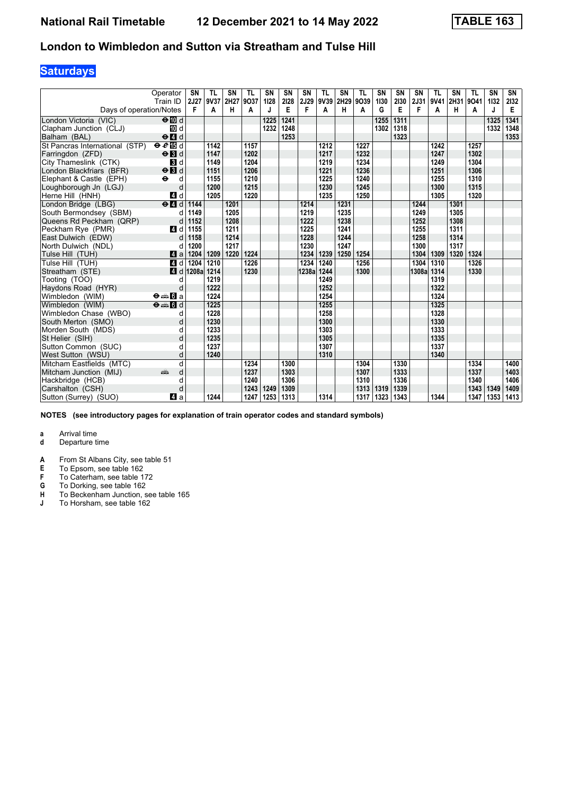## **Saturdays**

|                                | Operator<br>Train ID                            | <b>SN</b><br>2J27 | <b>TL</b><br>9V37 | <b>SN</b><br>2H27 | <b>TL</b><br>9037 | SN<br>1128 | SN<br>2128 | <b>SN</b><br><b>2J29</b> | <b>TL</b><br>9V39 2H29 | SN   | <b>TL</b><br>9039 | SN<br>1130 | <b>SN</b><br>2130 | <b>SN</b><br>2J31 | <b>TL</b><br>9V41 | SN<br>2H31 | <b>TL</b><br>9041 | <b>SN</b><br>1132 | SN<br>2132 |
|--------------------------------|-------------------------------------------------|-------------------|-------------------|-------------------|-------------------|------------|------------|--------------------------|------------------------|------|-------------------|------------|-------------------|-------------------|-------------------|------------|-------------------|-------------------|------------|
| Days of operation/Notes        |                                                 | F                 | A                 | н                 | A                 | J          | Е          | F                        | A                      | н    | A                 | G          | Е                 | F                 | A                 | н          | A                 | J                 | Е          |
| London Victoria (VIC)          | $\Theta$ III d                                  |                   |                   |                   |                   | 1225       | 1241       |                          |                        |      |                   | 1255       | 1311              |                   |                   |            |                   | 1325              | 1341       |
| Clapham Junction (CLJ)         | iD d                                            |                   |                   |                   |                   | 1232       | 1248       |                          |                        |      |                   | 1302       | 1318              |                   |                   |            |                   | 1332              | 1348       |
| Balham (BAL)                   | $\Theta$ <sup><math>\blacksquare</math> d</sup> |                   |                   |                   |                   |            | 1253       |                          |                        |      |                   |            | 1323              |                   |                   |            |                   |                   | 1353       |
| St Pancras International (STP) | eE                                              |                   | 1142              |                   | 1157              |            |            |                          | 1212                   |      | 1227              |            |                   |                   | 1242              |            | 1257              |                   |            |
| Farringdon (ZFD)               | $\Theta$ $\blacksquare$                         |                   | 1147              |                   | 1202              |            |            |                          | 1217                   |      | 1232              |            |                   |                   | 1247              |            | 1302              |                   |            |
| City Thameslink (CTK)          | $\mathbf{3}$ d                                  |                   | 1149              |                   | 1204              |            |            |                          | 1219                   |      | 1234              |            |                   |                   | 1249              |            | 1304              |                   |            |
| London Blackfriars (BFR)       | $\Theta$ $\blacksquare$                         |                   | 1151              |                   | 1206              |            |            |                          | 1221                   |      | 1236              |            |                   |                   | 1251              |            | 1306              |                   |            |
| Elephant & Castle (EPH)        | $\ddot{\phantom{1}}$<br>d                       |                   | 1155              |                   | 1210              |            |            |                          | 1225                   |      | 1240              |            |                   |                   | 1255              |            | 1310              |                   |            |
| Loughborough Jn (LGJ)          | d                                               |                   | 1200              |                   | 1215              |            |            |                          | 1230                   |      | 1245              |            |                   |                   | 1300              |            | 1315              |                   |            |
| Herne Hill (HNH)               | 4 d                                             |                   | 1205              |                   | 1220              |            |            |                          | 1235                   |      | 1250              |            |                   |                   | 1305              |            | 1320              |                   |            |
| London Bridge (LBG)            | $e$ $d$                                         | 1144              |                   | 1201              |                   |            |            | 1214                     |                        | 1231 |                   |            |                   | 1244              |                   | 1301       |                   |                   |            |
| South Bermondsey (SBM)         | d                                               | 1149              |                   | 1205              |                   |            |            | 1219                     |                        | 1235 |                   |            |                   | 1249              |                   | 1305       |                   |                   |            |
| Queens Rd Peckham (QRP)        | d                                               | 1152              |                   | 1208              |                   |            |            | 1222                     |                        | 1238 |                   |            |                   | 1252              |                   | 1308       |                   |                   |            |
| Peckham Rve (PMR)              | 4 d                                             | 1155              |                   | 1211              |                   |            |            | 1225                     |                        | 1241 |                   |            |                   | 1255              |                   | 1311       |                   |                   |            |
| East Dulwich (EDW)             | d                                               | 1158              |                   | 1214              |                   |            |            | 1228                     |                        | 1244 |                   |            |                   | 1258              |                   | 1314       |                   |                   |            |
| North Dulwich (NDL)            |                                                 | 1200              |                   | 1217              |                   |            |            | 1230                     |                        | 1247 |                   |            |                   | 1300              |                   | 1317       |                   |                   |            |
| Tulse Hill (TUH)               | ZI a                                            | 1204              | 1209              | 1220              | 1224              |            |            | 1234                     | 1239                   | 1250 | 1254              |            |                   | 1304              | 1309              | 1320       | 1324              |                   |            |
| Tulse Hill (TUH)               | 4 d                                             | 1204              | 1210              |                   | 1226              |            |            | 1234                     | 1240                   |      | 1256              |            |                   | 1304              | 1310              |            | 1326              |                   |            |
| Streatham (STE)                | ZI d                                            | 1208a             | 1214              |                   | 1230              |            |            | 1238a 1244               |                        |      | 1300              |            |                   | 1308a             | 1314              |            | 1330              |                   |            |
| Tooting (TOO)                  | d                                               |                   | 1219              |                   |                   |            |            |                          | 1249                   |      |                   |            |                   |                   | 1319              |            |                   |                   |            |
| Haydons Road (HYR)             | d                                               |                   | 1222              |                   |                   |            |            |                          | 1252                   |      |                   |            |                   |                   | 1322              |            |                   |                   |            |
| Wimbledon (WIM)                | $\Theta = \blacksquare$ $\blacksquare$ a        |                   | 1224              |                   |                   |            |            |                          | 1254                   |      |                   |            |                   |                   | 1324              |            |                   |                   |            |
| Wimbledon (WIM)                | $\Theta = 5d$                                   |                   | 1225              |                   |                   |            |            |                          | 1255                   |      |                   |            |                   |                   | 1325              |            |                   |                   |            |
| Wimbledon Chase (WBO)          | d                                               |                   | 1228              |                   |                   |            |            |                          | 1258                   |      |                   |            |                   |                   | 1328              |            |                   |                   |            |
| South Merton (SMO)             | d                                               |                   | 1230              |                   |                   |            |            |                          | 1300                   |      |                   |            |                   |                   | 1330              |            |                   |                   |            |
| Morden South (MDS)             | d                                               |                   | 1233              |                   |                   |            |            |                          | 1303                   |      |                   |            |                   |                   | 1333              |            |                   |                   |            |
| St Helier (SIH)                | d                                               |                   | 1235              |                   |                   |            |            |                          | 1305                   |      |                   |            |                   |                   | 1335              |            |                   |                   |            |
| Sutton Common (SUC)            | d                                               |                   | 1237              |                   |                   |            |            |                          | 1307                   |      |                   |            |                   |                   | 1337              |            |                   |                   |            |
| West Sutton (WSU)              | d                                               |                   | 1240              |                   |                   |            |            |                          | 1310                   |      |                   |            |                   |                   | 1340              |            |                   |                   |            |
| Mitcham Eastfields (MTC)       | q                                               |                   |                   |                   | 1234              |            | 1300       |                          |                        |      | 1304              |            | 1330              |                   |                   |            | 1334              |                   | 1400       |
| Mitcham Junction (MIJ)         | d<br>dia 1                                      |                   |                   |                   | 1237              |            | 1303       |                          |                        |      | 1307              |            | 1333              |                   |                   |            | 1337              |                   | 1403       |
| Hackbridge (HCB)               | d                                               |                   |                   |                   | 1240              |            | 1306       |                          |                        |      | 1310              |            | 1336              |                   |                   |            | 1340              |                   | 1406       |
| Carshalton (CSH)               | d                                               |                   |                   |                   | 1243              | 1249       | 1309       |                          |                        |      | 1313              | 1319       | 1339              |                   |                   |            | 1343              | 1349              | 1409       |
| Sutton (Surrey) (SUO)          | ZI a                                            |                   | 1244              |                   | 1247              | 1253       | 1313       |                          | 1314                   |      | 1317              | 1323       | 1343              |                   | 1344              |            | 1347              | 1353              | 1413       |

**NOTES (see introductory pages for explanation of train operator codes and standard symbols)**

# **a** Arrival time<br>**d** Departure t

- **d** Departure time
- **A** From St Albans City, see table 51<br>**E** To Epsom, see table 162

- **F** To Caterham, see table 172<br>**G** To Dorking, see table 162
- **G** To Dorking, see table 162
- **H** To Beckenham Junction, see table 165 **J** To Horsham, see table 162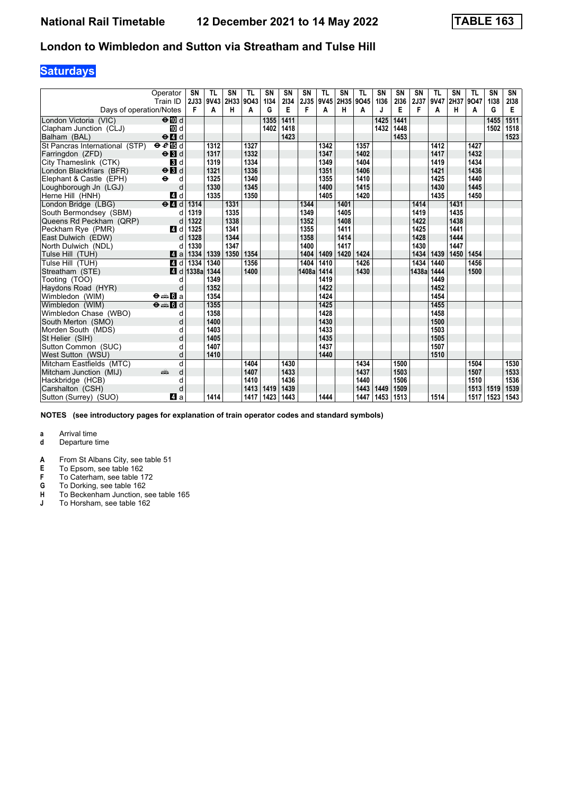## **Saturdays**

|                                | Operator<br>Train ID                              | <b>SN</b><br><b>2J33</b> | <b>TL</b><br>9V43 | <b>SN</b><br>2H33 | <b>TL</b><br>9043 | <b>SN</b><br>1134 | SN<br>2134 | <b>SN</b><br><b>2J35</b> | <b>TL</b><br>9V45 2H35 | SN   | <b>TL</b><br>9045 | SN<br>1136 | <b>SN</b><br>2136 | <b>SN</b><br>2J37 | <b>TL</b><br>9V47 | SN   | <b>TL</b><br>2H37 9O47 | SN<br>1138 | SN<br>2138 |
|--------------------------------|---------------------------------------------------|--------------------------|-------------------|-------------------|-------------------|-------------------|------------|--------------------------|------------------------|------|-------------------|------------|-------------------|-------------------|-------------------|------|------------------------|------------|------------|
| Days of operation/Notes        |                                                   | F                        | A                 | н                 | A                 | G                 | E          | F                        | A                      | н    | A                 | J          | E                 | F                 | A                 | н    | A                      | G          | E          |
| London Victoria (VIC)          | $\Theta$ $\blacksquare$ d                         |                          |                   |                   |                   | 1355              | 1411       |                          |                        |      |                   | 1425       | 1441              |                   |                   |      |                        | 1455       | 1511       |
| Clapham Junction (CLJ)         | 10 d                                              |                          |                   |                   |                   | 1402              | 1418       |                          |                        |      |                   | 1432       | 1448              |                   |                   |      |                        | 1502       | 1518       |
| Balham (BAL)                   | $\Theta$ <sup><math>\Omega</math></sup> d         |                          |                   |                   |                   |                   | 1423       |                          |                        |      |                   |            | 1453              |                   |                   |      |                        |            | 1523       |
| St Pancras International (STP) | eE                                                |                          | 1312              |                   | 1327              |                   |            |                          | 1342                   |      | 1357              |            |                   |                   | 1412              |      | 1427                   |            |            |
| Farringdon (ZFD)               | $\Theta$ $\blacksquare$                           |                          | 1317              |                   | 1332              |                   |            |                          | 1347                   |      | 1402              |            |                   |                   | 1417              |      | 1432                   |            |            |
| City Thameslink (CTK)          | <b>3</b> d                                        |                          | 1319              |                   | 1334              |                   |            |                          | 1349                   |      | 1404              |            |                   |                   | 1419              |      | 1434                   |            |            |
| London Blackfriars (BFR)       | $\Theta$ $\blacksquare$                           |                          | 1321              |                   | 1336              |                   |            |                          | 1351                   |      | 1406              |            |                   |                   | 1421              |      | 1436                   |            |            |
| Elephant & Castle (EPH)        | $\ddot{\boldsymbol{\Theta}}$<br>d                 |                          | 1325              |                   | 1340              |                   |            |                          | 1355                   |      | 1410              |            |                   |                   | 1425              |      | 1440                   |            |            |
| Loughborough Jn (LGJ)          | d                                                 |                          | 1330              |                   | 1345              |                   |            |                          | 1400                   |      | 1415              |            |                   |                   | 1430              |      | 1445                   |            |            |
| Herne Hill (HNH)               | 4 d                                               |                          | 1335              |                   | 1350              |                   |            |                          | 1405                   |      | 1420              |            |                   |                   | 1435              |      | 1450                   |            |            |
| London Bridge (LBG)            | $e$ $d$                                           | 1314                     |                   | 1331              |                   |                   |            | 1344                     |                        | 1401 |                   |            |                   | 1414              |                   | 1431 |                        |            |            |
| South Bermondsey (SBM)         | d                                                 | 1319                     |                   | 1335              |                   |                   |            | 1349                     |                        | 1405 |                   |            |                   | 1419              |                   | 1435 |                        |            |            |
| Queens Rd Peckham (QRP)        | d                                                 | 1322                     |                   | 1338              |                   |                   |            | 1352                     |                        | 1408 |                   |            |                   | 1422              |                   | 1438 |                        |            |            |
| Peckham Rye (PMR)              | 4 d                                               | 1325                     |                   | 1341              |                   |                   |            | 1355                     |                        | 1411 |                   |            |                   | 1425              |                   | 1441 |                        |            |            |
| East Dulwich (EDW)             | d                                                 | 1328                     |                   | 1344              |                   |                   |            | 1358                     |                        | 1414 |                   |            |                   | 1428              |                   | 1444 |                        |            |            |
| North Dulwich (NDL)            |                                                   | 1330                     |                   | 1347              |                   |                   |            | 1400                     |                        | 1417 |                   |            |                   | 1430              |                   | 1447 |                        |            |            |
| Tulse Hill (TUH)               | ZI a                                              | 1334                     | 1339              | 1350              | 1354              |                   |            | 1404                     | 1409                   | 1420 | 1424              |            |                   | 1434              | 1439              | 1450 | 1454                   |            |            |
| Tulse Hill (TUH)               | 4d                                                | 1334                     | 1340              |                   | 1356              |                   |            | 1404                     | 1410                   |      | 1426              |            |                   | 1434              | 1440              |      | 1456                   |            |            |
| Streatham (STE)                | 4 d                                               | 1338a                    | 1344              |                   | 1400              |                   |            | 1408a 1414               |                        |      | 1430              |            |                   | 1438a             | 1444              |      | 1500                   |            |            |
| Tooting (TOO)                  | d                                                 |                          | 1349              |                   |                   |                   |            |                          | 1419                   |      |                   |            |                   |                   | 1449              |      |                        |            |            |
| Haydons Road (HYR)             | d                                                 |                          | 1352              |                   |                   |                   |            |                          | 1422                   |      |                   |            |                   |                   | 1452              |      |                        |            |            |
| Wimbledon (WIM)                | $\Theta = \blacksquare$ $\blacksquare$ a          |                          | 1354              |                   |                   |                   |            |                          | 1424                   |      |                   |            |                   |                   | 1454              |      |                        |            |            |
| Wimbledon (WIM)                | $\overline{\Theta}$ $\cong$ $\overline{\Omega}$ d |                          | 1355              |                   |                   |                   |            |                          | 1425                   |      |                   |            |                   |                   | 1455              |      |                        |            |            |
| Wimbledon Chase (WBO)          | d                                                 |                          | 1358              |                   |                   |                   |            |                          | 1428                   |      |                   |            |                   |                   | 1458              |      |                        |            |            |
| South Merton (SMO)             | d                                                 |                          | 1400              |                   |                   |                   |            |                          | 1430                   |      |                   |            |                   |                   | 1500              |      |                        |            |            |
| Morden South (MDS)             | d                                                 |                          | 1403              |                   |                   |                   |            |                          | 1433                   |      |                   |            |                   |                   | 1503              |      |                        |            |            |
| St Helier (SIH)                | d                                                 |                          | 1405              |                   |                   |                   |            |                          | 1435                   |      |                   |            |                   |                   | 1505              |      |                        |            |            |
| Sutton Common (SUC)            | d                                                 |                          | 1407              |                   |                   |                   |            |                          | 1437                   |      |                   |            |                   |                   | 1507              |      |                        |            |            |
| West Sutton (WSU)              | d                                                 |                          | 1410              |                   |                   |                   |            |                          | 1440                   |      |                   |            |                   |                   | 1510              |      |                        |            |            |
| Mitcham Eastfields (MTC)       | d                                                 |                          |                   |                   | 1404              |                   | 1430       |                          |                        |      | 1434              |            | 1500              |                   |                   |      | 1504                   |            | 1530       |
| Mitcham Junction (MIJ)         | d<br>añ,                                          |                          |                   |                   | 1407              |                   | 1433       |                          |                        |      | 1437              |            | 1503              |                   |                   |      | 1507                   |            | 1533       |
| Hackbridge (HCB)               | d                                                 |                          |                   |                   | 1410              |                   | 1436       |                          |                        |      | 1440              |            | 1506              |                   |                   |      | 1510                   |            | 1536       |
| Carshalton (CSH)               | d                                                 |                          |                   |                   | 1413              | 1419              | 1439       |                          |                        |      | 1443              | 1449       | 1509              |                   |                   |      | 1513                   | 1519       | 1539       |
| Sutton (Surrey) (SUO)          | ZI a                                              |                          | 1414              |                   | 1417              | 1423              | 1443       |                          | 1444                   |      | 1447              | 1453       | 1513              |                   | 1514              |      | 1517                   | 1523       | 1543       |

**NOTES (see introductory pages for explanation of train operator codes and standard symbols)**

# **a** Arrival time<br>**d** Departure t

- **d** Departure time
- **A** From St Albans City, see table 51<br>**E** To Epsom, see table 162

- **F** To Caterham, see table 172<br>**G** To Dorking, see table 162
- **G** To Dorking, see table 162
- **H** To Beckenham Junction, see table 165 **J** To Horsham, see table 162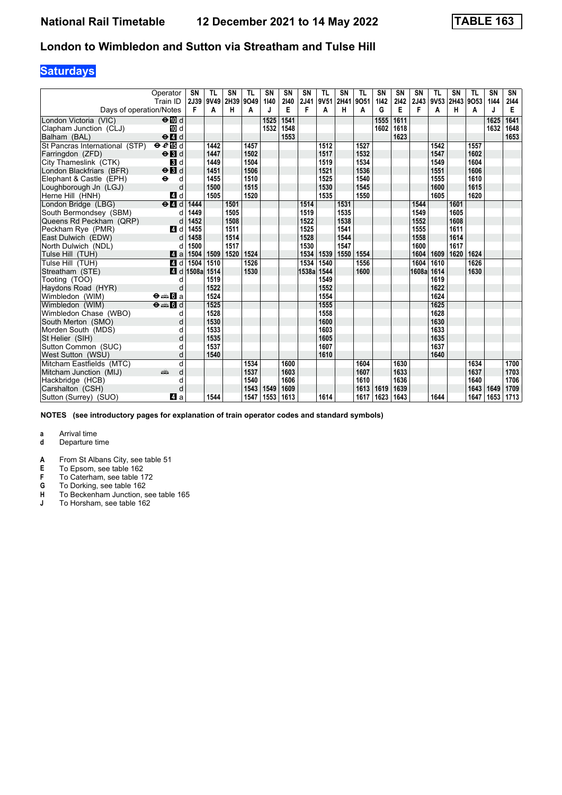## **Saturdays**

|                                | Operator<br>Train ID                            | <b>SN</b><br>2J39 | <b>TL</b><br>9V49 | <b>SN</b><br>2H39 | <b>TL</b><br>9049 | SN<br>1140 | SN<br>2140 | <b>SN</b><br>2J41 | <b>TL</b><br>9V51 | SN<br>2H41 | <b>TL</b><br>9051 | SN<br>1142 | <b>SN</b><br>2142 | <b>SN</b><br>2J43 | <b>TL</b><br>9V53 | SN<br>2H43 9O53 | <b>TL</b> | <b>SN</b><br>1144 | SN<br>2144 |
|--------------------------------|-------------------------------------------------|-------------------|-------------------|-------------------|-------------------|------------|------------|-------------------|-------------------|------------|-------------------|------------|-------------------|-------------------|-------------------|-----------------|-----------|-------------------|------------|
| Days of operation/Notes        |                                                 | F                 | A                 | н                 | A                 |            | Е          | F                 | A                 | н          | A                 | G          | Е                 | F                 | A                 | н               | A         | J                 | Е          |
| London Victoria (VIC)          | $\Theta$ $\blacksquare$ d                       |                   |                   |                   |                   | 1525       | 1541       |                   |                   |            |                   | 1555       | 1611              |                   |                   |                 |           | 1625              | 1641       |
| Clapham Junction (CLJ)         | iD d                                            |                   |                   |                   |                   | 1532       | 1548       |                   |                   |            |                   | 1602       | 1618              |                   |                   |                 |           | 1632              | 1648       |
| Balham (BAL)                   | $\Theta$ <sup><math>\blacksquare</math> d</sup> |                   |                   |                   |                   |            | 1553       |                   |                   |            |                   |            | 1623              |                   |                   |                 |           |                   | 1653       |
| St Pancras International (STP) | eE                                              |                   | 1442              |                   | 1457              |            |            |                   | 1512              |            | 1527              |            |                   |                   | 1542              |                 | 1557      |                   |            |
| Farringdon (ZFD)               | $\Theta$ $\blacksquare$                         |                   | 1447              |                   | 1502              |            |            |                   | 1517              |            | 1532              |            |                   |                   | 1547              |                 | 1602      |                   |            |
| City Thameslink (CTK)          | $\mathbf{3}$ d                                  |                   | 1449              |                   | 1504              |            |            |                   | 1519              |            | 1534              |            |                   |                   | 1549              |                 | 1604      |                   |            |
| London Blackfriars (BFR)       | $\Theta$ $\blacksquare$                         |                   | 1451              |                   | 1506              |            |            |                   | 1521              |            | 1536              |            |                   |                   | 1551              |                 | 1606      |                   |            |
| Elephant & Castle (EPH)        | $\ddot{\boldsymbol{\Theta}}$<br>d               |                   | 1455              |                   | 1510              |            |            |                   | 1525              |            | 1540              |            |                   |                   | 1555              |                 | 1610      |                   |            |
| Loughborough Jn (LGJ)          | d                                               |                   | 1500              |                   | 1515              |            |            |                   | 1530              |            | 1545              |            |                   |                   | 1600              |                 | 1615      |                   |            |
| Herne Hill (HNH)               | 4 d                                             |                   | 1505              |                   | 1520              |            |            |                   | 1535              |            | 1550              |            |                   |                   | 1605              |                 | 1620      |                   |            |
| London Bridge (LBG)            | $e$ $d$                                         | 1444              |                   | 1501              |                   |            |            | 1514              |                   | 1531       |                   |            |                   | 1544              |                   | 1601            |           |                   |            |
| South Bermondsey (SBM)         | d                                               | 1449              |                   | 1505              |                   |            |            | 1519              |                   | 1535       |                   |            |                   | 1549              |                   | 1605            |           |                   |            |
| Queens Rd Peckham (QRP)        | d                                               | 1452              |                   | 1508              |                   |            |            | 1522              |                   | 1538       |                   |            |                   | 1552              |                   | 1608            |           |                   |            |
| Peckham Rve (PMR)              | 4 d                                             | 1455              |                   | 1511              |                   |            |            | 1525              |                   | 1541       |                   |            |                   | 1555              |                   | 1611            |           |                   |            |
| East Dulwich (EDW)             | d                                               | 1458              |                   | 1514              |                   |            |            | 1528              |                   | 1544       |                   |            |                   | 1558              |                   | 1614            |           |                   |            |
| North Dulwich (NDL)            |                                                 | 1500              |                   | 1517              |                   |            |            | 1530              |                   | 1547       |                   |            |                   | 1600              |                   | 1617            |           |                   |            |
| Tulse Hill (TUH)               | ZI a                                            | 1504              | 1509              | 1520              | 1524              |            |            | 1534              | 1539              | 1550       | 1554              |            |                   | 1604              | 1609              | 1620            | 1624      |                   |            |
| Tulse Hill (TUH)               | 4 d                                             | 1504              | 1510              |                   | 1526              |            |            | 1534              | 1540              |            | 1556              |            |                   | 1604              | 1610              |                 | 1626      |                   |            |
| Streatham (STE)                | ZI d                                            | 1508a             | 1514              |                   | 1530              |            |            | 1538a 1544        |                   |            | 1600              |            |                   | 1608a             | 1614              |                 | 1630      |                   |            |
| Tooting (TOO)                  | d                                               |                   | 1519              |                   |                   |            |            |                   | 1549              |            |                   |            |                   |                   | 1619              |                 |           |                   |            |
| Haydons Road (HYR)             | d                                               |                   | 1522              |                   |                   |            |            |                   | 1552              |            |                   |            |                   |                   | 1622              |                 |           |                   |            |
| Wimbledon (WIM)                | $\Theta = \blacksquare$ $\blacksquare$ a        |                   | 1524              |                   |                   |            |            |                   | 1554              |            |                   |            |                   |                   | 1624              |                 |           |                   |            |
| Wimbledon (WIM)                | $\Theta = 5d$                                   |                   | 1525              |                   |                   |            |            |                   | 1555              |            |                   |            |                   |                   | 1625              |                 |           |                   |            |
| Wimbledon Chase (WBO)          | d                                               |                   | 1528              |                   |                   |            |            |                   | 1558              |            |                   |            |                   |                   | 1628              |                 |           |                   |            |
| South Merton (SMO)             | d                                               |                   | 1530              |                   |                   |            |            |                   | 1600              |            |                   |            |                   |                   | 1630              |                 |           |                   |            |
| Morden South (MDS)             | d                                               |                   | 1533              |                   |                   |            |            |                   | 1603              |            |                   |            |                   |                   | 1633              |                 |           |                   |            |
| St Helier (SIH)                | d                                               |                   | 1535              |                   |                   |            |            |                   | 1605              |            |                   |            |                   |                   | 1635              |                 |           |                   |            |
| Sutton Common (SUC)            | d                                               |                   | 1537              |                   |                   |            |            |                   | 1607              |            |                   |            |                   |                   | 1637              |                 |           |                   |            |
| West Sutton (WSU)              | d                                               |                   | 1540              |                   |                   |            |            |                   | 1610              |            |                   |            |                   |                   | 1640              |                 |           |                   |            |
| Mitcham Eastfields (MTC)       | q                                               |                   |                   |                   | 1534              |            | 1600       |                   |                   |            | 1604              |            | 1630              |                   |                   |                 | 1634      |                   | 1700       |
| Mitcham Junction (MIJ)         | d<br>dia 1                                      |                   |                   |                   | 1537              |            | 1603       |                   |                   |            | 1607              |            | 1633              |                   |                   |                 | 1637      |                   | 1703       |
| Hackbridge (HCB)               | d                                               |                   |                   |                   | 1540              |            | 1606       |                   |                   |            | 1610              |            | 1636              |                   |                   |                 | 1640      |                   | 1706       |
| Carshalton (CSH)               | d                                               |                   |                   |                   | 1543              | 1549       | 1609       |                   |                   |            | 1613              | 1619       | 1639              |                   |                   |                 | 1643      | 1649              | 1709       |
| Sutton (Surrey) (SUO)          | ZI a                                            |                   | 1544              |                   | 1547              | 1553       | 1613       |                   | 1614              |            | 1617              | 1623       | 1643              |                   | 1644              |                 | 1647      | 1653              | 1713       |

**NOTES (see introductory pages for explanation of train operator codes and standard symbols)**

# **a** Arrival time<br>**d** Departure t

- **d** Departure time
- **A** From St Albans City, see table 51<br>**E** To Epsom, see table 162

- **F** To Caterham, see table 172<br>**G** To Dorking, see table 162
- **G** To Dorking, see table 162
- **H** To Beckenham Junction, see table 165 **J** To Horsham, see table 162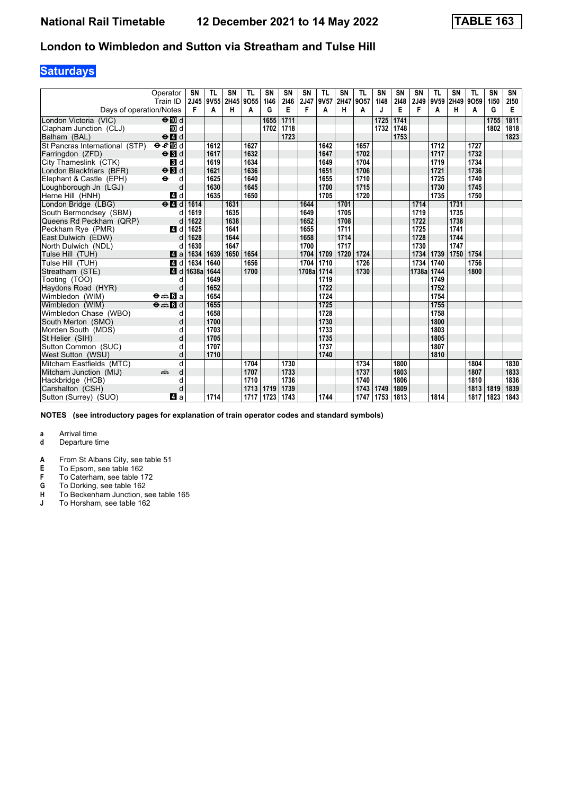## **Saturdays**

|                                | Operator<br>Train ID                            | <b>SN</b><br><b>2J45</b> | <b>TL</b><br>9V55 | <b>SN</b><br>2H45 | <b>TL</b><br>9055 | SN<br>1146 | SN<br>2146 | <b>SN</b><br>2J47 | <b>TL</b><br>9V57 | SN<br>2H47 | <b>TL</b><br>9057 | SN<br>1148 | <b>SN</b><br>2148 | <b>SN</b><br>2J49 | <b>TL</b><br>9V59 | <b>SN</b><br>2H49 9O59 | <b>TL</b> | SN<br>1150 | SN<br>2150 |
|--------------------------------|-------------------------------------------------|--------------------------|-------------------|-------------------|-------------------|------------|------------|-------------------|-------------------|------------|-------------------|------------|-------------------|-------------------|-------------------|------------------------|-----------|------------|------------|
| Days of operation/Notes        |                                                 | F                        | A                 | н                 | A                 | G          | Е          | F                 | A                 | н          | A                 | J          | Е                 | F                 | A                 | н                      | A         | G          | Е          |
| London Victoria (VIC)          | $\Theta$ III d                                  |                          |                   |                   |                   | 1655       | 1711       |                   |                   |            |                   | 1725       | 1741              |                   |                   |                        |           | 1755       | 1811       |
| Clapham Junction (CLJ)         | iD d                                            |                          |                   |                   |                   | 1702       | 1718       |                   |                   |            |                   | 1732       | 1748              |                   |                   |                        |           | 1802       | 1818       |
| Balham (BAL)                   | $\Theta$ <sup><math>\blacksquare</math> d</sup> |                          |                   |                   |                   |            | 1723       |                   |                   |            |                   |            | 1753              |                   |                   |                        |           |            | 1823       |
| St Pancras International (STP) | eE                                              |                          | 1612              |                   | 1627              |            |            |                   | 1642              |            | 1657              |            |                   |                   | 1712              |                        | 1727      |            |            |
| Farringdon (ZFD)               | $\Theta$ $\blacksquare$                         |                          | 1617              |                   | 1632              |            |            |                   | 1647              |            | 1702              |            |                   |                   | 1717              |                        | 1732      |            |            |
| City Thameslink (CTK)          | $\mathbf{3}$ d                                  |                          | 1619              |                   | 1634              |            |            |                   | 1649              |            | 1704              |            |                   |                   | 1719              |                        | 1734      |            |            |
| London Blackfriars (BFR)       | $\Theta$ $\blacksquare$                         |                          | 1621              |                   | 1636              |            |            |                   | 1651              |            | 1706              |            |                   |                   | 1721              |                        | 1736      |            |            |
| Elephant & Castle (EPH)        | $\ddot{\boldsymbol{\Theta}}$<br>d               |                          | 1625              |                   | 1640              |            |            |                   | 1655              |            | 1710              |            |                   |                   | 1725              |                        | 1740      |            |            |
| Loughborough Jn (LGJ)          | d                                               |                          | 1630              |                   | 1645              |            |            |                   | 1700              |            | 1715              |            |                   |                   | 1730              |                        | 1745      |            |            |
| Herne Hill (HNH)               | 4 d                                             |                          | 1635              |                   | 1650              |            |            |                   | 1705              |            | 1720              |            |                   |                   | 1735              |                        | 1750      |            |            |
| London Bridge (LBG)            | $e$ $d$                                         | 1614                     |                   | 1631              |                   |            |            | 1644              |                   | 1701       |                   |            |                   | 1714              |                   | 1731                   |           |            |            |
| South Bermondsey (SBM)         | d                                               | 1619                     |                   | 1635              |                   |            |            | 1649              |                   | 1705       |                   |            |                   | 1719              |                   | 1735                   |           |            |            |
| Queens Rd Peckham (QRP)        | d                                               | 1622                     |                   | 1638              |                   |            |            | 1652              |                   | 1708       |                   |            |                   | 1722              |                   | 1738                   |           |            |            |
| Peckham Rve (PMR)              | 4 d                                             | 1625                     |                   | 1641              |                   |            |            | 1655              |                   | 1711       |                   |            |                   | 1725              |                   | 1741                   |           |            |            |
| East Dulwich (EDW)             | d                                               | 1628                     |                   | 1644              |                   |            |            | 1658              |                   | 1714       |                   |            |                   | 1728              |                   | 1744                   |           |            |            |
| North Dulwich (NDL)            |                                                 | 1630                     |                   | 1647              |                   |            |            | 1700              |                   | 1717       |                   |            |                   | 1730              |                   | 1747                   |           |            |            |
| Tulse Hill (TUH)               | ZI a                                            | 1634                     | 1639              | 1650              | 1654              |            |            | 1704              | 1709              | 1720       | 1724              |            |                   | 1734              | 1739              | 1750                   | 1754      |            |            |
| Tulse Hill (TUH)               | 4 d                                             | 1634                     | 1640              |                   | 1656              |            |            | 1704              | 1710              |            | 1726              |            |                   | 1734              | 1740              |                        | 1756      |            |            |
| Streatham (STE)                | ZI d                                            | 1638a                    | 1644              |                   | 1700              |            |            | 1708a 1714        |                   |            | 1730              |            |                   | 1738a             | 1744              |                        | 1800      |            |            |
| Tooting (TOO)                  | d                                               |                          | 1649              |                   |                   |            |            |                   | 1719              |            |                   |            |                   |                   | 1749              |                        |           |            |            |
| Haydons Road (HYR)             | d                                               |                          | 1652              |                   |                   |            |            |                   | 1722              |            |                   |            |                   |                   | 1752              |                        |           |            |            |
| Wimbledon (WIM)                | $\Theta = \blacksquare$ $\blacksquare$ a        |                          | 1654              |                   |                   |            |            |                   | 1724              |            |                   |            |                   |                   | 1754              |                        |           |            |            |
| Wimbledon (WIM)                | $\Theta = \blacksquare$ $\blacksquare$ d        |                          | 1655              |                   |                   |            |            |                   | 1725              |            |                   |            |                   |                   | 1755              |                        |           |            |            |
| Wimbledon Chase (WBO)          | d                                               |                          | 1658              |                   |                   |            |            |                   | 1728              |            |                   |            |                   |                   | 1758              |                        |           |            |            |
| South Merton (SMO)             | d                                               |                          | 1700              |                   |                   |            |            |                   | 1730              |            |                   |            |                   |                   | 1800              |                        |           |            |            |
| Morden South (MDS)             | d                                               |                          | 1703              |                   |                   |            |            |                   | 1733              |            |                   |            |                   |                   | 1803              |                        |           |            |            |
| St Helier (SIH)                | d                                               |                          | 1705              |                   |                   |            |            |                   | 1735              |            |                   |            |                   |                   | 1805              |                        |           |            |            |
| Sutton Common (SUC)            | d                                               |                          | 1707              |                   |                   |            |            |                   | 1737              |            |                   |            |                   |                   | 1807              |                        |           |            |            |
| West Sutton (WSU)              | d                                               |                          | 1710              |                   |                   |            |            |                   | 1740              |            |                   |            |                   |                   | 1810              |                        |           |            |            |
| Mitcham Eastfields (MTC)       | q                                               |                          |                   |                   | 1704              |            | 1730       |                   |                   |            | 1734              |            | 1800              |                   |                   |                        | 1804      |            | 1830       |
| Mitcham Junction (MIJ)         | d<br>dia 1                                      |                          |                   |                   | 1707              |            | 1733       |                   |                   |            | 1737              |            | 1803              |                   |                   |                        | 1807      |            | 1833       |
| Hackbridge (HCB)               | d                                               |                          |                   |                   | 1710              |            | 1736       |                   |                   |            | 1740              |            | 1806              |                   |                   |                        | 1810      |            | 1836       |
| Carshalton (CSH)               | d                                               |                          |                   |                   | 1713              | 1719       | 1739       |                   |                   |            | 1743              | 1749       | 1809              |                   |                   |                        | 1813      | 1819       | 1839       |
| Sutton (Surrey) (SUO)          | ZI a                                            |                          | 1714              |                   | 1717              | 1723       | 1743       |                   | 1744              |            | 1747              | 1753       | 1813              |                   | 1814              |                        | 1817      | 1823       | 1843       |

**NOTES (see introductory pages for explanation of train operator codes and standard symbols)**

# **a** Arrival time<br>**d** Departure t

- **d** Departure time
- **A** From St Albans City, see table 51<br>**E** To Epsom, see table 162

- **F** To Caterham, see table 172<br>**G** To Dorking, see table 162
- **G** To Dorking, see table 162
- **H** To Beckenham Junction, see table 165 **J** To Horsham, see table 162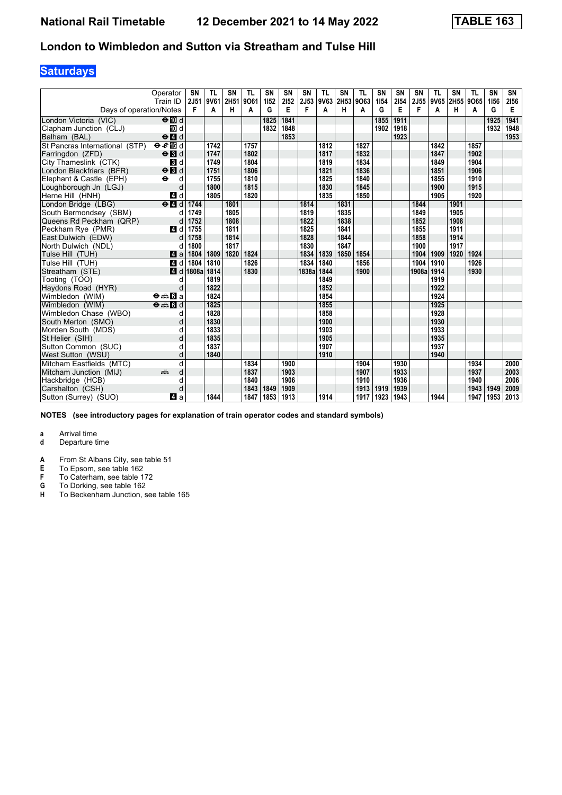## **Saturdays**

|                                | Operator<br>Train ID                     | SN<br>2J51 | TL<br>9V61 | <b>SN</b><br>2H51 | <b>TL</b><br>9061 | <b>SN</b><br>1152 | SN<br>2152 | <b>SN</b><br>2J53 | <b>TL</b><br>9V63 2H53 9O63 | SN   | TL   | <b>SN</b><br>1154 | <b>SN</b><br>2154 | <b>SN</b><br>2J55 | <b>TL</b><br>9V65 | SN<br>2H55 | <b>TL</b><br>9065 | <b>SN</b><br>1156 | SN<br>2156 |
|--------------------------------|------------------------------------------|------------|------------|-------------------|-------------------|-------------------|------------|-------------------|-----------------------------|------|------|-------------------|-------------------|-------------------|-------------------|------------|-------------------|-------------------|------------|
| Days of operation/Notes        |                                          | F          | A          | н                 | A                 | G                 | Е          | F                 | A                           | н    | A    | G                 | Е                 | F                 | A                 | н          | A                 | G                 | Е          |
| London Victoria (VIC)          | $\Theta$ III d                           |            |            |                   |                   | 1825              | 1841       |                   |                             |      |      | 1855              | 1911              |                   |                   |            |                   | 1925              | 1941       |
| Clapham Junction (CLJ)         | TO d                                     |            |            |                   |                   | 1832              | 1848       |                   |                             |      |      | 1902              | 1918              |                   |                   |            |                   | 1932              | 1948       |
| Balham (BAL)                   | $\Theta$ <sup><math>d</math></sup>       |            |            |                   |                   |                   | 1853       |                   |                             |      |      |                   | 1923              |                   |                   |            |                   |                   | 1953       |
| St Pancras International (STP) | eE                                       |            | 1742       |                   | 1757              |                   |            |                   | 1812                        |      | 1827 |                   |                   |                   | 1842              |            | 1857              |                   |            |
| Farringdon (ZFD)               | $\Theta$ <b>B</b> d                      |            | 1747       |                   | 1802              |                   |            |                   | 1817                        |      | 1832 |                   |                   |                   | 1847              |            | 1902              |                   |            |
| City Thameslink (CTK)          | <b>B</b> d                               |            | 1749       |                   | 1804              |                   |            |                   | 1819                        |      | 1834 |                   |                   |                   | 1849              |            | 1904              |                   |            |
| London Blackfriars (BFR)       | $\Theta$ $\blacksquare$                  |            | 1751       |                   | 1806              |                   |            |                   | 1821                        |      | 1836 |                   |                   |                   | 1851              |            | 1906              |                   |            |
| Elephant & Castle (EPH)        | $\ddot{\bullet}$<br>d                    |            | 1755       |                   | 1810              |                   |            |                   | 1825                        |      | 1840 |                   |                   |                   | 1855              |            | 1910              |                   |            |
| Loughborough Jn (LGJ)          | d                                        |            | 1800       |                   | 1815              |                   |            |                   | 1830                        |      | 1845 |                   |                   |                   | 1900              |            | 1915              |                   |            |
| Herne Hill (HNH)               | 4 d                                      |            | 1805       |                   | 1820              |                   |            |                   | 1835                        |      | 1850 |                   |                   |                   | 1905              |            | 1920              |                   |            |
| London Bridge (LBG)            | $e$ $d$                                  | 1744       |            | 1801              |                   |                   |            | 1814              |                             | 1831 |      |                   |                   | 1844              |                   | 1901       |                   |                   |            |
| South Bermondsey (SBM)         | d                                        | 1749       |            | 1805              |                   |                   |            | 1819              |                             | 1835 |      |                   |                   | 1849              |                   | 1905       |                   |                   |            |
| Queens Rd Peckham (QRP)        | d                                        | 1752       |            | 1808              |                   |                   |            | 1822              |                             | 1838 |      |                   |                   | 1852              |                   | 1908       |                   |                   |            |
| Peckham Rye (PMR)              | ZI d                                     | 1755       |            | 1811              |                   |                   |            | 1825              |                             | 1841 |      |                   |                   | 1855              |                   | 1911       |                   |                   |            |
| East Dulwich (EDW)             | d                                        | 1758       |            | 1814              |                   |                   |            | 1828              |                             | 1844 |      |                   |                   | 1858              |                   | 1914       |                   |                   |            |
| North Dulwich (NDL)            | d                                        | 1800       |            | 1817              |                   |                   |            | 1830              |                             | 1847 |      |                   |                   | 1900              |                   | 1917       |                   |                   |            |
| Tulse Hill (TUH)               | ZI a                                     | 1804       | 1809       | 1820              | 1824              |                   |            | 1834              | 1839                        | 1850 | 1854 |                   |                   | 1904              | 1909              | 1920       | 1924              |                   |            |
| Tulse Hill (TUH)               | 4 d                                      | 1804       | 1810       |                   | 1826              |                   |            | 1834              | 1840                        |      | 1856 |                   |                   | 1904              | 1910              |            | 1926              |                   |            |
| Streatham (STE)                | ZI d                                     | 1808a      | 1814       |                   | 1830              |                   |            | 1838a             | 1844                        |      | 1900 |                   |                   | 1908a             | 1914              |            | 1930              |                   |            |
| Tooting (TOO)                  | d                                        |            | 1819       |                   |                   |                   |            |                   | 1849                        |      |      |                   |                   |                   | 1919              |            |                   |                   |            |
| Haydons Road (HYR)             | d                                        |            | 1822       |                   |                   |                   |            |                   | 1852                        |      |      |                   |                   |                   | 1922              |            |                   |                   |            |
| Wimbledon (WIM)                | $\Theta = \blacksquare$ $\blacksquare$ a |            | 1824       |                   |                   |                   |            |                   | 1854                        |      |      |                   |                   |                   | 1924              |            |                   |                   |            |
| Wimbledon (WIM)                | $\Theta = \blacksquare$ $\blacksquare$ d |            | 1825       |                   |                   |                   |            |                   | 1855                        |      |      |                   |                   |                   | 1925              |            |                   |                   |            |
| Wimbledon Chase (WBO)          | d                                        |            | 1828       |                   |                   |                   |            |                   | 1858                        |      |      |                   |                   |                   | 1928              |            |                   |                   |            |
| South Merton (SMO)             | d                                        |            | 1830       |                   |                   |                   |            |                   | 1900                        |      |      |                   |                   |                   | 1930              |            |                   |                   |            |
| Morden South (MDS)             |                                          |            | 1833       |                   |                   |                   |            |                   | 1903                        |      |      |                   |                   |                   | 1933              |            |                   |                   |            |
| St Helier (SIH)                |                                          |            | 1835       |                   |                   |                   |            |                   | 1905                        |      |      |                   |                   |                   | 1935              |            |                   |                   |            |
| Sutton Common (SUC)            | q                                        |            | 1837       |                   |                   |                   |            |                   | 1907                        |      |      |                   |                   |                   | 1937              |            |                   |                   |            |
| West Sutton (WSU)              | d                                        |            | 1840       |                   |                   |                   |            |                   | 1910                        |      |      |                   |                   |                   | 1940              |            |                   |                   |            |
| Mitcham Eastfields (MTC)       | d                                        |            |            |                   | 1834              |                   | 1900       |                   |                             |      | 1904 |                   | 1930              |                   |                   |            | 1934              |                   | 2000       |
| Mitcham Junction (MIJ)         | d<br>añ,                                 |            |            |                   | 1837              |                   | 1903       |                   |                             |      | 1907 |                   | 1933              |                   |                   |            | 1937              |                   | 2003       |
| Hackbridge (HCB)               | d                                        |            |            |                   | 1840              |                   | 1906       |                   |                             |      | 1910 |                   | 1936              |                   |                   |            | 1940              |                   | 2006       |
| Carshalton (CSH)               | d                                        |            |            |                   | 1843              | 1849              | 1909       |                   |                             |      | 1913 | 1919              | 1939              |                   |                   |            | 1943              | 1949              | 2009       |
| Sutton (Surrey) (SUO)          | ZI a                                     |            | 1844       |                   | 1847              | 1853              | 1913       |                   | 1914                        |      | 1917 | 1923              | 1943              |                   | 1944              |            | 1947              | 1953              | 2013       |

**NOTES (see introductory pages for explanation of train operator codes and standard symbols)**

# **a** Arrival time<br>**d** Departure t

- **d** Departure time
- **A** From St Albans City, see table 51<br>**E** To Epsom, see table 162

- 
- **F** To Caterham, see table 172<br>**G** To Dorking, see table 162<br>**H** To Beckenham Junction. see **G** To Dorking, see table 162
- **H** To Beckenham Junction, see table 165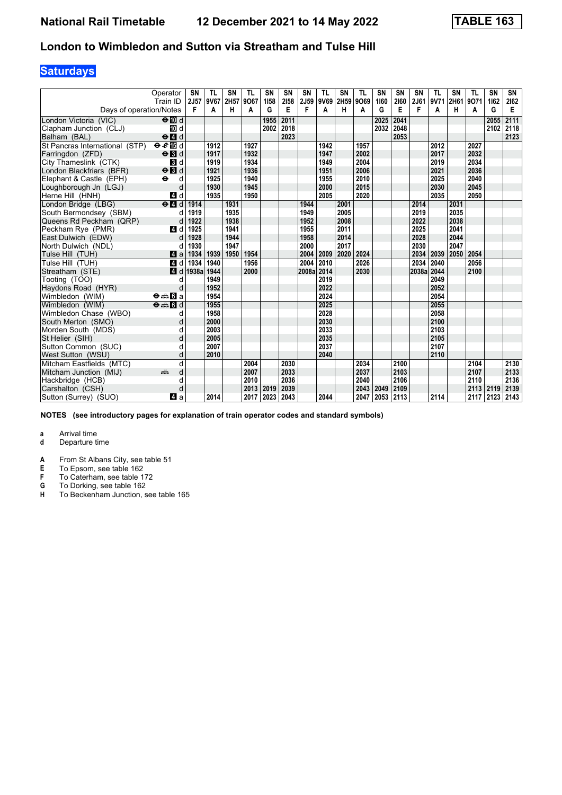## **Saturdays**

|                                | Operator<br>Train ID                      | SN<br>2J57 | <b>TL</b><br>9V67 | SN<br>2H57 | <b>TL</b><br>9067 | <b>SN</b><br>1158 | SN<br>2158 | <b>SN</b>  | <b>TL</b><br>2J59 9V69 2H59 | SN   | <b>TL</b><br>9069 | SN<br>1160 | <b>SN</b><br>2160 | <b>SN</b><br>2J61 | <b>TL</b><br>9V71 | <b>SN</b><br>2H61 | <b>TL</b><br>9071 | SN<br>1162 | SN<br>2162 |
|--------------------------------|-------------------------------------------|------------|-------------------|------------|-------------------|-------------------|------------|------------|-----------------------------|------|-------------------|------------|-------------------|-------------------|-------------------|-------------------|-------------------|------------|------------|
| Days of operation/Notes        |                                           | F          | A                 | н          | A                 | G                 | E          | F          | A                           | н    | A                 | G          | Е                 | F                 | A                 | н                 | A                 | G          | Е          |
| London Victoria (VIC)          | $\Theta$ III d                            |            |                   |            |                   | 1955              | 2011       |            |                             |      |                   | 2025       | 2041              |                   |                   |                   |                   | 2055       | 2111       |
| Clapham Junction (CLJ)         | TO d                                      |            |                   |            |                   | 2002              | 2018       |            |                             |      |                   | 2032       | 2048              |                   |                   |                   |                   | 2102       | 2118       |
| Balham (BAL)                   | $\Theta$ <sup><math>d</math></sup>        |            |                   |            |                   |                   | 2023       |            |                             |      |                   |            | 2053              |                   |                   |                   |                   |            | 2123       |
| St Pancras International (STP) | eE                                        |            | 1912              |            | 1927              |                   |            |            | 1942                        |      | 1957              |            |                   |                   | 2012              |                   | 2027              |            |            |
| Farringdon (ZFD)               | $\Theta$ <b>B</b> d                       |            | 1917              |            | 1932              |                   |            |            | 1947                        |      | 2002              |            |                   |                   | 2017              |                   | 2032              |            |            |
| City Thameslink (CTK)          | <b>B</b> d                                |            | 1919              |            | 1934              |                   |            |            | 1949                        |      | 2004              |            |                   |                   | 2019              |                   | 2034              |            |            |
| London Blackfriars (BFR)       | $\Theta$ <b>B</b> d                       |            | 1921              |            | 1936              |                   |            |            | 1951                        |      | 2006              |            |                   |                   | 2021              |                   | 2036              |            |            |
| Elephant & Castle (EPH)        | $\ddot{\phantom{1}}$<br>d                 |            | 1925              |            | 1940              |                   |            |            | 1955                        |      | 2010              |            |                   |                   | 2025              |                   | 2040              |            |            |
| Loughborough Jn (LGJ)          | d                                         |            | 1930              |            | 1945              |                   |            |            | 2000                        |      | 2015              |            |                   |                   | 2030              |                   | 2045              |            |            |
| Herne Hill (HNH)               | 4 d                                       |            | 1935              |            | 1950              |                   |            |            | 2005                        |      | 2020              |            |                   |                   | 2035              |                   | 2050              |            |            |
| London Bridge (LBG)            | $\Theta$ <sup><math>\Omega</math></sup> d | 1914       |                   | 1931       |                   |                   |            | 1944       |                             | 2001 |                   |            |                   | 2014              |                   | 2031              |                   |            |            |
| South Bermondsey (SBM)         | d                                         | 1919       |                   | 1935       |                   |                   |            | 1949       |                             | 2005 |                   |            |                   | 2019              |                   | 2035              |                   |            |            |
| Queens Rd Peckham (QRP)        | d                                         | 1922       |                   | 1938       |                   |                   |            | 1952       |                             | 2008 |                   |            |                   | 2022              |                   | 2038              |                   |            |            |
| Peckham Rye (PMR)              | ZI d                                      | 1925       |                   | 1941       |                   |                   |            | 1955       |                             | 2011 |                   |            |                   | 2025              |                   | 2041              |                   |            |            |
| East Dulwich (EDW)             | d                                         | 1928       |                   | 1944       |                   |                   |            | 1958       |                             | 2014 |                   |            |                   | 2028              |                   | 2044              |                   |            |            |
| North Dulwich (NDL)            | d                                         | 1930       |                   | 1947       |                   |                   |            | 2000       |                             | 2017 |                   |            |                   | 2030              |                   | 2047              |                   |            |            |
| Tulse Hill (TUH)               | ZI a                                      | 1934       | 1939              | 1950       | 1954              |                   |            | 2004       | 2009                        | 2020 | 2024              |            |                   | 2034              | 2039              | 2050              | 2054              |            |            |
| Tulse Hill (TUH)               | 4 d                                       | 1934       | 1940              |            | 1956              |                   |            | 2004       | 2010                        |      | 2026              |            |                   | 2034              | 2040              |                   | 2056              |            |            |
| Streatham (STE)                | ZI d                                      | 1938a      | 1944              |            | 2000              |                   |            | 2008a 2014 |                             |      | 2030              |            |                   | 2038a             | 2044              |                   | 2100              |            |            |
| Tooting (TOO)                  | d                                         |            | 1949              |            |                   |                   |            |            | 2019                        |      |                   |            |                   |                   | 2049              |                   |                   |            |            |
| Haydons Road (HYR)             | d                                         |            | 1952              |            |                   |                   |            |            | 2022                        |      |                   |            |                   |                   | 2052              |                   |                   |            |            |
| Wimbledon (WIM)                | $\Theta = \blacksquare$ $\blacksquare$ a  |            | 1954              |            |                   |                   |            |            | 2024                        |      |                   |            |                   |                   | 2054              |                   |                   |            |            |
| Wimbledon (WIM)                | $\Theta = \blacksquare$ $\blacksquare$ d  |            | 1955              |            |                   |                   |            |            | 2025                        |      |                   |            |                   |                   | 2055              |                   |                   |            |            |
| Wimbledon Chase (WBO)          | d                                         |            | 1958              |            |                   |                   |            |            | 2028                        |      |                   |            |                   |                   | 2058              |                   |                   |            |            |
| South Merton (SMO)             | d                                         |            | 2000              |            |                   |                   |            |            | 2030                        |      |                   |            |                   |                   | 2100              |                   |                   |            |            |
| Morden South (MDS)             | d                                         |            | 2003              |            |                   |                   |            |            | 2033                        |      |                   |            |                   |                   | 2103              |                   |                   |            |            |
| St Helier (SIH)                |                                           |            | 2005              |            |                   |                   |            |            | 2035                        |      |                   |            |                   |                   | 2105              |                   |                   |            |            |
| Sutton Common (SUC)            |                                           |            | 2007              |            |                   |                   |            |            | 2037                        |      |                   |            |                   |                   | 2107              |                   |                   |            |            |
| West Sutton (WSU)              | d                                         |            | 2010              |            |                   |                   |            |            | 2040                        |      |                   |            |                   |                   | 2110              |                   |                   |            |            |
| Mitcham Eastfields (MTC)       | d                                         |            |                   |            | 2004              |                   | 2030       |            |                             |      | 2034              |            | 2100              |                   |                   |                   | 2104              |            | 2130       |
| Mitcham Junction (MIJ)         | d<br>æ                                    |            |                   |            | 2007              |                   | 2033       |            |                             |      | 2037              |            | 2103              |                   |                   |                   | 2107              |            | 2133       |
| Hackbridge (HCB)               | d                                         |            |                   |            | 2010              |                   | 2036       |            |                             |      | 2040              |            | 2106              |                   |                   |                   | 2110              |            | 2136       |
| Carshalton (CSH)               | d                                         |            |                   |            | 2013              | 2019              | 2039       |            |                             |      | 2043              | 2049       | 2109              |                   |                   |                   | 2113              | 2119       | 2139       |
| Sutton (Surrey) (SUO)          | ZI a                                      |            | 2014              |            | 2017              | 2023              | 2043       |            | 2044                        |      | 2047              | 2053 2113  |                   |                   | 2114              |                   |                   | 2117 2123  | 2143       |

**NOTES (see introductory pages for explanation of train operator codes and standard symbols)**

# **a** Arrival time<br>**d** Departure t

- **d** Departure time
- **A** From St Albans City, see table 51<br>**E** To Epsom, see table 162

- 
- **F** To Caterham, see table 172<br>**G** To Dorking, see table 162<br>**H** To Beckenham Junction. see **G** To Dorking, see table 162
- **H** To Beckenham Junction, see table 165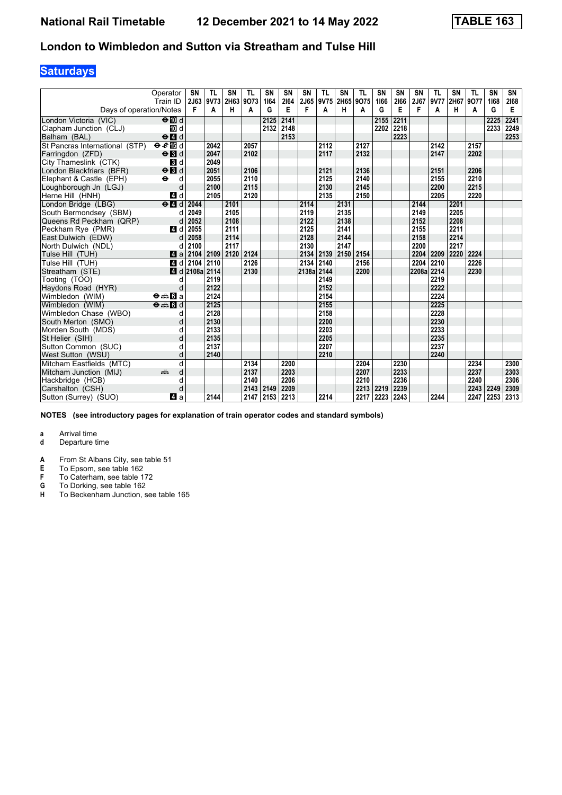## **Saturdays**

|                                | Operator<br>Train ID                            | <b>SN</b><br><b>2J63</b>    | <b>TL</b><br>9V73 | <b>SN</b><br>2H63 | <b>TL</b><br>9073 | SN<br>1164 | SN<br>2164 | <b>SN</b><br>2J65 | <b>TL</b> | SN<br>9V75 2H65 9O75 | <b>TL</b> | SN<br>1166 | <b>SN</b><br>2166 | <b>SN</b><br>2J67 | <b>TL</b><br>9V77 | SN<br>2H67 9O77 | <b>TL</b> | SN<br>1168 | SN<br>2168 |
|--------------------------------|-------------------------------------------------|-----------------------------|-------------------|-------------------|-------------------|------------|------------|-------------------|-----------|----------------------|-----------|------------|-------------------|-------------------|-------------------|-----------------|-----------|------------|------------|
| Days of operation/Notes        |                                                 | F                           | A                 | н                 | A                 | G          | Е          | F                 | A         | н                    | A         | G          | Е                 | F                 | A                 | н               | A         | G          | Е          |
| London Victoria (VIC)          | $\Theta$ $\blacksquare$ d                       |                             |                   |                   |                   | 2125       | 2141       |                   |           |                      |           | 2155       | 2211              |                   |                   |                 |           | 2225       | 2241       |
| Clapham Junction (CLJ)         | iD d                                            |                             |                   |                   |                   | 2132       | 2148       |                   |           |                      |           | 2202       | 2218              |                   |                   |                 |           | 2233       | 2249       |
| Balham (BAL)                   | $\Theta$ <sup><math>\blacksquare</math> d</sup> |                             |                   |                   |                   |            | 2153       |                   |           |                      |           |            | 2223              |                   |                   |                 |           |            | 2253       |
| St Pancras International (STP) | eE                                              |                             | 2042              |                   | 2057              |            |            |                   | 2112      |                      | 2127      |            |                   |                   | 2142              |                 | 2157      |            |            |
| Farringdon (ZFD)               | $\Theta$ $\blacksquare$                         |                             | 2047              |                   | 2102              |            |            |                   | 2117      |                      | 2132      |            |                   |                   | 2147              |                 | 2202      |            |            |
| City Thameslink (CTK)          | $\mathbf{3}$ d                                  |                             | 2049              |                   |                   |            |            |                   |           |                      |           |            |                   |                   |                   |                 |           |            |            |
| London Blackfriars (BFR)       | $\Theta$ $\blacksquare$                         |                             | 2051              |                   | 2106              |            |            |                   | 2121      |                      | 2136      |            |                   |                   | 2151              |                 | 2206      |            |            |
| Elephant & Castle (EPH)        | $\ddot{\phantom{1}}$<br>d                       |                             | 2055              |                   | 2110              |            |            |                   | 2125      |                      | 2140      |            |                   |                   | 2155              |                 | 2210      |            |            |
| Loughborough Jn (LGJ)          | d                                               |                             | 2100              |                   | 2115              |            |            |                   | 2130      |                      | 2145      |            |                   |                   | 2200              |                 | 2215      |            |            |
| Herne Hill (HNH)               | 4 d                                             |                             | 2105              |                   | 2120              |            |            |                   | 2135      |                      | 2150      |            |                   |                   | 2205              |                 | 2220      |            |            |
| London Bridge (LBG)            | $e$ $d$                                         | 2044                        |                   | 2101              |                   |            |            | 2114              |           | 2131                 |           |            |                   | 2144              |                   | 2201            |           |            |            |
| South Bermondsev (SBM)         | d                                               | 2049                        |                   | 2105              |                   |            |            | 2119              |           | 2135                 |           |            |                   | 2149              |                   | 2205            |           |            |            |
| Queens Rd Peckham (QRP)        | d                                               | 2052                        |                   | 2108              |                   |            |            | 2122              |           | 2138                 |           |            |                   | 2152              |                   | 2208            |           |            |            |
| Peckham Rve (PMR)              | 4 d                                             | 2055                        |                   | 2111              |                   |            |            | 2125              |           | 2141                 |           |            |                   | 2155              |                   | 2211            |           |            |            |
| East Dulwich (EDW)             | d                                               | 2058                        |                   | 2114              |                   |            |            | 2128              |           | 2144                 |           |            |                   | 2158              |                   | 2214            |           |            |            |
| North Dulwich (NDL)            |                                                 | 2100                        |                   | 2117              |                   |            |            | 2130              |           | 2147                 |           |            |                   | 2200              |                   | 2217            |           |            |            |
| Tulse Hill (TUH)               | Zi a                                            | 2104                        | 2109              | 2120              | 2124              |            |            | 2134              | 2139 2150 |                      | 2154      |            |                   | 2204              | 2209              | 2220            | 2224      |            |            |
| Tulse Hill (TUH)               | 4 d                                             | 2104                        | 2110              |                   | 2126              |            |            | 2134              | 2140      |                      | 2156      |            |                   | 2204              | 2210              |                 | 2226      |            |            |
| Streatham (STE)                |                                                 | $\blacksquare$ d 2108a 2114 |                   |                   | 2130              |            |            | 2138a 2144        |           |                      | 2200      |            |                   | 2208a             | 2214              |                 | 2230      |            |            |
| Tooting (TOO)                  | d                                               |                             | 2119              |                   |                   |            |            |                   | 2149      |                      |           |            |                   |                   | 2219              |                 |           |            |            |
| Haydons Road (HYR)             | d                                               |                             | 2122              |                   |                   |            |            |                   | 2152      |                      |           |            |                   |                   | 2222              |                 |           |            |            |
| Wimbledon (WIM)                | $\Theta = \blacksquare$ $\blacksquare$ a        |                             | 2124              |                   |                   |            |            |                   | 2154      |                      |           |            |                   |                   | 2224              |                 |           |            |            |
| Wimbledon (WIM)                | $\Theta = \blacksquare$ of d                    |                             | 2125              |                   |                   |            |            |                   | 2155      |                      |           |            |                   |                   | 2225              |                 |           |            |            |
| Wimbledon Chase (WBO)          | d                                               |                             | 2128              |                   |                   |            |            |                   | 2158      |                      |           |            |                   |                   | 2228              |                 |           |            |            |
| South Merton (SMO)             | d                                               |                             | 2130              |                   |                   |            |            |                   | 2200      |                      |           |            |                   |                   | 2230              |                 |           |            |            |
| Morden South (MDS)             | d                                               |                             | 2133              |                   |                   |            |            |                   | 2203      |                      |           |            |                   |                   | 2233              |                 |           |            |            |
| St Helier (SIH)                | d                                               |                             | 2135              |                   |                   |            |            |                   | 2205      |                      |           |            |                   |                   | 2235              |                 |           |            |            |
| Sutton Common (SUC)            | d                                               |                             | 2137              |                   |                   |            |            |                   | 2207      |                      |           |            |                   |                   | 2237              |                 |           |            |            |
| West Sutton (WSU)              | d                                               |                             | 2140              |                   |                   |            |            |                   | 2210      |                      |           |            |                   |                   | 2240              |                 |           |            |            |
| Mitcham Eastfields (MTC)       | q                                               |                             |                   |                   | 2134              |            | 2200       |                   |           |                      | 2204      |            | 2230              |                   |                   |                 | 2234      |            | 2300       |
| Mitcham Junction (MIJ)         | d<br>dia 1                                      |                             |                   |                   | 2137              |            | 2203       |                   |           |                      | 2207      |            | 2233              |                   |                   |                 | 2237      |            | 2303       |
| Hackbridge (HCB)               | d                                               |                             |                   |                   | 2140              |            | 2206       |                   |           |                      | 2210      |            | 2236              |                   |                   |                 | 2240      |            | 2306       |
| Carshalton (CSH)               | d                                               |                             |                   |                   | 2143              | 2149       | 2209       |                   |           |                      |           | 2213 2219  | 2239              |                   |                   |                 | 2243      | 2249       | 2309       |
| Sutton (Surrey) (SUO)          | ZI a                                            |                             | 2144              |                   | 2147              | 2153       | 2213       |                   | 2214      |                      | 2217      | 2223       | 2243              |                   | 2244              |                 | 2247      | 2253       | 2313       |

**NOTES (see introductory pages for explanation of train operator codes and standard symbols)**

# **a** Arrival time<br>**d** Departure t

- **d** Departure time
- **A** From St Albans City, see table 51<br>**E** To Epsom, see table 162

- 
- **F** To Caterham, see table 172<br>**G** To Dorking, see table 162<br>**H** To Beckenham Junction. see **G** To Dorking, see table 162
- **H** To Beckenham Junction, see table 165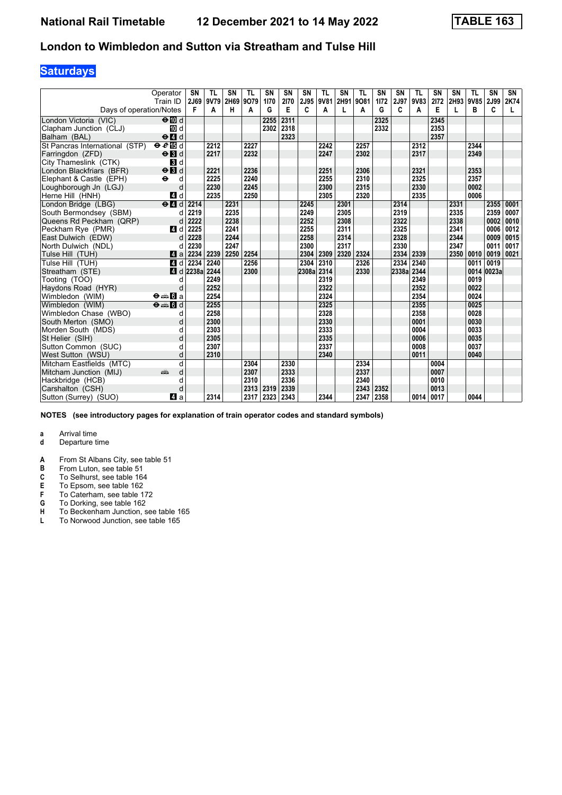## **Saturdays**

|                                | Operator<br>Train ID                     | SN<br>2J69 | <b>TL</b><br>9V79 | SN<br>2H69 | <b>TL</b><br>9079 | SN<br>1170 | <b>SN</b><br>2170 | SN<br>2J95 | <b>TL</b><br>9V81 | <b>SN</b><br>2H91 | <b>TL</b><br>9081 | <b>SN</b><br>1172 | SN<br>2J97 | <b>TL</b><br>9V83 | <b>SN</b><br>2172 | <b>SN</b><br>2H93 9V85 | <b>TL</b> | SN<br>2J99 | SN<br>2K74 |
|--------------------------------|------------------------------------------|------------|-------------------|------------|-------------------|------------|-------------------|------------|-------------------|-------------------|-------------------|-------------------|------------|-------------------|-------------------|------------------------|-----------|------------|------------|
| Days of operation/Notes        |                                          | F          | A                 | н          | A                 | G          | E                 | C          | A                 |                   | А                 | G                 | C          | A                 | E                 |                        | B         | C          |            |
| London Victoria (VIC)          | $\Theta$ III d                           |            |                   |            |                   | 2255       | 2311              |            |                   |                   |                   | 2325              |            |                   | 2345              |                        |           |            |            |
| Clapham Junction (CLJ)         | TO d                                     |            |                   |            |                   | 2302       | 2318              |            |                   |                   |                   | 2332              |            |                   | 2353              |                        |           |            |            |
| Balham (BAL)                   | $\Theta$ <sup><math>d</math></sup>       |            |                   |            |                   |            | 2323              |            |                   |                   |                   |                   |            |                   | 2357              |                        |           |            |            |
| St Pancras International (STP) | eE                                       |            | 2212              |            | 2227              |            |                   |            | 2242              |                   | 2257              |                   |            | 2312              |                   |                        | 2344      |            |            |
| Farringdon (ZFD)               | $\Theta$ <b>B</b> d                      |            | 2217              |            | 2232              |            |                   |            | 2247              |                   | 2302              |                   |            | 2317              |                   |                        | 2349      |            |            |
| City Thameslink (CTK)          | 3d                                       |            |                   |            |                   |            |                   |            |                   |                   |                   |                   |            |                   |                   |                        |           |            |            |
| London Blackfriars (BFR)       | $\Theta$ <b>B</b> d                      |            | 2221              |            | 2236              |            |                   |            | 2251              |                   | 2306              |                   |            | 2321              |                   |                        | 2353      |            |            |
| Elephant & Castle (EPH)        | $\ddot{\bullet}$<br>d                    |            | 2225              |            | 2240              |            |                   |            | 2255              |                   | 2310              |                   |            | 2325              |                   |                        | 2357      |            |            |
| Loughborough Jn (LGJ)          | d                                        |            | 2230              |            | 2245              |            |                   |            | 2300              |                   | 2315              |                   |            | 2330              |                   |                        | 0002      |            |            |
| Herne Hill (HNH)               | 4 d                                      |            | 2235              |            | 2250              |            |                   |            | 2305              |                   | 2320              |                   |            | 2335              |                   |                        | 0006      |            |            |
| London Bridge (LBG)            | $e$ $d$                                  | 2214       |                   | 2231       |                   |            |                   | 2245       |                   | 2301              |                   |                   | 2314       |                   |                   | 2331                   |           | 2355       | 0001       |
| South Bermondsey (SBM)         | d                                        | 2219       |                   | 2235       |                   |            |                   | 2249       |                   | 2305              |                   |                   | 2319       |                   |                   | 2335                   |           | 2359       | 0007       |
| Queens Rd Peckham (QRP)        | d                                        | 2222       |                   | 2238       |                   |            |                   | 2252       |                   | 2308              |                   |                   | 2322       |                   |                   | 2338                   |           | 0002       | 0010       |
| Peckham Rye (PMR)              | 4 d                                      | 2225       |                   | 2241       |                   |            |                   | 2255       |                   | 2311              |                   |                   | 2325       |                   |                   | 2341                   |           | 0006       | 0012       |
| East Dulwich (EDW)             | d                                        | 2228       |                   | 2244       |                   |            |                   | 2258       |                   | 2314              |                   |                   | 2328       |                   |                   | 2344                   |           | 0009       | 0015       |
| North Dulwich (NDL)            | d                                        | 2230       |                   | 2247       |                   |            |                   | 2300       |                   | 2317              |                   |                   | 2330       |                   |                   | 2347                   |           | 0011       | 0017       |
| Tulse Hill (TUH)               | ZI a                                     | 2234       | 2239              | 2250       | 2254              |            |                   | 2304       | 2309              | 2320              | 2324              |                   | 2334       | 2339              |                   | 2350                   | 0010      | 0019       | 0021       |
| Tulse Hill (TUH)               | 4 d                                      | 2234       | 2240              |            | 2256              |            |                   | 2304       | 2310              |                   | 2326              |                   | 2334       | 2340              |                   |                        | 0011      | 0019       |            |
| Streatham (STE)                | 4 d                                      | 2238a      | 2244              |            | 2300              |            |                   | 2308a 2314 |                   |                   | 2330              |                   | 2338a      | 2344              |                   |                        |           | 0014 0023a |            |
| Tooting (TOO)                  | d                                        |            | 2249              |            |                   |            |                   |            | 2319              |                   |                   |                   |            | 2349              |                   |                        | 0019      |            |            |
| Haydons Road (HYR)             | d                                        |            | 2252              |            |                   |            |                   |            | 2322              |                   |                   |                   |            | 2352              |                   |                        | 0022      |            |            |
| Wimbledon (WIM)                | <b>⊖⊯Ba</b>                              |            | 2254              |            |                   |            |                   |            | 2324              |                   |                   |                   |            | 2354              |                   |                        | 0024      |            |            |
| Wimbledon (WIM)                | $\Theta = \blacksquare$ $\blacksquare$ d |            | 2255              |            |                   |            |                   |            | 2325              |                   |                   |                   |            | 2355              |                   |                        | 0025      |            |            |
| Wimbledon Chase (WBO)          | d                                        |            | 2258              |            |                   |            |                   |            | 2328              |                   |                   |                   |            | 2358              |                   |                        | 0028      |            |            |
| South Merton (SMO)             | d                                        |            | 2300              |            |                   |            |                   |            | 2330              |                   |                   |                   |            | 0001              |                   |                        | 0030      |            |            |
| Morden South (MDS)             |                                          |            | 2303              |            |                   |            |                   |            | 2333              |                   |                   |                   |            | 0004              |                   |                        | 0033      |            |            |
| St Helier (SIH)                | d                                        |            | 2305              |            |                   |            |                   |            | 2335              |                   |                   |                   |            | 0006              |                   |                        | 0035      |            |            |
| Sutton Common (SUC)            | q                                        |            | 2307              |            |                   |            |                   |            | 2337              |                   |                   |                   |            | 0008              |                   |                        | 0037      |            |            |
| West Sutton (WSU)              | d                                        |            | 2310              |            |                   |            |                   |            | 2340              |                   |                   |                   |            | 0011              |                   |                        | 0040      |            |            |
| Mitcham Eastfields (MTC)       | d                                        |            |                   |            | 2304              |            | 2330              |            |                   |                   | 2334              |                   |            |                   | 0004              |                        |           |            |            |
| Mitcham Junction (MIJ)         | d<br>aîn                                 |            |                   |            | 2307              |            | 2333              |            |                   |                   | 2337              |                   |            |                   | 0007              |                        |           |            |            |
| Hackbridge (HCB)               | d                                        |            |                   |            | 2310              |            | 2336              |            |                   |                   | 2340              |                   |            |                   | 0010              |                        |           |            |            |
| Carshalton (CSH)               | d                                        |            |                   |            | 2313              | 2319       | 2339              |            |                   |                   | 2343              | 2352              |            |                   | 0013              |                        |           |            |            |
| Sutton (Surrey) (SUO)          | 41 a                                     |            | 2314              |            | 2317              | 2323       | 2343              |            | 2344              |                   | 2347 2358         |                   |            | 0014              | 0017              |                        | 0044      |            |            |

**NOTES (see introductory pages for explanation of train operator codes and standard symbols)**

- **d** Departure time
- **A** From St Albans City, see table 51<br>**B** From Luton, see table 51
- 
- **B** From Luton, see table 51<br>**C** To Selhurst, see table 16
- **C** To Selhurst, see table 164<br>**E** To Epsom, see table 162<br>**F** To Caterham, see table 17 To Epsom, see table 162
- 
- **F** To Caterham, see table 172<br>**G** To Dorking, see table 162
- **4** To Dorking, see table 162<br>**H** To Beckenham Junction, s<br>**L** To Norwood Junction, see **To Beckenham Junction, see table 165**
- To Norwood Junction, see table 165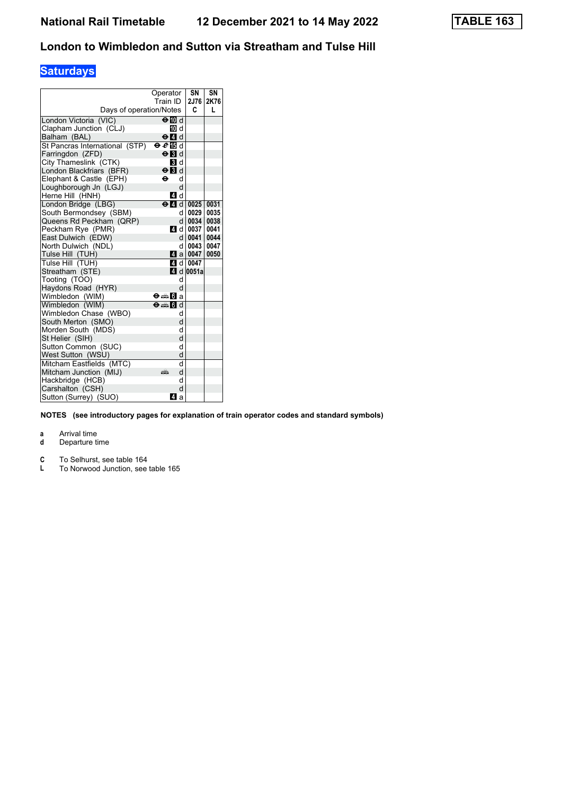# **Saturdays**

| Days of operation/Notes        | Operator<br>Train ID                     | SN<br>2J76<br>C         | SN<br>2K76<br>L |
|--------------------------------|------------------------------------------|-------------------------|-----------------|
|                                |                                          |                         |                 |
| London Victoria (VIC)          | $\Theta$ M d                             |                         |                 |
| Clapham Junction (CLJ)         | in d                                     |                         |                 |
| Balham (BAL)                   | $\Theta$ $\blacksquare$ d                |                         |                 |
| St Pancras International (STP) | $\Theta$ $e$ in d                        |                         |                 |
| Farringdon (ZFD)               | $\Theta$ <b>B</b> d                      |                         |                 |
| City Thameslink (CTK)          | <b>B</b> Id                              |                         |                 |
| London Blackfriars (BFR)       | $\Theta$ $\blacksquare$ d                |                         |                 |
| Elephant & Castle (EPH)        | ⊖<br>d                                   |                         |                 |
| Loughborough Jn (LGJ)          | d                                        |                         |                 |
| Herne Hill (HNH)               | 4 d                                      |                         |                 |
| London Bridge (LBG)            | $\Theta$ 4 $\theta$ 1 0025               |                         | 0031            |
| South Bermondsey (SBM)         | d                                        | 0029                    | 0035            |
| Queens Rd Peckham (QRP)        | d l                                      | 0034   0038             |                 |
| Peckham Rye (PMR)              |                                          | ZI d 0037               | 0041            |
| East Dulwich (EDW)             |                                          | d   0041   0044         |                 |
| North Dulwich (NDL)            | d l                                      | 0043                    | 0047            |
| Tulse Hill (TUH)               |                                          | $\blacksquare$ a   0047 | 0050            |
| Tulse Hill (TUH)               |                                          | ZI d 0047               |                 |
| Streatham (STE)                |                                          | $\blacksquare$ d 0051a  |                 |
| Tooting (TOO)                  | d                                        |                         |                 |
| Haydons Road (HYR)             | d                                        |                         |                 |
| Wimbledon (WIM)                | ⊖⇔Ma                                     |                         |                 |
| Wimbledon (WIM)                | $\Theta = \blacksquare$ $\blacksquare$ d |                         |                 |
| Wimbledon Chase (WBO)          | d                                        |                         |                 |
| South Merton (SMO)             | d                                        |                         |                 |
| Morden South (MDS)             | d                                        |                         |                 |
| St Helier (SIH)                | d                                        |                         |                 |
| Sutton Common (SUC)            | d                                        |                         |                 |
| West Sutton (WSU)              | d                                        |                         |                 |
| Mitcham Eastfields (MTC)       | d                                        |                         |                 |
| Mitcham Junction (MIJ)         | d<br>۵Ě                                  |                         |                 |
| Hackbridge (HCB)               | d                                        |                         |                 |
| Carshalton (CSH)               | d                                        |                         |                 |
| Sutton (Surrey) (SUO)          | ZI a                                     |                         |                 |

**NOTES (see introductory pages for explanation of train operator codes and standard symbols)**

- **d** Departure time
- **C C C** To Selhurst, see table 164<br>**L** To Norwood Junction, see
- To Norwood Junction, see table 165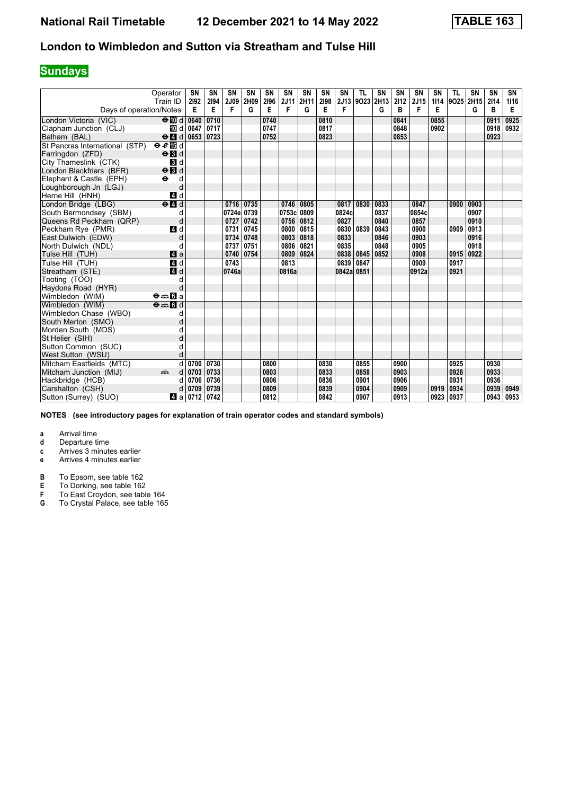## **Sundays**

|                                | Operator<br>Train ID                                                                                                                                                                                                                | SN<br>2192 | <b>SN</b><br>2194 | SN<br>2J09 | SN<br>2H09 | <b>SN</b><br>2196 | SN<br>2J11 | SN<br>2H11  | SN<br>2198 | SN<br>2J13 | <b>TL</b><br>9023 | SN<br>2H13 | <b>SN</b><br>2112 | SN<br>2J15 | SN<br>1114 | <b>TL</b><br>9025 | SN<br>2H15 | <b>SN</b><br>2114 | SN<br>1116 |
|--------------------------------|-------------------------------------------------------------------------------------------------------------------------------------------------------------------------------------------------------------------------------------|------------|-------------------|------------|------------|-------------------|------------|-------------|------------|------------|-------------------|------------|-------------------|------------|------------|-------------------|------------|-------------------|------------|
| Days of operation/Notes        |                                                                                                                                                                                                                                     | Е          | Е                 | F          | G          | E                 | F          | G           | Е          | F          |                   | G          | в                 | F          | E          |                   | G          | В                 | Е          |
| London Victoria (VIC)          | $\Theta$ III d 0640                                                                                                                                                                                                                 |            | 0710              |            |            | 0740              |            |             | 0810       |            |                   |            | 0841              |            | 0855       |                   |            | 0911              | 0925       |
| Clapham Junction (CLJ)         |                                                                                                                                                                                                                                     | 10 d 0647  | 0717              |            |            | 0747              |            |             | 0817       |            |                   |            | 0848              |            | 0902       |                   |            | 0918              | 0932       |
| Balham (BAL)                   | $\Theta$ 4 $\theta$ 1 0653                                                                                                                                                                                                          |            | 0723              |            |            | 0752              |            |             | 0823       |            |                   |            | 0853              |            |            |                   |            | 0923              |            |
| St Pancras International (STP) | eE                                                                                                                                                                                                                                  |            |                   |            |            |                   |            |             |            |            |                   |            |                   |            |            |                   |            |                   |            |
| Farringdon (ZFD)               | $\Theta$ $\blacksquare$                                                                                                                                                                                                             |            |                   |            |            |                   |            |             |            |            |                   |            |                   |            |            |                   |            |                   |            |
| City Thameslink (CTK)          | 3d                                                                                                                                                                                                                                  |            |                   |            |            |                   |            |             |            |            |                   |            |                   |            |            |                   |            |                   |            |
| London Blackfriars (BFR)       | $\Theta$ $\blacksquare$                                                                                                                                                                                                             |            |                   |            |            |                   |            |             |            |            |                   |            |                   |            |            |                   |            |                   |            |
| Elephant & Castle (EPH)        | $\ddot{\mathbf{e}}$<br>d                                                                                                                                                                                                            |            |                   |            |            |                   |            |             |            |            |                   |            |                   |            |            |                   |            |                   |            |
| Loughborough Jn (LGJ)          | d                                                                                                                                                                                                                                   |            |                   |            |            |                   |            |             |            |            |                   |            |                   |            |            |                   |            |                   |            |
| Herne Hill (HNH)               | 4 d                                                                                                                                                                                                                                 |            |                   |            |            |                   |            |             |            |            |                   |            |                   |            |            |                   |            |                   |            |
| London Bridge (LBG)            | $\Theta$ $\blacksquare$ d                                                                                                                                                                                                           |            |                   | 0716 0735  |            |                   |            | 0746 0805   |            | 0817       | 0830              | 0833       |                   | 0847       |            | 0900              | 0903       |                   |            |
| South Bermondsev (SBM)         | d                                                                                                                                                                                                                                   |            |                   | 0724e 0739 |            |                   | 0753c 0809 |             |            | 0824c      |                   | 0837       |                   | 0854c      |            |                   | 0907       |                   |            |
| Queens Rd Peckham (QRP)        | d                                                                                                                                                                                                                                   |            |                   | 0727       | 0742       |                   |            | 0756   0812 |            | 0827       |                   | 0840       |                   | 0857       |            |                   | 0910       |                   |            |
| Peckham Rve (PMR)              | 4 d                                                                                                                                                                                                                                 |            |                   | 0731       | 0745       |                   |            | 0800 0815   |            | 0830       | 0839              | 0843       |                   | 0900       |            | 0909              | 0913       |                   |            |
| East Dulwich (EDW)             | d                                                                                                                                                                                                                                   |            |                   | 0734       | 0748       |                   |            | 0803   0818 |            | 0833       |                   | 0846       |                   | 0903       |            |                   | 0916       |                   |            |
| North Dulwich (NDL)            | d                                                                                                                                                                                                                                   |            |                   | 0737       | 0751       |                   | 0806 0821  |             |            | 0835       |                   | 0848       |                   | 0905       |            |                   | 0918       |                   |            |
| Tulse Hill (TUH)               | Zi a                                                                                                                                                                                                                                |            |                   | 0740       | 0754       |                   |            | 0809 0824   |            | 0838       | 0845              | 0852       |                   | 0908       |            | 0915              | 0922       |                   |            |
| Tulse Hill (TUH)               | 4d                                                                                                                                                                                                                                  |            |                   | 0743       |            |                   | 0813       |             |            | 0839       | 0847              |            |                   | 0909       |            | 0917              |            |                   |            |
| Streatham (STE)                | 4 d                                                                                                                                                                                                                                 |            |                   | 0746a      |            |                   | 0816a      |             |            | 0842a 0851 |                   |            |                   | 0912a      |            | 0921              |            |                   |            |
| Tooting (TOO)                  | d                                                                                                                                                                                                                                   |            |                   |            |            |                   |            |             |            |            |                   |            |                   |            |            |                   |            |                   |            |
| Haydons Road (HYR)             | d                                                                                                                                                                                                                                   |            |                   |            |            |                   |            |             |            |            |                   |            |                   |            |            |                   |            |                   |            |
| Wimbledon (WIM)                | $\Theta = \blacksquare$ $\blacksquare$ a                                                                                                                                                                                            |            |                   |            |            |                   |            |             |            |            |                   |            |                   |            |            |                   |            |                   |            |
| Wimbledon (WIM)                | $\Theta = \blacksquare$ d                                                                                                                                                                                                           |            |                   |            |            |                   |            |             |            |            |                   |            |                   |            |            |                   |            |                   |            |
| Wimbledon Chase (WBO)          | d                                                                                                                                                                                                                                   |            |                   |            |            |                   |            |             |            |            |                   |            |                   |            |            |                   |            |                   |            |
| South Merton (SMO)             | d                                                                                                                                                                                                                                   |            |                   |            |            |                   |            |             |            |            |                   |            |                   |            |            |                   |            |                   |            |
| Morden South (MDS)             | d                                                                                                                                                                                                                                   |            |                   |            |            |                   |            |             |            |            |                   |            |                   |            |            |                   |            |                   |            |
| St Helier (SIH)                | d                                                                                                                                                                                                                                   |            |                   |            |            |                   |            |             |            |            |                   |            |                   |            |            |                   |            |                   |            |
| Sutton Common (SUC)            | d                                                                                                                                                                                                                                   |            |                   |            |            |                   |            |             |            |            |                   |            |                   |            |            |                   |            |                   |            |
| West Sutton (WSU)              | d                                                                                                                                                                                                                                   |            |                   |            |            |                   |            |             |            |            |                   |            |                   |            |            |                   |            |                   |            |
| Mitcham Eastfields (MTC)       | d                                                                                                                                                                                                                                   | 0700       | 0730              |            |            | 0800              |            |             | 0830       |            | 0855              |            | 0900              |            |            | 0925              |            | 0930              |            |
| Mitcham Junction (MIJ)         | and the set of the set of the set of the set of the set of the set of the set of the set of the set of the set of the set of the set of the set of the set of the set of the set of the set of the set of the set of the set o<br>d | 0703       | 0733              |            |            | 0803              |            |             | 0833       |            | 0858              |            | 0903              |            |            | 0928              |            | 0933              |            |
| Hackbridge (HCB)               | d                                                                                                                                                                                                                                   | 0706       | 0736              |            |            | 0806              |            |             | 0836       |            | 0901              |            | 0906              |            |            | 0931              |            | 0936              |            |
| Carshalton (CSH)               |                                                                                                                                                                                                                                     | 0709       | 0739              |            |            | 0809              |            |             | 0839       |            | 0904              |            | 0909              |            | 0919       | 0934              |            | 0939              | 0949       |
| Sutton (Surrey) (SUO)          | Z1 a                                                                                                                                                                                                                                | 0712       | 0742              |            |            | 0812              |            |             | 0842       |            | 0907              |            | 0913              |            | 0923       | 0937              |            | 0943              | 0953       |

**NOTES (see introductory pages for explanation of train operator codes and standard symbols)**

**a** Arrival time<br>**d** Departure t

**d** Departure time

**c** Arrives 3 minutes earlier

**e** Arrives 4 minutes earlier

**B** To Epsom, see table 162<br>**E** To Dorking, see table 162<br>**F** To East Crovdon, see tab **E** To Dorking, see table 162

**F** To East Croydon, see table 164 **6** To Crystal Palace, see table 165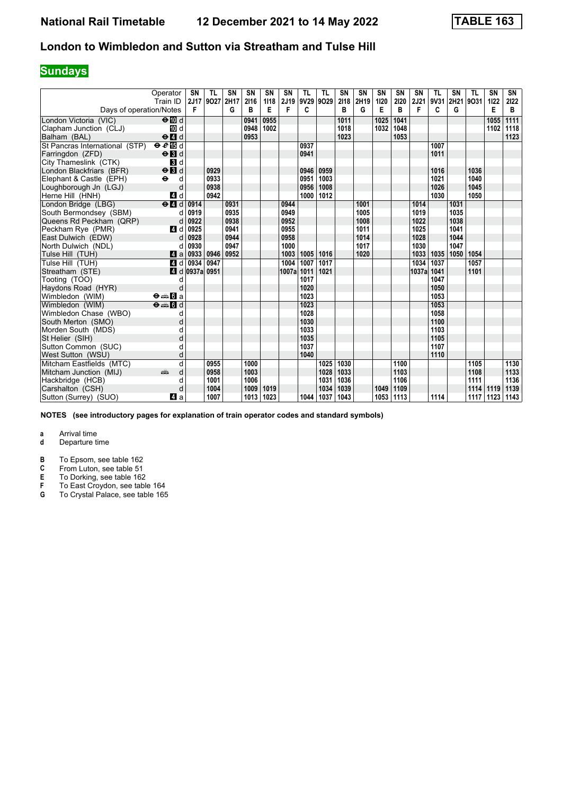## **Sundays**

|                                | Operator<br>Train ID                     | <b>SN</b><br>2J17           | <b>TL</b><br>9027 | SN<br>2H17 | SN<br>2116 | <b>SN</b><br>1118 | SN<br>2J19 | <b>TL</b>        | <b>TL</b><br>9V29 9O29 | SN<br>2118 | <b>SN</b><br>2H19 | <b>SN</b><br>1120 | <b>SN</b><br>2120 | <b>SN</b><br>2J21 | <b>TL</b><br>9V31 | SN   | <b>TL</b><br>2H21 9O31 | SN<br>1122 | SN<br>2122 |
|--------------------------------|------------------------------------------|-----------------------------|-------------------|------------|------------|-------------------|------------|------------------|------------------------|------------|-------------------|-------------------|-------------------|-------------------|-------------------|------|------------------------|------------|------------|
| Days of operation/Notes        |                                          | F                           |                   | G          | B          | E                 | F          | C                |                        | в          | G                 | Е                 | в                 | F                 | C                 | G    |                        | Е          | в          |
| London Victoria (VIC)          | $\Theta$ III d                           |                             |                   |            | 0941       | 0955              |            |                  |                        | 1011       |                   | 1025              | 1041              |                   |                   |      |                        | 1055       | 1111       |
| Clapham Junction (CLJ)         | 10 d                                     |                             |                   |            | 0948       | 1002              |            |                  |                        | 1018       |                   | 1032              | 1048              |                   |                   |      |                        | 1102       | 1118       |
| Balham (BAL)                   | $\Theta$ $\blacksquare$                  |                             |                   |            | 0953       |                   |            |                  |                        | 1023       |                   |                   | 1053              |                   |                   |      |                        |            | 1123       |
| St Pancras International (STP) | eE                                       |                             |                   |            |            |                   |            | 0937             |                        |            |                   |                   |                   |                   | 1007              |      |                        |            |            |
| Farringdon (ZFD)               | $\Theta$ <b>B</b> d                      |                             |                   |            |            |                   |            | 0941             |                        |            |                   |                   |                   |                   | 1011              |      |                        |            |            |
| City Thameslink (CTK)          | 3d                                       |                             |                   |            |            |                   |            |                  |                        |            |                   |                   |                   |                   |                   |      |                        |            |            |
| London Blackfriars (BFR)       | $\Theta$ $\blacksquare$                  |                             | 0929              |            |            |                   |            | 0946             | 0959                   |            |                   |                   |                   |                   | 1016              |      | 1036                   |            |            |
| Elephant & Castle (EPH)        | $\ddot{\mathbf{e}}$<br>d                 |                             | 0933              |            |            |                   |            | 0951             | 1003                   |            |                   |                   |                   |                   | 1021              |      | 1040                   |            |            |
| Loughborough Jn (LGJ)          | d                                        |                             | 0938              |            |            |                   |            | 0956             | 1008                   |            |                   |                   |                   |                   | 1026              |      | 1045                   |            |            |
| Herne Hill (HNH)               | 4 d                                      |                             | 0942              |            |            |                   |            | 1000             | 1012                   |            |                   |                   |                   |                   | 1030              |      | 1050                   |            |            |
| London Bridge (LBG)            | $\Theta$ <sup><math>\Box</math></sup>    | 0914                        |                   | 0931       |            |                   | 0944       |                  |                        |            | 1001              |                   |                   | 1014              |                   | 1031 |                        |            |            |
| South Bermondsey (SBM)         | d                                        | 0919                        |                   | 0935       |            |                   | 0949       |                  |                        |            | 1005              |                   |                   | 1019              |                   | 1035 |                        |            |            |
| Queens Rd Peckham (QRP)        | d                                        | 0922                        |                   | 0938       |            |                   | 0952       |                  |                        |            | 1008              |                   |                   | 1022              |                   | 1038 |                        |            |            |
| Peckham Rye (PMR)              | 4 d                                      | 0925                        |                   | 0941       |            |                   | 0955       |                  |                        |            | 1011              |                   |                   | 1025              |                   | 1041 |                        |            |            |
| East Dulwich (EDW)             | d                                        | 0928                        |                   | 0944       |            |                   | 0958       |                  |                        |            | 1014              |                   |                   | 1028              |                   | 1044 |                        |            |            |
| North Dulwich (NDL)            | d                                        | 0930                        |                   | 0947       |            |                   | 1000       |                  |                        |            | 1017              |                   |                   | 1030              |                   | 1047 |                        |            |            |
| Tulse Hill (TUH)               | Z1 a                                     | 0933                        | 0946              | 0952       |            |                   | 1003       | 1005             | 1016                   |            | 1020              |                   |                   | 1033              | 1035              | 1050 | 1054                   |            |            |
| Tulse Hill (TUH)               |                                          | 4 d 0934                    | 0947              |            |            |                   | 1004       | 1007             | 1017                   |            |                   |                   |                   | 1034              | 1037              |      | 1057                   |            |            |
| Streatham (STE)                |                                          | $\blacksquare$ d 0937a 0951 |                   |            |            |                   | 1007a      | 1011             | 1021                   |            |                   |                   |                   | 1037a             | 1041              |      | 1101                   |            |            |
| Tooting (TOO)                  | d                                        |                             |                   |            |            |                   |            | 1017             |                        |            |                   |                   |                   |                   | 1047              |      |                        |            |            |
| Haydons Road (HYR)             | d                                        |                             |                   |            |            |                   |            | 1020             |                        |            |                   |                   |                   |                   | 1050              |      |                        |            |            |
| Wimbledon (WIM)                | $\Theta = \blacksquare$ $\blacksquare$ a |                             |                   |            |            |                   |            | 1023             |                        |            |                   |                   |                   |                   | 1053              |      |                        |            |            |
| Wimbledon (WIM)                | $\theta = 5d$                            |                             |                   |            |            |                   |            | $\frac{1023}{ }$ |                        |            |                   |                   |                   |                   | 1053              |      |                        |            |            |
| Wimbledon Chase (WBO)          | d                                        |                             |                   |            |            |                   |            | 1028             |                        |            |                   |                   |                   |                   | 1058              |      |                        |            |            |
| South Merton (SMO)             | d                                        |                             |                   |            |            |                   |            | 1030             |                        |            |                   |                   |                   |                   | 1100              |      |                        |            |            |
| Morden South (MDS)             |                                          |                             |                   |            |            |                   |            | 1033             |                        |            |                   |                   |                   |                   | 1103              |      |                        |            |            |
| St Helier (SIH)                |                                          |                             |                   |            |            |                   |            | 1035             |                        |            |                   |                   |                   |                   | 1105              |      |                        |            |            |
| Sutton Common (SUC)            |                                          |                             |                   |            |            |                   |            | 1037             |                        |            |                   |                   |                   |                   | 1107              |      |                        |            |            |
| West Sutton (WSU)              | d                                        |                             |                   |            |            |                   |            | 1040             |                        |            |                   |                   |                   |                   | 1110              |      |                        |            |            |
| Mitcham Eastfields (MTC)       | d                                        |                             | 0955              |            | 1000       |                   |            |                  | 1025                   | 1030       |                   |                   | 1100              |                   |                   |      | 1105                   |            | 1130       |
| Mitcham Junction (MIJ)         | añ,<br>d                                 |                             | 0958              |            | 1003       |                   |            |                  | 1028                   | 1033       |                   |                   | 1103              |                   |                   |      | 1108                   |            | 1133       |
| Hackbridge (HCB)               | d                                        |                             | 1001              |            | 1006       |                   |            |                  | 1031                   | 1036       |                   |                   | 1106              |                   |                   |      | 1111                   |            | 1136       |
| Carshalton (CSH)               | d                                        |                             | 1004              |            | 1009       | 1019              |            |                  | 1034                   | 1039       |                   | 1049              | 1109              |                   |                   |      | 1114                   | 1119       | 1139       |
| Sutton (Surrey) (SUO)          | ZI a                                     |                             | 1007              |            | 1013       | 1023              |            | 1044             | 1037                   | 1043       |                   | 1053              | 1113              |                   | 1114              |      | 1117                   | 1123       | 1143       |

**NOTES (see introductory pages for explanation of train operator codes and standard symbols)**

# **a** Arrival time<br>**d** Departure t

- **d** Departure time
- **B** To Epsom, see table 162<br>**C** From Luton, see table 51
- **C** From Luton, see table 51<br>**E** To Dorking, see table 162

**E** To Dorking, see table 162

- **F** To East Croydon, see table 164
- **6** To Crystal Palace, see table 165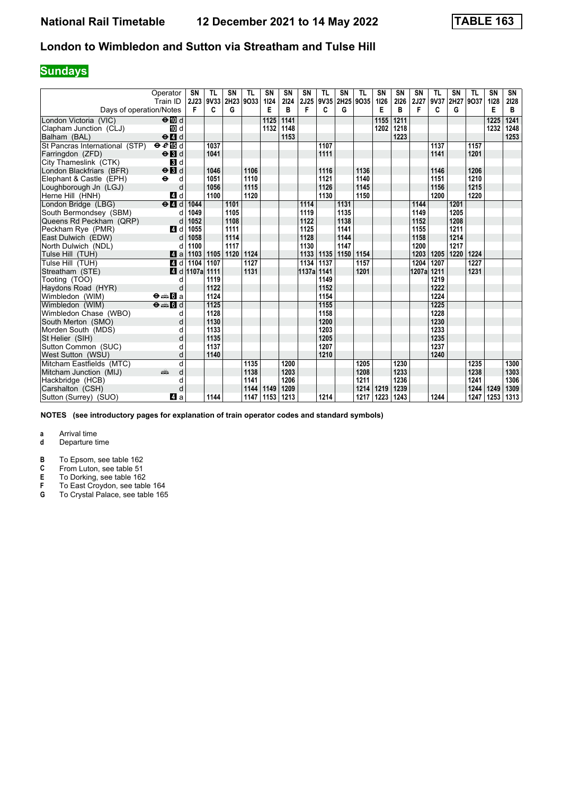## **Sundays**

|                                | Operator<br>Train ID                      | <b>SN</b><br>2J23        | <b>TL</b><br>9V33 | SN<br>2H23 | <b>TL</b><br>9033 | <b>SN</b><br>1124 | SN<br>2124 | SN                | <b>TL</b><br>2J25 9V35 2H25 | <b>SN</b> | <b>TL</b><br>9035 | SN<br>1126 | <b>SN</b><br>2126 | SN<br>2J27 | <b>TL</b><br>9V37 | SN<br>2H27 9O37 | <b>TL</b> | SN<br>1128 | SN<br>2128 |
|--------------------------------|-------------------------------------------|--------------------------|-------------------|------------|-------------------|-------------------|------------|-------------------|-----------------------------|-----------|-------------------|------------|-------------------|------------|-------------------|-----------------|-----------|------------|------------|
| Days of operation/Notes        |                                           | F                        | C                 | G          |                   | E                 | B          | F                 | C                           | G         |                   | Е          | B                 | F          | C                 | G               |           | Е          | B          |
| London Victoria (VIC)          | $\Theta$ $\blacksquare$ d                 |                          |                   |            |                   | 1125              | 1141       |                   |                             |           |                   | 1155       | 1211              |            |                   |                 |           | 1225       | 1241       |
| Clapham Junction (CLJ)         | TO d                                      |                          |                   |            |                   | 1132              | 1148       |                   |                             |           |                   | 1202       | 1218              |            |                   |                 |           | 1232       | 1248       |
| Balham (BAL)                   | $\Theta$ <sup><math>\Omega</math></sup> d |                          |                   |            |                   |                   | 1153       |                   |                             |           |                   |            | 1223              |            |                   |                 |           |            | 1253       |
| St Pancras International (STP) | eE                                        |                          | 1037              |            |                   |                   |            |                   | 1107                        |           |                   |            |                   |            | 1137              |                 | 1157      |            |            |
| Farringdon (ZFD)               | $\Theta$ $\blacksquare$ d                 |                          | 1041              |            |                   |                   |            |                   | 1111                        |           |                   |            |                   |            | 1141              |                 | 1201      |            |            |
| City Thameslink (CTK)          | $\mathbf{B}$ d                            |                          |                   |            |                   |                   |            |                   |                             |           |                   |            |                   |            |                   |                 |           |            |            |
| London Blackfriars (BFR)       | $\Theta$ <b>B</b> d                       |                          | 1046              |            | 1106              |                   |            |                   | 1116                        |           | 1136              |            |                   |            | 1146              |                 | 1206      |            |            |
| Elephant & Castle (EPH)        | $\ddot{\mathbf{e}}$<br>d                  |                          | 1051              |            | 1110              |                   |            |                   | 1121                        |           | 1140              |            |                   |            | 1151              |                 | 1210      |            |            |
| Loughborough Jn (LGJ)          | d                                         |                          | 1056              |            | 1115              |                   |            |                   | 1126                        |           | 1145              |            |                   |            | 1156              |                 | 1215      |            |            |
| Herne Hill (HNH)               | 4 d                                       |                          | 1100              |            | 1120              |                   |            |                   | 1130                        |           | 1150              |            |                   |            | 1200              |                 | 1220      |            |            |
| London Bridge (LBG)            | $\Theta$ <sup><math>\Box</math> d</sup>   | 1044                     |                   | 1101       |                   |                   |            | 1114              |                             | 1131      |                   |            |                   | 1144       |                   | 1201            |           |            |            |
| South Bermondsey (SBM)         | d                                         | 1049                     |                   | 1105       |                   |                   |            | 1119              |                             | 1135      |                   |            |                   | 1149       |                   | 1205            |           |            |            |
| Queens Rd Peckham (QRP)        | d                                         | 1052                     |                   | 1108       |                   |                   |            | 1122              |                             | 1138      |                   |            |                   | 1152       |                   | 1208            |           |            |            |
| Peckham Rye (PMR)              | 4 d                                       | 1055                     |                   | 1111       |                   |                   |            | 1125              |                             | 1141      |                   |            |                   | 1155       |                   | 1211            |           |            |            |
| East Dulwich (EDW)             | d                                         | 1058                     |                   | 1114       |                   |                   |            | 1128              |                             | 1144      |                   |            |                   | 1158       |                   | 1214            |           |            |            |
| North Dulwich (NDL)            | d                                         | 1100                     |                   | 1117       |                   |                   |            | 1130              |                             | 1147      |                   |            |                   | 1200       |                   | 1217            |           |            |            |
| Tulse Hill (TUH)               | ZI a                                      | 1103                     | 1105              | 1120       | 1124              |                   |            | 1133              | 1135                        | 1150      | 1154              |            |                   | 1203       | 1205              | 1220            | 1224      |            |            |
| Tulse Hill (TUH)               | 4d                                        | 1104                     | 1107              |            | 1127              |                   |            | $\overline{1134}$ | 1137                        |           | 1157              |            |                   | 1204       | 1207              |                 | 1227      |            |            |
| Streatham (STE)                |                                           | $\blacksquare$ d   1107a | 1111              |            | 1131              |                   |            | 1137a 1141        |                             |           | 1201              |            |                   | 1207a      | 1211              |                 | 1231      |            |            |
| Tooting (TOO)                  | d                                         |                          | 1119              |            |                   |                   |            |                   | 1149                        |           |                   |            |                   |            | 1219              |                 |           |            |            |
| Haydons Road (HYR)             | d                                         |                          | 1122              |            |                   |                   |            |                   | 1152                        |           |                   |            |                   |            | 1222              |                 |           |            |            |
| Wimbledon (WIM)                | $\Theta = \blacksquare$ $\blacksquare$ a  |                          | 1124              |            |                   |                   |            |                   | 1154                        |           |                   |            |                   |            | 1224              |                 |           |            |            |
| Wimbledon (WIM)                | $\Theta = \blacksquare$ $\blacksquare$ d  |                          | 1125              |            |                   |                   |            |                   | 1155                        |           |                   |            |                   |            | 1225              |                 |           |            |            |
| Wimbledon Chase (WBO)          | d                                         |                          | 1128              |            |                   |                   |            |                   | 1158                        |           |                   |            |                   |            | 1228              |                 |           |            |            |
| South Merton (SMO)             | d                                         |                          | 1130              |            |                   |                   |            |                   | 1200                        |           |                   |            |                   |            | 1230              |                 |           |            |            |
| Morden South (MDS)             | d                                         |                          | 1133              |            |                   |                   |            |                   | 1203                        |           |                   |            |                   |            | 1233              |                 |           |            |            |
| St Helier (SIH)                | d                                         |                          | 1135              |            |                   |                   |            |                   | 1205                        |           |                   |            |                   |            | 1235              |                 |           |            |            |
| Sutton Common (SUC)            | d                                         |                          | 1137              |            |                   |                   |            |                   | 1207                        |           |                   |            |                   |            | 1237              |                 |           |            |            |
| West Sutton (WSU)              | d                                         |                          | 1140              |            |                   |                   |            |                   | 1210                        |           |                   |            |                   |            | 1240              |                 |           |            |            |
| Mitcham Eastfields (MTC)       | q                                         |                          |                   |            | 1135              |                   | 1200       |                   |                             |           | 1205              |            | 1230              |            |                   |                 | 1235      |            | 1300       |
| Mitcham Junction (MIJ)         | ain<br>d                                  |                          |                   |            | 1138              |                   | 1203       |                   |                             |           | 1208              |            | 1233              |            |                   |                 | 1238      |            | 1303       |
| Hackbridge (HCB)               | d                                         |                          |                   |            | 1141              |                   | 1206       |                   |                             |           | 1211              |            | 1236              |            |                   |                 | 1241      |            | 1306       |
| Carshalton (CSH)               | d                                         |                          |                   |            | 1144              | 1149              | 1209       |                   |                             |           | 1214              | 1219       | 1239              |            |                   |                 | 1244      | 1249       | 1309       |
| Sutton (Surrey) (SUO)          | ZI a                                      |                          | 1144              |            | 1147              | 1153              | 1213       |                   | 1214                        |           | 1217              | 1223       | 1243              |            | 1244              |                 | 1247      | 1253       | 1313       |

**NOTES (see introductory pages for explanation of train operator codes and standard symbols)**

# **a** Arrival time<br>**d** Departure t

- **d** Departure time
- **B** To Epsom, see table 162<br>**C** From Luton, see table 51
- **C** From Luton, see table 51<br>**E** To Dorking, see table 162

**E** To Dorking, see table 162

- **F** To East Croydon, see table 164
- **6** To Crystal Palace, see table 165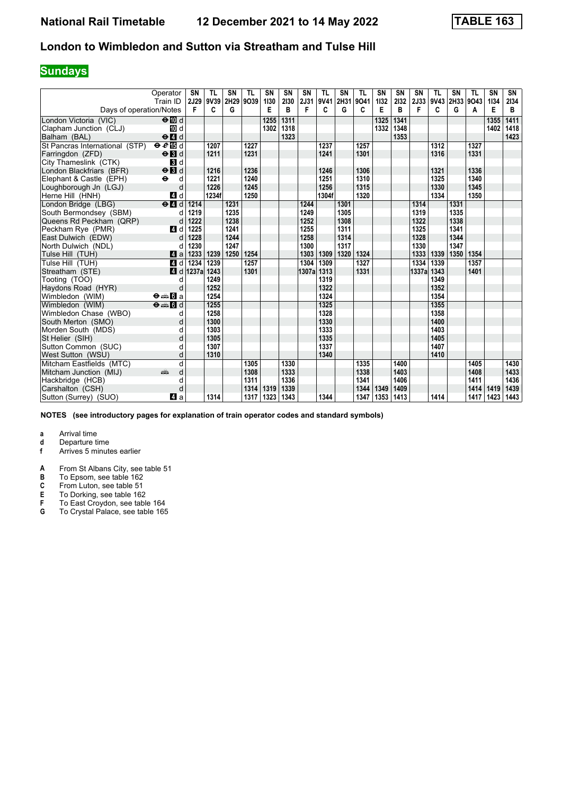## **Sundays**

|                                | Operator<br>Train ID                     | <b>SN</b><br>2J29 | <b>TL</b><br>9V39 | SN<br>2H29 9O39 | <b>TL</b> | <b>SN</b><br>1130 | SN<br>2130 | <b>SN</b><br>2J31 | <b>TL</b><br>9V41 | SN<br>2H31 | <b>TL</b><br>9041 | SN<br>1132 | SN<br>2132 | SN<br>2J33 | <b>TL</b><br>9V43 | <b>SN</b> | <b>TL</b><br>2H33 9O43 | SN<br>1134 | SN<br>2134 |
|--------------------------------|------------------------------------------|-------------------|-------------------|-----------------|-----------|-------------------|------------|-------------------|-------------------|------------|-------------------|------------|------------|------------|-------------------|-----------|------------------------|------------|------------|
| Days of operation/Notes        |                                          | F                 | C                 | G               |           | E                 | B          | F                 | C                 | G          | C                 | E          | B          | F          | C                 | G         | Α                      | Е          | в          |
| London Victoria (VIC)          | $\Theta$ III d                           |                   |                   |                 |           | 1255              | 1311       |                   |                   |            |                   | 1325       | 1341       |            |                   |           |                        | 1355       | 1411       |
| Clapham Junction (CLJ)         | TO d                                     |                   |                   |                 |           | 1302              | 1318       |                   |                   |            |                   | 1332       | 1348       |            |                   |           |                        | 1402       | 1418       |
| Balham (BAL)                   | $\Theta$ <sup><math>d</math></sup>       |                   |                   |                 |           |                   | 1323       |                   |                   |            |                   |            | 1353       |            |                   |           |                        |            | 1423       |
| St Pancras International (STP) | eE                                       |                   | 1207              |                 | 1227      |                   |            |                   | 1237              |            | 1257              |            |            |            | 1312              |           | 1327                   |            |            |
| Farringdon (ZFD)               | $\Theta$ <b>B</b> d                      |                   | 1211              |                 | 1231      |                   |            |                   | 1241              |            | 1301              |            |            |            | 1316              |           | 1331                   |            |            |
| City Thameslink (CTK)          | $\mathbf{B}$ d                           |                   |                   |                 |           |                   |            |                   |                   |            |                   |            |            |            |                   |           |                        |            |            |
| London Blackfriars (BFR)       | $\Theta$ $\blacksquare$                  |                   | 1216              |                 | 1236      |                   |            |                   | 1246              |            | 1306              |            |            |            | 1321              |           | 1336                   |            |            |
| Elephant & Castle (EPH)        | $\ddot{\phantom{1}}$<br>d                |                   | 1221              |                 | 1240      |                   |            |                   | 1251              |            | 1310              |            |            |            | 1325              |           | 1340                   |            |            |
| Loughborough Jn (LGJ)          | d                                        |                   | 1226              |                 | 1245      |                   |            |                   | 1256              |            | 1315              |            |            |            | 1330              |           | 1345                   |            |            |
| Herne Hill (HNH)               | 4 d                                      |                   | 1234f             |                 | 1250      |                   |            |                   | 1304f             |            | 1320              |            |            |            | 1334              |           | 1350                   |            |            |
| London Bridge (LBG)            | $e$ $d$                                  | 1214              |                   | 1231            |           |                   |            | 1244              |                   | 1301       |                   |            |            | 1314       |                   | 1331      |                        |            |            |
| South Bermondsey (SBM)         | d                                        | 1219              |                   | 1235            |           |                   |            | 1249              |                   | 1305       |                   |            |            | 1319       |                   | 1335      |                        |            |            |
| Queens Rd Peckham (QRP)        | d                                        | 1222              |                   | 1238            |           |                   |            | 1252              |                   | 1308       |                   |            |            | 1322       |                   | 1338      |                        |            |            |
| Peckham Rye (PMR)              | 4 d                                      | 1225              |                   | 1241            |           |                   |            | 1255              |                   | 1311       |                   |            |            | 1325       |                   | 1341      |                        |            |            |
| East Dulwich (EDW)             | d                                        | 1228              |                   | 1244            |           |                   |            | 1258              |                   | 1314       |                   |            |            | 1328       |                   | 1344      |                        |            |            |
| North Dulwich (NDL)            | d                                        | 1230              |                   | 1247            |           |                   |            | 1300              |                   | 1317       |                   |            |            | 1330       |                   | 1347      |                        |            |            |
| Tulse Hill (TUH)               | 4a                                       | 1233              | 1239              | 1250            | 1254      |                   |            | 1303              | 1309              | 1320       | 1324              |            |            | 1333       | 1339              | 1350      | 1354                   |            |            |
| Tulse Hill (TUH)               | 4d                                       | 1234              | 1239              |                 | 1257      |                   |            | 1304              | 1309              |            | 1327              |            |            | 1334       | 1339              |           | 1357                   |            |            |
| Streatham (STE)                | 4 d                                      | 1237a             | 1243              |                 | 1301      |                   |            | 1307a 1313        |                   |            | 1331              |            |            | 1337a      | 1343              |           | 1401                   |            |            |
| Tooting (TOO)                  | d                                        |                   | 1249              |                 |           |                   |            |                   | 1319              |            |                   |            |            |            | 1349              |           |                        |            |            |
| Haydons Road (HYR)             | d                                        |                   | 1252              |                 |           |                   |            |                   | 1322              |            |                   |            |            |            | 1352              |           |                        |            |            |
| Wimbledon (WIM)                | $\Theta = \blacksquare$ $\blacksquare$ a |                   | 1254              |                 |           |                   |            |                   | 1324              |            |                   |            |            |            | 1354              |           |                        |            |            |
| Wimbledon (WIM)                | $\Theta = \blacksquare$ $\blacksquare$ d |                   | 1255              |                 |           |                   |            |                   | 1325              |            |                   |            |            |            | 1355              |           |                        |            |            |
| Wimbledon Chase (WBO)          | d                                        |                   | 1258              |                 |           |                   |            |                   | 1328              |            |                   |            |            |            | 1358              |           |                        |            |            |
| South Merton (SMO)             | d                                        |                   | 1300              |                 |           |                   |            |                   | 1330              |            |                   |            |            |            | 1400              |           |                        |            |            |
| Morden South (MDS)             | d                                        |                   | 1303              |                 |           |                   |            |                   | 1333              |            |                   |            |            |            | 1403              |           |                        |            |            |
| St Helier (SIH)                | d                                        |                   | 1305              |                 |           |                   |            |                   | 1335              |            |                   |            |            |            | 1405              |           |                        |            |            |
| Sutton Common (SUC)            | q                                        |                   | 1307              |                 |           |                   |            |                   | 1337              |            |                   |            |            |            | 1407              |           |                        |            |            |
| West Sutton (WSU)              | d                                        |                   | 1310              |                 |           |                   |            |                   | 1340              |            |                   |            |            |            | 1410              |           |                        |            |            |
| Mitcham Eastfields (MTC)       | d                                        |                   |                   |                 | 1305      |                   | 1330       |                   |                   |            | 1335              |            | 1400       |            |                   |           | 1405                   |            | 1430       |
| Mitcham Junction (MIJ)         | d<br>پیش                                 |                   |                   |                 | 1308      |                   | 1333       |                   |                   |            | 1338              |            | 1403       |            |                   |           | 1408                   |            | 1433       |
| Hackbridge (HCB)               | d                                        |                   |                   |                 | 1311      |                   | 1336       |                   |                   |            | 1341              |            | 1406       |            |                   |           | 1411                   |            | 1436       |
| Carshalton (CSH)               | d                                        |                   |                   |                 | 1314      | 1319              | 1339       |                   |                   |            | 1344              | 1349       | 1409       |            |                   |           | 1414                   | 1419       | 1439       |
| Sutton (Surrey) (SUO)          | ZI a                                     |                   | 1314              |                 | 1317      | 1323              | 1343       |                   | 1344              |            | 1347              | 1353       | 1413       |            | 1414              |           | 1417                   | 1423       | 1443       |

**NOTES (see introductory pages for explanation of train operator codes and standard symbols)**

**a** Arrival time<br>**d** Departure t

**d** Departure time<br>**f** Arrives 5 minute

**f** Arrives 5 minutes earlier

**A** From St Albans City, see table 51

**B** To Epsom, see table 162

**C** From Luton, see table 51<br>**E** To Dorking, see table 162

**E** To Dorking, see table 162<br>**F** To East Croydon, see table

**F** To East Croydon, see table 164<br>**G** To Crystal Palace, see table 165

To Crystal Palace, see table 165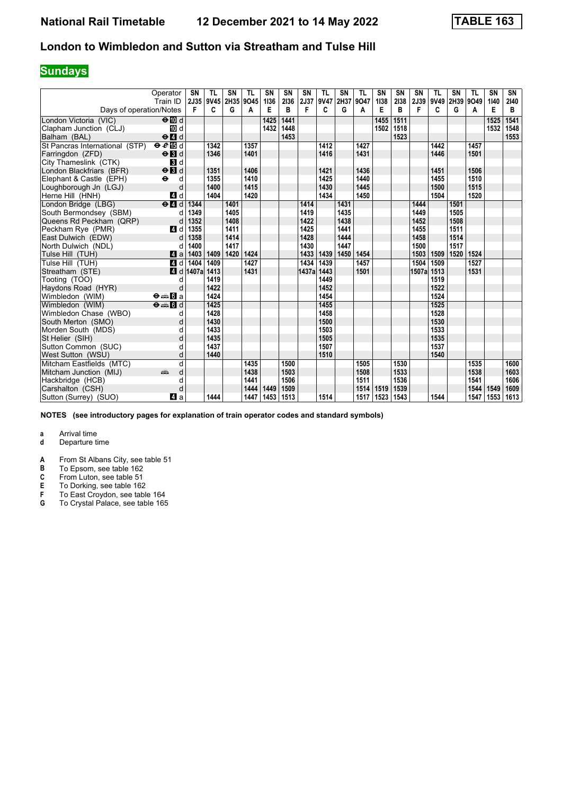## **Sundays**

|                                | Operator<br>Train ID                      | <b>SN</b><br>2J35 | <b>TL</b><br>9V45 | SN<br>2H35 | <b>TL</b><br>9045 | <b>SN</b><br>1136 | SN<br>2136 | SN<br>2J37 | <b>TL</b><br>9V47 | SN<br>2H37 | <b>TL</b><br>9047 | SN<br>1138 | <b>SN</b><br>2138 | SN<br>2J39 | <b>TL</b><br>9V49 | SN<br>2H39 | <b>TL</b><br>9049 | SN<br>1140 | SN<br>2140 |
|--------------------------------|-------------------------------------------|-------------------|-------------------|------------|-------------------|-------------------|------------|------------|-------------------|------------|-------------------|------------|-------------------|------------|-------------------|------------|-------------------|------------|------------|
| Days of operation/Notes        |                                           | F                 | C                 | G          | A                 | E                 | B          | F          | C                 | G          | A                 | Е          | B                 | F          | C                 | G          | A                 | Е          | В          |
| London Victoria (VIC)          | $\Theta$ III d                            |                   |                   |            |                   | 1425              | 1441       |            |                   |            |                   | 1455       | 1511              |            |                   |            |                   | 1525       | 1541       |
| Clapham Junction (CLJ)         | TO d                                      |                   |                   |            |                   | 1432              | 1448       |            |                   |            |                   | 1502       | 1518              |            |                   |            |                   | 1532       | 1548       |
| Balham (BAL)                   | $\Theta$ <sup><math>\Omega</math></sup> d |                   |                   |            |                   |                   | 1453       |            |                   |            |                   |            | 1523              |            |                   |            |                   |            | 1553       |
| St Pancras International (STP) | eE                                        |                   | 1342              |            | 1357              |                   |            |            | 1412              |            | 1427              |            |                   |            | 1442              |            | 1457              |            |            |
| Farringdon (ZFD)               | $\Theta$ $\blacksquare$                   |                   | 1346              |            | 1401              |                   |            |            | 1416              |            | 1431              |            |                   |            | 1446              |            | 1501              |            |            |
| City Thameslink (CTK)          | $\mathbf{3}$ d                            |                   |                   |            |                   |                   |            |            |                   |            |                   |            |                   |            |                   |            |                   |            |            |
| London Blackfriars (BFR)       | $\Theta$ <b>B</b> d                       |                   | 1351              |            | 1406              |                   |            |            | 1421              |            | 1436              |            |                   |            | 1451              |            | 1506              |            |            |
| Elephant & Castle (EPH)        | $\ddot{\mathbf{e}}$<br>d                  |                   | 1355              |            | 1410              |                   |            |            | 1425              |            | 1440              |            |                   |            | 1455              |            | 1510              |            |            |
| Loughborough Jn (LGJ)          | d                                         |                   | 1400              |            | 1415              |                   |            |            | 1430              |            | 1445              |            |                   |            | 1500              |            | 1515              |            |            |
| Herne Hill (HNH)               | 4d                                        |                   | 1404              |            | 1420              |                   |            |            | 1434              |            | 1450              |            |                   |            | 1504              |            | 1520              |            |            |
| London Bridge (LBG)            | $e$ $d$                                   | 1344              |                   | 1401       |                   |                   |            | 1414       |                   | 1431       |                   |            |                   | 1444       |                   | 1501       |                   |            |            |
| South Bermondsev (SBM)         | d                                         | 1349              |                   | 1405       |                   |                   |            | 1419       |                   | 1435       |                   |            |                   | 1449       |                   | 1505       |                   |            |            |
| Queens Rd Peckham (QRP)        | d                                         | 1352              |                   | 1408       |                   |                   |            | 1422       |                   | 1438       |                   |            |                   | 1452       |                   | 1508       |                   |            |            |
| Peckham Rve (PMR)              | 4 d                                       | 1355              |                   | 1411       |                   |                   |            | 1425       |                   | 1441       |                   |            |                   | 1455       |                   | 1511       |                   |            |            |
| East Dulwich (EDW)             | d                                         | 1358              |                   | 1414       |                   |                   |            | 1428       |                   | 1444       |                   |            |                   | 1458       |                   | 1514       |                   |            |            |
| North Dulwich (NDL)            | d                                         | 1400              |                   | 1417       |                   |                   |            | 1430       |                   | 1447       |                   |            |                   | 1500       |                   | 1517       |                   |            |            |
| Tulse Hill (TUH)               | ZI a                                      | 1403              | 1409              | 1420       | 1424              |                   |            | 1433       | 1439              | 1450       | 1454              |            |                   | 1503       | 1509              | 1520       | 1524              |            |            |
| Tulse Hill (TUH)               | 4d                                        | 1404              | 1409              |            | 1427              |                   |            | 1434       | 1439              |            | 1457              |            |                   | 1504       | 1509              |            | 1527              |            |            |
| Streatham (STE)                | 4 d                                       | 1407a             | 1413              |            | 1431              |                   |            | 1437a 1443 |                   |            | 1501              |            |                   | 1507a      | 1513              |            | 1531              |            |            |
| Tooting (TOO)                  | d                                         |                   | 1419              |            |                   |                   |            |            | 1449              |            |                   |            |                   |            | 1519              |            |                   |            |            |
| Haydons Road (HYR)             | d                                         |                   | 1422              |            |                   |                   |            |            | 1452              |            |                   |            |                   |            | 1522              |            |                   |            |            |
| Wimbledon (WIM)                | $\Theta = \blacksquare$ $\blacksquare$ a  |                   | 1424              |            |                   |                   |            |            | 1454              |            |                   |            |                   |            | 1524              |            |                   |            |            |
| Wimbledon (WIM)                | $\Theta = \blacksquare$ $d$               |                   | 1425              |            |                   |                   |            |            | 1455              |            |                   |            |                   |            | 1525              |            |                   |            |            |
| Wimbledon Chase (WBO)          | d                                         |                   | 1428              |            |                   |                   |            |            | 1458              |            |                   |            |                   |            | 1528              |            |                   |            |            |
| South Merton (SMO)             | d                                         |                   | 1430              |            |                   |                   |            |            | 1500              |            |                   |            |                   |            | 1530              |            |                   |            |            |
| Morden South (MDS)             | d                                         |                   | 1433              |            |                   |                   |            |            | 1503              |            |                   |            |                   |            | 1533              |            |                   |            |            |
| St Helier (SIH)                | d                                         |                   | 1435              |            |                   |                   |            |            | 1505              |            |                   |            |                   |            | 1535              |            |                   |            |            |
| Sutton Common (SUC)            | d                                         |                   | 1437              |            |                   |                   |            |            | 1507              |            |                   |            |                   |            | 1537              |            |                   |            |            |
| West Sutton (WSU)              | d                                         |                   | 1440              |            |                   |                   |            |            | 1510              |            |                   |            |                   |            | 1540              |            |                   |            |            |
| Mitcham Eastfields (MTC)       | d                                         |                   |                   |            | 1435              |                   | 1500       |            |                   |            | 1505              |            | 1530              |            |                   |            | 1535              |            | 1600       |
| Mitcham Junction (MIJ)         | پیش<br>d                                  |                   |                   |            | 1438              |                   | 1503       |            |                   |            | 1508              |            | 1533              |            |                   |            | 1538              |            | 1603       |
| Hackbridge (HCB)               | d                                         |                   |                   |            | 1441              |                   | 1506       |            |                   |            | 1511              |            | 1536              |            |                   |            | 1541              |            | 1606       |
| Carshalton (CSH)               | d                                         |                   |                   |            | 1444              | 1449              | 1509       |            |                   |            | 1514              | 1519       | 1539              |            |                   |            | 1544              | 1549       | 1609       |
| Sutton (Surrey) (SUO)          | ZI a                                      |                   | 1444              |            | 1447              | 1453              | 1513       |            | 1514              |            | 1517              | 1523       | 1543              |            | 1544              |            | 1547              | 1553       | 1613       |

**NOTES (see introductory pages for explanation of train operator codes and standard symbols)**

- **d** Departure time
- **A** From St Albans City, see table 51<br>**B** To Epsom, see table 162
- **B** To Epsom, see table 162<br>**C** From Luton, see table 51
- 
- **C** From Luton, see table 51<br>**E** To Dorking, see table 162<br>**F** To East Croydon, see tab **E** To Dorking, see table 162
- **F** To East Croydon, see table 164
- **6** To Crystal Palace, see table 165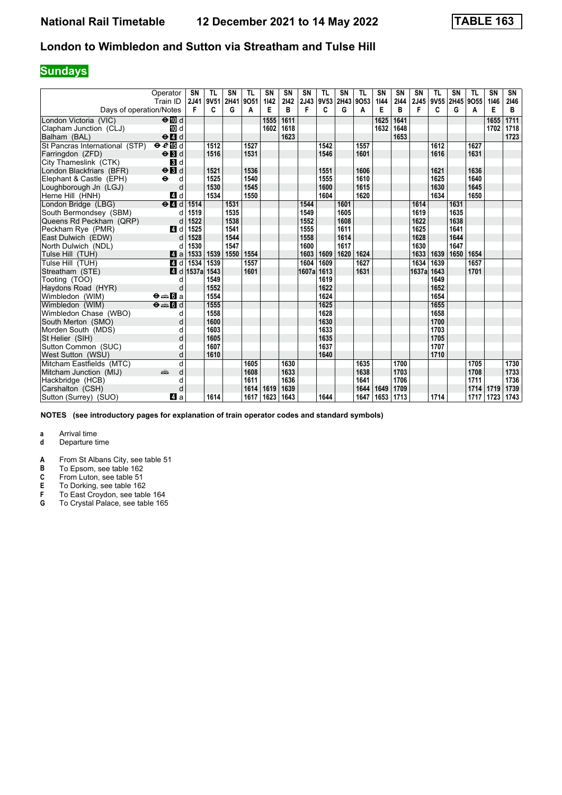## **Sundays**

|                                | Operator<br>Train ID                      | <b>SN</b><br>2J41 | <b>TL</b><br>9V51 | SN<br>2H41 | <b>TL</b><br>9051 | <b>SN</b><br>1142 | SN<br>2142 | SN<br>2J43 | <b>TL</b> | <b>SN</b><br>9V53 2H43 | <b>TL</b><br>9053 | SN<br>1144 | <b>SN</b><br>2144 | SN<br>2J45 | <b>TL</b><br>9V55 | SN   | <b>TL</b><br>2H45 9O55 | SN<br>1146 | SN<br>2146 |
|--------------------------------|-------------------------------------------|-------------------|-------------------|------------|-------------------|-------------------|------------|------------|-----------|------------------------|-------------------|------------|-------------------|------------|-------------------|------|------------------------|------------|------------|
| Days of operation/Notes        |                                           | F                 | C                 | G          | A                 | Е                 | B          | F          | C         | G                      | A                 | Е          | B                 | F          | C                 | G    | A                      | Е          | B          |
| London Victoria (VIC)          | $\Theta$ III d                            |                   |                   |            |                   | 1555              | 1611       |            |           |                        |                   | 1625       | 1641              |            |                   |      |                        | 1655       | 1711       |
| Clapham Junction (CLJ)         | TO d                                      |                   |                   |            |                   | 1602              | 1618       |            |           |                        |                   | 1632       | 1648              |            |                   |      |                        | 1702       | 1718       |
| Balham (BAL)                   | $\Theta$ <sup><math>\Omega</math></sup> d |                   |                   |            |                   |                   | 1623       |            |           |                        |                   |            | 1653              |            |                   |      |                        |            | 1723       |
| St Pancras International (STP) | eE                                        |                   | 1512              |            | 1527              |                   |            |            | 1542      |                        | 1557              |            |                   |            | 1612              |      | 1627                   |            |            |
| Farringdon (ZFD)               | $\Theta$ $\blacksquare$                   |                   | 1516              |            | 1531              |                   |            |            | 1546      |                        | 1601              |            |                   |            | 1616              |      | 1631                   |            |            |
| City Thameslink (CTK)          | $\mathbf{3}$ d                            |                   |                   |            |                   |                   |            |            |           |                        |                   |            |                   |            |                   |      |                        |            |            |
| London Blackfriars (BFR)       | $\Theta$ $\blacksquare$                   |                   | 1521              |            | 1536              |                   |            |            | 1551      |                        | 1606              |            |                   |            | 1621              |      | 1636                   |            |            |
| Elephant & Castle (EPH)        | $\ddot{\mathbf{e}}$<br>d                  |                   | 1525              |            | 1540              |                   |            |            | 1555      |                        | 1610              |            |                   |            | 1625              |      | 1640                   |            |            |
| Loughborough Jn (LGJ)          | d                                         |                   | 1530              |            | 1545              |                   |            |            | 1600      |                        | 1615              |            |                   |            | 1630              |      | 1645                   |            |            |
| Herne Hill (HNH)               | 4d                                        |                   | 1534              |            | 1550              |                   |            |            | 1604      |                        | 1620              |            |                   |            | 1634              |      | 1650                   |            |            |
| London Bridge (LBG)            | $e$ $d$                                   | 1514              |                   | 1531       |                   |                   |            | 1544       |           | 1601                   |                   |            |                   | 1614       |                   | 1631 |                        |            |            |
| South Bermondsev (SBM)         | d                                         | 1519              |                   | 1535       |                   |                   |            | 1549       |           | 1605                   |                   |            |                   | 1619       |                   | 1635 |                        |            |            |
| Queens Rd Peckham (QRP)        | d                                         | 1522              |                   | 1538       |                   |                   |            | 1552       |           | 1608                   |                   |            |                   | 1622       |                   | 1638 |                        |            |            |
| Peckham Rve (PMR)              | 4 d                                       | 1525              |                   | 1541       |                   |                   |            | 1555       |           | 1611                   |                   |            |                   | 1625       |                   | 1641 |                        |            |            |
| East Dulwich (EDW)             | d                                         | 1528              |                   | 1544       |                   |                   |            | 1558       |           | 1614                   |                   |            |                   | 1628       |                   | 1644 |                        |            |            |
| North Dulwich (NDL)            | d                                         | 1530              |                   | 1547       |                   |                   |            | 1600       |           | 1617                   |                   |            |                   | 1630       |                   | 1647 |                        |            |            |
| Tulse Hill (TUH)               | 4a                                        | 1533              | 1539              | 1550       | 1554              |                   |            | 1603       | 1609      | 1620                   | 1624              |            |                   | 1633       | 1639              | 1650 | 1654                   |            |            |
| Tulse Hill (TUH)               | 4d                                        | 1534              | 1539              |            | 1557              |                   |            | 1604       | 1609      |                        | 1627              |            |                   | 1634       | 1639              |      | 1657                   |            |            |
| Streatham (STE)                | 4 d                                       | 1537a             | 1543              |            | 1601              |                   |            | 1607a 1613 |           |                        | 1631              |            |                   | 1637al     | 1643              |      | 1701                   |            |            |
| Tooting (TOO)                  | d                                         |                   | 1549              |            |                   |                   |            |            | 1619      |                        |                   |            |                   |            | 1649              |      |                        |            |            |
| Haydons Road (HYR)             | d                                         |                   | 1552              |            |                   |                   |            |            | 1622      |                        |                   |            |                   |            | 1652              |      |                        |            |            |
| Wimbledon (WIM)                | $\Theta = \blacksquare$ $\blacksquare$ a  |                   | 1554              |            |                   |                   |            |            | 1624      |                        |                   |            |                   |            | 1654              |      |                        |            |            |
| Wimbledon (WIM)                | $\Theta = \blacksquare$ $d$               |                   | 1555              |            |                   |                   |            |            | 1625      |                        |                   |            |                   |            | 1655              |      |                        |            |            |
| Wimbledon Chase (WBO)          | d                                         |                   | 1558              |            |                   |                   |            |            | 1628      |                        |                   |            |                   |            | 1658              |      |                        |            |            |
| South Merton (SMO)             | d                                         |                   | 1600              |            |                   |                   |            |            | 1630      |                        |                   |            |                   |            | 1700              |      |                        |            |            |
| Morden South (MDS)             | d                                         |                   | 1603              |            |                   |                   |            |            | 1633      |                        |                   |            |                   |            | 1703              |      |                        |            |            |
| St Helier (SIH)                | d                                         |                   | 1605              |            |                   |                   |            |            | 1635      |                        |                   |            |                   |            | 1705              |      |                        |            |            |
| Sutton Common (SUC)            | d                                         |                   | 1607              |            |                   |                   |            |            | 1637      |                        |                   |            |                   |            | 1707              |      |                        |            |            |
| West Sutton (WSU)              | d                                         |                   | 1610              |            |                   |                   |            |            | 1640      |                        |                   |            |                   |            | 1710              |      |                        |            |            |
| Mitcham Eastfields (MTC)       | d                                         |                   |                   |            | 1605              |                   | 1630       |            |           |                        | 1635              |            | 1700              |            |                   |      | 1705                   |            | 1730       |
| Mitcham Junction (MIJ)         | پیش<br>d                                  |                   |                   |            | 1608              |                   | 1633       |            |           |                        | 1638              |            | 1703              |            |                   |      | 1708                   |            | 1733       |
| Hackbridge (HCB)               | d                                         |                   |                   |            | 1611              |                   | 1636       |            |           |                        | 1641              |            | 1706              |            |                   |      | 1711                   |            | 1736       |
| Carshalton (CSH)               | d                                         |                   |                   |            | 1614              | 1619              | 1639       |            |           |                        | 1644              | 1649       | 1709              |            |                   |      | 1714                   | 1719       | 1739       |
| Sutton (Surrey) (SUO)          | ZI a                                      |                   | 1614              |            | 1617              | 1623              | 1643       |            | 1644      |                        | 1647              | 1653       | 1713              |            | 1714              |      | 1717                   | 1723       | 1743       |

**NOTES (see introductory pages for explanation of train operator codes and standard symbols)**

- **d** Departure time
- **A** From St Albans City, see table 51<br>**B** To Epsom, see table 162
- **B** To Epsom, see table 162<br>**C** From Luton, see table 51
- 
- **C** From Luton, see table 51<br>**E** To Dorking, see table 162<br>**F** To East Croydon, see tab **E** To Dorking, see table 162
- **F** To East Croydon, see table 164
- **6** To Crystal Palace, see table 165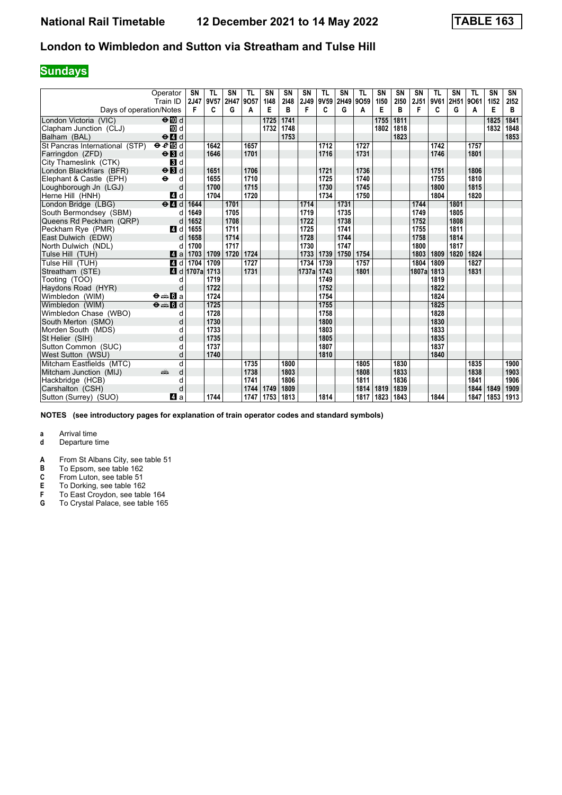## **Sundays**

|                                | Operator<br>Train ID                      | <b>SN</b><br>2J47 | <b>TL</b><br>9V57 | SN<br>2H47 | <b>TL</b><br>9057 | <b>SN</b><br>1148 | SN<br>2148 | SN         | <b>TL</b><br>2J49 9V59 2H49 | <b>SN</b> | <b>TL</b><br>9059 | SN<br>1150 | <b>SN</b><br>2150 | SN<br>2J51 | <b>TL</b><br>9V61 | SN<br>2H51 9O61 | <b>TL</b> | SN<br>1152 | SN<br>2152 |
|--------------------------------|-------------------------------------------|-------------------|-------------------|------------|-------------------|-------------------|------------|------------|-----------------------------|-----------|-------------------|------------|-------------------|------------|-------------------|-----------------|-----------|------------|------------|
| Days of operation/Notes        |                                           | F                 | C                 | G          | A                 | E                 | B          | F          | C                           | G         | A                 | Е          | B                 | F          | C                 | G               | A         | Е          | B          |
| London Victoria (VIC)          | $\Theta$ III d                            |                   |                   |            |                   | 1725              | 1741       |            |                             |           |                   | 1755       | 1811              |            |                   |                 |           | 1825       | 1841       |
| Clapham Junction (CLJ)         | TO d                                      |                   |                   |            |                   | 1732              | 1748       |            |                             |           |                   | 1802       | 1818              |            |                   |                 |           | 1832       | 1848       |
| Balham (BAL)                   | $\Theta$ <sup><math>\Omega</math></sup> d |                   |                   |            |                   |                   | 1753       |            |                             |           |                   |            | 1823              |            |                   |                 |           |            | 1853       |
| St Pancras International (STP) | eE                                        |                   | 1642              |            | 1657              |                   |            |            | 1712                        |           | 1727              |            |                   |            | 1742              |                 | 1757      |            |            |
| Farringdon (ZFD)               | $\Theta$ $\blacksquare$                   |                   | 1646              |            | 1701              |                   |            |            | 1716                        |           | 1731              |            |                   |            | 1746              |                 | 1801      |            |            |
| City Thameslink (CTK)          | $\mathbf{3}$ d                            |                   |                   |            |                   |                   |            |            |                             |           |                   |            |                   |            |                   |                 |           |            |            |
| London Blackfriars (BFR)       | $\Theta$ $\blacksquare$                   |                   | 1651              |            | 1706              |                   |            |            | 1721                        |           | 1736              |            |                   |            | 1751              |                 | 1806      |            |            |
| Elephant & Castle (EPH)        | $\ddot{\mathbf{e}}$<br>d                  |                   | 1655              |            | 1710              |                   |            |            | 1725                        |           | 1740              |            |                   |            | 1755              |                 | 1810      |            |            |
| Loughborough Jn (LGJ)          | d                                         |                   | 1700              |            | 1715              |                   |            |            | 1730                        |           | 1745              |            |                   |            | 1800              |                 | 1815      |            |            |
| Herne Hill (HNH)               | 4 d                                       |                   | 1704              |            | 1720              |                   |            |            | 1734                        |           | 1750              |            |                   |            | 1804              |                 | 1820      |            |            |
| London Bridge (LBG)            | $e$ $d$                                   | 1644              |                   | 1701       |                   |                   |            | 1714       |                             | 1731      |                   |            |                   | 1744       |                   | 1801            |           |            |            |
| South Bermondsev (SBM)         | d                                         | 1649              |                   | 1705       |                   |                   |            | 1719       |                             | 1735      |                   |            |                   | 1749       |                   | 1805            |           |            |            |
| Queens Rd Peckham (QRP)        | d                                         | 1652              |                   | 1708       |                   |                   |            | 1722       |                             | 1738      |                   |            |                   | 1752       |                   | 1808            |           |            |            |
| Peckham Rve (PMR)              | 4 d                                       | 1655              |                   | 1711       |                   |                   |            | 1725       |                             | 1741      |                   |            |                   | 1755       |                   | 1811            |           |            |            |
| East Dulwich (EDW)             | d                                         | 1658              |                   | 1714       |                   |                   |            | 1728       |                             | 1744      |                   |            |                   | 1758       |                   | 1814            |           |            |            |
| North Dulwich (NDL)            | d                                         | 1700              |                   | 1717       |                   |                   |            | 1730       |                             | 1747      |                   |            |                   | 1800       |                   | 1817            |           |            |            |
| Tulse Hill (TUH)               | ZI a                                      | 1703              | 1709              | 1720       | 1724              |                   |            | 1733       | 1739                        | 1750      | 1754              |            |                   | 1803       | 1809              | 1820            | 1824      |            |            |
| Tulse Hill (TUH)               | 4d                                        | 1704              | 1709              |            | 1727              |                   |            | 1734       | 1739                        |           | 1757              |            |                   | 1804       | 1809              |                 | 1827      |            |            |
| Streatham (STE)                |                                           | 4 d 1707a         | 1713              |            | 1731              |                   |            | 1737a 1743 |                             |           | 1801              |            |                   | 1807al     | 1813              |                 | 1831      |            |            |
| Tooting (TOO)                  | d                                         |                   | 1719              |            |                   |                   |            |            | 1749                        |           |                   |            |                   |            | 1819              |                 |           |            |            |
| Haydons Road (HYR)             | d                                         |                   | 1722              |            |                   |                   |            |            | 1752                        |           |                   |            |                   |            | 1822              |                 |           |            |            |
| Wimbledon (WIM)                | $\Theta = \blacksquare$ $\blacksquare$ a  |                   | 1724              |            |                   |                   |            |            | 1754                        |           |                   |            |                   |            | 1824              |                 |           |            |            |
| Wimbledon (WIM)                | $\Theta = \blacksquare$ $d$               |                   | 1725              |            |                   |                   |            |            | 1755                        |           |                   |            |                   |            | 1825              |                 |           |            |            |
| Wimbledon Chase (WBO)          | d                                         |                   | 1728              |            |                   |                   |            |            | 1758                        |           |                   |            |                   |            | 1828              |                 |           |            |            |
| South Merton (SMO)             | d                                         |                   | 1730              |            |                   |                   |            |            | 1800                        |           |                   |            |                   |            | 1830              |                 |           |            |            |
| Morden South (MDS)             | d                                         |                   | 1733              |            |                   |                   |            |            | 1803                        |           |                   |            |                   |            | 1833              |                 |           |            |            |
| St Helier (SIH)                | d                                         |                   | 1735              |            |                   |                   |            |            | 1805                        |           |                   |            |                   |            | 1835              |                 |           |            |            |
| Sutton Common (SUC)            | d                                         |                   | 1737              |            |                   |                   |            |            | 1807                        |           |                   |            |                   |            | 1837              |                 |           |            |            |
| West Sutton (WSU)              | d                                         |                   | 1740              |            |                   |                   |            |            | 1810                        |           |                   |            |                   |            | 1840              |                 |           |            |            |
| Mitcham Eastfields (MTC)       | d                                         |                   |                   |            | 1735              |                   | 1800       |            |                             |           | 1805              |            | 1830              |            |                   |                 | 1835      |            | 1900       |
| Mitcham Junction (MIJ)         | پیش<br>d                                  |                   |                   |            | 1738              |                   | 1803       |            |                             |           | 1808              |            | 1833              |            |                   |                 | 1838      |            | 1903       |
| Hackbridge (HCB)               | d                                         |                   |                   |            | 1741              |                   | 1806       |            |                             |           | 1811              |            | 1836              |            |                   |                 | 1841      |            | 1906       |
| Carshalton (CSH)               | d                                         |                   |                   |            | 1744              | 1749              | 1809       |            |                             |           | 1814              | 1819       | 1839              |            |                   |                 | 1844      | 1849       | 1909       |
| Sutton (Surrey) (SUO)          | ZI a                                      |                   | 1744              |            | 1747              | 1753              | 1813       |            | 1814                        |           | 1817              | 1823       | 1843              |            | 1844              |                 | 1847      | 1853       | 1913       |

**NOTES (see introductory pages for explanation of train operator codes and standard symbols)**

# **a** Arrival time<br>**d** Departure t

- **d** Departure time
- **A** From St Albans City, see table 51<br>**B** To Epsom, see table 162
- **B** To Epsom, see table 162<br>**C** From Luton, see table 51
- 

**C** From Luton, see table 51<br>**E** To Dorking, see table 162<br>**F** To East Croydon, see tab **E** To Dorking, see table 162

- **F** To East Croydon, see table 164
- **6** To Crystal Palace, see table 165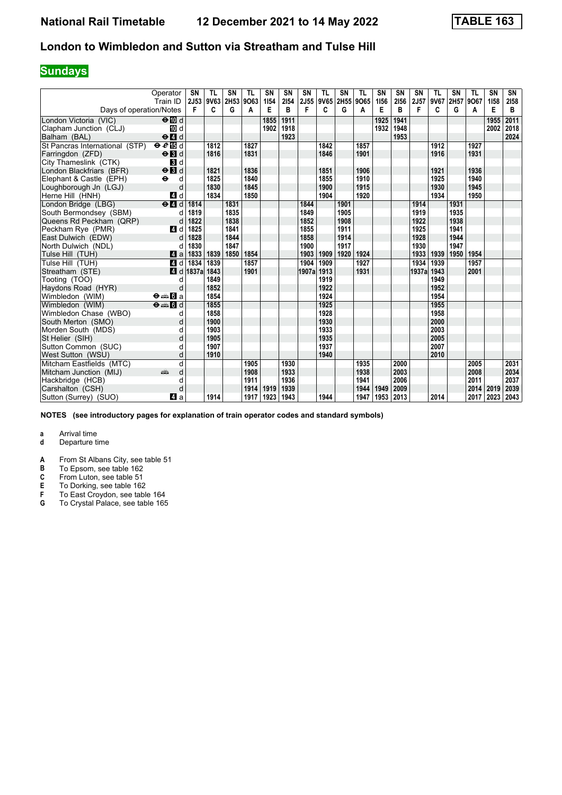## **Sundays**

|                                | Operator<br>Train ID                      | <b>SN</b><br>2J53 | <b>TL</b><br>9V63 | SN<br>2H53 | <b>TL</b><br>9063 | <b>SN</b><br>1154 | SN<br>2154 | SN         | <b>TL</b><br>2J55 9V65 2H55 | SN   | <b>TL</b><br>9065 | SN<br>1156 | <b>SN</b><br>2156 | SN<br>2J57 | <b>TL</b><br>9V67 | SN<br>2H57 9O67 | <b>TL</b> | SN<br>1158 | SN<br>2158 |
|--------------------------------|-------------------------------------------|-------------------|-------------------|------------|-------------------|-------------------|------------|------------|-----------------------------|------|-------------------|------------|-------------------|------------|-------------------|-----------------|-----------|------------|------------|
| Days of operation/Notes        |                                           | F                 | C                 | G          | A                 | Е                 | B          | F          | C                           | G    | A                 | Е          | B                 | F          | C                 | G               | A         | Е          | B          |
| London Victoria (VIC)          | $\Theta$ III d                            |                   |                   |            |                   | 1855              | 1911       |            |                             |      |                   | 1925       | 1941              |            |                   |                 |           | 1955       | 2011       |
| Clapham Junction (CLJ)         | TO d                                      |                   |                   |            |                   | 1902              | 1918       |            |                             |      |                   | 1932       | 1948              |            |                   |                 |           | 2002       | 2018       |
| Balham (BAL)                   | $\Theta$ <sup><math>\Omega</math></sup> d |                   |                   |            |                   |                   | 1923       |            |                             |      |                   |            | 1953              |            |                   |                 |           |            | 2024       |
| St Pancras International (STP) | eE                                        |                   | 1812              |            | 1827              |                   |            |            | 1842                        |      | 1857              |            |                   |            | 1912              |                 | 1927      |            |            |
| Farringdon (ZFD)               | $\Theta$ $\blacksquare$                   |                   | 1816              |            | 1831              |                   |            |            | 1846                        |      | 1901              |            |                   |            | 1916              |                 | 1931      |            |            |
| City Thameslink (CTK)          | $\mathbf{3}$ d                            |                   |                   |            |                   |                   |            |            |                             |      |                   |            |                   |            |                   |                 |           |            |            |
| London Blackfriars (BFR)       | $\Theta$ <b>B</b> d                       |                   | 1821              |            | 1836              |                   |            |            | 1851                        |      | 1906              |            |                   |            | 1921              |                 | 1936      |            |            |
| Elephant & Castle (EPH)        | $\ddot{\mathbf{e}}$<br>d                  |                   | 1825              |            | 1840              |                   |            |            | 1855                        |      | 1910              |            |                   |            | 1925              |                 | 1940      |            |            |
| Loughborough Jn (LGJ)          | d                                         |                   | 1830              |            | 1845              |                   |            |            | 1900                        |      | 1915              |            |                   |            | 1930              |                 | 1945      |            |            |
| Herne Hill (HNH)               | 4d                                        |                   | 1834              |            | 1850              |                   |            |            | 1904                        |      | 1920              |            |                   |            | 1934              |                 | 1950      |            |            |
| London Bridge (LBG)            | $e$ $d$                                   | 1814              |                   | 1831       |                   |                   |            | 1844       |                             | 1901 |                   |            |                   | 1914       |                   | 1931            |           |            |            |
| South Bermondsev (SBM)         | d                                         | 1819              |                   | 1835       |                   |                   |            | 1849       |                             | 1905 |                   |            |                   | 1919       |                   | 1935            |           |            |            |
| Queens Rd Peckham (QRP)        | d                                         | 1822              |                   | 1838       |                   |                   |            | 1852       |                             | 1908 |                   |            |                   | 1922       |                   | 1938            |           |            |            |
| Peckham Rve (PMR)              | 4 d                                       | 1825              |                   | 1841       |                   |                   |            | 1855       |                             | 1911 |                   |            |                   | 1925       |                   | 1941            |           |            |            |
| East Dulwich (EDW)             | d                                         | 1828              |                   | 1844       |                   |                   |            | 1858       |                             | 1914 |                   |            |                   | 1928       |                   | 1944            |           |            |            |
| North Dulwich (NDL)            | d                                         | 1830              |                   | 1847       |                   |                   |            | 1900       |                             | 1917 |                   |            |                   | 1930       |                   | 1947            |           |            |            |
| Tulse Hill (TUH)               | Zi a                                      | 1833              | 1839              | 1850       | 1854              |                   |            | 1903       | 1909                        | 1920 | 1924              |            |                   | 1933       | 1939              | 1950            | 1954      |            |            |
| Tulse Hill (TUH)               | 4d                                        | 1834              | 1839              |            | 1857              |                   |            | 1904       | 1909                        |      | 1927              |            |                   | 1934       | 1939              |                 | 1957      |            |            |
| Streatham (STE)                | 4 d                                       | 1837a             | 1843              |            | 1901              |                   |            | 1907a 1913 |                             |      | 1931              |            |                   | 1937al     | 1943              |                 | 2001      |            |            |
| Tooting (TOO)                  | d                                         |                   | 1849              |            |                   |                   |            |            | 1919                        |      |                   |            |                   |            | 1949              |                 |           |            |            |
| Haydons Road (HYR)             | d                                         |                   | 1852              |            |                   |                   |            |            | 1922                        |      |                   |            |                   |            | 1952              |                 |           |            |            |
| Wimbledon (WIM)                | $\Theta = \blacksquare$ $\blacksquare$ a  |                   | 1854              |            |                   |                   |            |            | 1924                        |      |                   |            |                   |            | 1954              |                 |           |            |            |
| Wimbledon (WIM)                | $\Theta = \blacksquare$ $d$               |                   | 1855              |            |                   |                   |            |            | 1925                        |      |                   |            |                   |            | 1955              |                 |           |            |            |
| Wimbledon Chase (WBO)          | d                                         |                   | 1858              |            |                   |                   |            |            | 1928                        |      |                   |            |                   |            | 1958              |                 |           |            |            |
| South Merton (SMO)             | d                                         |                   | 1900              |            |                   |                   |            |            | 1930                        |      |                   |            |                   |            | 2000              |                 |           |            |            |
| Morden South (MDS)             | d                                         |                   | 1903              |            |                   |                   |            |            | 1933                        |      |                   |            |                   |            | 2003              |                 |           |            |            |
| St Helier (SIH)                | d                                         |                   | 1905              |            |                   |                   |            |            | 1935                        |      |                   |            |                   |            | 2005              |                 |           |            |            |
| Sutton Common (SUC)            | d                                         |                   | 1907              |            |                   |                   |            |            | 1937                        |      |                   |            |                   |            | 2007              |                 |           |            |            |
| West Sutton (WSU)              | d                                         |                   | 1910              |            |                   |                   |            |            | 1940                        |      |                   |            |                   |            | 2010              |                 |           |            |            |
| Mitcham Eastfields (MTC)       | d                                         |                   |                   |            | 1905              |                   | 1930       |            |                             |      | 1935              |            | 2000              |            |                   |                 | 2005      |            | 2031       |
| Mitcham Junction (MIJ)         | d<br>پیشته                                |                   |                   |            | 1908              |                   | 1933       |            |                             |      | 1938              |            | 2003              |            |                   |                 | 2008      |            | 2034       |
| Hackbridge (HCB)               | d                                         |                   |                   |            | 1911              |                   | 1936       |            |                             |      | 1941              |            | 2006              |            |                   |                 | 2011      |            | 2037       |
| Carshalton (CSH)               | d                                         |                   |                   |            | 1914              | 1919              | 1939       |            |                             |      | 1944              | 1949       | 2009              |            |                   |                 | 2014      | 2019       | 2039       |
| Sutton (Surrey) (SUO)          | ZI a                                      |                   | 1914              |            | 1917              | 1923              | 1943       |            | 1944                        |      | 1947              | 1953       | 2013              |            | 2014              |                 | 2017      | 2023       | 2043       |

**NOTES (see introductory pages for explanation of train operator codes and standard symbols)**

- **d** Departure time
- **A** From St Albans City, see table 51<br>**B** To Epsom, see table 162
- **B** To Epsom, see table 162<br>**C** From Luton, see table 51
- 
- **C** From Luton, see table 51<br>**E** To Dorking, see table 162<br>**F** To East Croydon, see tab **E** To Dorking, see table 162
- **F** To East Croydon, see table 164 **6** To Crystal Palace, see table 165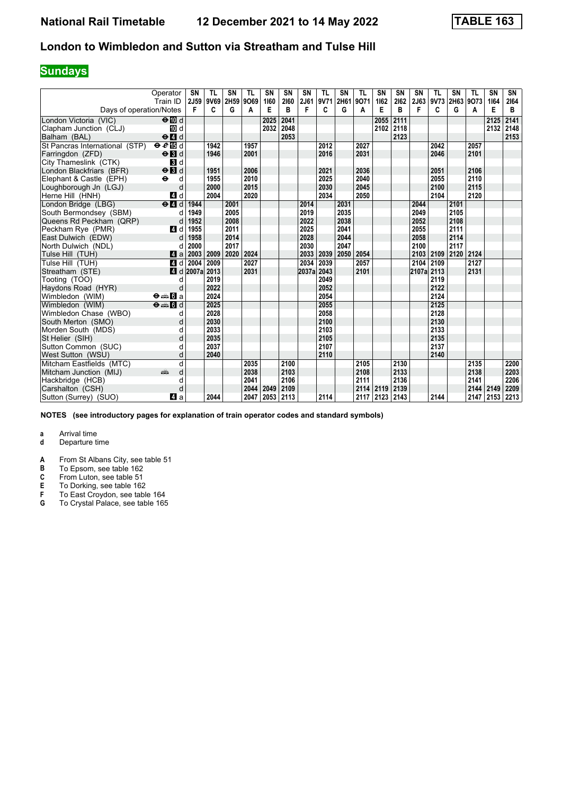## **Sundays**

|                                | Operator<br>Train ID                     | <b>SN</b><br>2J59 | <b>TL</b><br>9V69 | SN<br>2H59 | <b>TL</b><br>9069 | <b>SN</b><br>1160 | SN<br>2160 | SN<br>2J61 | <b>TL</b><br>9V71 | SN<br>2H61 | <b>TL</b><br>9071 | SN<br>1162 | <b>SN</b><br>2162 | SN<br>2J63 | <b>TL</b><br>9V73 | SN   | <b>TL</b><br>2H63 9O73 | SN<br>1164 | SN<br>2164 |
|--------------------------------|------------------------------------------|-------------------|-------------------|------------|-------------------|-------------------|------------|------------|-------------------|------------|-------------------|------------|-------------------|------------|-------------------|------|------------------------|------------|------------|
| Days of operation/Notes        |                                          | F                 | C                 | G          | A                 | Е                 | B          | F          | C                 | G          | A                 | Е          | в                 | F          | C                 | G    | A                      | Е          | B          |
| London Victoria (VIC)          | $\Theta$ III d                           |                   |                   |            |                   | 2025              | 2041       |            |                   |            |                   | 2055       | 2111              |            |                   |      |                        | 2125       | 2141       |
| Clapham Junction (CLJ)         | 10 d                                     |                   |                   |            |                   | 2032              | 2048       |            |                   |            |                   | 2102 2118  |                   |            |                   |      |                        | 2132       | 2148       |
| Balham (BAL)                   | $\Theta$ $\blacksquare$ d                |                   |                   |            |                   |                   | 2053       |            |                   |            |                   |            | 2123              |            |                   |      |                        |            | 2153       |
| St Pancras International (STP) | eE                                       |                   | 1942              |            | 1957              |                   |            |            | 2012              |            | 2027              |            |                   |            | 2042              |      | 2057                   |            |            |
| Farringdon (ZFD)               | $\Theta$ $\blacksquare$                  |                   | 1946              |            | 2001              |                   |            |            | 2016              |            | 2031              |            |                   |            | 2046              |      | 2101                   |            |            |
| City Thameslink (CTK)          | $\mathbf{3}$ d                           |                   |                   |            |                   |                   |            |            |                   |            |                   |            |                   |            |                   |      |                        |            |            |
| London Blackfriars (BFR)       | $\Theta$ $\blacksquare$                  |                   | 1951              |            | 2006              |                   |            |            | 2021              |            | 2036              |            |                   |            | 2051              |      | 2106                   |            |            |
| Elephant & Castle (EPH)        | $\ddot{\mathbf{e}}$<br>d                 |                   | 1955              |            | 2010              |                   |            |            | 2025              |            | 2040              |            |                   |            | 2055              |      | 2110                   |            |            |
| Loughborough Jn (LGJ)          | d                                        |                   | 2000              |            | 2015              |                   |            |            | 2030              |            | 2045              |            |                   |            | 2100              |      | 2115                   |            |            |
| Herne Hill (HNH)               | 4d                                       |                   | 2004              |            | 2020              |                   |            |            | 2034              |            | 2050              |            |                   |            | 2104              |      | 2120                   |            |            |
| London Bridge (LBG)            | $e$ $d$                                  | 1944              |                   | 2001       |                   |                   |            | 2014       |                   | 2031       |                   |            |                   | 2044       |                   | 2101 |                        |            |            |
| South Bermondsev (SBM)         | d                                        | 1949              |                   | 2005       |                   |                   |            | 2019       |                   | 2035       |                   |            |                   | 2049       |                   | 2105 |                        |            |            |
| Queens Rd Peckham (QRP)        | d                                        | 1952              |                   | 2008       |                   |                   |            | 2022       |                   | 2038       |                   |            |                   | 2052       |                   | 2108 |                        |            |            |
| Peckham Rve (PMR)              | 4 d                                      | 1955              |                   | 2011       |                   |                   |            | 2025       |                   | 2041       |                   |            |                   | 2055       |                   | 2111 |                        |            |            |
| East Dulwich (EDW)             | d                                        | 1958              |                   | 2014       |                   |                   |            | 2028       |                   | 2044       |                   |            |                   | 2058       |                   | 2114 |                        |            |            |
| North Dulwich (NDL)            | d                                        | 2000              |                   | 2017       |                   |                   |            | 2030       |                   | 2047       |                   |            |                   | 2100       |                   | 2117 |                        |            |            |
| Tulse Hill (TUH)               | ZI a                                     | 2003              | 2009              | 2020       | 2024              |                   |            | 2033       | 2039              | 2050       | 2054              |            |                   | 2103       | 2109              | 2120 | 2124                   |            |            |
| Tulse Hill (TUH)               | 4 d                                      | 2004              | 2009              |            | 2027              |                   |            | 2034       | 2039              |            | 2057              |            |                   | 2104       | 2109              |      | 2127                   |            |            |
| Streatham (STE)                | 4 d                                      | 2007a 2013        |                   |            | 2031              |                   |            | 2037a 2043 |                   |            | 2101              |            |                   | 2107a 2113 |                   |      | 2131                   |            |            |
| Tooting (TOO)                  | d                                        |                   | 2019              |            |                   |                   |            |            | 2049              |            |                   |            |                   |            | 2119              |      |                        |            |            |
| Haydons Road (HYR)             | d                                        |                   | 2022              |            |                   |                   |            |            | 2052              |            |                   |            |                   |            | 2122              |      |                        |            |            |
| Wimbledon (WIM)                | $\Theta = \blacksquare$ $\blacksquare$ a |                   | 2024              |            |                   |                   |            |            | 2054              |            |                   |            |                   |            | 2124              |      |                        |            |            |
| Wimbledon (WIM)                | $\Theta = \blacksquare$ $\blacksquare$ d |                   | 2025              |            |                   |                   |            |            | 2055              |            |                   |            |                   |            | 2125              |      |                        |            |            |
| Wimbledon Chase (WBO)          | d                                        |                   | 2028              |            |                   |                   |            |            | 2058              |            |                   |            |                   |            | 2128              |      |                        |            |            |
| South Merton (SMO)             | d                                        |                   | 2030              |            |                   |                   |            |            | 2100              |            |                   |            |                   |            | 2130              |      |                        |            |            |
| Morden South (MDS)             | d                                        |                   | 2033              |            |                   |                   |            |            | 2103              |            |                   |            |                   |            | 2133              |      |                        |            |            |
| St Helier (SIH)                | d                                        |                   | 2035              |            |                   |                   |            |            | 2105              |            |                   |            |                   |            | 2135              |      |                        |            |            |
| Sutton Common (SUC)            | d                                        |                   | 2037              |            |                   |                   |            |            | 2107              |            |                   |            |                   |            | 2137              |      |                        |            |            |
| West Sutton (WSU)              | d                                        |                   | 2040              |            |                   |                   |            |            | 2110              |            |                   |            |                   |            | 2140              |      |                        |            |            |
| Mitcham Eastfields (MTC)       | d                                        |                   |                   |            | 2035              |                   | 2100       |            |                   |            | 2105              |            | 2130              |            |                   |      | 2135                   |            | 2200       |
| Mitcham Junction (MIJ)         | d<br>پیشته                               |                   |                   |            | 2038              |                   | 2103       |            |                   |            | 2108              |            | 2133              |            |                   |      | 2138                   |            | 2203       |
| Hackbridge (HCB)               | d                                        |                   |                   |            | 2041              |                   | 2106       |            |                   |            | 2111              |            | 2136              |            |                   |      | 2141                   |            | 2206       |
| Carshalton (CSH)               | d                                        |                   |                   |            | 2044              | 2049              | 2109       |            |                   |            | 2114              | 2119       | 2139              |            |                   |      | 2144 2149              |            | 2209       |
| Sutton (Surrey) (SUO)          | ZI a                                     |                   | 2044              |            | 2047              | 2053              | 2113       |            | 2114              |            | 2117              | 2123 2143  |                   |            | 2144              |      | 2147 2153              |            | 2213       |

**NOTES (see introductory pages for explanation of train operator codes and standard symbols)**

- **d** Departure time
- **A** From St Albans City, see table 51<br>**B** To Epsom, see table 162
- **B** To Epsom, see table 162<br>**C** From Luton, see table 51
- 
- **C** From Luton, see table 51<br>**E** To Dorking, see table 162<br>**F** To East Croydon, see tab **E** To Dorking, see table 162
- **F** To East Croydon, see table 164
- **6** To Crystal Palace, see table 165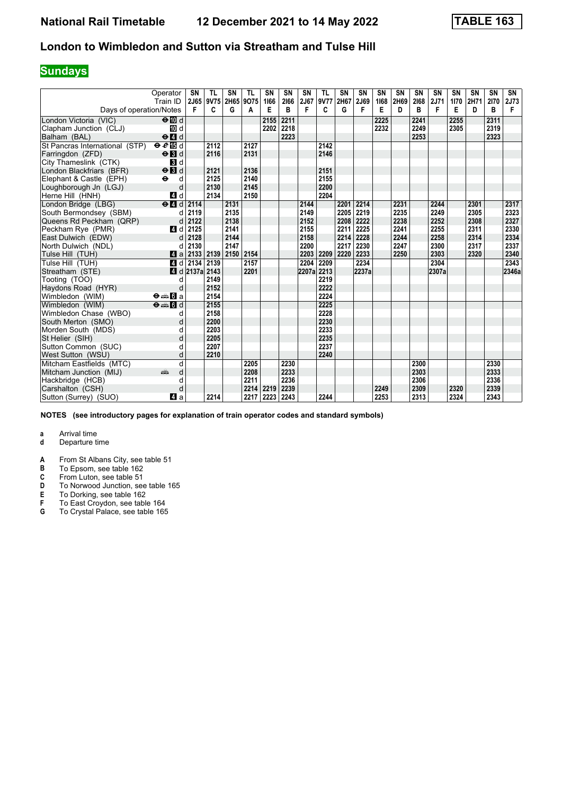## **Sundays**

|                                | Operator<br>Train ID                            | SN<br>2J65 | TL<br>9V75 | <b>SN</b><br>2H65 | <b>TL</b><br>9075 | <b>SN</b><br>1166 | SN<br>2166 | <b>SN</b><br>2J67 | <b>TL</b><br>9V77 | SN<br>2H67 | <b>SN</b><br>2J69 | <b>SN</b><br>1168 | SN<br>2H69 | SN<br>2168 | SN<br>2J71 | SN<br>1170 | <b>SN</b><br>2H71 | SN<br>2170 | SN<br>2J73 |
|--------------------------------|-------------------------------------------------|------------|------------|-------------------|-------------------|-------------------|------------|-------------------|-------------------|------------|-------------------|-------------------|------------|------------|------------|------------|-------------------|------------|------------|
| Days of operation/Notes        |                                                 | F          | C          | G                 | A                 | Е                 | B          | F                 | C                 | G          | F                 | E                 | D          | в          | F          | Е          | D                 | B          | F          |
| London Victoria (VIC)          | $\Theta$ M d                                    |            |            |                   |                   | 2155              | 2211       |                   |                   |            |                   | 2225              |            | 2241       |            | 2255       |                   | 2311       |            |
| Clapham Junction (CLJ)         | <b>iD</b> d                                     |            |            |                   |                   | 2202              | 2218       |                   |                   |            |                   | 2232              |            | 2249       |            | 2305       |                   | 2319       |            |
| Balham (BAL)                   | $\Theta$ <sup><math>\blacksquare</math> d</sup> |            |            |                   |                   |                   | 2223       |                   |                   |            |                   |                   |            | 2253       |            |            |                   | 2323       |            |
| St Pancras International (STP) | eE                                              |            | 2112       |                   | 2127              |                   |            |                   | 2142              |            |                   |                   |            |            |            |            |                   |            |            |
| Farringdon (ZFD)               | $\Theta$ <b>B</b> d                             |            | 2116       |                   | 2131              |                   |            |                   | 2146              |            |                   |                   |            |            |            |            |                   |            |            |
| City Thameslink (CTK)          | <b>B</b> d                                      |            |            |                   |                   |                   |            |                   |                   |            |                   |                   |            |            |            |            |                   |            |            |
| London Blackfriars (BFR)       | $\Theta$ <b>B</b> d                             |            | 2121       |                   | 2136              |                   |            |                   | 2151              |            |                   |                   |            |            |            |            |                   |            |            |
| Elephant & Castle (EPH)        | $\ddot{\mathbf{e}}$<br>d                        |            | 2125       |                   | 2140              |                   |            |                   | 2155              |            |                   |                   |            |            |            |            |                   |            |            |
| Loughborough Jn (LGJ)          | d                                               |            | 2130       |                   | 2145              |                   |            |                   | 2200              |            |                   |                   |            |            |            |            |                   |            |            |
| Herne Hill (HNH)               | 4 d                                             |            | 2134       |                   | 2150              |                   |            |                   | 2204              |            |                   |                   |            |            |            |            |                   |            |            |
| London Bridge (LBG)            | $e$ $d$                                         | 2114       |            | 2131              |                   |                   |            | 2144              |                   | 2201       | 2214              |                   | 2231       |            | 2244       |            | 2301              |            | 2317       |
| South Bermondsey (SBM)         | d                                               | 2119       |            | 2135              |                   |                   |            | 2149              |                   | 2205       | 2219              |                   | 2235       |            | 2249       |            | 2305              |            | 2323       |
| Queens Rd Peckham (QRP)        | d                                               | 2122       |            | 2138              |                   |                   |            | 2152              |                   | 2208       | 2222              |                   | 2238       |            | 2252       |            | 2308              |            | 2327       |
| Peckham Rye (PMR)              | 4 d                                             | 2125       |            | 2141              |                   |                   |            | 2155              |                   | 2211       | 2225              |                   | 2241       |            | 2255       |            | 2311              |            | 2330       |
| East Dulwich (EDW)             | d                                               | 2128       |            | 2144              |                   |                   |            | 2158              |                   | 2214       | 2228              |                   | 2244       |            | 2258       |            | 2314              |            | 2334       |
| North Dulwich (NDL)            | d                                               | 2130       |            | 2147              |                   |                   |            | 2200              |                   | 2217       | 2230              |                   | 2247       |            | 2300       |            | 2317              |            | 2337       |
| Tulse Hill (TUH)               | ZI a                                            | 2133       | 2139       | 2150 2154         |                   |                   |            | 2203              | 2209              | 2220       | 2233              |                   | 2250       |            | 2303       |            | 2320              |            | 2340       |
| Tulse Hill (TUH)               | 4d                                              | 2134       | 2139       |                   | 2157              |                   |            | 2204              | 2209              |            | 2234              |                   |            |            | 2304       |            |                   |            | 2343       |
| Streatham (STE)                | $\blacksquare$ d                                | 2137a 2143 |            |                   | 2201              |                   |            | 2207a 2213        |                   |            | 2237a             |                   |            |            | 2307a      |            |                   |            | 2346a      |
| Tooting (TOO)                  | d                                               |            | 2149       |                   |                   |                   |            |                   | 2219              |            |                   |                   |            |            |            |            |                   |            |            |
| Haydons Road (HYR)             | d                                               |            | 2152       |                   |                   |                   |            |                   | 2222              |            |                   |                   |            |            |            |            |                   |            |            |
| Wimbledon (WIM)                | $\Theta \oplus \blacksquare$ a                  |            | 2154       |                   |                   |                   |            |                   | 2224              |            |                   |                   |            |            |            |            |                   |            |            |
| Wimbledon (WIM)                | $\Theta = \Box$                                 |            | 2155       |                   |                   |                   |            |                   | 2225              |            |                   |                   |            |            |            |            |                   |            |            |
| Wimbledon Chase (WBO)          | d                                               |            | 2158       |                   |                   |                   |            |                   | 2228              |            |                   |                   |            |            |            |            |                   |            |            |
| South Merton (SMO)             | d                                               |            | 2200       |                   |                   |                   |            |                   | 2230              |            |                   |                   |            |            |            |            |                   |            |            |
| Morden South (MDS)             |                                                 |            | 2203       |                   |                   |                   |            |                   | 2233              |            |                   |                   |            |            |            |            |                   |            |            |
| St Helier (SIH)                | d                                               |            | 2205       |                   |                   |                   |            |                   | 2235              |            |                   |                   |            |            |            |            |                   |            |            |
| Sutton Common (SUC)            | d                                               |            | 2207       |                   |                   |                   |            |                   | 2237              |            |                   |                   |            |            |            |            |                   |            |            |
| West Sutton (WSU)              | d                                               |            | 2210       |                   |                   |                   |            |                   | 2240              |            |                   |                   |            |            |            |            |                   |            |            |
| Mitcham Eastfields (MTC)       | d                                               |            |            |                   | 2205              |                   | 2230       |                   |                   |            |                   |                   |            | 2300       |            |            |                   | 2330       |            |
| Mitcham Junction (MIJ)         | d<br>and a series                               |            |            |                   | 2208              |                   | 2233       |                   |                   |            |                   |                   |            | 2303       |            |            |                   | 2333       |            |
| Hackbridge (HCB)               | d                                               |            |            |                   | 2211              |                   | 2236       |                   |                   |            |                   |                   |            | 2306       |            |            |                   | 2336       |            |
| Carshalton (CSH)               | d                                               |            |            |                   | 2214              | 2219              | 2239       |                   |                   |            |                   | 2249              |            | 2309       |            | 2320       |                   | 2339       |            |
| Sutton (Surrey) (SUO)          | ZI a                                            |            | 2214       |                   | 2217              | 2223              | 2243       |                   | 2244              |            |                   | 2253              |            | 2313       |            | 2324       |                   | 2343       |            |

**NOTES (see introductory pages for explanation of train operator codes and standard symbols)**

- **d** Departure time
- **A** From St Albans City, see table 51<br>**B** To Epsom, see table 162
- **B** To Epsom, see table 162<br>**C** From Luton, see table 51
- 
- **C** From Luton, see table 51<br>**D** To Norwood Junction, see<br>**E** To Dorking, see table 162 To Norwood Junction, see table 165
- **E** To Dorking, see table 162<br>**F** To East Croydon, see table
- **F** To East Croydon, see table 164<br>**G** To Crystal Palace, see table 165
- To Crystal Palace, see table 165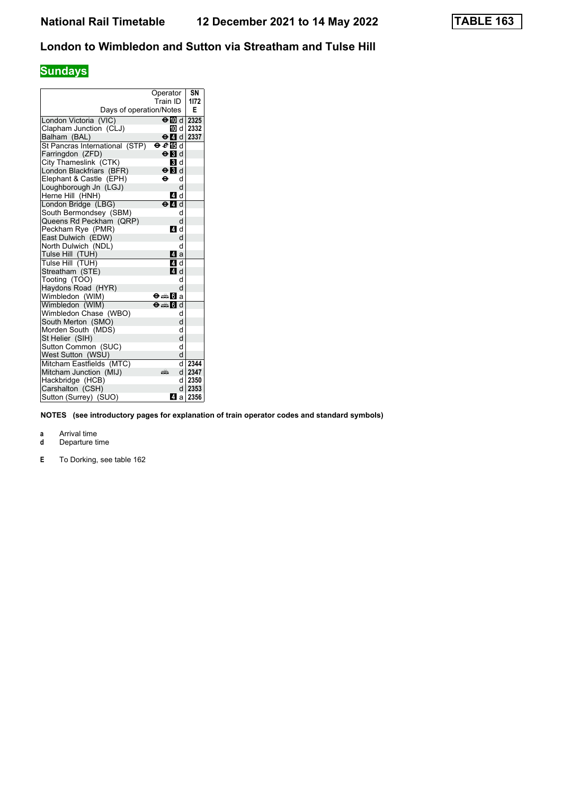# **Sundays**

|                                         | Operator                          | SN       |
|-----------------------------------------|-----------------------------------|----------|
|                                         | Train ID                          | 1172     |
| Days of operation/Notes                 |                                   | E        |
| London Victoria (VIC)                   | $\Theta$ III d   2325             |          |
| Clapham Junction (CLJ)                  |                                   | 而 d 2332 |
| Balham (BAL)                            | $\Theta$ $\blacksquare$ d         | 2337     |
| St Pancras International (STP)          | $\Theta \,\boldsymbol{\ell}$ is d |          |
| Farringdon (ZFD)                        | $\Theta$ <b>B</b> d               |          |
| City Thameslink (CTK)                   | 3 d                               |          |
| London Blackfriars (BFR)                | $\Theta$ $\blacksquare$ d         |          |
| Elephant & Castle (EPH)                 | θ<br>d                            |          |
| Loughborough Jn (LGJ)                   | d                                 |          |
| Herne Hill (HNH)                        | 4 d                               |          |
| London Bridge (LBG)                     | $\Theta$ $\blacksquare$ d         |          |
| South Bermondsey (SBM)                  | d                                 |          |
| Queens Rd Peckham (QRP)                 | d                                 |          |
| Peckham Rye (PMR)                       | 4 d                               |          |
| East Dulwich (EDW)                      | d                                 |          |
| North Dulwich (NDL)<br>Tulse Hill (TUH) | d<br>ZI a                         |          |
|                                         | 4 d                               |          |
| Tulse Hill (TUH)<br>Streatham (STE)     | 4 d                               |          |
| Tooting (TOO)                           | d                                 |          |
| Haydons Road (HYR)                      | d                                 |          |
| Wimbledon (WIM)                         | Ө⊯∎0Га                            |          |
| Wimbledon (WIM)                         | $\Theta = \blacksquare$ of d      |          |
| Wimbledon Chase (WBO)                   | d                                 |          |
| South Merton (SMO)                      | d                                 |          |
| Morden South (MDS)                      | d                                 |          |
| St Helier (SIH)                         | d                                 |          |
| Sutton Common (SUC)                     | d                                 |          |
| West Sutton (WSU)                       | d                                 |          |
| Mitcham Eastfields (MTC)                | d                                 | 2344     |
| Mitcham Junction (MIJ)                  | d l<br>дŘ                         | 2347     |
| Hackbridge (HCB)                        | d                                 | 2350     |
| Carshalton (CSH)                        | d                                 | 2353     |
| Sutton (Surrey) (SUO)                   | 41 a                              | 2356     |

**NOTES (see introductory pages for explanation of train operator codes and standard symbols)**

- **d** Departure time
- **C C** To Dorking, see table 162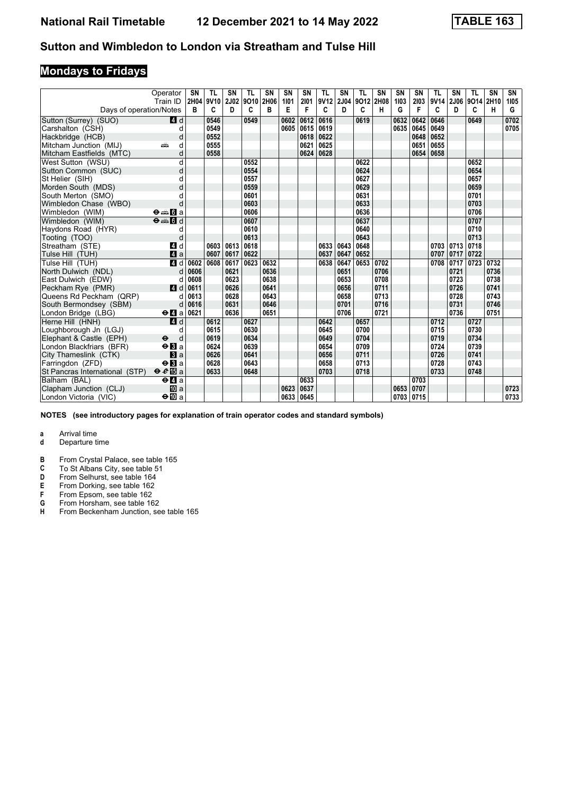# **Mondays to Fridays**

|                                | Operator<br>Train ID                        | SN<br>2H04 | TL<br>9V10 | SN<br>2J02 | TL<br>9010 | <b>SN</b><br>2H06 | SN<br>1101 | SN<br>2101 | TL<br>9V <sub>12</sub> | SΝ<br>2J04 | TL<br>9012 2H08 | <b>SN</b> | <b>SN</b><br>1103 | <b>SN</b><br>2103 | <b>TL</b><br>9V14 | SN<br>2J06 | TL<br>9014 | <b>SN</b><br>2H10 | SN<br>1105 |
|--------------------------------|---------------------------------------------|------------|------------|------------|------------|-------------------|------------|------------|------------------------|------------|-----------------|-----------|-------------------|-------------------|-------------------|------------|------------|-------------------|------------|
| Days of operation/Notes        |                                             | в          | C          | D          | C          | B                 | Е          | F          | C                      | D          | C               | н         | G                 | F                 | C                 | D          | C          | н                 | G          |
| Sutton (Surrey) (SUO)          | 4 d                                         |            | 0546       |            | 0549       |                   | 0602       | 0612       | 0616                   |            | 0619            |           | 0632              | 0642              | 0646              |            | 0649       |                   | 0702       |
| Carshalton (CSH)               | d                                           |            | 0549       |            |            |                   |            | 0605 0615  | 0619                   |            |                 |           | 0635              | 0645              | 0649              |            |            |                   | 0705       |
| Hackbridge (HCB)               | d                                           |            | 0552       |            |            |                   |            | 0618       | 0622                   |            |                 |           |                   | 0648              | 0652              |            |            |                   |            |
| Mitcham Junction (MIJ)         | d<br>۵Ë                                     |            | 0555       |            |            |                   |            | 0621       | 0625                   |            |                 |           |                   | 0651              | 0655              |            |            |                   |            |
| Mitcham Eastfields (MTC)       | d                                           |            | 0558       |            |            |                   |            | 0624       | 0628                   |            |                 |           |                   | 0654              | 0658              |            |            |                   |            |
| West Sutton (WSU)              | d                                           |            |            |            | 0552       |                   |            |            |                        |            | 0622            |           |                   |                   |                   |            | 0652       |                   |            |
| Sutton Common (SUC)            | d                                           |            |            |            | 0554       |                   |            |            |                        |            | 0624            |           |                   |                   |                   |            | 0654       |                   |            |
| St Helier (SIH)                | d                                           |            |            |            | 0557       |                   |            |            |                        |            | 0627            |           |                   |                   |                   |            | 0657       |                   |            |
| Morden South (MDS)             | d                                           |            |            |            | 0559       |                   |            |            |                        |            | 0629            |           |                   |                   |                   |            | 0659       |                   |            |
| South Merton (SMO)             |                                             |            |            |            | 0601       |                   |            |            |                        |            | 0631            |           |                   |                   |                   |            | 0701       |                   |            |
| Wimbledon Chase (WBO)          | d                                           |            |            |            | 0603       |                   |            |            |                        |            | 0633            |           |                   |                   |                   |            | 0703       |                   |            |
| Wimbledon (WIM)                | $\Theta = \blacksquare$ $\blacksquare$ a    |            |            |            | 0606       |                   |            |            |                        |            | 0636            |           |                   |                   |                   |            | 0706       |                   |            |
| Wimbledon (WIM)                | $\Theta = \blacksquare$                     |            |            |            | 0607       |                   |            |            |                        |            | 0637            |           |                   |                   |                   |            | 0707       |                   |            |
| Haydons Road (HYR)             | d                                           |            |            |            | 0610       |                   |            |            |                        |            | 0640            |           |                   |                   |                   |            | 0710       |                   |            |
| Tooting (TOO)                  | d                                           |            |            |            | 0613       |                   |            |            |                        |            | 0643            |           |                   |                   |                   |            | 0713       |                   |            |
| Streatham (STE)                | 4 d                                         |            | 0603       | 0613       | 0618       |                   |            |            | 0633                   | 0643       | 0648            |           |                   |                   | 0703              | 0713       | 0718       |                   |            |
| Tulse Hill (TUH)               | $\mathbf{A}$ a                              |            | 0607       | 0617       | 0622       |                   |            |            | 0637                   | 0647       | 0652            |           |                   |                   | 0707              | 0717       | 0722       |                   |            |
| Tulse Hill (TUH)               | 4d                                          | 0602       | 0608       | 0617       | 0623       | 0632              |            |            | 0638                   | 0647       | 0653            | 0702      |                   |                   | 0708              | 0717       | 0723       | 0732              |            |
| North Dulwich (NDL)            | d                                           | 0606       |            | 0621       |            | 0636              |            |            |                        | 0651       |                 | 0706      |                   |                   |                   | 0721       |            | 0736              |            |
| East Dulwich (EDW)             | d                                           | 0608       |            | 0623       |            | 0638              |            |            |                        | 0653       |                 | 0708      |                   |                   |                   | 0723       |            | 0738              |            |
| Peckham Rye (PMR)              | 4d                                          | 0611       |            | 0626       |            | 0641              |            |            |                        | 0656       |                 | 0711      |                   |                   |                   | 0726       |            | 0741              |            |
| Queens Rd Peckham (QRP)        |                                             | 0613       |            | 0628       |            | 0643              |            |            |                        | 0658       |                 | 0713      |                   |                   |                   | 0728       |            | 0743              |            |
| South Bermondsey (SBM)         | d                                           | 0616       |            | 0631       |            | 0646              |            |            |                        | 0701       |                 | 0716      |                   |                   |                   | 0731       |            | 0746              |            |
| London Bridge (LBG)            | $\Theta$ <b><math>\blacksquare</math></b> a | 0621       |            | 0636       |            | 0651              |            |            |                        | 0706       |                 | 0721      |                   |                   |                   | 0736       |            | 0751              |            |
| Herne Hill (HNH)               | 4d                                          |            | 0612       |            | 0627       |                   |            |            | 0642                   |            | 0657            |           |                   |                   | 0712              |            | 0727       |                   |            |
| Loughborough Jn (LGJ)          | d                                           |            | 0615       |            | 0630       |                   |            |            | 0645                   |            | 0700            |           |                   |                   | 0715              |            | 0730       |                   |            |
| Elephant & Castle (EPH)        | $\ddot{\boldsymbol{\Theta}}$<br>d           |            | 0619       |            | 0634       |                   |            |            | 0649                   |            | 0704            |           |                   |                   | 0719              |            | 0734       |                   |            |
| London Blackfriars (BFR)       | $\Theta$ <b>B</b> a                         |            | 0624       |            | 0639       |                   |            |            | 0654                   |            | 0709            |           |                   |                   | 0724              |            | 0739       |                   |            |
| City Thameslink (CTK)          | a                                           |            | 0626       |            | 0641       |                   |            |            | 0656                   |            | 0711            |           |                   |                   | 0726              |            | 0741       |                   |            |
| Farringdon (ZFD)               | $\Theta$ <b>B</b> a                         |            | 0628       |            | 0643       |                   |            |            | 0658                   |            | 0713            |           |                   |                   | 0728              |            | 0743       |                   |            |
| St Pancras International (STP) | $\theta e$ <b>E</b> a                       |            | 0633       |            | 0648       |                   |            |            | 0703                   |            | 0718            |           |                   |                   | 0733              |            | 0748       |                   |            |
| Balham (BAL)                   | $e$ $q$ a                                   |            |            |            |            |                   |            | 0633       |                        |            |                 |           |                   | 0703              |                   |            |            |                   |            |
| Clapham Junction (CLJ)         | 10 a                                        |            |            |            |            |                   | 0623       | 0637       |                        |            |                 |           | 0653              | 0707              |                   |            |            |                   | 0723       |
| London Victoria (VIC)          | $\Theta$ III a                              |            |            |            |            |                   | 0633       | 0645       |                        |            |                 |           | 0703              | 0715              |                   |            |            |                   | 0733       |

**NOTES (see introductory pages for explanation of train operator codes and standard symbols)**

- **d** Departure time
- **B** From Crystal Palace, see table 165<br>**C** To St Albans City, see table 51
- **C** To St Albans City, see table 51<br>**D** From Selhurst, see table 164
- **D** From Selhurst, see table 164<br>**E** From Dorking, see table 162<br>**F** From Epsom, see table 162
- From Dorking, see table 162
- **F** From Epsom, see table 162<br>**G** From Horsham, see table 16
- **6** From Horsham, see table 162<br>**H** From Beckenham Junction, se
- **From Beckenham Junction, see table 165**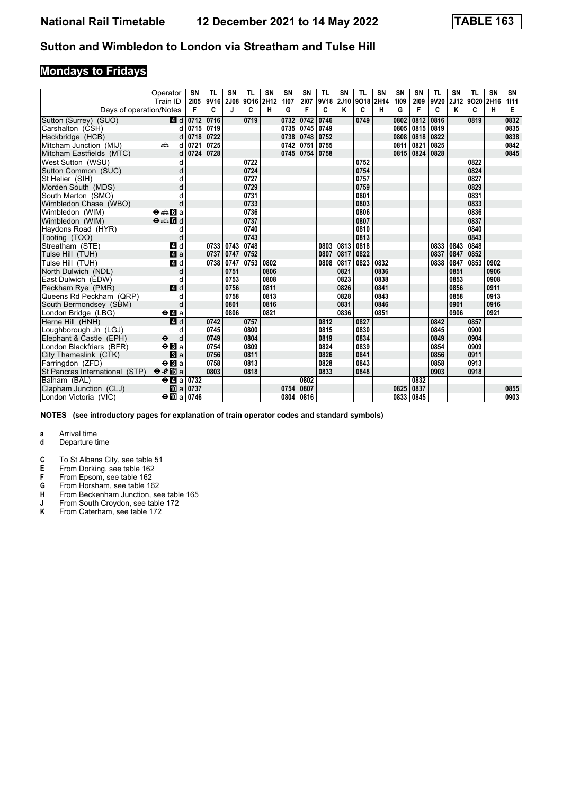# **Mondays to Fridays**

|                                | Operator                                                                                                              | SN                                    | TL        | <b>SN</b> | TL<br>9016 | <b>SN</b><br>2H12 | SN<br>1107  | <b>SN</b> | <b>TL</b><br>9V18 | SN        | <b>TL</b>      | SN   | <b>SN</b> | <b>SN</b> | <b>TL</b><br>9V20 | <b>SN</b> | <b>TL</b><br>9020 | <b>SN</b> | SN        |
|--------------------------------|-----------------------------------------------------------------------------------------------------------------------|---------------------------------------|-----------|-----------|------------|-------------------|-------------|-----------|-------------------|-----------|----------------|------|-----------|-----------|-------------------|-----------|-------------------|-----------|-----------|
| Days of operation/Notes        | Train ID                                                                                                              | 2105<br>F                             | 9V16<br>C | 2J08<br>J | C          | н                 | G           | 2107<br>F | C                 | 2J10<br>Κ | 9018 2H14<br>C | н    | 1109<br>G | 2109<br>F | C                 | 2J12<br>Κ | C                 | 2H16<br>н | 1111<br>Е |
| Sutton (Surrey) (SUO)          | 4 d                                                                                                                   | 0712                                  | 0716      |           | 0719       |                   | 0732        | 0742      | 0746              |           | 0749           |      | 0802      | 0812      | 0816              |           | 0819              |           | 0832      |
| Carshalton (CSH)               | d                                                                                                                     | 0715                                  | 0719      |           |            |                   |             | 0735 0745 | 0749              |           |                |      | 0805      | 0815      | 0819              |           |                   |           | 0835      |
| Hackbridge (HCB)               | d                                                                                                                     | 0718                                  | 0722      |           |            |                   | 0738        | 0748      | 0752              |           |                |      | 0808      | 0818      | 0822              |           |                   |           | 0838      |
| Mitcham Junction (MIJ)         | and and the second second the second second the second second the second second the second second that $\hat{a}$<br>d | 0721                                  | 0725      |           |            |                   | 0742   0751 |           | 0755              |           |                |      | 0811      | 0821      | 0825              |           |                   |           | 0842      |
| Mitcham Eastfields (MTC)       | d                                                                                                                     | 0724                                  | 0728      |           |            |                   | 0745        | 0754      | 0758              |           |                |      | 0815      | 0824      | 0828              |           |                   |           | 0845      |
| West Sutton (WSU)              | d                                                                                                                     |                                       |           |           | 0722       |                   |             |           |                   |           | 0752           |      |           |           |                   |           | 0822              |           |           |
| Sutton Common (SUC)            | d                                                                                                                     |                                       |           |           | 0724       |                   |             |           |                   |           | 0754           |      |           |           |                   |           | 0824              |           |           |
| St Helier (SIH)                |                                                                                                                       |                                       |           |           | 0727       |                   |             |           |                   |           | 0757           |      |           |           |                   |           | 0827              |           |           |
| Morden South (MDS)             |                                                                                                                       |                                       |           |           | 0729       |                   |             |           |                   |           | 0759           |      |           |           |                   |           | 0829              |           |           |
| South Merton (SMO)             |                                                                                                                       |                                       |           |           | 0731       |                   |             |           |                   |           | 0801           |      |           |           |                   |           | 0831              |           |           |
| Wimbledon Chase (WBO)          | d                                                                                                                     |                                       |           |           | 0733       |                   |             |           |                   |           | 0803           |      |           |           |                   |           | 0833              |           |           |
| Wimbledon (WIM)                | $\Theta = \blacksquare$ $\blacksquare$ a                                                                              |                                       |           |           | 0736       |                   |             |           |                   |           | 0806           |      |           |           |                   |           | 0836              |           |           |
| Wimbledon (WIM)                | $\overline{\Theta}$ $\overline{\blacksquare}$ $\overline{\blacksquare}$ d                                             |                                       |           |           | 0737       |                   |             |           |                   |           | 0807           |      |           |           |                   |           | 0837              |           |           |
| Haydons Road (HYR)             | d                                                                                                                     |                                       |           |           | 0740       |                   |             |           |                   |           | 0810           |      |           |           |                   |           | 0840              |           |           |
| Tooting (TOO)                  | d                                                                                                                     |                                       |           |           | 0743       |                   |             |           |                   |           | 0813           |      |           |           |                   |           | 0843              |           |           |
| Streatham (STE)                | 4 d                                                                                                                   |                                       | 0733      | 0743      | 0748       |                   |             |           | 0803              | 0813      | 0818           |      |           |           | 0833              | 0843      | 0848              |           |           |
| Tulse Hill (TUH)               | 4a                                                                                                                    |                                       | 0737      | 0747      | 0752       |                   |             |           | 0807              | 0817      | 0822           |      |           |           | 0837              | 0847      | 0852              |           |           |
| Tulse Hill (TUH)               | 4d                                                                                                                    |                                       | 0738      | 0747      | 0753       | 0802              |             |           | 0808              | 0817      | 0823           | 0832 |           |           | 0838              | 0847      | 0853              | 0902      |           |
| North Dulwich (NDL)            | d                                                                                                                     |                                       |           | 0751      |            | 0806              |             |           |                   | 0821      |                | 0836 |           |           |                   | 0851      |                   | 0906      |           |
| East Dulwich (EDW)             | d                                                                                                                     |                                       |           | 0753      |            | 0808              |             |           |                   | 0823      |                | 0838 |           |           |                   | 0853      |                   | 0908      |           |
| Peckham Rye (PMR)              | 4 d                                                                                                                   |                                       |           | 0756      |            | 0811              |             |           |                   | 0826      |                | 0841 |           |           |                   | 0856      |                   | 0911      |           |
| Queens Rd Peckham (QRP)        | d                                                                                                                     |                                       |           | 0758      |            | 0813              |             |           |                   | 0828      |                | 0843 |           |           |                   | 0858      |                   | 0913      |           |
| South Bermondsey (SBM)         | d                                                                                                                     |                                       |           | 0801      |            | 0816              |             |           |                   | 0831      |                | 0846 |           |           |                   | 0901      |                   | 0916      |           |
| London Bridge (LBG)            | $\Theta$ <b>d</b> a                                                                                                   |                                       |           | 0806      |            | 0821              |             |           |                   | 0836      |                | 0851 |           |           |                   | 0906      |                   | 0921      |           |
| Herne Hill (HNH)               | 4d                                                                                                                    |                                       | 0742      |           | 0757       |                   |             |           | 0812              |           | 0827           |      |           |           | 0842              |           | 0857              |           |           |
| Loughborough Jn (LGJ)          | d                                                                                                                     |                                       | 0745      |           | 0800       |                   |             |           | 0815              |           | 0830           |      |           |           | 0845              |           | 0900              |           |           |
| Elephant & Castle (EPH)        | $\ddot{\phantom{1}}$<br>d                                                                                             |                                       | 0749      |           | 0804       |                   |             |           | 0819              |           | 0834           |      |           |           | 0849              |           | 0904              |           |           |
| London Blackfriars (BFR)       | $\Theta$ <b>B</b> a                                                                                                   |                                       | 0754      |           | 0809       |                   |             |           | 0824              |           | 0839           |      |           |           | 0854              |           | 0909              |           |           |
| City Thameslink (CTK)          | a                                                                                                                     |                                       | 0756      |           | 0811       |                   |             |           | 0826              |           | 0841           |      |           |           | 0856              |           | 0911              |           |           |
| Farringdon (ZFD)               | $\Theta$ <b>B</b> a                                                                                                   |                                       | 0758      |           | 0813       |                   |             |           | 0828              |           | 0843           |      |           |           | 0858              |           | 0913              |           |           |
| St Pancras International (STP) | $\theta e$ <b>E</b> a                                                                                                 |                                       | 0803      |           | 0818       |                   |             |           | 0833              |           | 0848           |      |           |           | 0903              |           | 0918              |           |           |
| Balham (BAL)                   | $\Theta$ <b><math>\blacksquare</math></b> a                                                                           | 0732                                  |           |           |            |                   |             | 0802      |                   |           |                |      |           | 0832      |                   |           |                   |           |           |
| Clapham Junction (CLJ)         |                                                                                                                       | $\overline{10}$ a $\overline{0}$ 0737 |           |           |            |                   | 0754        | 0807      |                   |           |                |      | 0825      | 0837      |                   |           |                   |           | 0855      |
| London Victoria (VIC)          | $\div$ M <sub>a</sub>   0746                                                                                          |                                       |           |           |            |                   | 0804        | 0816      |                   |           |                |      | 0833      | 0845      |                   |           |                   |           | 0903      |

**NOTES (see introductory pages for explanation of train operator codes and standard symbols)**

- **d** Departure time
- **C** To St Albans City, see table 51<br>**E** From Dorking, see table 162
- **E** From Dorking, see table 162<br>**F** From Epsom, see table 162
- **F** From Epsom, see table 162<br>**G** From Horsham, see table 16
- **6** From Horsham, see table 162<br>**H** From Beckenham Junction, se
- **+** From Beckenham Junction, see table 165<br>**J** From South Croydon, see table 172
- **J** From South Croydon, see table 172<br>**K** From Caterham, see table 172 From Caterham, see table 172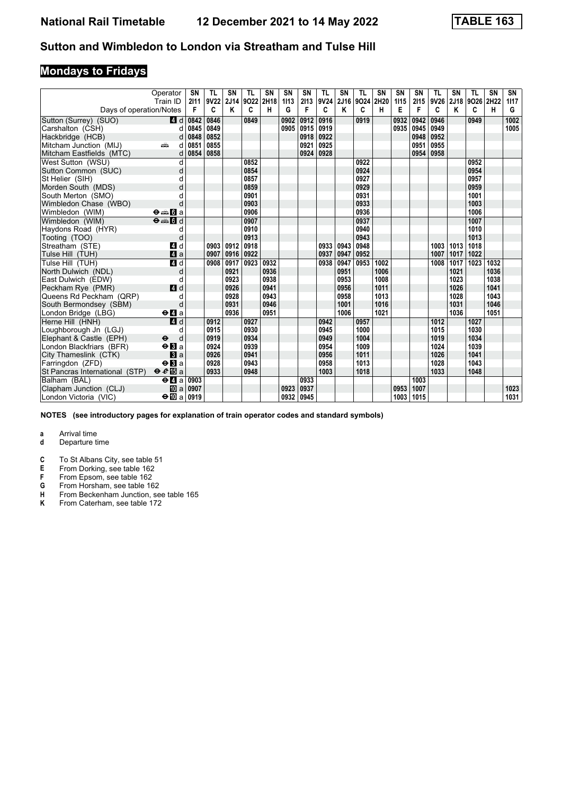# **Mondays to Fridays**

|                                | Operator<br>Train ID                        | SN<br>2111 | TL<br>9V22 | <b>SN</b><br>2J14 | TL<br>9022 | <b>SN</b><br>2H18 | SN<br>1113 | <b>SN</b><br>2113 | <b>TL</b><br>9V24 | SN<br>2J16 | TL<br>9024 2H20 | SN   | <b>SN</b><br>1115 | <b>SN</b><br>2115 | <b>TL</b><br>9V26 | <b>SN</b><br>2J18 | <b>TL</b><br>9026 | <b>SN</b><br>2H22 | SN<br>1117 |
|--------------------------------|---------------------------------------------|------------|------------|-------------------|------------|-------------------|------------|-------------------|-------------------|------------|-----------------|------|-------------------|-------------------|-------------------|-------------------|-------------------|-------------------|------------|
| Days of operation/Notes        |                                             | F          | C          | Κ                 | C          | н                 | G          | F                 | C                 | Κ          | C               | н    | Е                 | F                 | C                 | Κ                 | C                 | н                 | G          |
| Sutton (Surrey) (SUO)          | 4 d                                         | 0842       | 0846       |                   | 0849       |                   | 0902       | 0912              | 0916              |            | 0919            |      | 0932              | 0942              | 0946              |                   | 0949              |                   | 1002       |
| Carshalton (CSH)               | d                                           | 0845       | 0849       |                   |            |                   | 0905       | 0915              | 0919              |            |                 |      | 0935              | 0945              | 0949              |                   |                   |                   | 1005       |
| Hackbridge (HCB)               | d                                           | 0848       | 0852       |                   |            |                   |            | 0918              | 0922              |            |                 |      |                   | 0948              | 0952              |                   |                   |                   |            |
| Mitcham Junction (MIJ)         | پیش<br>d                                    | 0851       | 0855       |                   |            |                   |            | 0921              | 0925              |            |                 |      |                   | 0951              | 0955              |                   |                   |                   |            |
| Mitcham Eastfields (MTC)       | d                                           | 0854       | 0858       |                   |            |                   |            | 0924              | 0928              |            |                 |      |                   | 0954              | 0958              |                   |                   |                   |            |
| West Sutton (WSU)              | d                                           |            |            |                   | 0852       |                   |            |                   |                   |            | 0922            |      |                   |                   |                   |                   | 0952              |                   |            |
| Sutton Common (SUC)            | d                                           |            |            |                   | 0854       |                   |            |                   |                   |            | 0924            |      |                   |                   |                   |                   | 0954              |                   |            |
| St Helier (SIH)                |                                             |            |            |                   | 0857       |                   |            |                   |                   |            | 0927            |      |                   |                   |                   |                   | 0957              |                   |            |
| Morden South (MDS)             |                                             |            |            |                   | 0859       |                   |            |                   |                   |            | 0929            |      |                   |                   |                   |                   | 0959              |                   |            |
| South Merton (SMO)             |                                             |            |            |                   | 0901       |                   |            |                   |                   |            | 0931            |      |                   |                   |                   |                   | 1001              |                   |            |
| Wimbledon Chase (WBO)          | d                                           |            |            |                   | 0903       |                   |            |                   |                   |            | 0933            |      |                   |                   |                   |                   | 1003              |                   |            |
| Wimbledon (WIM)                | $\Theta = \blacksquare$ $\blacksquare$ a    |            |            |                   | 0906       |                   |            |                   |                   |            | 0936            |      |                   |                   |                   |                   | 1006              |                   |            |
| Wimbledon (WIM)                | $\Theta = 5d$                               |            |            |                   | 0907       |                   |            |                   |                   |            | 0937            |      |                   |                   |                   |                   | 1007              |                   |            |
| Haydons Road (HYR)             | d                                           |            |            |                   | 0910       |                   |            |                   |                   |            | 0940            |      |                   |                   |                   |                   | 1010              |                   |            |
| Tooting (TOO)                  | d                                           |            |            |                   | 0913       |                   |            |                   |                   |            | 0943            |      |                   |                   |                   |                   | 1013              |                   |            |
| Streatham (STE)                | 4 d                                         |            | 0903       | 0912              | 0918       |                   |            |                   | 0933              | 0943       | 0948            |      |                   |                   | 1003              | 1013              | 1018              |                   |            |
| Tulse Hill (TUH)               | a                                           |            | 0907       | 0916              | 0922       |                   |            |                   | 0937              | 0947       | 0952            |      |                   |                   | 1007              | 1017              | 1022              |                   |            |
| Tulse Hill (TUH)               | 4d                                          |            | 0908       | 0917              | 0923       | 0932              |            |                   | 0938              | 0947       | 0953            | 1002 |                   |                   | 1008              | 1017              | 1023              | 1032              |            |
| North Dulwich (NDL)            | d                                           |            |            | 0921              |            | 0936              |            |                   |                   | 0951       |                 | 1006 |                   |                   |                   | 1021              |                   | 1036              |            |
| East Dulwich (EDW)             | d                                           |            |            | 0923              |            | 0938              |            |                   |                   | 0953       |                 | 1008 |                   |                   |                   | 1023              |                   | 1038              |            |
| Peckham Rye (PMR)              | 4 d                                         |            |            | 0926              |            | 0941              |            |                   |                   | 0956       |                 | 1011 |                   |                   |                   | 1026              |                   | 1041              |            |
| Queens Rd Peckham (QRP)        | d                                           |            |            | 0928              |            | 0943              |            |                   |                   | 0958       |                 | 1013 |                   |                   |                   | 1028              |                   | 1043              |            |
| South Bermondsey (SBM)         | d                                           |            |            | 0931              |            | 0946              |            |                   |                   | 1001       |                 | 1016 |                   |                   |                   | 1031              |                   | 1046              |            |
| London Bridge (LBG)            | $\Theta$ <b><math>\blacksquare</math></b> a |            |            | 0936              |            | 0951              |            |                   |                   | 1006       |                 | 1021 |                   |                   |                   | 1036              |                   | 1051              |            |
| Herne Hill (HNH)               | 4d                                          |            | 0912       |                   | 0927       |                   |            |                   | 0942              |            | 0957            |      |                   |                   | 1012              |                   | 1027              |                   |            |
| Loughborough Jn (LGJ)          | d                                           |            | 0915       |                   | 0930       |                   |            |                   | 0945              |            | 1000            |      |                   |                   | 1015              |                   | 1030              |                   |            |
| Elephant & Castle (EPH)        | $\ddot{\mathbf{e}}$<br>d                    |            | 0919       |                   | 0934       |                   |            |                   | 0949              |            | 1004            |      |                   |                   | 1019              |                   | 1034              |                   |            |
| London Blackfriars (BFR)       | $\Theta$ <b>B</b> a                         |            | 0924       |                   | 0939       |                   |            |                   | 0954              |            | 1009            |      |                   |                   | 1024              |                   | 1039              |                   |            |
| City Thameslink (CTK)          | a                                           |            | 0926       |                   | 0941       |                   |            |                   | 0956              |            | 1011            |      |                   |                   | 1026              |                   | 1041              |                   |            |
| Farringdon (ZFD)               | $\Theta$ <b>B</b> a                         |            | 0928       |                   | 0943       |                   |            |                   | 0958              |            | 1013            |      |                   |                   | 1028              |                   | 1043              |                   |            |
| St Pancras International (STP) | $\theta e$ <b>E</b> a                       |            | 0933       |                   | 0948       |                   |            |                   | 1003              |            | 1018            |      |                   |                   | 1033              |                   | 1048              |                   |            |
| Balham (BAL)                   | $\Theta$ <b><math>\blacksquare</math></b> a | 0903       |            |                   |            |                   |            | 0933              |                   |            |                 |      |                   | 1003              |                   |                   |                   |                   |            |
| Clapham Junction (CLJ)         | <b>ID</b> al                                | 0907       |            |                   |            |                   | 0923       | 0937              |                   |            |                 |      | 0953              | 1007              |                   |                   |                   |                   | 1023       |
| London Victoria (VIC)          | $\div$ M <sub>a</sub>   0919                |            |            |                   |            |                   | 0932       | 0945              |                   |            |                 |      | 1003              | 1015              |                   |                   |                   |                   | 1031       |

**NOTES (see introductory pages for explanation of train operator codes and standard symbols)**

- **d** Departure time
- **C** To St Albans City, see table 51<br>**E** From Dorking, see table 162
- **E** From Dorking, see table 162<br>**F** From Epsom, see table 162
- **F** From Epsom, see table 162<br>**G** From Horsham, see table 16
- **6** From Horsham, see table 162<br>**H** From Beckenham Junction, se
- **+** From Beckenham Junction, see table 165<br>**K** From Caterham, see table 172 From Caterham, see table 172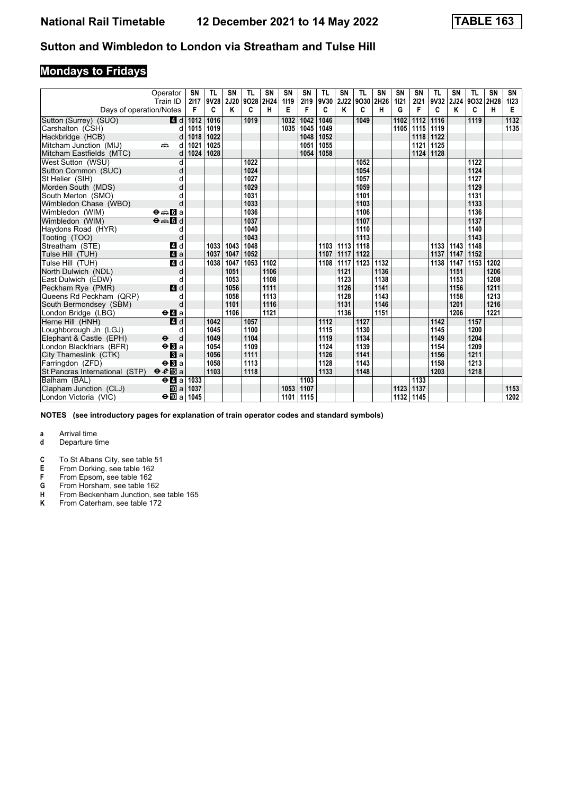# **Mondays to Fridays**

|                                | Operator<br>Train ID                        | SN<br>2117 | TL<br>9V28 | SN<br>2J20 | TL<br>9028 | <b>SN</b><br>2H24 | <b>SN</b><br>1119 | SN<br>2119 | <b>TL</b><br>9V30 2J22 | SN   | TL<br>9O30 2H26 | <b>SN</b> | <b>SN</b><br>1121 | <b>SN</b><br>2121 | <b>TL</b><br>9V32 | SN<br><b>2J24</b> | TL<br>9O32 2H28 | <b>SN</b> | SN<br>1123       |
|--------------------------------|---------------------------------------------|------------|------------|------------|------------|-------------------|-------------------|------------|------------------------|------|-----------------|-----------|-------------------|-------------------|-------------------|-------------------|-----------------|-----------|------------------|
| Days of operation/Notes        |                                             | F          | C          | ĸ          | C          | н                 | Е                 | F          | C                      | Κ    | C               | н         | G                 | F                 | C                 | K                 | C               | н         | Е                |
| Sutton (Surrey) (SUO)          | 4 d                                         | 1012       | 1016       |            | 1019       |                   | 1032              | 1042       | 1046                   |      | 1049            |           | 1102              | 1112              | 1116              |                   | 1119            |           | $\frac{1132}{2}$ |
| Carshalton (CSH)               | d                                           | 1015       | 1019       |            |            |                   | 1035              | 1045       | 1049                   |      |                 |           | 1105              | 1115              | 1119              |                   |                 |           | 1135             |
| Hackbridge (HCB)               | d                                           | 1018       | 1022       |            |            |                   |                   | 1048       | 1052                   |      |                 |           |                   | 1118              | 1122              |                   |                 |           |                  |
| Mitcham Junction (MIJ)         | ain<br>d                                    | 1021       | 1025       |            |            |                   |                   | 1051       | 1055                   |      |                 |           |                   | 1121              | 1125              |                   |                 |           |                  |
| Mitcham Eastfields (MTC)       | d                                           | 1024       | 1028       |            |            |                   |                   | 1054       | 1058                   |      |                 |           |                   | 1124              | 1128              |                   |                 |           |                  |
| West Sutton (WSU)              | d                                           |            |            |            | 1022       |                   |                   |            |                        |      | 1052            |           |                   |                   |                   |                   | 1122            |           |                  |
| Sutton Common (SUC)            | d                                           |            |            |            | 1024       |                   |                   |            |                        |      | 1054            |           |                   |                   |                   |                   | 1124            |           |                  |
| St Helier (SIH)                | d                                           |            |            |            | 1027       |                   |                   |            |                        |      | 1057            |           |                   |                   |                   |                   | 1127            |           |                  |
| Morden South (MDS)             | d                                           |            |            |            | 1029       |                   |                   |            |                        |      | 1059            |           |                   |                   |                   |                   | 1129            |           |                  |
| South Merton (SMO)             |                                             |            |            |            | 1031       |                   |                   |            |                        |      | 1101            |           |                   |                   |                   |                   | 1131            |           |                  |
| Wimbledon Chase (WBO)          | d                                           |            |            |            | 1033       |                   |                   |            |                        |      | 1103            |           |                   |                   |                   |                   | 1133            |           |                  |
| Wimbledon (WIM)                | $\Theta = \blacksquare$ $\blacksquare$ a    |            |            |            | 1036       |                   |                   |            |                        |      | 1106            |           |                   |                   |                   |                   | 1136            |           |                  |
| Wimbledon (WIM)                | $\Theta = \blacksquare$                     |            |            |            | 1037       |                   |                   |            |                        |      | 1107            |           |                   |                   |                   |                   | 1137            |           |                  |
| Haydons Road (HYR)             | d                                           |            |            |            | 1040       |                   |                   |            |                        |      | 1110            |           |                   |                   |                   |                   | 1140            |           |                  |
| Tooting (TOO)                  | d                                           |            |            |            | 1043       |                   |                   |            |                        |      | 1113            |           |                   |                   |                   |                   | 1143            |           |                  |
| Streatham (STE)                | 4 d                                         |            | 1033       | 1043       | 1048       |                   |                   |            | 1103                   | 1113 | 1118            |           |                   |                   |                   | 1133 1143         | 1148            |           |                  |
| Tulse Hill (TUH)               | 4a                                          |            | 1037       | 1047       | 1052       |                   |                   |            | 1107                   | 1117 | 1122            |           |                   |                   | 1137              | 1147              | 1152            |           |                  |
| Tulse Hill (TUH)               | 4d                                          |            | 1038       | 1047       | 1053       | 1102              |                   |            | 1108                   | 1117 | 1123            | 1132      |                   |                   | 1138              | $\overline{1}147$ | 1153            | 1202      |                  |
| North Dulwich (NDL)            | d                                           |            |            | 1051       |            | 1106              |                   |            |                        | 1121 |                 | 1136      |                   |                   |                   | 1151              |                 | 1206      |                  |
| East Dulwich (EDW)             | d                                           |            |            | 1053       |            | 1108              |                   |            |                        | 1123 |                 | 1138      |                   |                   |                   | 1153              |                 | 1208      |                  |
| Peckham Rye (PMR)              | 4 d                                         |            |            | 1056       |            | 1111              |                   |            |                        | 1126 |                 | 1141      |                   |                   |                   | 1156              |                 | 1211      |                  |
| Queens Rd Peckham (QRP)        | d                                           |            |            | 1058       |            | 1113              |                   |            |                        | 1128 |                 | 1143      |                   |                   |                   | 1158              |                 | 1213      |                  |
| South Bermondsey (SBM)         | d                                           |            |            | 1101       |            | 1116              |                   |            |                        | 1131 |                 | 1146      |                   |                   |                   | 1201              |                 | 1216      |                  |
| London Bridge (LBG)            | $\Theta$ <b>d</b> a                         |            |            | 1106       |            | 1121              |                   |            |                        | 1136 |                 | 1151      |                   |                   |                   | 1206              |                 | 1221      |                  |
| Herne Hill (HNH)               | $\overline{a}$ d                            |            | 1042       |            | 1057       |                   |                   |            | 1112                   |      | 1127            |           |                   |                   | 1142              |                   | 1157            |           |                  |
| Loughborough Jn (LGJ)          | d                                           |            | 1045       |            | 1100       |                   |                   |            | 1115                   |      | 1130            |           |                   |                   | 1145              |                   | 1200            |           |                  |
| Elephant & Castle (EPH)        | $\ddot{\boldsymbol{\Theta}}$<br>d           |            | 1049       |            | 1104       |                   |                   |            | 1119                   |      | 1134            |           |                   |                   | 1149              |                   | 1204            |           |                  |
| London Blackfriars (BFR)       | $\Theta$ <b>B</b> a                         |            | 1054       |            | 1109       |                   |                   |            | 1124                   |      | 1139            |           |                   |                   | 1154              |                   | 1209            |           |                  |
| City Thameslink (CTK)          | a                                           |            | 1056       |            | 1111       |                   |                   |            | 1126                   |      | 1141            |           |                   |                   | 1156              |                   | 1211            |           |                  |
| Farringdon (ZFD)               | $\Theta$ <b>B</b> a                         |            | 1058       |            | 1113       |                   |                   |            | 1128                   |      | 1143            |           |                   |                   | 1158              |                   | 1213            |           |                  |
| St Pancras International (STP) | $\theta e$ Ea                               |            | 1103       |            | 1118       |                   |                   |            | 1133                   |      | 1148            |           |                   |                   | 1203              |                   | 1218            |           |                  |
| Balham (BAL)                   | $\Theta$ <b><math>\blacksquare</math></b> a | 1033       |            |            |            |                   |                   | 1103       |                        |      |                 |           |                   | 1133              |                   |                   |                 |           |                  |
| Clapham Junction (CLJ)         | <b>ID</b> a                                 | 1037       |            |            |            |                   | 1053              | 1107       |                        |      |                 |           | 1123              | 1137              |                   |                   |                 |           | 1153             |
| London Victoria (VIC)          | $\div$ 1045                                 |            |            |            |            |                   | 1101              | 1115       |                        |      |                 |           | 1132              | 1145              |                   |                   |                 |           | 1202             |

**NOTES (see introductory pages for explanation of train operator codes and standard symbols)**

- **d** Departure time
- **C** To St Albans City, see table 51<br>**E** From Dorking, see table 162
- **E** From Dorking, see table 162<br>**F** From Epsom, see table 162
- **F** From Epsom, see table 162<br>**G** From Horsham, see table 16
- **6** From Horsham, see table 162<br>**H** From Beckenham Junction, se
- **+** From Beckenham Junction, see table 165<br>**K** From Caterham, see table 172 From Caterham, see table 172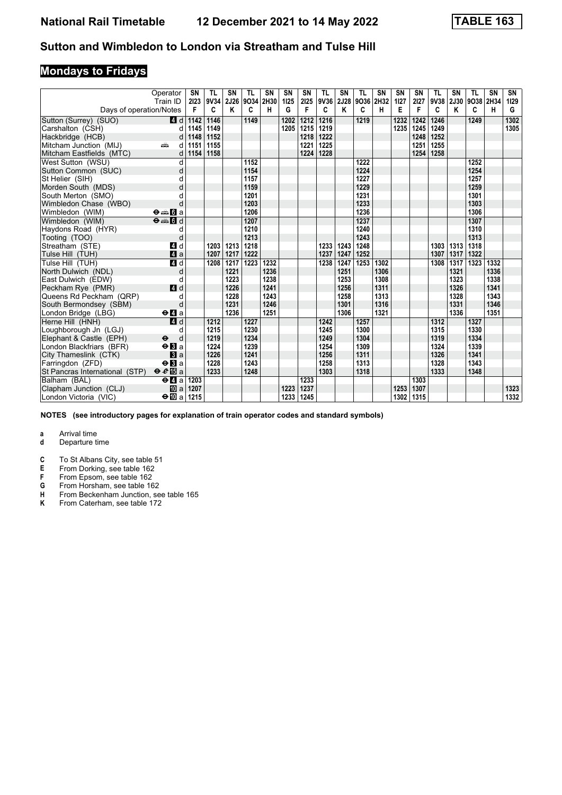# **Mondays to Fridays**

|                                | Operator<br>Train ID                        | SN<br>2123 | TL<br>9V34 | SN<br>2J26 | TL<br>9034 | <b>SN</b><br>2H30 | SN<br>1125 | SN<br>2125 | <b>TL</b><br>9V36 | SΝ<br>2J28 | TL<br>9O36 2H32 | <b>SN</b> | <b>SN</b><br>1127 | <b>SN</b><br>2127 | <b>TL</b><br>9V38 | SN<br><b>2J30</b> | <b>TL</b><br>9038 | <b>SN</b><br>2H34 | SN<br>1129 |
|--------------------------------|---------------------------------------------|------------|------------|------------|------------|-------------------|------------|------------|-------------------|------------|-----------------|-----------|-------------------|-------------------|-------------------|-------------------|-------------------|-------------------|------------|
| Days of operation/Notes        |                                             | F          | C          | Κ          | C          | н                 | G          | F          | C                 | Κ          | C               | н         | Е                 | F                 | C                 | Κ                 | C                 | н                 | G          |
| Sutton (Surrey) (SUO)          | 4 d                                         | 1142       | 1146       |            | 1149       |                   | 1202       | 1212       | 1216              |            | 1219            |           | 1232              | 1242              | 1246              |                   | 1249              |                   | 1302       |
| Carshalton (CSH)               | d                                           | 1145       | 1149       |            |            |                   | 1205       | 1215       | 1219              |            |                 |           | 1235              | 1245              | 1249              |                   |                   |                   | 1305       |
| Hackbridge (HCB)               | d                                           | 1148       | 1152       |            |            |                   |            | 1218       | 1222              |            |                 |           |                   | 1248              | 1252              |                   |                   |                   |            |
| Mitcham Junction (MIJ)         | ain<br>d                                    | 1151       | 1155       |            |            |                   |            | 1221       | 1225              |            |                 |           |                   | 1251              | 1255              |                   |                   |                   |            |
| Mitcham Eastfields (MTC)       | d                                           | 1154       | 1158       |            |            |                   |            | 1224       | 1228              |            |                 |           |                   | 1254              | 1258              |                   |                   |                   |            |
| West Sutton (WSU)              | d                                           |            |            |            | 1152       |                   |            |            |                   |            | 1222            |           |                   |                   |                   |                   | 1252              |                   |            |
| Sutton Common (SUC)            | d                                           |            |            |            | 1154       |                   |            |            |                   |            | 1224            |           |                   |                   |                   |                   | 1254              |                   |            |
| St Helier (SIH)                | d                                           |            |            |            | 1157       |                   |            |            |                   |            | 1227            |           |                   |                   |                   |                   | 1257              |                   |            |
| Morden South (MDS)             | d                                           |            |            |            | 1159       |                   |            |            |                   |            | 1229            |           |                   |                   |                   |                   | 1259              |                   |            |
| South Merton (SMO)             |                                             |            |            |            | 1201       |                   |            |            |                   |            | 1231            |           |                   |                   |                   |                   | 1301              |                   |            |
| Wimbledon Chase (WBO)          | d                                           |            |            |            | 1203       |                   |            |            |                   |            | 1233            |           |                   |                   |                   |                   | 1303              |                   |            |
| Wimbledon (WIM)                | $\Theta = \blacksquare$ $\blacksquare$ a    |            |            |            | 1206       |                   |            |            |                   |            | 1236            |           |                   |                   |                   |                   | 1306              |                   |            |
| Wimbledon (WIM)                | $\Theta = \blacksquare$                     |            |            |            | 1207       |                   |            |            |                   |            | 1237            |           |                   |                   |                   |                   | 1307              |                   |            |
| Haydons Road (HYR)             | d                                           |            |            |            | 1210       |                   |            |            |                   |            | 1240            |           |                   |                   |                   |                   | 1310              |                   |            |
| Tooting (TOO)                  | d                                           |            |            |            | 1213       |                   |            |            |                   |            | 1243            |           |                   |                   |                   |                   | 1313              |                   |            |
| Streatham (STE)                | 4 d                                         |            | 1203       | 1213       | 1218       |                   |            |            | 1233              | 1243       | 1248            |           |                   |                   | 1303              | 1313              | 1318              |                   |            |
| Tulse Hill (TUH)               | 4a                                          |            | 1207       | 1217       | 1222       |                   |            |            | 1237              | 1247       | 1252            |           |                   |                   | 1307              | 1317              | 1322              |                   |            |
| Tulse Hill (TUH)               | 4d                                          |            | 1208       | 1217       | 1223       | 1232              |            |            | 1238              | 1247       | 1253            | 1302      |                   |                   | 1308              | 1317              | 1323              | 1332              |            |
| North Dulwich (NDL)            | d                                           |            |            | 1221       |            | 1236              |            |            |                   | 1251       |                 | 1306      |                   |                   |                   | 1321              |                   | 1336              |            |
| East Dulwich (EDW)             | d                                           |            |            | 1223       |            | 1238              |            |            |                   | 1253       |                 | 1308      |                   |                   |                   | 1323              |                   | 1338              |            |
| Peckham Rye (PMR)              | 4 d                                         |            |            | 1226       |            | 1241              |            |            |                   | 1256       |                 | 1311      |                   |                   |                   | 1326              |                   | 1341              |            |
| Queens Rd Peckham (QRP)        | d                                           |            |            | 1228       |            | 1243              |            |            |                   | 1258       |                 | 1313      |                   |                   |                   | 1328              |                   | 1343              |            |
| South Bermondsey (SBM)         | d                                           |            |            | 1231       |            | 1246              |            |            |                   | 1301       |                 | 1316      |                   |                   |                   | 1331              |                   | 1346              |            |
| London Bridge (LBG)            | $\Theta$ <b>d</b> a                         |            |            | 1236       |            | 1251              |            |            |                   | 1306       |                 | 1321      |                   |                   |                   | 1336              |                   | 1351              |            |
| Herne Hill (HNH)               | $\overline{a}$ d                            |            | 1212       |            | 1227       |                   |            |            | 1242              |            | 1257            |           |                   |                   | 1312              |                   | 1327              |                   |            |
| Loughborough Jn (LGJ)          | d                                           |            | 1215       |            | 1230       |                   |            |            | 1245              |            | 1300            |           |                   |                   | 1315              |                   | 1330              |                   |            |
| Elephant & Castle (EPH)        | $\ddot{\mathbf{e}}$<br>d                    |            | 1219       |            | 1234       |                   |            |            | 1249              |            | 1304            |           |                   |                   | 1319              |                   | 1334              |                   |            |
| London Blackfriars (BFR)       | $\Theta$ <b>B</b> a                         |            | 1224       |            | 1239       |                   |            |            | 1254              |            | 1309            |           |                   |                   | 1324              |                   | 1339              |                   |            |
| City Thameslink (CTK)          | a                                           |            | 1226       |            | 1241       |                   |            |            | 1256              |            | 1311            |           |                   |                   | 1326              |                   | 1341              |                   |            |
| Farringdon (ZFD)               | $\Theta$ <b>B</b> a                         |            | 1228       |            | 1243       |                   |            |            | 1258              |            | 1313            |           |                   |                   | 1328              |                   | 1343              |                   |            |
| St Pancras International (STP) | $\Theta \cdot e \mathbb{E}$ a               |            | 1233       |            | 1248       |                   |            |            | 1303              |            | 1318            |           |                   |                   | 1333              |                   | 1348              |                   |            |
| Balham (BAL)                   | $\Theta$ <b><math>\blacksquare</math></b> a | 1203       |            |            |            |                   |            | 1233       |                   |            |                 |           |                   | 1303              |                   |                   |                   |                   |            |
| Clapham Junction (CLJ)         | <b>ID</b> al                                | 1207       |            |            |            |                   | 1223       | 1237       |                   |            |                 |           | 1253              | 1307              |                   |                   |                   |                   | 1323       |
| London Victoria (VIC)          | $\div$ 10 a 1215                            |            |            |            |            |                   | 1233       | 1245       |                   |            |                 |           | 1302              | 1315              |                   |                   |                   |                   | 1332       |

**NOTES (see introductory pages for explanation of train operator codes and standard symbols)**

- **d** Departure time
- **C** To St Albans City, see table 51<br>**E** From Dorking, see table 162
- **E** From Dorking, see table 162<br>**F** From Epsom, see table 162
- **F** From Epsom, see table 162<br>**G** From Horsham, see table 16
- **6** From Horsham, see table 162<br>**H** From Beckenham Junction, se
- **+** From Beckenham Junction, see table 165<br>**K** From Caterham, see table 172 From Caterham, see table 172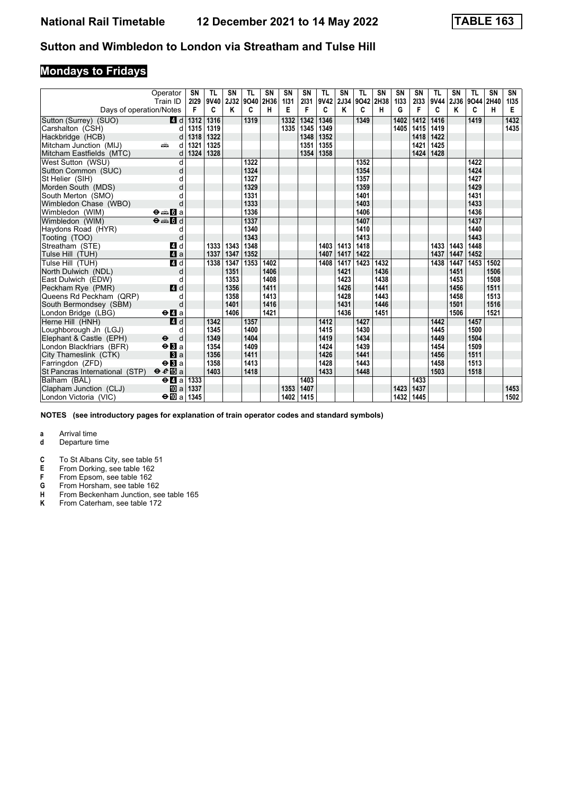# **Mondays to Fridays**

|                                | Operator<br>Train ID                        | SN<br>2129 | TL<br>9V40 | SN<br>2J32 | TL<br>9040 | <b>SN</b><br>2H36 | SN<br>1131 | SN<br>2131 | <b>TL</b><br>9V42 | SΝ<br>2J34 | TL<br>9O42 2H38 | <b>SN</b> | <b>SN</b><br>1133 | <b>SN</b><br>2133 | <b>TL</b><br>9V44 | SN<br>2J36 | <b>TL</b><br>9044 | <b>SN</b><br>2H40 | SN<br>1135 |
|--------------------------------|---------------------------------------------|------------|------------|------------|------------|-------------------|------------|------------|-------------------|------------|-----------------|-----------|-------------------|-------------------|-------------------|------------|-------------------|-------------------|------------|
| Days of operation/Notes        |                                             | F          | C          | ĸ          | C          | н                 | Е          | F          | C                 | Κ          | C               | н         | G                 | F                 | C                 | Κ          | C                 | н                 | Е          |
| Sutton (Surrey) (SUO)          | 4 d                                         | 1312       | 1316       |            | 1319       |                   | 1332       | 1342       | 1346              |            | 1349            |           | 1402              | 1412              | 1416              |            | 1419              |                   | 1432       |
| Carshalton (CSH)               | d                                           | 1315       | 1319       |            |            |                   | 1335       | 1345       | 1349              |            |                 |           | 1405              | 1415              | 1419              |            |                   |                   | 1435       |
| Hackbridge (HCB)               | d                                           | 1318       | 1322       |            |            |                   |            | 1348       | 1352              |            |                 |           |                   | 1418              | 1422              |            |                   |                   |            |
| Mitcham Junction (MIJ)         | ain<br>d                                    | 1321       | 1325       |            |            |                   |            | 1351       | 1355              |            |                 |           |                   | 1421              | 1425              |            |                   |                   |            |
| Mitcham Eastfields (MTC)       | d                                           | 1324       | 1328       |            |            |                   |            | 1354       | 1358              |            |                 |           |                   | 1424              | 1428              |            |                   |                   |            |
| West Sutton (WSU)              | d                                           |            |            |            | 1322       |                   |            |            |                   |            | 1352            |           |                   |                   |                   |            | 1422              |                   |            |
| Sutton Common (SUC)            | d                                           |            |            |            | 1324       |                   |            |            |                   |            | 1354            |           |                   |                   |                   |            | 1424              |                   |            |
| St Helier (SIH)                | d                                           |            |            |            | 1327       |                   |            |            |                   |            | 1357            |           |                   |                   |                   |            | 1427              |                   |            |
| Morden South (MDS)             | d                                           |            |            |            | 1329       |                   |            |            |                   |            | 1359            |           |                   |                   |                   |            | 1429              |                   |            |
| South Merton (SMO)             |                                             |            |            |            | 1331       |                   |            |            |                   |            | 1401            |           |                   |                   |                   |            | 1431              |                   |            |
| Wimbledon Chase (WBO)          | d                                           |            |            |            | 1333       |                   |            |            |                   |            | 1403            |           |                   |                   |                   |            | 1433              |                   |            |
| Wimbledon (WIM)                | $\Theta \oplus \blacksquare$ a              |            |            |            | 1336       |                   |            |            |                   |            | 1406            |           |                   |                   |                   |            | 1436              |                   |            |
| Wimbledon (WIM)                | $\Theta = \blacksquare$                     |            |            |            | 1337       |                   |            |            |                   |            | 1407            |           |                   |                   |                   |            | 1437              |                   |            |
| Haydons Road (HYR)             | d                                           |            |            |            | 1340       |                   |            |            |                   |            | 1410            |           |                   |                   |                   |            | 1440              |                   |            |
| Tooting (TOO)                  | d                                           |            |            |            | 1343       |                   |            |            |                   |            | 1413            |           |                   |                   |                   |            | 1443              |                   |            |
| Streatham (STE)                | 4 d                                         |            | 1333       | 1343       | 1348       |                   |            |            | 1403              | 1413       | 1418            |           |                   |                   | 1433              | 1443       | 1448              |                   |            |
| Tulse Hill (TUH)               | 4a                                          |            | 1337       | 1347       | 1352       |                   |            |            | 1407              | 1417       | 1422            |           |                   |                   | 1437              | 1447       | 1452              |                   |            |
| Tulse Hill (TUH)               | 4d                                          |            | 1338       | 1347       | 1353       | 1402              |            |            | 1408              | 1417       | 1423            | 1432      |                   |                   | 1438              | 1447       | 1453              | 1502              |            |
| North Dulwich (NDL)            | d                                           |            |            | 1351       |            | 1406              |            |            |                   | 1421       |                 | 1436      |                   |                   |                   | 1451       |                   | 1506              |            |
| East Dulwich (EDW)             | d                                           |            |            | 1353       |            | 1408              |            |            |                   | 1423       |                 | 1438      |                   |                   |                   | 1453       |                   | 1508              |            |
| Peckham Rye (PMR)              | 4 d                                         |            |            | 1356       |            | 1411              |            |            |                   | 1426       |                 | 1441      |                   |                   |                   | 1456       |                   | 1511              |            |
| Queens Rd Peckham (QRP)        | d                                           |            |            | 1358       |            | 1413              |            |            |                   | 1428       |                 | 1443      |                   |                   |                   | 1458       |                   | 1513              |            |
| South Bermondsey (SBM)         | d                                           |            |            | 1401       |            | 1416              |            |            |                   | 1431       |                 | 1446      |                   |                   |                   | 1501       |                   | 1516              |            |
| London Bridge (LBG)            | $\Theta$ <b>d</b> a                         |            |            | 1406       |            | 1421              |            |            |                   | 1436       |                 | 1451      |                   |                   |                   | 1506       |                   | 1521              |            |
| Herne Hill (HNH)               | $\overline{a}$ d                            |            | 1342       |            | 1357       |                   |            |            | 1412              |            | 1427            |           |                   |                   | 1442              |            | 1457              |                   |            |
| Loughborough Jn (LGJ)          | d                                           |            | 1345       |            | 1400       |                   |            |            | 1415              |            | 1430            |           |                   |                   | 1445              |            | 1500              |                   |            |
| Elephant & Castle (EPH)        | $\ddot{\mathbf{e}}$<br>d                    |            | 1349       |            | 1404       |                   |            |            | 1419              |            | 1434            |           |                   |                   | 1449              |            | 1504              |                   |            |
| London Blackfriars (BFR)       | $\Theta$ <b>B</b> a                         |            | 1354       |            | 1409       |                   |            |            | 1424              |            | 1439            |           |                   |                   | 1454              |            | 1509              |                   |            |
| City Thameslink (CTK)          | a                                           |            | 1356       |            | 1411       |                   |            |            | 1426              |            | 1441            |           |                   |                   | 1456              |            | 1511              |                   |            |
| Farringdon (ZFD)               | $\Theta$ <b>B</b> a                         |            | 1358       |            | 1413       |                   |            |            | 1428              |            | 1443            |           |                   |                   | 1458              |            | 1513              |                   |            |
| St Pancras International (STP) | $\Theta$ $\mathcal{C}$ $\mathbb{E}$ a       |            | 1403       |            | 1418       |                   |            |            | 1433              |            | 1448            |           |                   |                   | 1503              |            | 1518              |                   |            |
| Balham (BAL)                   | $\Theta$ <b><math>\blacksquare</math></b> a | 1333       |            |            |            |                   |            | 1403       |                   |            |                 |           |                   | 1433              |                   |            |                   |                   |            |
| Clapham Junction (CLJ)         | <b>ID</b> a                                 | 1337       |            |            |            |                   | 1353       | 1407       |                   |            |                 |           | 1423              | 1437              |                   |            |                   |                   | 1453       |
| London Victoria (VIC)          | $\div$ 10 a 1345                            |            |            |            |            |                   | 1402       | 1415       |                   |            |                 |           | 1432              | 1445              |                   |            |                   |                   | 1502       |

**NOTES (see introductory pages for explanation of train operator codes and standard symbols)**

- **d** Departure time
- **C** To St Albans City, see table 51<br>**E** From Dorking, see table 162
- **E** From Dorking, see table 162<br>**F** From Epsom, see table 162
- **F** From Epsom, see table 162<br>**G** From Horsham, see table 16
- **6** From Horsham, see table 162<br>**H** From Beckenham Junction, se
- **+** From Beckenham Junction, see table 165<br>**K** From Caterham, see table 172 From Caterham, see table 172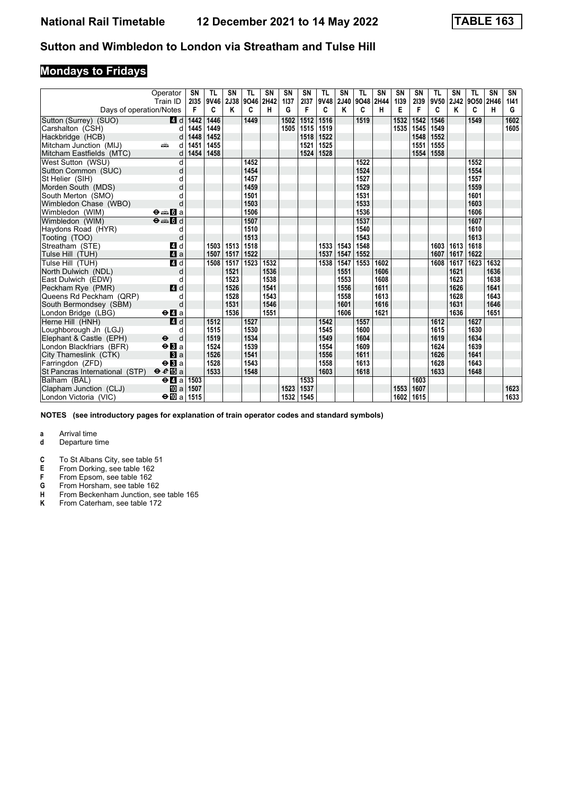# **Mondays to Fridays**

|                                | Operator<br>Train ID                        | SN<br>2135 | TL<br>9V46 | SN<br>2J38 | TL<br>9046 | <b>SN</b><br>2H42 | SN<br>1137 | <b>SN</b><br>2137 | <b>TL</b><br>9V48 | SN<br>2J40 | <b>TL</b><br>9O48 2H44 | SN   | <b>SN</b><br>1139 | <b>SN</b><br>2139 | <b>TL</b><br>9V50 | SN<br>2J42 | <b>TL</b><br>9050 | <b>SN</b><br>2H46 | SN<br>1141 |
|--------------------------------|---------------------------------------------|------------|------------|------------|------------|-------------------|------------|-------------------|-------------------|------------|------------------------|------|-------------------|-------------------|-------------------|------------|-------------------|-------------------|------------|
| Days of operation/Notes        |                                             | F          | C          | Κ          | C          | н                 | G          | F                 | C                 | Κ          | C                      | н    | Е                 | F                 | C                 | Κ          | C                 | н                 | G          |
| Sutton (Surrey) (SUO)          | 4 d                                         | 1442       | 1446       |            | 1449       |                   | 1502       | 1512              | 1516              |            | 1519                   |      | 1532              | 1542              | 1546              |            | 1549              |                   | 1602       |
| Carshalton (CSH)               | d                                           | 1445       | 1449       |            |            |                   | 1505       | 1515              | 1519              |            |                        |      | 1535              | 1545              | 1549              |            |                   |                   | 1605       |
| Hackbridge (HCB)               | d                                           | 1448       | 1452       |            |            |                   |            | 1518              | 1522              |            |                        |      |                   | 1548              | 1552              |            |                   |                   |            |
| Mitcham Junction (MIJ)         | پیش<br>d                                    | 1451       | 1455       |            |            |                   |            | 1521              | 1525              |            |                        |      |                   | 1551              | 1555              |            |                   |                   |            |
| Mitcham Eastfields (MTC)       | d                                           | 1454       | 1458       |            |            |                   |            | 1524              | 1528              |            |                        |      |                   | 1554              | 1558              |            |                   |                   |            |
| West Sutton (WSU)              | d                                           |            |            |            | 1452       |                   |            |                   |                   |            | 1522                   |      |                   |                   |                   |            | 1552              |                   |            |
| Sutton Common (SUC)            | d                                           |            |            |            | 1454       |                   |            |                   |                   |            | 1524                   |      |                   |                   |                   |            | 1554              |                   |            |
| St Helier (SIH)                |                                             |            |            |            | 1457       |                   |            |                   |                   |            | 1527                   |      |                   |                   |                   |            | 1557              |                   |            |
| Morden South (MDS)             |                                             |            |            |            | 1459       |                   |            |                   |                   |            | 1529                   |      |                   |                   |                   |            | 1559              |                   |            |
| South Merton (SMO)             |                                             |            |            |            | 1501       |                   |            |                   |                   |            | 1531                   |      |                   |                   |                   |            | 1601              |                   |            |
| Wimbledon Chase (WBO)          | d                                           |            |            |            | 1503       |                   |            |                   |                   |            | 1533                   |      |                   |                   |                   |            | 1603              |                   |            |
| Wimbledon (WIM)                | $\Theta = \blacksquare$ $\blacksquare$ a    |            |            |            | 1506       |                   |            |                   |                   |            | 1536                   |      |                   |                   |                   |            | 1606              |                   |            |
| Wimbledon (WIM)                | $\Theta = 5d$                               |            |            |            | 1507       |                   |            |                   |                   |            | 1537                   |      |                   |                   |                   |            | 1607              |                   |            |
| Haydons Road (HYR)             | d                                           |            |            |            | 1510       |                   |            |                   |                   |            | 1540                   |      |                   |                   |                   |            | 1610              |                   |            |
| Tooting (TOO)                  | d                                           |            |            |            | 1513       |                   |            |                   |                   |            | 1543                   |      |                   |                   |                   |            | 1613              |                   |            |
| Streatham (STE)                | 4 d                                         |            | 1503       | 1513       | 1518       |                   |            |                   | 1533              | 1543       | 1548                   |      |                   |                   | 1603              | 1613       | 1618              |                   |            |
| Tulse Hill (TUH)               | a                                           |            | 1507       | 1517       | 1522       |                   |            |                   | 1537              | 1547       | 1552                   |      |                   |                   | 1607              | 1617       | 1622              |                   |            |
| Tulse Hill (TUH)               | 4d                                          |            | 1508       | 1517       | 1523       | 1532              |            |                   | 1538              | 1547       | 1553                   | 1602 |                   |                   | 1608              | 1617       | 1623              | 1632              |            |
| North Dulwich (NDL)            | d                                           |            |            | 1521       |            | 1536              |            |                   |                   | 1551       |                        | 1606 |                   |                   |                   | 1621       |                   | 1636              |            |
| East Dulwich (EDW)             | d                                           |            |            | 1523       |            | 1538              |            |                   |                   | 1553       |                        | 1608 |                   |                   |                   | 1623       |                   | 1638              |            |
| Peckham Rye (PMR)              | 4 d                                         |            |            | 1526       |            | 1541              |            |                   |                   | 1556       |                        | 1611 |                   |                   |                   | 1626       |                   | 1641              |            |
| Queens Rd Peckham (QRP)        | d                                           |            |            | 1528       |            | 1543              |            |                   |                   | 1558       |                        | 1613 |                   |                   |                   | 1628       |                   | 1643              |            |
| South Bermondsey (SBM)         | d                                           |            |            | 1531       |            | 1546              |            |                   |                   | 1601       |                        | 1616 |                   |                   |                   | 1631       |                   | 1646              |            |
| London Bridge (LBG)            | $\Theta$ <b><math>\blacksquare</math></b> a |            |            | 1536       |            | 1551              |            |                   |                   | 1606       |                        | 1621 |                   |                   |                   | 1636       |                   | 1651              |            |
| Herne Hill (HNH)               | 4d                                          |            | 1512       |            | 1527       |                   |            |                   | 1542              |            | 1557                   |      |                   |                   | 1612              |            | 1627              |                   |            |
| Loughborough Jn (LGJ)          | d                                           |            | 1515       |            | 1530       |                   |            |                   | 1545              |            | 1600                   |      |                   |                   | 1615              |            | 1630              |                   |            |
| Elephant & Castle (EPH)        | $\ddot{\boldsymbol{\Theta}}$<br>d           |            | 1519       |            | 1534       |                   |            |                   | 1549              |            | 1604                   |      |                   |                   | 1619              |            | 1634              |                   |            |
| London Blackfriars (BFR)       | $\Theta$ <b>B</b> a                         |            | 1524       |            | 1539       |                   |            |                   | 1554              |            | 1609                   |      |                   |                   | 1624              |            | 1639              |                   |            |
| City Thameslink (CTK)          | a                                           |            | 1526       |            | 1541       |                   |            |                   | 1556              |            | 1611                   |      |                   |                   | 1626              |            | 1641              |                   |            |
| Farringdon (ZFD)               | $\Theta$ <b>B</b> a                         |            | 1528       |            | 1543       |                   |            |                   | 1558              |            | 1613                   |      |                   |                   | 1628              |            | 1643              |                   |            |
| St Pancras International (STP) | $\theta e$ <b>E</b> a                       |            | 1533       |            | 1548       |                   |            |                   | 1603              |            | 1618                   |      |                   |                   | 1633              |            | 1648              |                   |            |
| Balham (BAL)                   | $\Theta$ <b><math>\blacksquare</math></b> a | 1503       |            |            |            |                   |            | 1533              |                   |            |                        |      |                   | 1603              |                   |            |                   |                   |            |
| Clapham Junction (CLJ)         | <b>ID</b> a                                 | 1507       |            |            |            |                   | 1523       | 1537              |                   |            |                        |      | 1553              | 1607              |                   |            |                   |                   | 1623       |
| London Victoria (VIC)          | $\div$ 10 a 1515                            |            |            |            |            |                   | 1532       | 1545              |                   |            |                        |      | 1602              | 1615              |                   |            |                   |                   | 1633       |

**NOTES (see introductory pages for explanation of train operator codes and standard symbols)**

- **d** Departure time
- **C** To St Albans City, see table 51<br>**E** From Dorking, see table 162
- **E** From Dorking, see table 162<br>**F** From Epsom, see table 162
- **F** From Epsom, see table 162<br>**G** From Horsham, see table 16
- **6** From Horsham, see table 162<br>**H** From Beckenham Junction, se
- **+** From Beckenham Junction, see table 165<br>**K** From Caterham, see table 172 From Caterham, see table 172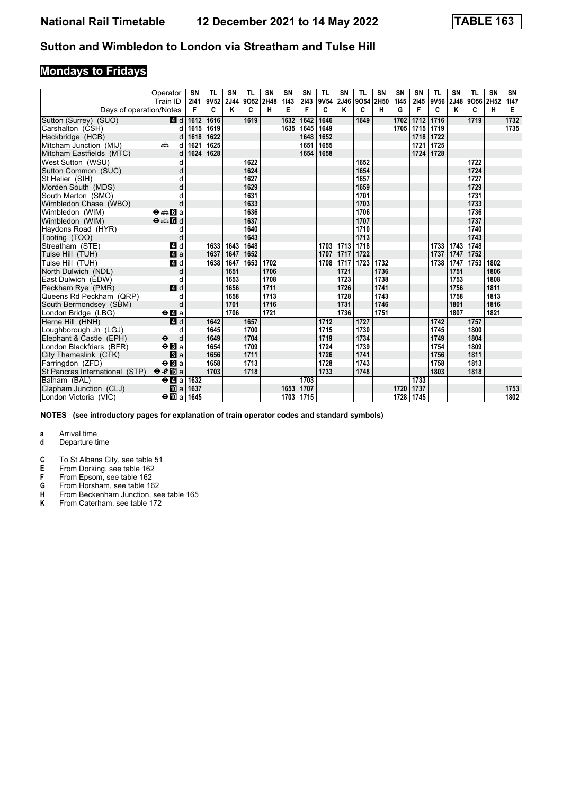# **Mondays to Fridays**

|                                | Operator<br>Train ID                        | SN<br>2141 | TL<br>9V52 | SN<br>2J44 | TL<br>9052 | <b>SN</b><br>2H48 | SN<br>1143 | SN<br>2143 | <b>TL</b><br>9V54 | SΝ<br><b>2J46</b> | TL<br>9054 | <b>SN</b><br>2H50 | <b>SN</b><br>1145 | <b>SN</b><br>2145 | <b>TL</b><br>9V56 | SN<br>2J48 | TL<br>9056 | <b>SN</b><br>2H52 | SN<br>1147 |
|--------------------------------|---------------------------------------------|------------|------------|------------|------------|-------------------|------------|------------|-------------------|-------------------|------------|-------------------|-------------------|-------------------|-------------------|------------|------------|-------------------|------------|
| Days of operation/Notes        |                                             | F          | C          | ĸ          | C          | н                 | Е          | F          | C                 | Κ                 | C          | н                 | G                 | F                 | C                 | K          | C          | н                 | Е          |
| Sutton (Surrey) (SUO)          | 4 d                                         | 1612       | 1616       |            | 1619       |                   | 1632       | 1642       | 1646              |                   | 1649       |                   | 1702              | 1712              | 1716              |            | 1719       |                   | 1732       |
| Carshalton (CSH)               | d                                           | 1615       | 1619       |            |            |                   | 1635       | 1645       | 1649              |                   |            |                   | 1705              | 1715              | 1719              |            |            |                   | 1735       |
| Hackbridge (HCB)               | d                                           | 1618       | 1622       |            |            |                   |            | 1648       | 1652              |                   |            |                   |                   | 1718              | 1722              |            |            |                   |            |
| Mitcham Junction (MIJ)         | ain<br>d                                    | 1621       | 1625       |            |            |                   |            | 1651       | 1655              |                   |            |                   |                   | 1721              | 1725              |            |            |                   |            |
| Mitcham Eastfields (MTC)       | d                                           | 1624       | 1628       |            |            |                   |            | 1654       | 1658              |                   |            |                   |                   | 1724              | 1728              |            |            |                   |            |
| West Sutton (WSU)              | d                                           |            |            |            | 1622       |                   |            |            |                   |                   | 1652       |                   |                   |                   |                   |            | 1722       |                   |            |
| Sutton Common (SUC)            | d                                           |            |            |            | 1624       |                   |            |            |                   |                   | 1654       |                   |                   |                   |                   |            | 1724       |                   |            |
| St Helier (SIH)                | d                                           |            |            |            | 1627       |                   |            |            |                   |                   | 1657       |                   |                   |                   |                   |            | 1727       |                   |            |
| Morden South (MDS)             | d                                           |            |            |            | 1629       |                   |            |            |                   |                   | 1659       |                   |                   |                   |                   |            | 1729       |                   |            |
| South Merton (SMO)             |                                             |            |            |            | 1631       |                   |            |            |                   |                   | 1701       |                   |                   |                   |                   |            | 1731       |                   |            |
| Wimbledon Chase (WBO)          | d                                           |            |            |            | 1633       |                   |            |            |                   |                   | 1703       |                   |                   |                   |                   |            | 1733       |                   |            |
| Wimbledon (WIM)                | $\Theta = \blacksquare$ $\blacksquare$ a    |            |            |            | 1636       |                   |            |            |                   |                   | 1706       |                   |                   |                   |                   |            | 1736       |                   |            |
| Wimbledon (WIM)                | $\Theta = \blacksquare$                     |            |            |            | 1637       |                   |            |            |                   |                   | 1707       |                   |                   |                   |                   |            | 1737       |                   |            |
| Haydons Road (HYR)             | d                                           |            |            |            | 1640       |                   |            |            |                   |                   | 1710       |                   |                   |                   |                   |            | 1740       |                   |            |
| Tooting (TOO)                  | d                                           |            |            |            | 1643       |                   |            |            |                   |                   | 1713       |                   |                   |                   |                   |            | 1743       |                   |            |
| Streatham (STE)                | 4 d                                         |            | 1633       | 1643       | 1648       |                   |            |            | 1703              | 1713              | 1718       |                   |                   |                   | 1733              | 1743       | 1748       |                   |            |
| Tulse Hill (TUH)               | 4a                                          |            | 1637       | 1647       | 1652       |                   |            |            | 1707              | 1717              | 1722       |                   |                   |                   | 1737              | 1747       | 1752       |                   |            |
| Tulse Hill (TUH)               | 4d                                          |            | 1638       | 1647       | 1653       | 1702              |            |            | 1708              | 1717              | 1723       | 1732              |                   |                   | 1738              | 1747       | 1753       | 1802              |            |
| North Dulwich (NDL)            | d                                           |            |            | 1651       |            | 1706              |            |            |                   | 1721              |            | 1736              |                   |                   |                   | 1751       |            | 1806              |            |
| East Dulwich (EDW)             | d                                           |            |            | 1653       |            | 1708              |            |            |                   | 1723              |            | 1738              |                   |                   |                   | 1753       |            | 1808              |            |
| Peckham Rye (PMR)              | 4d                                          |            |            | 1656       |            | 1711              |            |            |                   | 1726              |            | 1741              |                   |                   |                   | 1756       |            | 1811              |            |
| Queens Rd Peckham (QRP)        | d                                           |            |            | 1658       |            | 1713              |            |            |                   | 1728              |            | 1743              |                   |                   |                   | 1758       |            | 1813              |            |
| South Bermondsey (SBM)         | d                                           |            |            | 1701       |            | 1716              |            |            |                   | 1731              |            | 1746              |                   |                   |                   | 1801       |            | 1816              |            |
| London Bridge (LBG)            | $\Theta$ <b>d</b> a                         |            |            | 1706       |            | 1721              |            |            |                   | 1736              |            | 1751              |                   |                   |                   | 1807       |            | 1821              |            |
| Herne Hill (HNH)               | $\overline{a}$ d                            |            | 1642       |            | 1657       |                   |            |            | 1712              |                   | 1727       |                   |                   |                   | 1742              |            | 1757       |                   |            |
| Loughborough Jn (LGJ)          | d                                           |            | 1645       |            | 1700       |                   |            |            | 1715              |                   | 1730       |                   |                   |                   | 1745              |            | 1800       |                   |            |
| Elephant & Castle (EPH)        | $\ddot{\mathbf{e}}$<br>d                    |            | 1649       |            | 1704       |                   |            |            | 1719              |                   | 1734       |                   |                   |                   | 1749              |            | 1804       |                   |            |
| London Blackfriars (BFR)       | $\Theta$ <b>B</b> a                         |            | 1654       |            | 1709       |                   |            |            | 1724              |                   | 1739       |                   |                   |                   | 1754              |            | 1809       |                   |            |
| City Thameslink (CTK)          | a                                           |            | 1656       |            | 1711       |                   |            |            | 1726              |                   | 1741       |                   |                   |                   | 1756              |            | 1811       |                   |            |
| Farringdon (ZFD)               | $\Theta$ <b>B</b> a                         |            | 1658       |            | 1713       |                   |            |            | 1728              |                   | 1743       |                   |                   |                   | 1758              |            | 1813       |                   |            |
| St Pancras International (STP) | $eE$ a                                      |            | 1703       |            | 1718       |                   |            |            | 1733              |                   | 1748       |                   |                   |                   | 1803              |            | 1818       |                   |            |
| Balham (BAL)                   | $\Theta$ <b><math>\blacksquare</math></b> a | 1632       |            |            |            |                   |            | 1703       |                   |                   |            |                   |                   | 1733              |                   |            |            |                   |            |
| Clapham Junction (CLJ)         | <b>ID</b> a                                 | 1637       |            |            |            |                   | 1653       | 1707       |                   |                   |            |                   | 1720              | 1737              |                   |            |            |                   | 1753       |
| London Victoria (VIC)          | $\Theta$ [[] a                              | 1645       |            |            |            |                   | 1703       | 1715       |                   |                   |            |                   | 1728              | 1745              |                   |            |            |                   | 1802       |

**NOTES (see introductory pages for explanation of train operator codes and standard symbols)**

- **d** Departure time
- **C** To St Albans City, see table 51<br>**E** From Dorking, see table 162
- **E** From Dorking, see table 162<br>**F** From Epsom, see table 162
- **F** From Epsom, see table 162<br>**G** From Horsham, see table 16
- **6** From Horsham, see table 162<br>**H** From Beckenham Junction, se
- **+** From Beckenham Junction, see table 165<br>**K** From Caterham, see table 172 From Caterham, see table 172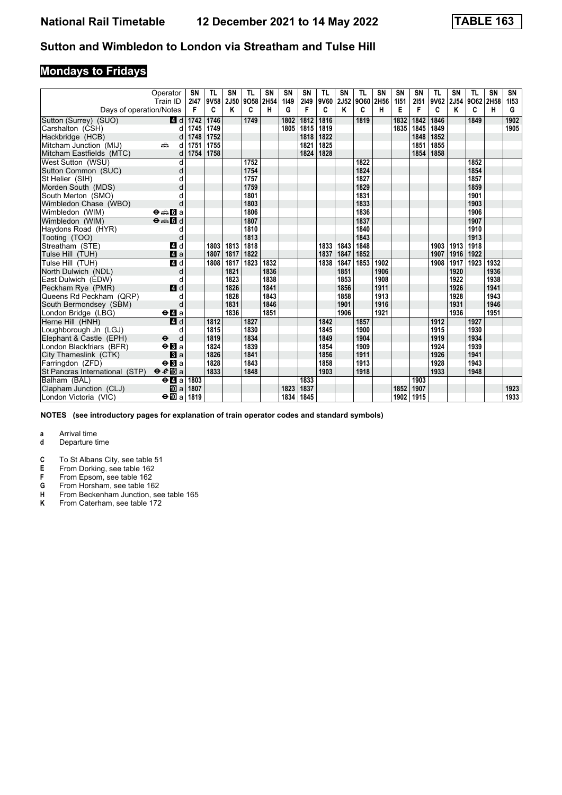# **Mondays to Fridays**

|                                | Operator<br>Train ID                        | SN<br>2147 | TL<br>9V58 | SN<br>2J50 | TL<br>9058 | SN<br>2H54 | SN<br>1149 | SN<br>2149 | <b>TL</b> | SN<br>9V60 2J52 | TL<br>9O60 2H56 | <b>SN</b> | <b>SN</b><br>1151 | <b>SN</b><br>2151 | <b>TL</b><br>9V62 | SN<br>2J54 | <b>TL</b><br>9O62 2H58 | <b>SN</b> | SN<br>1153 |
|--------------------------------|---------------------------------------------|------------|------------|------------|------------|------------|------------|------------|-----------|-----------------|-----------------|-----------|-------------------|-------------------|-------------------|------------|------------------------|-----------|------------|
| Days of operation/Notes        |                                             | F          | C          | Κ          | C          | н          | G          | F          | C         | Κ               | C               | н         | Е                 | F                 | C                 | Κ          | C                      | н         | G          |
| Sutton (Surrey) (SUO)          | 4 d                                         | 1742       | 1746       |            | 1749       |            | 1802       | 1812       | 1816      |                 | 1819            |           | 1832              | 1842              | 1846              |            | 1849                   |           | 1902       |
| Carshalton (CSH)               | d                                           | 1745       | 1749       |            |            |            | 1805       | 1815       | 1819      |                 |                 |           | 1835              | 1845              | 1849              |            |                        |           | 1905       |
| Hackbridge (HCB)               | d                                           | 1748       | 1752       |            |            |            |            | 1818       | 1822      |                 |                 |           |                   | 1848              | 1852              |            |                        |           |            |
| Mitcham Junction (MIJ)         | dia 1<br>d                                  | 1751       | 1755       |            |            |            |            | 1821       | 1825      |                 |                 |           |                   | 1851              | 1855              |            |                        |           |            |
| Mitcham Eastfields (MTC)       | d                                           | 1754       | 1758       |            |            |            |            | 1824       | 1828      |                 |                 |           |                   | 1854              | 1858              |            |                        |           |            |
| West Sutton (WSU)              | d                                           |            |            |            | 1752       |            |            |            |           |                 | 1822            |           |                   |                   |                   |            | 1852                   |           |            |
| Sutton Common (SUC)            | d                                           |            |            |            | 1754       |            |            |            |           |                 | 1824            |           |                   |                   |                   |            | 1854                   |           |            |
| St Helier (SIH)                | d                                           |            |            |            | 1757       |            |            |            |           |                 | 1827            |           |                   |                   |                   |            | 1857                   |           |            |
| Morden South (MDS)             | d                                           |            |            |            | 1759       |            |            |            |           |                 | 1829            |           |                   |                   |                   |            | 1859                   |           |            |
| South Merton (SMO)             |                                             |            |            |            | 1801       |            |            |            |           |                 | 1831            |           |                   |                   |                   |            | 1901                   |           |            |
| Wimbledon Chase (WBO)          | d                                           |            |            |            | 1803       |            |            |            |           |                 | 1833            |           |                   |                   |                   |            | 1903                   |           |            |
| Wimbledon (WIM)                | $\Theta = \blacksquare$ $\blacksquare$ a    |            |            |            | 1806       |            |            |            |           |                 | 1836            |           |                   |                   |                   |            | 1906                   |           |            |
| Wimbledon (WIM)                | $\Theta = \blacksquare$                     |            |            |            | 1807       |            |            |            |           |                 | 1837            |           |                   |                   |                   |            | 1907                   |           |            |
| Haydons Road (HYR)             | d                                           |            |            |            | 1810       |            |            |            |           |                 | 1840            |           |                   |                   |                   |            | 1910                   |           |            |
| Tooting (TOO)                  | d                                           |            |            |            | 1813       |            |            |            |           |                 | 1843            |           |                   |                   |                   |            | 1913                   |           |            |
| Streatham (STE)                | 4 d                                         |            | 1803       | 1813       | 1818       |            |            |            | 1833      | 1843            | 1848            |           |                   |                   | 1903              | 1913       | 1918                   |           |            |
| Tulse Hill (TUH)               | 4a                                          |            | 1807       | 1817       | 1822       |            |            |            | 1837      | 1847            | 1852            |           |                   |                   | 1907              | 1916       | 1922                   |           |            |
| Tulse Hill (TUH)               | 4d                                          |            | 1808       | 1817       | 1823       | 1832       |            |            | 1838      | 1847            | 1853            | 1902      |                   |                   | 1908              | 1917       | 1923                   | 1932      |            |
| North Dulwich (NDL)            | d                                           |            |            | 1821       |            | 1836       |            |            |           | 1851            |                 | 1906      |                   |                   |                   | 1920       |                        | 1936      |            |
| East Dulwich (EDW)             | d                                           |            |            | 1823       |            | 1838       |            |            |           | 1853            |                 | 1908      |                   |                   |                   | 1922       |                        | 1938      |            |
| Peckham Rye (PMR)              | 4 d                                         |            |            | 1826       |            | 1841       |            |            |           | 1856            |                 | 1911      |                   |                   |                   | 1926       |                        | 1941      |            |
| Queens Rd Peckham (QRP)        | d                                           |            |            | 1828       |            | 1843       |            |            |           | 1858            |                 | 1913      |                   |                   |                   | 1928       |                        | 1943      |            |
| South Bermondsey (SBM)         | d                                           |            |            | 1831       |            | 1846       |            |            |           | 1901            |                 | 1916      |                   |                   |                   | 1931       |                        | 1946      |            |
| London Bridge (LBG)            | $\Theta$ <b><math>\blacksquare</math></b> a |            |            | 1836       |            | 1851       |            |            |           | 1906            |                 | 1921      |                   |                   |                   | 1936       |                        | 1951      |            |
| Herne Hill (HNH)               | $\overline{a}$ d                            |            | 1812       |            | 1827       |            |            |            | 1842      |                 | 1857            |           |                   |                   | 1912              |            | 1927                   |           |            |
| Loughborough Jn (LGJ)          | d                                           |            | 1815       |            | 1830       |            |            |            | 1845      |                 | 1900            |           |                   |                   | 1915              |            | 1930                   |           |            |
| Elephant & Castle (EPH)        | $\ddot{\mathbf{e}}$<br>d                    |            | 1819       |            | 1834       |            |            |            | 1849      |                 | 1904            |           |                   |                   | 1919              |            | 1934                   |           |            |
| London Blackfriars (BFR)       | $\Theta$ <b>B</b> a                         |            | 1824       |            | 1839       |            |            |            | 1854      |                 | 1909            |           |                   |                   | 1924              |            | 1939                   |           |            |
| City Thameslink (CTK)          | a                                           |            | 1826       |            | 1841       |            |            |            | 1856      |                 | 1911            |           |                   |                   | 1926              |            | 1941                   |           |            |
| Farringdon (ZFD)               | $\Theta$ <b>B</b> a                         |            | 1828       |            | 1843       |            |            |            | 1858      |                 | 1913            |           |                   |                   | 1928              |            | 1943                   |           |            |
| St Pancras International (STP) | $\theta e$ <b>E</b> a                       |            | 1833       |            | 1848       |            |            |            | 1903      |                 | 1918            |           |                   |                   | 1933              |            | 1948                   |           |            |
| Balham (BAL)                   | $\Theta$ <b><math>\blacksquare</math></b> a | 1803       |            |            |            |            |            | 1833       |           |                 |                 |           |                   | 1903              |                   |            |                        |           |            |
| Clapham Junction (CLJ)         | <b>ID</b> a                                 | 1807       |            |            |            |            | 1823       | 1837       |           |                 |                 |           | 1852              | 1907              |                   |            |                        |           | 1923       |
| London Victoria (VIC)          | $\Theta$ [[] a                              | 1819       |            |            |            |            | 1834       | 1845       |           |                 |                 |           | 1902              | 1915              |                   |            |                        |           | 1933       |

**NOTES (see introductory pages for explanation of train operator codes and standard symbols)**

- **d** Departure time
- **C** To St Albans City, see table 51<br>**E** From Dorking, see table 162
- **E** From Dorking, see table 162<br>**F** From Epsom, see table 162
- **F** From Epsom, see table 162<br>**G** From Horsham, see table 16
- **6** From Horsham, see table 162<br>**H** From Beckenham Junction, se
- **+** From Beckenham Junction, see table 165<br>**K** From Caterham, see table 172 From Caterham, see table 172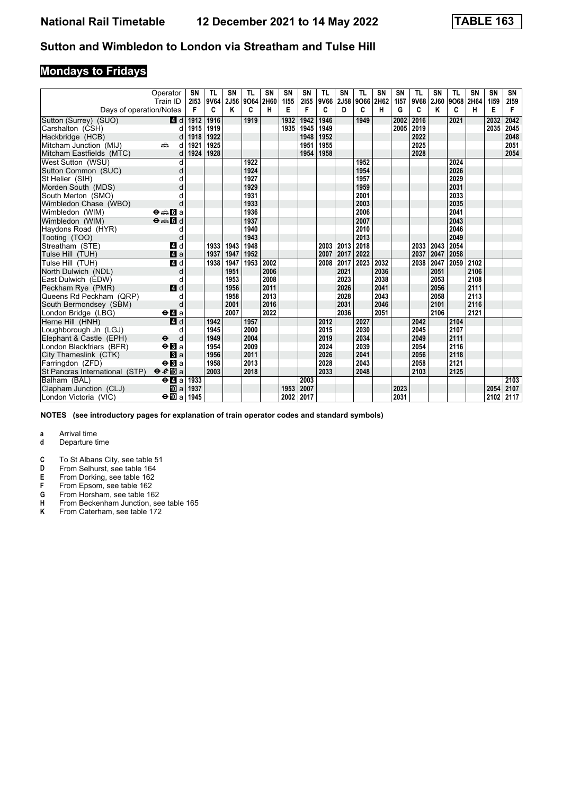# **Mondays to Fridays**

|                                | Operator<br>Train ID                        | SN<br>2153 | TL<br>9V64 | <b>SN</b><br>2J56 | <b>TL</b><br>9064 | <b>SN</b><br>2H60 | SN<br>1155 | SN<br>2155 | <b>TL</b> | <b>SN</b><br>9V66 2J58 | TL<br>9066 | <b>SN</b><br>2H62 | <b>SN</b><br>1157 | <b>TL</b><br>9V68 | SN<br>2J60 | <b>TL</b><br>9068 | <b>SN</b><br>2H64 | <b>SN</b><br>1159 | SN<br>2159 |
|--------------------------------|---------------------------------------------|------------|------------|-------------------|-------------------|-------------------|------------|------------|-----------|------------------------|------------|-------------------|-------------------|-------------------|------------|-------------------|-------------------|-------------------|------------|
| Days of operation/Notes        |                                             | F          | C          | Κ                 | C                 | н                 | E          | F          | C         | D                      | c          | н                 | G                 | C                 | Κ          | C                 | н                 | Е                 | F          |
| Sutton (Surrey) (SUO)          | 4 d                                         | 1912       | 1916       |                   | 1919              |                   | 1932       | 1942       | 1946      |                        | 1949       |                   | 2002              | 2016              |            | 2021              |                   | 2032              | 2042       |
| Carshalton (CSH)               | d                                           | 1915       | 1919       |                   |                   |                   | 1935       | 1945       | 1949      |                        |            |                   | 2005              | 2019              |            |                   |                   | 2035              | 2045       |
| Hackbridge (HCB)               | d                                           | 1918       | 1922       |                   |                   |                   |            | 1948       | 1952      |                        |            |                   |                   | 2022              |            |                   |                   |                   | 2048       |
| Mitcham Junction (MIJ)         | dia<br>d                                    | 1921       | 1925       |                   |                   |                   |            | 1951       | 1955      |                        |            |                   |                   | 2025              |            |                   |                   |                   | 2051       |
| Mitcham Eastfields (MTC)       | d                                           | 1924       | 1928       |                   |                   |                   |            | 1954       | 1958      |                        |            |                   |                   | 2028              |            |                   |                   |                   | 2054       |
| West Sutton (WSU)              | d                                           |            |            |                   | 1922              |                   |            |            |           |                        | 1952       |                   |                   |                   |            | 2024              |                   |                   |            |
| Sutton Common (SUC)            | d                                           |            |            |                   | 1924              |                   |            |            |           |                        | 1954       |                   |                   |                   |            | 2026              |                   |                   |            |
| St Helier (SIH)                | d                                           |            |            |                   | 1927              |                   |            |            |           |                        | 1957       |                   |                   |                   |            | 2029              |                   |                   |            |
| Morden South (MDS)             |                                             |            |            |                   | 1929              |                   |            |            |           |                        | 1959       |                   |                   |                   |            | 2031              |                   |                   |            |
| South Merton (SMO)             |                                             |            |            |                   | 1931              |                   |            |            |           |                        | 2001       |                   |                   |                   |            | 2033              |                   |                   |            |
| Wimbledon Chase (WBO)          | d                                           |            |            |                   | 1933              |                   |            |            |           |                        | 2003       |                   |                   |                   |            | 2035              |                   |                   |            |
| Wimbledon (WIM)                | $\Theta = \blacksquare$ $\blacksquare$ a    |            |            |                   | 1936              |                   |            |            |           |                        | 2006       |                   |                   |                   |            | 2041              |                   |                   |            |
| Wimbledon (WIM)                | $\Theta = \blacksquare$ $\blacksquare$ d    |            |            |                   | 1937              |                   |            |            |           |                        | 2007       |                   |                   |                   |            | 2043              |                   |                   |            |
| Haydons Road (HYR)             | d                                           |            |            |                   | 1940              |                   |            |            |           |                        | 2010       |                   |                   |                   |            | 2046              |                   |                   |            |
| Tooting (TOO)                  | d                                           |            |            |                   | 1943              |                   |            |            |           |                        | 2013       |                   |                   |                   |            | 2049              |                   |                   |            |
| Streatham (STE)                | ZI d                                        |            | 1933       | 1943              | 1948              |                   |            |            |           | 2003 2013              | 2018       |                   |                   | 2033              | 2043       | 2054              |                   |                   |            |
| Tulse Hill (TUH)               | $\mathbf{A}$ a                              |            | 1937       | 1947              | 1952              |                   |            |            | 2007      | 2017                   | 2022       |                   |                   | 2037              | 2047       | 2058              |                   |                   |            |
| Tulse Hill (TUH)               | 4d                                          |            | 1938       | 1947              | 1953              | 2002              |            |            |           | 2008 2017              | 2023       | 2032              |                   | 2038              | 2047       | 2059              | 2102              |                   |            |
| North Dulwich (NDL)            | d                                           |            |            | 1951              |                   | 2006              |            |            |           | 2021                   |            | 2036              |                   |                   | 2051       |                   | 2106              |                   |            |
| East Dulwich (EDW)             | d                                           |            |            | 1953              |                   | 2008              |            |            |           | 2023                   |            | 2038              |                   |                   | 2053       |                   | 2108              |                   |            |
| Peckham Rye (PMR)              | 4d                                          |            |            | 1956              |                   | 2011              |            |            |           | 2026                   |            | 2041              |                   |                   | 2056       |                   | 2111              |                   |            |
| Queens Rd Peckham (QRP)        |                                             |            |            | 1958              |                   | 2013              |            |            |           | 2028                   |            | 2043              |                   |                   | 2058       |                   | 2113              |                   |            |
| South Bermondsey (SBM)         | d                                           |            |            | 2001              |                   | 2016              |            |            |           | 2031                   |            | 2046              |                   |                   | 2101       |                   | 2116              |                   |            |
| London Bridge (LBG)            | $\Theta$ <b><math>\blacksquare</math></b> a |            |            | 2007              |                   | 2022              |            |            |           | 2036                   |            | 2051              |                   |                   | 2106       |                   | 2121              |                   |            |
| Herne Hill (HNH)               | 4d                                          |            | 1942       |                   | 1957              |                   |            |            | 2012      |                        | 2027       |                   |                   | 2042              |            | 2104              |                   |                   |            |
| Loughborough Jn (LGJ)          | d                                           |            | 1945       |                   | 2000              |                   |            |            | 2015      |                        | 2030       |                   |                   | 2045              |            | 2107              |                   |                   |            |
| Elephant & Castle (EPH)        | $\ddot{\phantom{1}}$<br>d                   |            | 1949       |                   | 2004              |                   |            |            | 2019      |                        | 2034       |                   |                   | 2049              |            | 2111              |                   |                   |            |
| London Blackfriars (BFR)       | $\Theta$ <b>B</b> a                         |            | 1954       |                   | 2009              |                   |            |            | 2024      |                        | 2039       |                   |                   | 2054              |            | 2116              |                   |                   |            |
| City Thameslink (CTK)          | a                                           |            | 1956       |                   | 2011              |                   |            |            | 2026      |                        | 2041       |                   |                   | 2056              |            | 2118              |                   |                   |            |
| Farringdon (ZFD)               | $\Theta$ <b>R</b> a                         |            | 1958       |                   | 2013              |                   |            |            | 2028      |                        | 2043       |                   |                   | 2058              |            | 2121              |                   |                   |            |
| St Pancras International (STP) | $\theta e \mathbb{E}$ a                     |            | 2003       |                   | 2018              |                   |            |            | 2033      |                        | 2048       |                   |                   | 2103              |            | 2125              |                   |                   |            |
| Balham (BAL)                   | $\Theta$ <b><math>\blacksquare</math></b> a | 1933       |            |                   |                   |                   |            | 2003       |           |                        |            |                   |                   |                   |            |                   |                   |                   | 2103       |
| Clapham Junction (CLJ)         | <b>ID</b> a                                 | 1937       |            |                   |                   |                   | 1953       | 2007       |           |                        |            |                   | 2023              |                   |            |                   |                   | 2054              | 2107       |
| London Victoria (VIC)          | $\Theta$ III a                              | 1945       |            |                   |                   |                   | 2002       | 2017       |           |                        |            |                   | 2031              |                   |            |                   |                   | 2102              | 2117       |

**NOTES (see introductory pages for explanation of train operator codes and standard symbols)**

- **d** Departure time
- **C** To St Albans City, see table 51<br>**D** From Selhurst, see table 164
- **D** From Selhurst, see table 164<br>**E** From Dorking, see table 162
- **E** From Dorking, see table 162
- **F** From Epsom, see table 162 **\*** From Epson, see table 162<br>**6** From Horsham, see table 162<br>**H** From Beckenham Junction, se
- 
- **+** From Beckenham Junction, see table 165<br>**K** From Caterham, see table 172
- From Caterham, see table 172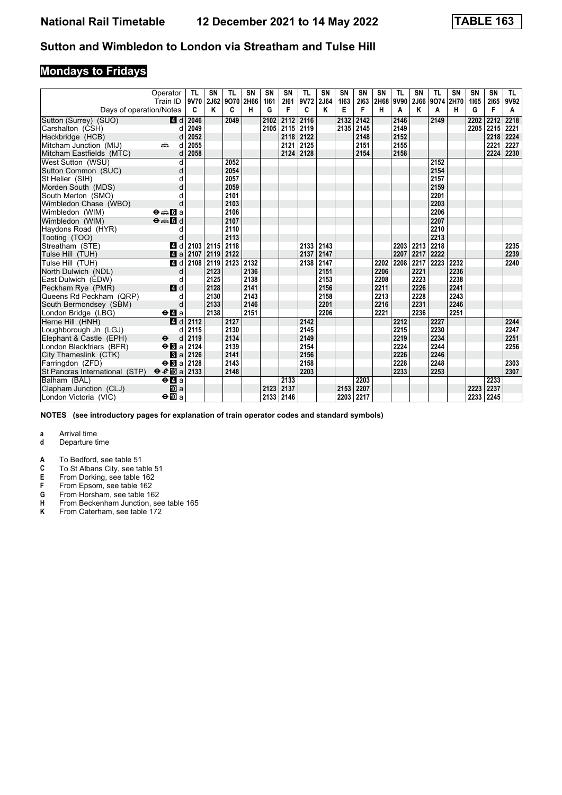# **Mondays to Fridays**

|                                | Operator<br>Train ID           | -TL<br>9V70 | SN<br>2J62 | <b>TL</b><br>9070 | <b>SN</b><br>2H66 | SN<br>1161 | SN<br>2161 | TL<br>9V72 | <b>SN</b><br>2J64 | SN<br>1163 | SN<br>2163 | <b>SN</b><br>2H68 | TL<br>9V90 | <b>SN</b><br>2J66 | <b>TL</b><br>9074 | <b>SN</b><br>2H70 | SN<br>1165 | SN<br>2165 | TL.<br>9V92 |
|--------------------------------|--------------------------------|-------------|------------|-------------------|-------------------|------------|------------|------------|-------------------|------------|------------|-------------------|------------|-------------------|-------------------|-------------------|------------|------------|-------------|
| Days of operation/Notes        |                                | C           | Κ          | C                 | н                 | G          | F          | C          | Κ                 | Е          | F          | н                 | A          | Κ                 | A                 | н                 | G          | F          | A           |
| Sutton (Surrey) (SUO)          | 4d                             | 2046        |            | 2049              |                   | 2102       | 2112       | 2116       |                   | 2132       | 2142       |                   | 2146       |                   | 2149              |                   | 2202       | 2212       | 2218        |
| Carshalton (CSH)               | d                              | 2049        |            |                   |                   | 2105       | 2115       | 2119       |                   |            | 2135 2145  |                   | 2149       |                   |                   |                   | 2205       | 2215       | 2221        |
| Hackbridge (HCB)               | d                              | 2052        |            |                   |                   |            |            | 2118 2122  |                   |            | 2148       |                   | 2152       |                   |                   |                   |            | 2218       | 2224        |
| Mitcham Junction (MIJ)         | dia<br>d                       | 2055        |            |                   |                   |            |            | 2121 2125  |                   |            | 2151       |                   | 2155       |                   |                   |                   |            | 2221       | 2227        |
| Mitcham Eastfields (MTC)       | d                              | 2058        |            |                   |                   |            | 2124       | 2128       |                   |            | 2154       |                   | 2158       |                   |                   |                   |            | 2224       | 2230        |
| West Sutton (WSU)              | d                              |             |            | 2052              |                   |            |            |            |                   |            |            |                   |            |                   | 2152              |                   |            |            |             |
| Sutton Common (SUC)            | d                              |             |            | 2054              |                   |            |            |            |                   |            |            |                   |            |                   | 2154              |                   |            |            |             |
| St Helier (SIH)                | d                              |             |            | 2057              |                   |            |            |            |                   |            |            |                   |            |                   | 2157              |                   |            |            |             |
| Morden South (MDS)             | d                              |             |            | 2059              |                   |            |            |            |                   |            |            |                   |            |                   | 2159              |                   |            |            |             |
| South Merton (SMO)             |                                |             |            | 2101              |                   |            |            |            |                   |            |            |                   |            |                   | 2201              |                   |            |            |             |
| Wimbledon Chase (WBO)          | d                              |             |            | 2103              |                   |            |            |            |                   |            |            |                   |            |                   | 2203              |                   |            |            |             |
| Wimbledon (WIM)                | $\Theta \oplus \blacksquare$ a |             |            | 2106              |                   |            |            |            |                   |            |            |                   |            |                   | 2206              |                   |            |            |             |
| Wimbledon (WIM)                | $\Theta = \Box$                |             |            | 2107              |                   |            |            |            |                   |            |            |                   |            |                   | 2207              |                   |            |            |             |
| Haydons Road (HYR)             | d                              |             |            | 2110              |                   |            |            |            |                   |            |            |                   |            |                   | 2210              |                   |            |            |             |
| Tooting (TOO)                  | d                              |             |            | 2113              |                   |            |            |            |                   |            |            |                   |            |                   | 2213              |                   |            |            |             |
| Streatham (STE)                | ZI d                           | 2103        | 2115       | 2118              |                   |            |            | 2133 2143  |                   |            |            |                   | 2203       | 2213              | 2218              |                   |            |            | 2235        |
| Tulse Hill (TUH)               | 4a                             | 2107        | 2119       | 2122              |                   |            |            | 2137       | 2147              |            |            |                   | 2207       | 2217              | 2222              |                   |            |            | 2239        |
| Tulse Hill (TUH)               | 4d                             | 2108        | 2119       | 2123              | 2132              |            |            | 2138 2147  |                   |            |            | 2202              | 2208       | 2217              | 2223              | 2232              |            |            | 2240        |
| North Dulwich (NDL)            | d                              |             | 2123       |                   | 2136              |            |            |            | 2151              |            |            | 2206              |            | 2221              |                   | 2236              |            |            |             |
| East Dulwich (EDW)             | d                              |             | 2125       |                   | 2138              |            |            |            | 2153              |            |            | 2208              |            | 2223              |                   | 2238              |            |            |             |
| Peckham Rye (PMR)              | 4 d                            |             | 2128       |                   | 2141              |            |            |            | 2156              |            |            | 2211              |            | 2226              |                   | 2241              |            |            |             |
| Queens Rd Peckham (QRP)        | d                              |             | 2130       |                   | 2143              |            |            |            | 2158              |            |            | 2213              |            | 2228              |                   | 2243              |            |            |             |
| South Bermondsey (SBM)         | d                              |             | 2133       |                   | 2146              |            |            |            | 2201              |            |            | 2216              |            | 2231              |                   | 2246              |            |            |             |
| London Bridge (LBG)            | $\Theta$ <b>d</b> a            |             | 2138       |                   | 2151              |            |            |            | 2206              |            |            | 2221              |            | 2236              |                   | 2251              |            |            |             |
| Herne Hill (HNH)               | 4d                             | 2112        |            | 2127              |                   |            |            | 2142       |                   |            |            |                   | 2212       |                   | 2227              |                   |            |            | 2244        |
| Loughborough Jn (LGJ)          | d                              | 2115        |            | 2130              |                   |            |            | 2145       |                   |            |            |                   | 2215       |                   | 2230              |                   |            |            | 2247        |
| Elephant & Castle (EPH)        | $\ddot{\mathbf{e}}$<br>d       | 2119        |            | 2134              |                   |            |            | 2149       |                   |            |            |                   | 2219       |                   | 2234              |                   |            |            | 2251        |
| London Blackfriars (BFR)       | $\Theta$ <b>B</b> a            | 2124        |            | 2139              |                   |            |            | 2154       |                   |            |            |                   | 2224       |                   | 2244              |                   |            |            | 2256        |
| City Thameslink (CTK)          | $3 a$                          | 2126        |            | 2141              |                   |            |            | 2156       |                   |            |            |                   | 2226       |                   | 2246              |                   |            |            |             |
| Farringdon (ZFD)               | $\Theta$ <b>B</b> a            | 2128        |            | 2143              |                   |            |            | 2158       |                   |            |            |                   | 2228       |                   | 2248              |                   |            |            | 2303        |
| St Pancras International (STP) | $\theta$ $\theta$ is a 2133    |             |            | 2148              |                   |            |            | 2203       |                   |            |            |                   | 2233       |                   | 2253              |                   |            |            | 2307        |
| Balham (BAL)                   | $e$ $a$                        |             |            |                   |                   |            | 2133       |            |                   |            | 2203       |                   |            |                   |                   |                   |            | 2233       |             |
| Clapham Junction (CLJ)         | <b>ID</b> a                    |             |            |                   |                   | 2123       | 2137       |            |                   | 2153       | 2207       |                   |            |                   |                   |                   | 2223       | 2237       |             |
| London Victoria (VIC)          | $\Theta$ <b>III</b> a          |             |            |                   |                   | 2133       | 2146       |            |                   |            | 2203 2217  |                   |            |                   |                   |                   | 2233       | 2245       |             |

**NOTES (see introductory pages for explanation of train operator codes and standard symbols)**

- **d** Departure time
- **A** To Bedford, see table 51<br>**C** To St Albans City, see ta
- **C** To St Albans City, see table 51<br>**E** From Dorking, see table 162
- E From Dorking, see table 162<br>**F** From Epsom, see table 162<br>**G** From Horsham, see table 16
- From Epsom, see table 162
- **6** From Horsham, see table 162<br>**H** From Beckenham Junction, se
- **+** From Beckenham Junction, see table 165<br>**K** From Caterham, see table 172
- From Caterham, see table 172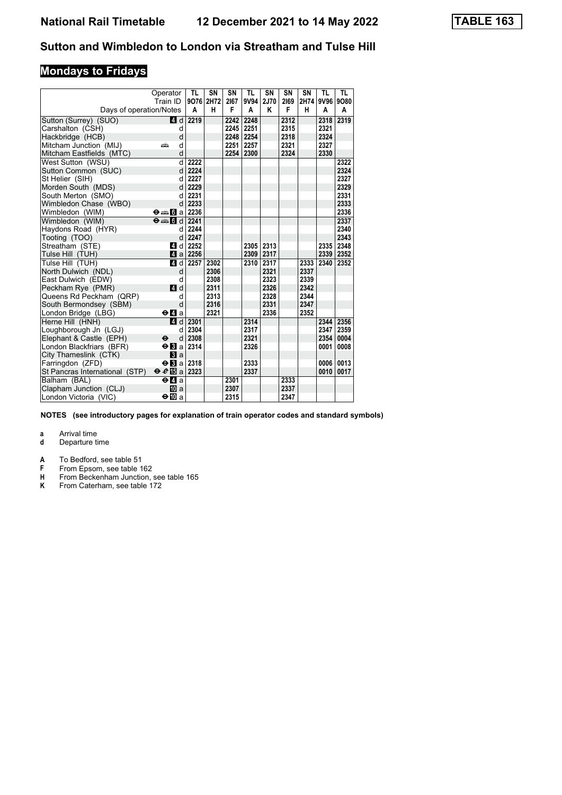# **Mondays to Fridays**

|                                | Operator                                                                                                                                             | TL                      | SN   | SN   | <b>TL</b> | SN   | SN   | SN   | <b>TL</b> | <b>TL</b> |
|--------------------------------|------------------------------------------------------------------------------------------------------------------------------------------------------|-------------------------|------|------|-----------|------|------|------|-----------|-----------|
|                                | Train ID                                                                                                                                             | 9076 2H72               |      | 2167 | 9V94      | 2J70 | 2169 | 2H74 | 9V96 9O80 |           |
| Days of operation/Notes        |                                                                                                                                                      | Α                       | н    | F    | A         | κ    | F    | н    | A         | Α         |
| Sutton (Surrey) (SUO)          | 4d                                                                                                                                                   | 2219                    |      | 2242 | 2248      |      | 2312 |      | 2318      | 2319      |
| Carshalton (CSH)               | d                                                                                                                                                    |                         |      | 2245 | 2251      |      | 2315 |      | 2321      |           |
| Hackbridge (HCB)               | d                                                                                                                                                    |                         |      | 2248 | 2254      |      | 2318 |      | 2324      |           |
| Mitcham Junction (MIJ)         | d<br>æ                                                                                                                                               |                         |      | 2251 | 2257      |      | 2321 |      | 2327      |           |
| Mitcham Eastfields (MTC)       | d                                                                                                                                                    |                         |      | 2254 | 2300      |      | 2324 |      | 2330      |           |
| West Sutton (WSU)              | d                                                                                                                                                    | 2222                    |      |      |           |      |      |      |           | 2322      |
| Sutton Common (SUC)            | d                                                                                                                                                    | 2224                    |      |      |           |      |      |      |           | 2324      |
| St Helier (SIH)                | d                                                                                                                                                    | 2227                    |      |      |           |      |      |      |           | 2327      |
| Morden South (MDS)             | d                                                                                                                                                    | 2229                    |      |      |           |      |      |      |           | 2329      |
| South Merton (SMO)             | d                                                                                                                                                    | 2231                    |      |      |           |      |      |      |           | 2331      |
| Wimbledon Chase (WBO)          | d                                                                                                                                                    | 2233                    |      |      |           |      |      |      |           | 2333      |
| Wimbledon (WIM)                | $\Theta = \boxed{3}$ a 2236                                                                                                                          |                         |      |      |           |      |      |      |           | 2336      |
| Wimbledon (WIM)                | $\Theta \oplus \blacksquare$ $\blacksquare$ $\blacksquare$ $\blacksquare$ $\blacksquare$ $\blacksquare$ $\blacksquare$ $\blacksquare$ $\blacksquare$ |                         |      |      |           |      |      |      |           | 2337      |
| Haydons Road (HYR)             | d                                                                                                                                                    | 2244                    |      |      |           |      |      |      |           | 2340      |
| Tooting (TOO)                  | d                                                                                                                                                    | 2247                    |      |      |           |      |      |      |           | 2343      |
| Streatham (STE)                | 4 d                                                                                                                                                  | 2252                    |      |      | 2305      | 2313 |      |      | 2335      | 2348      |
| Tulse Hill (TUH)               |                                                                                                                                                      | $4$ a 2256              |      |      | 2309      | 2317 |      |      | 2339      | 2352      |
| Tulse Hill (TUH)               | 4 d                                                                                                                                                  | 2257                    | 2302 |      | 2310      | 2317 |      | 2333 | 2340      | 2352      |
| North Dulwich (NDL)            | d                                                                                                                                                    |                         | 2306 |      |           | 2321 |      | 2337 |           |           |
| East Dulwich (EDW)             | d                                                                                                                                                    |                         | 2308 |      |           | 2323 |      | 2339 |           |           |
| Peckham Rye (PMR)              | 4d                                                                                                                                                   |                         | 2311 |      |           | 2326 |      | 2342 |           |           |
| Queens Rd Peckham (QRP)        | d                                                                                                                                                    |                         | 2313 |      |           | 2328 |      | 2344 |           |           |
| South Bermondsey (SBM)         | d                                                                                                                                                    |                         | 2316 |      |           | 2331 |      | 2347 |           |           |
| London Bridge (LBG)            | $\Theta$ $\blacksquare$ a                                                                                                                            |                         | 2321 |      |           | 2336 |      | 2352 |           |           |
| Herne Hill (HNH)               |                                                                                                                                                      | $\blacksquare$ d   2301 |      |      | 2314      |      |      |      | 2344      | 2356      |
| Loughborough Jn (LGJ)          | d                                                                                                                                                    | 2304                    |      |      | 2317      |      |      |      | 2347      | 2359      |
| Elephant & Castle (EPH)        | d<br>$\mathbf e$                                                                                                                                     | 2308                    |      |      | 2321      |      |      |      | 2354      | 0004      |
| London Blackfriars (BFR)       | $\Theta$ $\mathbf B$ a                                                                                                                               | 2314                    |      |      | 2326      |      |      |      | 0001      | 0008      |
| City Thameslink (CTK)          | Вl a                                                                                                                                                 |                         |      |      |           |      |      |      |           |           |
| Farringdon (ZFD)               | $\Theta$ <b>El</b> a 2318                                                                                                                            |                         |      |      | 2333      |      |      |      | 0006      | 0013      |
| St Pancras International (STP) | $\Theta$ $\mathcal{C}$ $\mathbb{E}$ a 2323                                                                                                           |                         |      |      | 2337      |      |      |      | 0010      | 0017      |
| Balham (BAL)                   | $\Theta$ <b><math>\blacksquare</math></b> a                                                                                                          |                         |      | 2301 |           |      | 2333 |      |           |           |
| Clapham Junction (CLJ)         | <b>ID</b> a                                                                                                                                          |                         |      | 2307 |           |      | 2337 |      |           |           |
| London Victoria (VIC)          | ⊖l∐Da                                                                                                                                                |                         |      | 2315 |           |      | 2347 |      |           |           |

**NOTES (see introductory pages for explanation of train operator codes and standard symbols)**

- **d** Departure time
- **A** To Bedford, see table 51<br>**F** From Epsom, see table 1
- **F** From Epsom, see table 162<br>**H** From Beckenham Junction,
- **H** From Beckenham Junction, see table 165
- **K** From Caterham, see table 172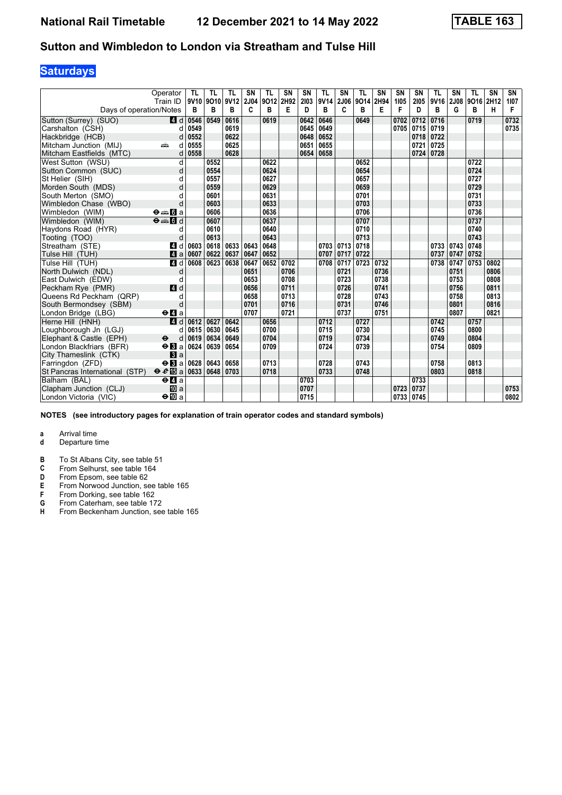## **Saturdays**

|                                | Operator<br>Train ID                        | TL   | TL<br>9V10 9O10 9V12 | TL        | <b>SN</b><br>2J04 | TL<br>9012 | SN<br>2H92 | SN<br>2103 | <b>TL</b><br>9V14 2J06 | <b>SN</b> | TL<br>9014 | <b>SN</b><br>2H94 | SN<br>1105 | <b>SN</b><br>2105 | <b>TL</b><br>9V16 | SN<br>2J08 | TL<br>9016 | <b>SN</b><br>2H12 | SN<br>1107 |
|--------------------------------|---------------------------------------------|------|----------------------|-----------|-------------------|------------|------------|------------|------------------------|-----------|------------|-------------------|------------|-------------------|-------------------|------------|------------|-------------------|------------|
| Days of operation/Notes        |                                             | в    | в                    | в         | C                 | в          | Е          | D          | в                      | C         | в          | Е                 | F          | D                 | в                 | G          | в          | н                 | F          |
| Sutton (Surrey) (SUO)          | 4 d                                         | 0546 | 0549                 | 0616      |                   | 0619       |            | 0642       | 0646                   |           | 0649       |                   | 0702       | 0712              | 0716              |            | 0719       |                   | 0732       |
| Carshalton (CSH)               | d                                           | 0549 |                      | 0619      |                   |            |            | 0645       | 0649                   |           |            |                   | 0705       | 0715              | 0719              |            |            |                   | 0735       |
| Hackbridge (HCB)               | d                                           | 0552 |                      | 0622      |                   |            |            | 0648       | 0652                   |           |            |                   |            | 0718              | 0722              |            |            |                   |            |
| Mitcham Junction (MIJ)         | dia<br>d                                    | 0555 |                      | 0625      |                   |            |            | 0651       | 0655                   |           |            |                   |            | 0721              | 0725              |            |            |                   |            |
| Mitcham Eastfields (MTC)       | d                                           | 0558 |                      | 0628      |                   |            |            | 0654       | 0658                   |           |            |                   |            | 0724              | 0728              |            |            |                   |            |
| West Sutton (WSU)              | d                                           |      | 0552                 |           |                   | 0622       |            |            |                        |           | 0652       |                   |            |                   |                   |            | 0722       |                   |            |
| Sutton Common (SUC)            | d                                           |      | 0554                 |           |                   | 0624       |            |            |                        |           | 0654       |                   |            |                   |                   |            | 0724       |                   |            |
| St Helier (SIH)                | d                                           |      | 0557                 |           |                   | 0627       |            |            |                        |           | 0657       |                   |            |                   |                   |            | 0727       |                   |            |
| Morden South (MDS)             |                                             |      | 0559                 |           |                   | 0629       |            |            |                        |           | 0659       |                   |            |                   |                   |            | 0729       |                   |            |
| South Merton (SMO)             |                                             |      | 0601                 |           |                   | 0631       |            |            |                        |           | 0701       |                   |            |                   |                   |            | 0731       |                   |            |
| Wimbledon Chase (WBO)          |                                             |      | 0603                 |           |                   | 0633       |            |            |                        |           | 0703       |                   |            |                   |                   |            | 0733       |                   |            |
| Wimbledon (WIM)                | $\Theta = \blacksquare$ $\blacksquare$ a    |      | 0606                 |           |                   | 0636       |            |            |                        |           | 0706       |                   |            |                   |                   |            | 0736       |                   |            |
| Wimbledon (WIM)                | $\theta = 1$                                |      | 0607                 |           |                   | 0637       |            |            |                        |           | 0707       |                   |            |                   |                   |            | 0737       |                   |            |
| Haydons Road (HYR)             | d                                           |      | 0610                 |           |                   | 0640       |            |            |                        |           | 0710       |                   |            |                   |                   |            | 0740       |                   |            |
| Tooting (TOO)                  | d                                           |      | 0613                 |           |                   | 0643       |            |            |                        |           | 0713       |                   |            |                   |                   |            | 0743       |                   |            |
| Streatham (STE)                | ZI d                                        | 0603 | 0618                 | 0633 0643 |                   | 0648       |            |            | $0703$ 0713            |           | 0718       |                   |            |                   | 0733              | 0743       | 0748       |                   |            |
| Tulse Hill (TUH)               | Zi a                                        | 0607 | 0622                 | 0637      | 0647              | 0652       |            |            | 0707                   | 0717      | 0722       |                   |            |                   | 0737              | 0747       | 0752       |                   |            |
| Tulse Hill (TUH)               | 4d                                          | 0608 | 0623                 | 0638      | 0647              | 0652       | 0702       |            | 0708                   | 0717      | 0723       | 0732              |            |                   | 0738              | 0747       | 0753       | 0802              |            |
| North Dulwich (NDL)            | d                                           |      |                      |           | 0651              |            | 0706       |            |                        | 0721      |            | 0736              |            |                   |                   | 0751       |            | 0806              |            |
| East Dulwich (EDW)             | d                                           |      |                      |           | 0653              |            | 0708       |            |                        | 0723      |            | 0738              |            |                   |                   | 0753       |            | 0808              |            |
| Peckham Rye (PMR)              | 4d                                          |      |                      |           | 0656              |            | 0711       |            |                        | 0726      |            | 0741              |            |                   |                   | 0756       |            | 0811              |            |
| Queens Rd Peckham (QRP)        | d                                           |      |                      |           | 0658              |            | 0713       |            |                        | 0728      |            | 0743              |            |                   |                   | 0758       |            | 0813              |            |
| South Bermondsey (SBM)         | d                                           |      |                      |           | 0701              |            | 0716       |            |                        | 0731      |            | 0746              |            |                   |                   | 0801       |            | 0816              |            |
| London Bridge (LBG)            | $\Theta$ <b><math>\blacksquare</math></b> a |      |                      |           | 0707              |            | 0721       |            |                        | 0737      |            | 0751              |            |                   |                   | 0807       |            | 0821              |            |
| Herne Hill (HNH)               | 4d                                          | 0612 | 0627                 | 0642      |                   | 0656       |            |            | 0712                   |           | 0727       |                   |            |                   | 0742              |            | 0757       |                   |            |
| Loughborough Jn (LGJ)          | d                                           | 0615 | 0630                 | 0645      |                   | 0700       |            |            | 0715                   |           | 0730       |                   |            |                   | 0745              |            | 0800       |                   |            |
| Elephant & Castle (EPH)        | $\ddot{\mathbf{e}}$<br>d                    | 0619 | 0634                 | 0649      |                   | 0704       |            |            | 0719                   |           | 0734       |                   |            |                   | 0749              |            | 0804       |                   |            |
| London Blackfriars (BFR)       | $\Theta$ <b>B</b> a                         | 0624 | 0639                 | 0654      |                   | 0709       |            |            | 0724                   |           | 0739       |                   |            |                   | 0754              |            | 0809       |                   |            |
| City Thameslink (CTK)          | $\mathbf{B}$ a                              |      |                      |           |                   |            |            |            |                        |           |            |                   |            |                   |                   |            |            |                   |            |
| Farringdon (ZFD)               | $\Theta$ <b>B</b> a                         | 0628 | 0643                 | 0658      |                   | 0713       |            |            | 0728                   |           | 0743       |                   |            |                   | 0758              |            | 0813       |                   |            |
| St Pancras International (STP) | $\Theta \cdot \theta$ is a                  | 0633 | 0648                 | 0703      |                   | 0718       |            |            | 0733                   |           | 0748       |                   |            |                   | 0803              |            | 0818       |                   |            |
| Balham (BAL)                   | $e$ $a$                                     |      |                      |           |                   |            |            | 0703       |                        |           |            |                   |            | 0733              |                   |            |            |                   |            |
| Clapham Junction (CLJ)         | <b>ID</b> a                                 |      |                      |           |                   |            |            | 0707       |                        |           |            |                   | 0723       | 0737              |                   |            |            |                   | 0753       |
| London Victoria (VIC)          | $\Theta$ $\Box$ a                           |      |                      |           |                   |            |            | 0715       |                        |           |            |                   | 0733       | 0745              |                   |            |            |                   | 0802       |

**NOTES (see introductory pages for explanation of train operator codes and standard symbols)**

- **d** Departure time
- **B** To St Albans City, see table 51<br>**C** From Selhurst, see table 164
- **C** From Selhurst, see table 164<br>**D** From Epsom, see table 62
- 
- **D** From Epsom, see table 62<br>**E** From Norwood Junction, see<br>**F** From Dorking, see table 16 **From Norwood Junction, see table 165**
- **F** From Dorking, see table 162<br>**G** From Caterham, see table 17
- **6** From Caterham, see table 172<br>**H** From Beckenham Junction, see **From Beckenham Junction, see table 165**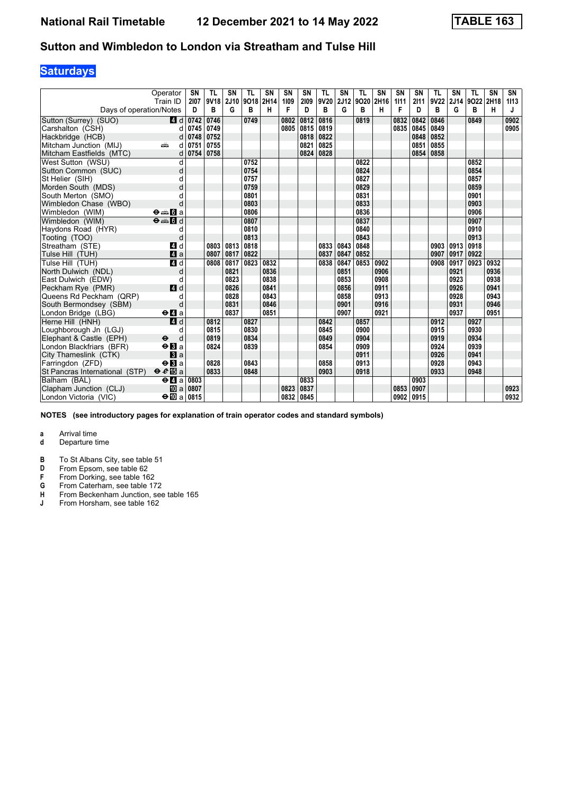## **Saturdays**

|                                | Operator<br>Train ID                              | SN<br>2107                            | TL<br>9V18 | SN<br>2J10 | TL<br>9018 | <b>SN</b><br>2H14 | SN<br>1109 | SN<br>2109 | <b>TL</b><br>9V20 | SΝ<br>2J12 | TL<br>9O20 2H16 | <b>SN</b> | <b>SN</b><br>1111 | <b>SN</b><br>2111 | TL<br>9V22 | SN<br>2J14 | TL<br>9022 | <b>SN</b><br>2H18 | SN<br>1113 |
|--------------------------------|---------------------------------------------------|---------------------------------------|------------|------------|------------|-------------------|------------|------------|-------------------|------------|-----------------|-----------|-------------------|-------------------|------------|------------|------------|-------------------|------------|
| Days of operation/Notes        |                                                   | D                                     | в          | G          | B          | н                 | F          | D          | В                 | G          | B               | н         | F                 | D                 | B          | G          | в          | н                 | J          |
| Sutton (Surrey) (SUO)          | 4 d                                               | 0742                                  | 0746       |            | 0749       |                   | 0802       | 0812       | 0816              |            | 0819            |           | 0832              | 0842              | 0846       |            | 0849       |                   | 0902       |
| Carshalton (CSH)               | d                                                 | 0745                                  | 0749       |            |            |                   | 0805       | 0815       | 0819              |            |                 |           | 0835              | 0845              | 0849       |            |            |                   | 0905       |
| Hackbridge (HCB)               | d                                                 | 0748                                  | 0752       |            |            |                   |            | 0818       | 0822              |            |                 |           |                   | 0848              | 0852       |            |            |                   |            |
| Mitcham Junction (MIJ)         | ain<br>d                                          | 0751                                  | 0755       |            |            |                   |            | 0821       | 0825              |            |                 |           |                   | 0851              | 0855       |            |            |                   |            |
| Mitcham Eastfields (MTC)       | d                                                 | 0754                                  | 0758       |            |            |                   |            | 0824       | 0828              |            |                 |           |                   | 0854              | 0858       |            |            |                   |            |
| West Sutton (WSU)              | d                                                 |                                       |            |            | 0752       |                   |            |            |                   |            | 0822            |           |                   |                   |            |            | 0852       |                   |            |
| Sutton Common (SUC)            | d                                                 |                                       |            |            | 0754       |                   |            |            |                   |            | 0824            |           |                   |                   |            |            | 0854       |                   |            |
| St Helier (SIH)                | d                                                 |                                       |            |            | 0757       |                   |            |            |                   |            | 0827            |           |                   |                   |            |            | 0857       |                   |            |
| Morden South (MDS)             | d                                                 |                                       |            |            | 0759       |                   |            |            |                   |            | 0829            |           |                   |                   |            |            | 0859       |                   |            |
| South Merton (SMO)             |                                                   |                                       |            |            | 0801       |                   |            |            |                   |            | 0831            |           |                   |                   |            |            | 0901       |                   |            |
| Wimbledon Chase (WBO)          | d                                                 |                                       |            |            | 0803       |                   |            |            |                   |            | 0833            |           |                   |                   |            |            | 0903       |                   |            |
| Wimbledon (WIM)                | $\Theta = \begin{bmatrix} 1 \\ 0 \end{bmatrix}$ a |                                       |            |            | 0806       |                   |            |            |                   |            | 0836            |           |                   |                   |            |            | 0906       |                   |            |
| Wimbledon (WIM)                | $\Theta = \begin{bmatrix} 1 \\ 0 \end{bmatrix}$   |                                       |            |            | 0807       |                   |            |            |                   |            | 0837            |           |                   |                   |            |            | 0907       |                   |            |
| Haydons Road (HYR)             | d                                                 |                                       |            |            | 0810       |                   |            |            |                   |            | 0840            |           |                   |                   |            |            | 0910       |                   |            |
| Tooting (TOO)                  | d                                                 |                                       |            |            | 0813       |                   |            |            |                   |            | 0843            |           |                   |                   |            |            | 0913       |                   |            |
| Streatham (STE)                | 4 d                                               |                                       | 0803       | 0813       | 0818       |                   |            |            | 0833              | 0843       | 0848            |           |                   |                   | 0903       | 0913       | 0918       |                   |            |
| Tulse Hill (TUH)               | $\mathbf{A}$ a                                    |                                       | 0807       | 0817       | 0822       |                   |            |            | 0837              | 0847       | 0852            |           |                   |                   | 0907       | 0917       | 0922       |                   |            |
| Tulse Hill (TUH)               | 4d                                                |                                       | 0808       | 0817       | 0823       | 0832              |            |            | 0838              | 0847       | 0853            | 0902      |                   |                   | 0908       | 0917       | 0923       | 0932              |            |
| North Dulwich (NDL)            | d                                                 |                                       |            | 0821       |            | 0836              |            |            |                   | 0851       |                 | 0906      |                   |                   |            | 0921       |            | 0936              |            |
| East Dulwich (EDW)             | d                                                 |                                       |            | 0823       |            | 0838              |            |            |                   | 0853       |                 | 0908      |                   |                   |            | 0923       |            | 0938              |            |
| Peckham Rye (PMR)              | 4d                                                |                                       |            | 0826       |            | 0841              |            |            |                   | 0856       |                 | 0911      |                   |                   |            | 0926       |            | 0941              |            |
| Queens Rd Peckham (QRP)        | d                                                 |                                       |            | 0828       |            | 0843              |            |            |                   | 0858       |                 | 0913      |                   |                   |            | 0928       |            | 0943              |            |
| South Bermondsey (SBM)         | d                                                 |                                       |            | 0831       |            | 0846              |            |            |                   | 0901       |                 | 0916      |                   |                   |            | 0931       |            | 0946              |            |
| London Bridge (LBG)            | $\Theta$ <b>d</b> a                               |                                       |            | 0837       |            | 0851              |            |            |                   | 0907       |                 | 0921      |                   |                   |            | 0937       |            | 0951              |            |
| Herne Hill (HNH)               | $\overline{a}$ d                                  |                                       | 0812       |            | 0827       |                   |            |            | 0842              |            | 0857            |           |                   |                   | 0912       |            | 0927       |                   |            |
| Loughborough Jn (LGJ)          | d                                                 |                                       | 0815       |            | 0830       |                   |            |            | 0845              |            | 0900            |           |                   |                   | 0915       |            | 0930       |                   |            |
| Elephant & Castle (EPH)        | $\ddot{\boldsymbol{\Theta}}$<br>d                 |                                       | 0819       |            | 0834       |                   |            |            | 0849              |            | 0904            |           |                   |                   | 0919       |            | 0934       |                   |            |
| London Blackfriars (BFR)       | $\Theta$ <b>B</b> a                               |                                       | 0824       |            | 0839       |                   |            |            | 0854              |            | 0909            |           |                   |                   | 0924       |            | 0939       |                   |            |
| City Thameslink (CTK)          | a                                                 |                                       |            |            |            |                   |            |            |                   |            | 0911            |           |                   |                   | 0926       |            | 0941       |                   |            |
| Farringdon (ZFD)               | $\Theta$ <b>B</b> a                               |                                       | 0828       |            | 0843       |                   |            |            | 0858              |            | 0913            |           |                   |                   | 0928       |            | 0943       |                   |            |
| St Pancras International (STP) | $\theta e$ <b>E</b> a                             |                                       | 0833       |            | 0848       |                   |            |            | 0903              |            | 0918            |           |                   |                   | 0933       |            | 0948       |                   |            |
| Balham (BAL)                   | $\Theta$ <b><math>\Omega</math></b> a             | 0803                                  |            |            |            |                   |            | 0833       |                   |            |                 |           |                   | 0903              |            |            |            |                   |            |
| Clapham Junction (CLJ)         |                                                   | $\overline{10}$ a $\overline{0}$ 0807 |            |            |            |                   | 0823       | 0837       |                   |            |                 |           | 0853              | 0907              |            |            |            |                   | 0923       |
| London Victoria (VIC)          | $\div$ 10 a 0815                                  |                                       |            |            |            |                   | 0832       | 0845       |                   |            |                 |           | 0902              | 0915              |            |            |            |                   | 0932       |

**NOTES (see introductory pages for explanation of train operator codes and standard symbols)**

- **d** Departure time
- **B** To St Albans City, see table 51<br>**D** From Epsom, see table 62
- **D** From Epsom, see table 62<br>**F** From Dorking, see table 16
- **F** From Dorking, see table 162<br>**G** From Caterham, see table 17
- **\*** From Caterham see table 17
- **+** From Beckenham Junction, see table 165<br> **4** From Horsham, see table 162
- From Horsham, see table 162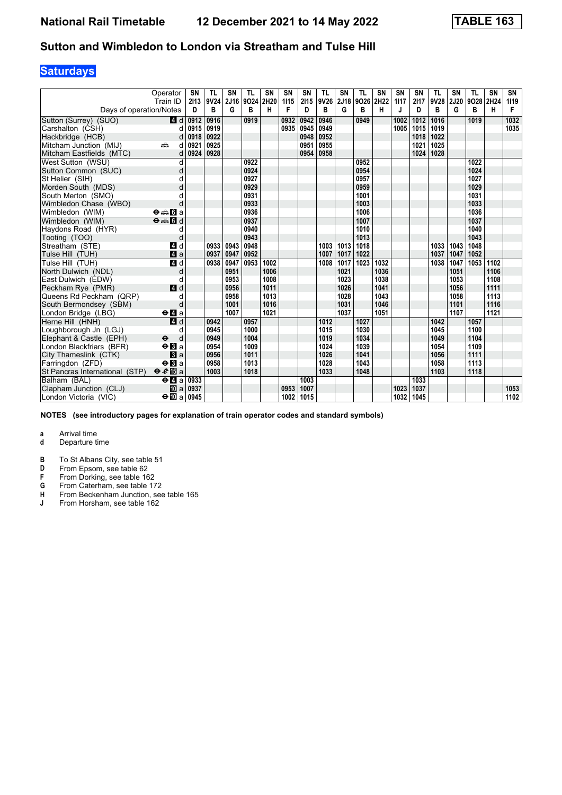## **Saturdays**

|                                | Operator<br>Train ID                        | <b>SN</b><br>2113                     | TL<br>9V24 | SN<br>2J16 | <b>TL</b><br>9024 | <b>SN</b><br>2H20 | SN<br>1115 | <b>SN</b><br>2115 | <b>TL</b><br>9V26 | SN<br>2J18 | <b>TL</b><br>9026 | <b>SN</b><br>2H22 | <b>SN</b><br>1117 | <b>SN</b><br>2117 | <b>TL</b><br>9V28 | SN<br><b>2J20</b> | <b>TL</b><br>9028 | <b>SN</b><br>2H24 | SN<br>1119 |
|--------------------------------|---------------------------------------------|---------------------------------------|------------|------------|-------------------|-------------------|------------|-------------------|-------------------|------------|-------------------|-------------------|-------------------|-------------------|-------------------|-------------------|-------------------|-------------------|------------|
| Days of operation/Notes        |                                             | D                                     | в          | G          | в                 | н                 | F          | D                 | в                 | G          | в                 | н                 | J                 | D                 | В                 | G                 | в                 | н                 | F          |
| Sutton (Surrey) (SUO)          | 4d                                          | 0912                                  | 0916       |            | 0919              |                   | 0932       | 0942              | 0946              |            | 0949              |                   | 1002              | 1012              | 1016              |                   | 1019              |                   | 1032       |
| Carshalton (CSH)               | d                                           | 0915                                  | 0919       |            |                   |                   | 0935       | 0945              | 0949              |            |                   |                   | 1005              | 1015              | 1019              |                   |                   |                   | 1035       |
| Hackbridge (HCB)               | d                                           | 0918                                  | 0922       |            |                   |                   |            | 0948              | 0952              |            |                   |                   |                   | 1018              | 1022              |                   |                   |                   |            |
| Mitcham Junction (MIJ)         | dia 1<br>d                                  | 0921                                  | 0925       |            |                   |                   |            | 0951              | 0955              |            |                   |                   |                   | 1021              | 1025              |                   |                   |                   |            |
| Mitcham Eastfields (MTC)       | d                                           | 0924                                  | 0928       |            |                   |                   |            | 0954              | 0958              |            |                   |                   |                   | 1024              | 1028              |                   |                   |                   |            |
| West Sutton (WSU)              | d                                           |                                       |            |            | 0922              |                   |            |                   |                   |            | 0952              |                   |                   |                   |                   |                   | 1022              |                   |            |
| Sutton Common (SUC)            | d                                           |                                       |            |            | 0924              |                   |            |                   |                   |            | 0954              |                   |                   |                   |                   |                   | 1024              |                   |            |
| St Helier (SIH)                | d                                           |                                       |            |            | 0927              |                   |            |                   |                   |            | 0957              |                   |                   |                   |                   |                   | 1027              |                   |            |
| Morden South (MDS)             | d                                           |                                       |            |            | 0929              |                   |            |                   |                   |            | 0959              |                   |                   |                   |                   |                   | 1029              |                   |            |
| South Merton (SMO)             | d                                           |                                       |            |            | 0931              |                   |            |                   |                   |            | 1001              |                   |                   |                   |                   |                   | 1031              |                   |            |
| Wimbledon Chase (WBO)          | d                                           |                                       |            |            | 0933              |                   |            |                   |                   |            | 1003              |                   |                   |                   |                   |                   | 1033              |                   |            |
| Wimbledon (WIM)                | $\Theta = \blacksquare$ $\blacksquare$ a    |                                       |            |            | 0936              |                   |            |                   |                   |            | 1006              |                   |                   |                   |                   |                   | 1036              |                   |            |
| Wimbledon (WIM)                | $\Theta = \blacksquare$                     |                                       |            |            | 0937              |                   |            |                   |                   |            | 1007              |                   |                   |                   |                   |                   | 1037              |                   |            |
| Haydons Road (HYR)             | d                                           |                                       |            |            | 0940              |                   |            |                   |                   |            | 1010              |                   |                   |                   |                   |                   | 1040              |                   |            |
| Tooting (TOO)                  | d                                           |                                       |            |            | 0943              |                   |            |                   |                   |            | 1013              |                   |                   |                   |                   |                   | 1043              |                   |            |
| Streatham (STE)                | 4 d                                         |                                       | 0933       | 0943       | 0948              |                   |            |                   | 1003              | 1013       | 1018              |                   |                   |                   | 1033              | 1043              | 1048              |                   |            |
| Tulse Hill (TUH)               | $\mathbf{A}$ a                              |                                       | 0937       | 0947       | 0952              |                   |            |                   | 1007              | 1017       | 1022              |                   |                   |                   | 1037              | 1047              | 1052              |                   |            |
| Tulse Hill (TUH)               | 4d                                          |                                       | 0938       | 0947       | 0953              | 1002              |            |                   | 1008              | 1017       | 1023              | 1032              |                   |                   | 1038              | 1047              | 1053              | 1102              |            |
| North Dulwich (NDL)            | d                                           |                                       |            | 0951       |                   | 1006              |            |                   |                   | 1021       |                   | 1036              |                   |                   |                   | 1051              |                   | 1106              |            |
| East Dulwich (EDW)             | d                                           |                                       |            | 0953       |                   | 1008              |            |                   |                   | 1023       |                   | 1038              |                   |                   |                   | 1053              |                   | 1108              |            |
| Peckham Rye (PMR)              | 4 d                                         |                                       |            | 0956       |                   | 1011              |            |                   |                   | 1026       |                   | 1041              |                   |                   |                   | 1056              |                   | 1111              |            |
| Queens Rd Peckham (QRP)        | d                                           |                                       |            | 0958       |                   | 1013              |            |                   |                   | 1028       |                   | 1043              |                   |                   |                   | 1058              |                   | 1113              |            |
| South Bermondsey (SBM)         | d                                           |                                       |            | 1001       |                   | 1016              |            |                   |                   | 1031       |                   | 1046              |                   |                   |                   | 1101              |                   | 1116              |            |
| London Bridge (LBG)            | $\Theta$ <b><math>\blacksquare</math></b> a |                                       |            | 1007       |                   | 1021              |            |                   |                   | 1037       |                   | 1051              |                   |                   |                   | 1107              |                   | 1121              |            |
| Herne Hill (HNH)               | 4d                                          |                                       | 0942       |            | 0957              |                   |            |                   | 1012              |            | 1027              |                   |                   |                   | 1042              |                   | 1057              |                   |            |
| Loughborough Jn (LGJ)          | d                                           |                                       | 0945       |            | 1000              |                   |            |                   | 1015              |            | 1030              |                   |                   |                   | 1045              |                   | 1100              |                   |            |
| Elephant & Castle (EPH)        | $\ddot{\boldsymbol{\Theta}}$<br>d           |                                       | 0949       |            | 1004              |                   |            |                   | 1019              |            | 1034              |                   |                   |                   | 1049              |                   | 1104              |                   |            |
| London Blackfriars (BFR)       | $\Theta$ <b>B</b> a                         |                                       | 0954       |            | 1009              |                   |            |                   | 1024              |            | 1039              |                   |                   |                   | 1054              |                   | 1109              |                   |            |
| City Thameslink (CTK)          | a                                           |                                       | 0956       |            | 1011              |                   |            |                   | 1026              |            | 1041              |                   |                   |                   | 1056              |                   | 1111              |                   |            |
| Farringdon (ZFD)               | $\Theta$ <b>R</b> a                         |                                       | 0958       |            | 1013              |                   |            |                   | 1028              |            | 1043              |                   |                   |                   | 1058              |                   | 1113              |                   |            |
| St Pancras International (STP) | $\theta e$ <b>E</b> a                       |                                       | 1003       |            | 1018              |                   |            |                   | 1033              |            | 1048              |                   |                   |                   | 1103              |                   | 1118              |                   |            |
| Balham (BAL)                   | $\Theta$ <b><math>\blacksquare</math></b> a | 0933                                  |            |            |                   |                   |            | 1003              |                   |            |                   |                   |                   | 1033              |                   |                   |                   |                   |            |
| Clapham Junction (CLJ)         |                                             | $\overline{10}$ a $\overline{0}$ 0937 |            |            |                   |                   | 0953       | 1007              |                   |            |                   |                   | 1023              | 1037              |                   |                   |                   |                   | 1053       |
| London Victoria (VIC)          | $\div$ 10 a 0945                            |                                       |            |            |                   |                   | 1002       | 1015              |                   |            |                   |                   | 1032              | 1045              |                   |                   |                   |                   | 1102       |

**NOTES (see introductory pages for explanation of train operator codes and standard symbols)**

- **d** Departure time
- **B** To St Albans City, see table 51<br>**D** From Epsom, see table 62
- **D** From Epsom, see table 62<br>**F** From Dorking, see table 16
- **F** From Dorking, see table 162<br>**G** From Caterham, see table 17
- **\*** From Caterham see table 17
- **+** From Beckenham Junction, see table 165<br> **4** From Horsham, see table 162
- From Horsham, see table 162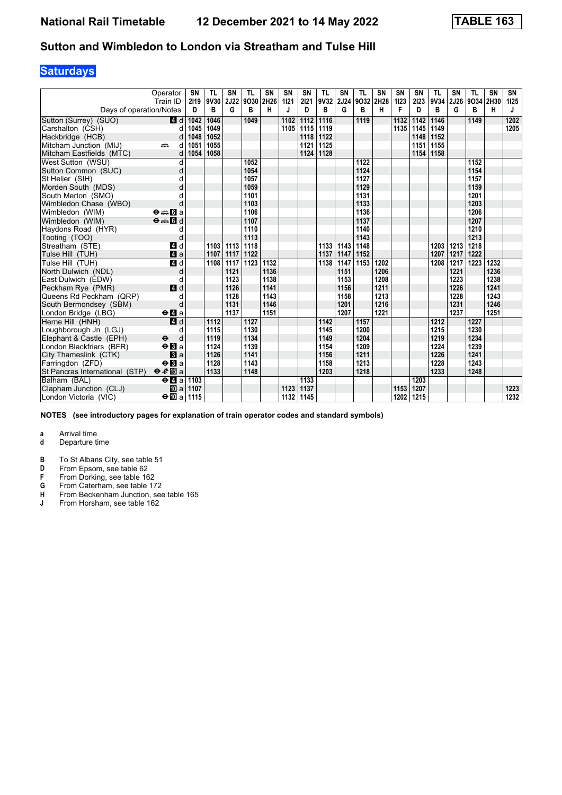## **Saturdays**

|                                | Operator<br>Train ID                              | <b>SN</b><br>2119 | TL<br>9V30 | SN<br><b>2J22</b> | <b>TL</b><br>9030 | <b>SN</b><br>2H26 | SN<br>1121 | <b>SN</b><br>2121 | <b>TL</b><br>9V32 2J24 | SN   | <b>TL</b><br>9032 | <b>SN</b><br>2H28 | <b>SN</b><br>1123 | <b>SN</b><br>2123 | <b>TL</b><br>9V34 | SN<br>2J26 | <b>TL</b><br>9O34 2H30 | <b>SN</b> | SN<br>1125 |
|--------------------------------|---------------------------------------------------|-------------------|------------|-------------------|-------------------|-------------------|------------|-------------------|------------------------|------|-------------------|-------------------|-------------------|-------------------|-------------------|------------|------------------------|-----------|------------|
| Days of operation/Notes        |                                                   | D                 | в          | G                 | в                 | н                 | J          | D                 | B                      | G    | в                 | н                 | F                 | D                 | в                 | G          | в                      | H         | J          |
| Sutton (Surrey) (SUO)          | 4 d                                               | 1042              | 1046       |                   | 1049              |                   | 1102       | 1112              | 1116                   |      | 1119              |                   | 1132              | 1142              | 1146              |            | 1149                   |           | 1202       |
| Carshalton (CSH)               | d                                                 | 1045              | 1049       |                   |                   |                   | 1105       | 1115              | 1119                   |      |                   |                   | 1135              | 1145              | 1149              |            |                        |           | 1205       |
| Hackbridge (HCB)               | d                                                 | 1048              | 1052       |                   |                   |                   |            | 1118              | 1122                   |      |                   |                   |                   | 1148              | 1152              |            |                        |           |            |
| Mitcham Junction (MIJ)         | dia 1<br>d                                        | 1051              | 1055       |                   |                   |                   |            | 1121              | 1125                   |      |                   |                   |                   | 1151              | 1155              |            |                        |           |            |
| Mitcham Eastfields (MTC)       | d                                                 | 1054              | 1058       |                   |                   |                   |            | 1124              | 1128                   |      |                   |                   |                   | 1154              | 1158              |            |                        |           |            |
| West Sutton (WSU)              | d                                                 |                   |            |                   | 1052              |                   |            |                   |                        |      | 1122              |                   |                   |                   |                   |            | 1152                   |           |            |
| Sutton Common (SUC)            | d                                                 |                   |            |                   | 1054              |                   |            |                   |                        |      | 1124              |                   |                   |                   |                   |            | 1154                   |           |            |
| St Helier (SIH)                | d                                                 |                   |            |                   | 1057              |                   |            |                   |                        |      | 1127              |                   |                   |                   |                   |            | 1157                   |           |            |
| Morden South (MDS)             | d                                                 |                   |            |                   | 1059              |                   |            |                   |                        |      | 1129              |                   |                   |                   |                   |            | 1159                   |           |            |
| South Merton (SMO)             |                                                   |                   |            |                   | 1101              |                   |            |                   |                        |      | 1131              |                   |                   |                   |                   |            | 1201                   |           |            |
| Wimbledon Chase (WBO)          | d                                                 |                   |            |                   | 1103              |                   |            |                   |                        |      | 1133              |                   |                   |                   |                   |            | 1203                   |           |            |
| Wimbledon (WIM)                | $\Theta = \begin{bmatrix} 1 \\ 0 \end{bmatrix}$ a |                   |            |                   | 1106              |                   |            |                   |                        |      | 1136              |                   |                   |                   |                   |            | 1206                   |           |            |
| Wimbledon (WIM)                | $\Theta = \begin{bmatrix} 1 \\ 0 \end{bmatrix}$   |                   |            |                   | 1107              |                   |            |                   |                        |      | 1137              |                   |                   |                   |                   |            | 1207                   |           |            |
| Haydons Road (HYR)             | d                                                 |                   |            |                   | 1110              |                   |            |                   |                        |      | 1140              |                   |                   |                   |                   |            | 1210                   |           |            |
| Tooting (TOO)                  | d                                                 |                   |            |                   | 1113              |                   |            |                   |                        |      | 1143              |                   |                   |                   |                   |            | 1213                   |           |            |
| Streatham (STE)                | 4 d                                               |                   | 1103       | 1113              | 1118              |                   |            |                   | 1133                   | 1143 | 1148              |                   |                   |                   | 1203              | 1213       | 1218                   |           |            |
| Tulse Hill (TUH)               | $\mathbf{A}$ a                                    |                   | 1107       | 1117              | 1122              |                   |            |                   | 1137                   | 1147 | 1152              |                   |                   |                   | 1207              | 1217       | 1222                   |           |            |
| Tulse Hill (TUH)               | 4d                                                |                   | 1108       | 1117              | 1123              | 1132              |            |                   | 1138                   | 1147 | 1153              | 1202              |                   |                   | 1208              | 1217       | 1223                   | 1232      |            |
| North Dulwich (NDL)            | d                                                 |                   |            | 1121              |                   | 1136              |            |                   |                        | 1151 |                   | 1206              |                   |                   |                   | 1221       |                        | 1236      |            |
| East Dulwich (EDW)             | d                                                 |                   |            | 1123              |                   | 1138              |            |                   |                        | 1153 |                   | 1208              |                   |                   |                   | 1223       |                        | 1238      |            |
| Peckham Rye (PMR)              | 4 d                                               |                   |            | 1126              |                   | 1141              |            |                   |                        | 1156 |                   | 1211              |                   |                   |                   | 1226       |                        | 1241      |            |
| Queens Rd Peckham (QRP)        | d                                                 |                   |            | 1128              |                   | 1143              |            |                   |                        | 1158 |                   | 1213              |                   |                   |                   | 1228       |                        | 1243      |            |
| South Bermondsey (SBM)         | d                                                 |                   |            | 1131              |                   | 1146              |            |                   |                        | 1201 |                   | 1216              |                   |                   |                   | 1231       |                        | 1246      |            |
| London Bridge (LBG)            | $\Theta$ <b>d</b> a                               |                   |            | 1137              |                   | 1151              |            |                   |                        | 1207 |                   | 1221              |                   |                   |                   | 1237       |                        | 1251      |            |
| Herne Hill (HNH)               | 4d                                                |                   | 1112       |                   | 1127              |                   |            |                   | 1142                   |      | 1157              |                   |                   |                   | 1212              |            | 1227                   |           |            |
| Loughborough Jn (LGJ)          | d                                                 |                   | 1115       |                   | 1130              |                   |            |                   | 1145                   |      | 1200              |                   |                   |                   | 1215              |            | 1230                   |           |            |
| Elephant & Castle (EPH)        | $\ddot{\boldsymbol{\Theta}}$<br>d                 |                   | 1119       |                   | 1134              |                   |            |                   | 1149                   |      | 1204              |                   |                   |                   | 1219              |            | 1234                   |           |            |
| London Blackfriars (BFR)       | $\Theta$ <b>B</b> a                               |                   | 1124       |                   | 1139              |                   |            |                   | 1154                   |      | 1209              |                   |                   |                   | 1224              |            | 1239                   |           |            |
| City Thameslink (CTK)          | a                                                 |                   | 1126       |                   | 1141              |                   |            |                   | 1156                   |      | 1211              |                   |                   |                   | 1226              |            | 1241                   |           |            |
| Farringdon (ZFD)               | $\Theta$ <b>B</b> a                               |                   | 1128       |                   | 1143              |                   |            |                   | 1158                   |      | 1213              |                   |                   |                   | 1228              |            | 1243                   |           |            |
| St Pancras International (STP) | $\theta e$ <b>E</b> a                             |                   | 1133       |                   | 1148              |                   |            |                   | 1203                   |      | 1218              |                   |                   |                   | 1233              |            | 1248                   |           |            |
| Balham (BAL)                   | $\Theta$ <b><math>\blacksquare</math></b> a       | 1103              |            |                   |                   |                   |            | 1133              |                        |      |                   |                   |                   | 1203              |                   |            |                        |           |            |
| Clapham Junction (CLJ)         | 吅 al                                              | 1107              |            |                   |                   |                   | 1123       | 1137              |                        |      |                   |                   | 1153              | 1207              |                   |            |                        |           | 1223       |
| London Victoria (VIC)          | $\div$ 10 a 1115                                  |                   |            |                   |                   |                   | 1132       | 1145              |                        |      |                   |                   | 1202              | 1215              |                   |            |                        |           | 1232       |

**NOTES (see introductory pages for explanation of train operator codes and standard symbols)**

- **d** Departure time
- **B** To St Albans City, see table 51<br>**D** From Epsom, see table 62
- **D** From Epsom, see table 62<br>**F** From Dorking, see table 16
- **F** From Dorking, see table 162<br>**G** From Caterham, see table 17
- **\*** From Caterham see table 17
- **+** From Beckenham Junction, see table 165<br> **4** From Horsham, see table 162
- From Horsham, see table 162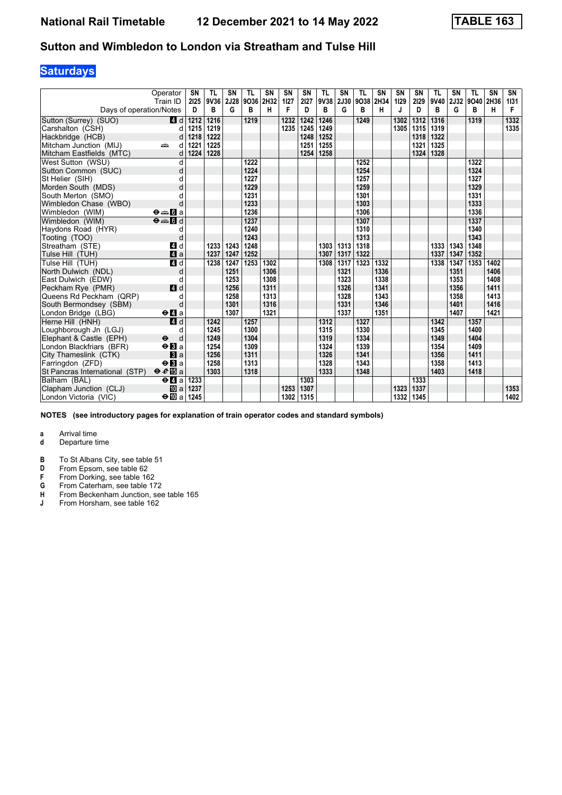## **Saturdays**

|                                | Operator<br>Train ID                        | <b>SN</b><br>2125 | <b>TL</b><br>9V36 | SN<br>2J28 | <b>TL</b><br>9036 | <b>SN</b><br>2H32 | SN<br>1127 | <b>SN</b><br>2127 | <b>TL</b><br>9V38 | SN<br>2J30 | <b>TL</b><br>9038 | <b>SN</b><br>2H34 | <b>SN</b><br>1129 | <b>SN</b><br>2129 | <b>TL</b><br>9V40 | SN<br>2J32 | <b>TL</b><br>9040 | <b>SN</b><br>2H36 | SN        |
|--------------------------------|---------------------------------------------|-------------------|-------------------|------------|-------------------|-------------------|------------|-------------------|-------------------|------------|-------------------|-------------------|-------------------|-------------------|-------------------|------------|-------------------|-------------------|-----------|
| Days of operation/Notes        |                                             | D                 | в                 | G          | в                 | н                 | F          | D                 | в                 | G          | в                 | н                 | J                 | D                 | В                 | G          | в                 | H                 | 1131<br>F |
| Sutton (Surrey) (SUO)          | 4 d                                         | 1212              | 1216              |            | 1219              |                   | 1232       | 1242              | 1246              |            | 1249              |                   | 1302              | 1312              | 1316              |            | 1319              |                   | 1332      |
| Carshalton (CSH)               | d                                           | 1215              | 1219              |            |                   |                   | 1235       | 1245              | 1249              |            |                   |                   | 1305              | 1315              | 1319              |            |                   |                   | 1335      |
| Hackbridge (HCB)               | d                                           | 1218              | 1222              |            |                   |                   |            | 1248              | 1252              |            |                   |                   |                   | 1318              | 1322              |            |                   |                   |           |
| Mitcham Junction (MIJ)         | پیش<br>d                                    | 1221              | 1225              |            |                   |                   |            | 1251              | 1255              |            |                   |                   |                   | 1321              | 1325              |            |                   |                   |           |
| Mitcham Eastfields (MTC)       | d                                           | 1224              | 1228              |            |                   |                   |            | 1254              | 1258              |            |                   |                   |                   | 1324              | 1328              |            |                   |                   |           |
| West Sutton (WSU)              | d                                           |                   |                   |            | 1222              |                   |            |                   |                   |            | 1252              |                   |                   |                   |                   |            | 1322              |                   |           |
| Sutton Common (SUC)            | d                                           |                   |                   |            | 1224              |                   |            |                   |                   |            | 1254              |                   |                   |                   |                   |            | 1324              |                   |           |
| St Helier (SIH)                | d                                           |                   |                   |            | 1227              |                   |            |                   |                   |            | 1257              |                   |                   |                   |                   |            | 1327              |                   |           |
| Morden South (MDS)             | d                                           |                   |                   |            | 1229              |                   |            |                   |                   |            | 1259              |                   |                   |                   |                   |            | 1329              |                   |           |
| South Merton (SMO)             | d                                           |                   |                   |            | 1231              |                   |            |                   |                   |            | 1301              |                   |                   |                   |                   |            | 1331              |                   |           |
| Wimbledon Chase (WBO)          | d                                           |                   |                   |            | 1233              |                   |            |                   |                   |            | 1303              |                   |                   |                   |                   |            | 1333              |                   |           |
| Wimbledon (WIM)                | $\Theta = \blacksquare$ $\blacksquare$ a    |                   |                   |            | 1236              |                   |            |                   |                   |            | 1306              |                   |                   |                   |                   |            | 1336              |                   |           |
| Wimbledon (WIM)                | $\Theta = \blacksquare$                     |                   |                   |            | 1237              |                   |            |                   |                   |            | 1307              |                   |                   |                   |                   |            | 1337              |                   |           |
| Haydons Road (HYR)             | d                                           |                   |                   |            | 1240              |                   |            |                   |                   |            | 1310              |                   |                   |                   |                   |            | 1340              |                   |           |
| Tooting (TOO)                  | d                                           |                   |                   |            | 1243              |                   |            |                   |                   |            | 1313              |                   |                   |                   |                   |            | 1343              |                   |           |
| Streatham (STE)                | 4 d                                         |                   | 1233              | 1243       | 1248              |                   |            |                   | 1303              | 1313       | 1318              |                   |                   |                   | 1333              | 1343       | 1348              |                   |           |
| Tulse Hill (TUH)               | $\mathbf{A}$ a                              |                   | 1237              | 1247       | 1252              |                   |            |                   | 1307              | 1317       | 1322              |                   |                   |                   | 1337              | 1347       | 1352              |                   |           |
| Tulse Hill (TUH)               | 4d                                          |                   | 1238              | 1247       | 1253              | 1302              |            |                   | 1308              | 1317       | 1323              | 1332              |                   |                   | 1338              | 1347       | 1353              | 1402              |           |
| North Dulwich (NDL)            | d                                           |                   |                   | 1251       |                   | 1306              |            |                   |                   | 1321       |                   | 1336              |                   |                   |                   | 1351       |                   | 1406              |           |
| East Dulwich (EDW)             | d                                           |                   |                   | 1253       |                   | 1308              |            |                   |                   | 1323       |                   | 1338              |                   |                   |                   | 1353       |                   | 1408              |           |
| Peckham Rye (PMR)              | 4 d                                         |                   |                   | 1256       |                   | 1311              |            |                   |                   | 1326       |                   | 1341              |                   |                   |                   | 1356       |                   | 1411              |           |
| Queens Rd Peckham (QRP)        | d                                           |                   |                   | 1258       |                   | 1313              |            |                   |                   | 1328       |                   | 1343              |                   |                   |                   | 1358       |                   | 1413              |           |
| South Bermondsey (SBM)         | d                                           |                   |                   | 1301       |                   | 1316              |            |                   |                   | 1331       |                   | 1346              |                   |                   |                   | 1401       |                   | 1416              |           |
| London Bridge (LBG)            | $\Theta$ <b><math>\blacksquare</math></b> a |                   |                   | 1307       |                   | 1321              |            |                   |                   | 1337       |                   | 1351              |                   |                   |                   | 1407       |                   | 1421              |           |
| Herne Hill (HNH)               | 4d                                          |                   | 1242              |            | 1257              |                   |            |                   | 1312              |            | 1327              |                   |                   |                   | 1342              |            | 1357              |                   |           |
| Loughborough Jn (LGJ)          | d                                           |                   | 1245              |            | 1300              |                   |            |                   | 1315              |            | 1330              |                   |                   |                   | 1345              |            | 1400              |                   |           |
| Elephant & Castle (EPH)        | $\ddot{\boldsymbol{\Theta}}$<br>d           |                   | 1249              |            | 1304              |                   |            |                   | 1319              |            | 1334              |                   |                   |                   | 1349              |            | 1404              |                   |           |
| London Blackfriars (BFR)       | $\Theta$ <b>B</b> a                         |                   | 1254              |            | 1309              |                   |            |                   | 1324              |            | 1339              |                   |                   |                   | 1354              |            | 1409              |                   |           |
| City Thameslink (CTK)          | a                                           |                   | 1256              |            | 1311              |                   |            |                   | 1326              |            | 1341              |                   |                   |                   | 1356              |            | 1411              |                   |           |
| Farringdon (ZFD)               | $\Theta$ <b>El</b> a                        |                   | 1258              |            | 1313              |                   |            |                   | 1328              |            | 1343              |                   |                   |                   | 1358              |            | 1413              |                   |           |
| St Pancras International (STP) | $\theta e$ <b>E</b> a                       |                   | 1303              |            | 1318              |                   |            |                   | 1333              |            | 1348              |                   |                   |                   | 1403              |            | 1418              |                   |           |
| Balham (BAL)                   | $\Theta$ <b><math>\blacksquare</math></b> a | 1233              |                   |            |                   |                   |            | 1303              |                   |            |                   |                   |                   | 1333              |                   |            |                   |                   |           |
| Clapham Junction (CLJ)         | <b>ID</b> al                                | 1237              |                   |            |                   |                   | 1253       | 1307              |                   |            |                   |                   | 1323              | 1337              |                   |            |                   |                   | 1353      |
| London Victoria (VIC)          | $\Theta$ III a                              | 1245              |                   |            |                   |                   | 1302       | 1315              |                   |            |                   |                   | 1332              | 1345              |                   |            |                   |                   | 1402      |

**NOTES (see introductory pages for explanation of train operator codes and standard symbols)**

- **d** Departure time
- **B** To St Albans City, see table 51<br>**D** From Epsom, see table 62
- **D** From Epsom, see table 62<br>**F** From Dorking, see table 16
- **F** From Dorking, see table 162<br>**G** From Caterham, see table 17
- **\*** From Caterham see table 17
- **+** From Beckenham Junction, see table 165<br> **4** From Horsham, see table 162
- From Horsham, see table 162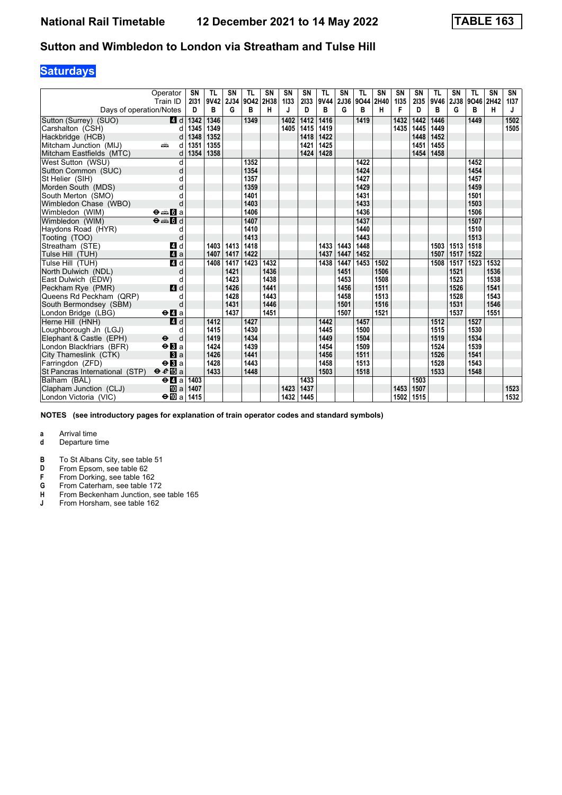## **Saturdays**

|                                | Operator                                    | <b>SN</b><br>2131 | TL<br>9V42 | SN<br>2J34 | <b>TL</b><br>9042 | <b>SN</b><br>2H38 | <b>SN</b><br>1133 | <b>SN</b><br>2133 | <b>TL</b><br>9V44 | SN<br>2J36 | <b>TL</b><br>9044 | <b>SN</b><br>2H40 | <b>SN</b><br>1135 | <b>SN</b><br>2135 | <b>TL</b><br>9V46 | SN<br>2J38 | <b>TL</b><br>9046 | <b>SN</b><br>2H42 | SN<br>1137 |
|--------------------------------|---------------------------------------------|-------------------|------------|------------|-------------------|-------------------|-------------------|-------------------|-------------------|------------|-------------------|-------------------|-------------------|-------------------|-------------------|------------|-------------------|-------------------|------------|
| Days of operation/Notes        | Train ID                                    | D                 | в          | G          | в                 | н                 | J                 | D                 | В                 | G          | B                 | н                 | F                 | D                 | В                 | G          | в                 | н                 | J          |
| Sutton (Surrey) (SUO)          | 4 d                                         | 1342              | 1346       |            | 1349              |                   | 1402              | 1412              | 1416              |            | 1419              |                   | 1432              | 1442              | 1446              |            | 1449              |                   | 1502       |
| Carshalton (CSH)               | d                                           | 1345              | 1349       |            |                   |                   | 1405              | 1415              | 1419              |            |                   |                   | 1435              | 1445              | 1449              |            |                   |                   | 1505       |
| Hackbridge (HCB)               | d                                           | 1348              | 1352       |            |                   |                   |                   | 1418              | 1422              |            |                   |                   |                   | 1448              | 1452              |            |                   |                   |            |
| Mitcham Junction (MIJ)         | dia 1<br>d                                  | 1351              | 1355       |            |                   |                   |                   | 1421              | 1425              |            |                   |                   |                   | 1451              | 1455              |            |                   |                   |            |
| Mitcham Eastfields (MTC)       | d                                           | 1354              | 1358       |            |                   |                   |                   | 1424              | 1428              |            |                   |                   |                   | 1454              | 1458              |            |                   |                   |            |
| West Sutton (WSU)              | d                                           |                   |            |            | 1352              |                   |                   |                   |                   |            | 1422              |                   |                   |                   |                   |            | 1452              |                   |            |
| Sutton Common (SUC)            | d                                           |                   |            |            | 1354              |                   |                   |                   |                   |            | 1424              |                   |                   |                   |                   |            | 1454              |                   |            |
| St Helier (SIH)                | d                                           |                   |            |            | 1357              |                   |                   |                   |                   |            | 1427              |                   |                   |                   |                   |            | 1457              |                   |            |
| Morden South (MDS)             | d                                           |                   |            |            | 1359              |                   |                   |                   |                   |            | 1429              |                   |                   |                   |                   |            | 1459              |                   |            |
| South Merton (SMO)             | d                                           |                   |            |            | 1401              |                   |                   |                   |                   |            | 1431              |                   |                   |                   |                   |            | 1501              |                   |            |
| Wimbledon Chase (WBO)          | d                                           |                   |            |            | 1403              |                   |                   |                   |                   |            | 1433              |                   |                   |                   |                   |            | 1503              |                   |            |
| Wimbledon (WIM)                | $\Theta = \blacksquare$ $\blacksquare$ a    |                   |            |            | 1406              |                   |                   |                   |                   |            | 1436              |                   |                   |                   |                   |            | 1506              |                   |            |
| Wimbledon (WIM)                | $\theta = 1$                                |                   |            |            | 1407              |                   |                   |                   |                   |            | 1437              |                   |                   |                   |                   |            | 1507              |                   |            |
| Haydons Road (HYR)             | d                                           |                   |            |            | 1410              |                   |                   |                   |                   |            | 1440              |                   |                   |                   |                   |            | 1510              |                   |            |
| Tooting (TOO)                  | d                                           |                   |            |            | 1413              |                   |                   |                   |                   |            | 1443              |                   |                   |                   |                   |            | 1513              |                   |            |
| Streatham (STE)                | 4 d                                         |                   | 1403       | 1413       | 1418              |                   |                   |                   | 1433              | 1443       | 1448              |                   |                   |                   | 1503              | 1513       | 1518              |                   |            |
| Tulse Hill (TUH)               | $\mathbf{A}$ a                              |                   | 1407       | 1417       | 1422              |                   |                   |                   | 1437              | 1447       | 1452              |                   |                   |                   | 1507              | 1517       | 1522              |                   |            |
| Tulse Hill (TUH)               | 4d                                          |                   | 1408       | 1417       | 1423              | 1432              |                   |                   | 1438              | 1447       | 1453              | 1502              |                   |                   | 1508              | 1517       | 1523              | 1532              |            |
| North Dulwich (NDL)            | d                                           |                   |            | 1421       |                   | 1436              |                   |                   |                   | 1451       |                   | 1506              |                   |                   |                   | 1521       |                   | 1536              |            |
| East Dulwich (EDW)             | d                                           |                   |            | 1423       |                   | 1438              |                   |                   |                   | 1453       |                   | 1508              |                   |                   |                   | 1523       |                   | 1538              |            |
| Peckham Rye (PMR)              | 4 d                                         |                   |            | 1426       |                   | 1441              |                   |                   |                   | 1456       |                   | 1511              |                   |                   |                   | 1526       |                   | 1541              |            |
| Queens Rd Peckham (QRP)        | d                                           |                   |            | 1428       |                   | 1443              |                   |                   |                   | 1458       |                   | 1513              |                   |                   |                   | 1528       |                   | 1543              |            |
| South Bermondsey (SBM)         | d                                           |                   |            | 1431       |                   | 1446              |                   |                   |                   | 1501       |                   | 1516              |                   |                   |                   | 1531       |                   | 1546              |            |
| London Bridge (LBG)            | $\Theta$ <b><math>\blacksquare</math></b> a |                   |            | 1437       |                   | 1451              |                   |                   |                   | 1507       |                   | 1521              |                   |                   |                   | 1537       |                   | 1551              |            |
| Herne Hill (HNH)               | 4d                                          |                   | 1412       |            | 1427              |                   |                   |                   | 1442              |            | 1457              |                   |                   |                   | 1512              |            | 1527              |                   |            |
| Loughborough Jn (LGJ)          | d                                           |                   | 1415       |            | 1430              |                   |                   |                   | 1445              |            | 1500              |                   |                   |                   | 1515              |            | 1530              |                   |            |
| Elephant & Castle (EPH)        | $\ddot{\boldsymbol{\Theta}}$<br>d           |                   | 1419       |            | 1434              |                   |                   |                   | 1449              |            | 1504              |                   |                   |                   | 1519              |            | 1534              |                   |            |
| London Blackfriars (BFR)       | $\Theta$ <b>B</b> a                         |                   | 1424       |            | 1439              |                   |                   |                   | 1454              |            | 1509              |                   |                   |                   | 1524              |            | 1539              |                   |            |
| City Thameslink (CTK)          | $\mathbf{B}$ a                              |                   | 1426       |            | 1441              |                   |                   |                   | 1456              |            | 1511              |                   |                   |                   | 1526              |            | 1541              |                   |            |
| Farringdon (ZFD)               | $\Theta$ <b>El</b> a                        |                   | 1428       |            | 1443              |                   |                   |                   | 1458              |            | 1513              |                   |                   |                   | 1528              |            | 1543              |                   |            |
| St Pancras International (STP) | $\theta e$ <b>E</b> a                       |                   | 1433       |            | 1448              |                   |                   |                   | 1503              |            | 1518              |                   |                   |                   | 1533              |            | 1548              |                   |            |
| Balham (BAL)                   | $\Theta$ <b><math>\blacksquare</math></b> a | 1403              |            |            |                   |                   |                   | 1433              |                   |            |                   |                   |                   | 1503              |                   |            |                   |                   |            |
| Clapham Junction (CLJ)         | [II] al                                     | 1407              |            |            |                   |                   | 1423              | 1437              |                   |            |                   |                   | 1453              | 1507              |                   |            |                   |                   | 1523       |
| London Victoria (VIC)          | $\Theta$ III al                             | 1415              |            |            |                   |                   | 1432              | 1445              |                   |            |                   |                   | 1502              | 1515              |                   |            |                   |                   | 1532       |

**NOTES (see introductory pages for explanation of train operator codes and standard symbols)**

- **d** Departure time
- **B** To St Albans City, see table 51<br>**D** From Epsom, see table 62
- **D** From Epsom, see table 62<br>**F** From Dorking, see table 16
- **F** From Dorking, see table 162<br>**G** From Caterham, see table 17
- **\*** From Caterham see table 17
- **+** From Beckenham Junction, see table 165<br> **4** From Horsham, see table 162
- From Horsham, see table 162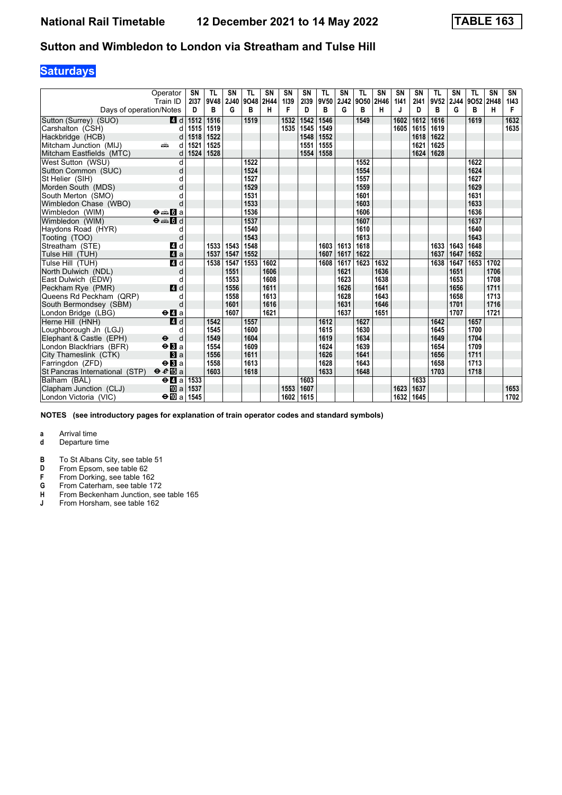## **Saturdays**

|                                | Operator<br>Train ID                        | <b>SN</b><br>2137 | <b>TL</b><br>9V48 | SN<br>2J40 | <b>TL</b><br>9048 | <b>SN</b><br>2H44 | <b>SN</b><br>1139 | <b>SN</b><br>2139 | <b>TL</b><br>9V50 | SN<br>2J42 | <b>TL</b><br>9050 | <b>SN</b><br>2H46 | <b>SN</b><br>1141 | <b>SN</b><br>2141 | <b>TL</b><br>9V52 | SN<br>2J44 | <b>TL</b><br>9O52 2H48 | <b>SN</b> | SN<br>1143 |
|--------------------------------|---------------------------------------------|-------------------|-------------------|------------|-------------------|-------------------|-------------------|-------------------|-------------------|------------|-------------------|-------------------|-------------------|-------------------|-------------------|------------|------------------------|-----------|------------|
| Days of operation/Notes        |                                             | D                 | в                 | G          | в                 | н                 | F                 | D                 | в                 | G          | в                 | н                 | J                 | D                 | в                 | G          | в                      | H         | F          |
| Sutton (Surrey) (SUO)          | 4 d                                         | 1512              | 1516              |            | 1519              |                   | 1532              | 1542              | 1546              |            | 1549              |                   | 1602              | 1612              | 1616              |            | 1619                   |           | 1632       |
| Carshalton (CSH)               | d                                           | 1515              | 1519              |            |                   |                   | 1535              | 1545              | 1549              |            |                   |                   | 1605              | 1615              | 1619              |            |                        |           | 1635       |
| Hackbridge (HCB)               | d                                           | 1518              | 1522              |            |                   |                   |                   | 1548              | 1552              |            |                   |                   |                   | 1618              | 1622              |            |                        |           |            |
| Mitcham Junction (MIJ)         | پیش<br>d                                    | 1521              | 1525              |            |                   |                   |                   | 1551              | 1555              |            |                   |                   |                   | 1621              | 1625              |            |                        |           |            |
| Mitcham Eastfields (MTC)       | d                                           | 1524              | 1528              |            |                   |                   |                   | 1554              | 1558              |            |                   |                   |                   | 1624              | 1628              |            |                        |           |            |
| West Sutton (WSU)              | d                                           |                   |                   |            | 1522              |                   |                   |                   |                   |            | 1552              |                   |                   |                   |                   |            | 1622                   |           |            |
| Sutton Common (SUC)            | d                                           |                   |                   |            | 1524              |                   |                   |                   |                   |            | 1554              |                   |                   |                   |                   |            | 1624                   |           |            |
| St Helier (SIH)                | d                                           |                   |                   |            | 1527              |                   |                   |                   |                   |            | 1557              |                   |                   |                   |                   |            | 1627                   |           |            |
| Morden South (MDS)             | d                                           |                   |                   |            | 1529              |                   |                   |                   |                   |            | 1559              |                   |                   |                   |                   |            | 1629                   |           |            |
| South Merton (SMO)             | d                                           |                   |                   |            | 1531              |                   |                   |                   |                   |            | 1601              |                   |                   |                   |                   |            | 1631                   |           |            |
| Wimbledon Chase (WBO)          | d                                           |                   |                   |            | 1533              |                   |                   |                   |                   |            | 1603              |                   |                   |                   |                   |            | 1633                   |           |            |
| Wimbledon (WIM)                | $\Theta = \blacksquare$ $\blacksquare$ a    |                   |                   |            | 1536              |                   |                   |                   |                   |            | 1606              |                   |                   |                   |                   |            | 1636                   |           |            |
| Wimbledon (WIM)                | $\Theta = 5d$                               |                   |                   |            | 1537              |                   |                   |                   |                   |            | 1607              |                   |                   |                   |                   |            | 1637                   |           |            |
| Haydons Road (HYR)             | d                                           |                   |                   |            | 1540              |                   |                   |                   |                   |            | 1610              |                   |                   |                   |                   |            | 1640                   |           |            |
| Tooting (TOO)                  | d                                           |                   |                   |            | 1543              |                   |                   |                   |                   |            | 1613              |                   |                   |                   |                   |            | 1643                   |           |            |
| Streatham (STE)                | 4 d                                         |                   | 1533              | 1543       | 1548              |                   |                   |                   | 1603              | 1613       | 1618              |                   |                   |                   | 1633              | 1643       | 1648                   |           |            |
| Tulse Hill (TUH)               | $\mathbf{A}$ a                              |                   | 1537              | 1547       | 1552              |                   |                   |                   | 1607              | 1617       | 1622              |                   |                   |                   | 1637              | 1647       | 1652                   |           |            |
| Tulse Hill (TUH)               | 4d                                          |                   | 1538              | 1547       | 1553              | 1602              |                   |                   | 1608              | 1617       | 1623              | 1632              |                   |                   | 1638              | 1647       | 1653                   | 1702      |            |
| North Dulwich (NDL)            | d                                           |                   |                   | 1551       |                   | 1606              |                   |                   |                   | 1621       |                   | 1636              |                   |                   |                   | 1651       |                        | 1706      |            |
| East Dulwich (EDW)             | d                                           |                   |                   | 1553       |                   | 1608              |                   |                   |                   | 1623       |                   | 1638              |                   |                   |                   | 1653       |                        | 1708      |            |
| Peckham Rye (PMR)              | 4 d                                         |                   |                   | 1556       |                   | 1611              |                   |                   |                   | 1626       |                   | 1641              |                   |                   |                   | 1656       |                        | 1711      |            |
| Queens Rd Peckham (QRP)        | d                                           |                   |                   | 1558       |                   | 1613              |                   |                   |                   | 1628       |                   | 1643              |                   |                   |                   | 1658       |                        | 1713      |            |
| South Bermondsey (SBM)         | d                                           |                   |                   | 1601       |                   | 1616              |                   |                   |                   | 1631       |                   | 1646              |                   |                   |                   | 1701       |                        | 1716      |            |
| London Bridge (LBG)            | $\Theta$ <b><math>\blacksquare</math></b> a |                   |                   | 1607       |                   | 1621              |                   |                   |                   | 1637       |                   | 1651              |                   |                   |                   | 1707       |                        | 1721      |            |
| Herne Hill (HNH)               | 4d                                          |                   | 1542              |            | 1557              |                   |                   |                   | 1612              |            | 1627              |                   |                   |                   | 1642              |            | 1657                   |           |            |
| Loughborough Jn (LGJ)          | d                                           |                   | 1545              |            | 1600              |                   |                   |                   | 1615              |            | 1630              |                   |                   |                   | 1645              |            | 1700                   |           |            |
| Elephant & Castle (EPH)        | $\ddot{\boldsymbol{\Theta}}$<br>d           |                   | 1549              |            | 1604              |                   |                   |                   | 1619              |            | 1634              |                   |                   |                   | 1649              |            | 1704                   |           |            |
| London Blackfriars (BFR)       | $\Theta$ <b>B</b> a                         |                   | 1554              |            | 1609              |                   |                   |                   | 1624              |            | 1639              |                   |                   |                   | 1654              |            | 1709                   |           |            |
| City Thameslink (CTK)          | a                                           |                   | 1556              |            | 1611              |                   |                   |                   | 1626              |            | 1641              |                   |                   |                   | 1656              |            | 1711                   |           |            |
| Farringdon (ZFD)               | $\Theta$ <b>El</b> a                        |                   | 1558              |            | 1613              |                   |                   |                   | 1628              |            | 1643              |                   |                   |                   | 1658              |            | 1713                   |           |            |
| St Pancras International (STP) | $\theta e$ <b>E</b> a                       |                   | 1603              |            | 1618              |                   |                   |                   | 1633              |            | 1648              |                   |                   |                   | 1703              |            | 1718                   |           |            |
| Balham (BAL)                   | $\Theta$ <b><math>\blacksquare</math></b> a | 1533              |                   |            |                   |                   |                   | 1603              |                   |            |                   |                   |                   | 1633              |                   |            |                        |           |            |
| Clapham Junction (CLJ)         | [l] al                                      | 1537              |                   |            |                   |                   | 1553              | 1607              |                   |            |                   |                   | 1623              | 1637              |                   |            |                        |           | 1653       |
| London Victoria (VIC)          | $\Theta$ III a                              | 1545              |                   |            |                   |                   | 1602              | 1615              |                   |            |                   |                   | 1632              | 1645              |                   |            |                        |           | 1702       |

**NOTES (see introductory pages for explanation of train operator codes and standard symbols)**

- **d** Departure time
- **B** To St Albans City, see table 51<br>**D** From Epsom, see table 62
- **D** From Epsom, see table 62<br>**F** From Dorking, see table 16
- **F** From Dorking, see table 162<br>**G** From Caterham, see table 17
- **\*** From Caterham see table 17
- **+** From Beckenham Junction, see table 165<br> **4** From Horsham, see table 162
- From Horsham, see table 162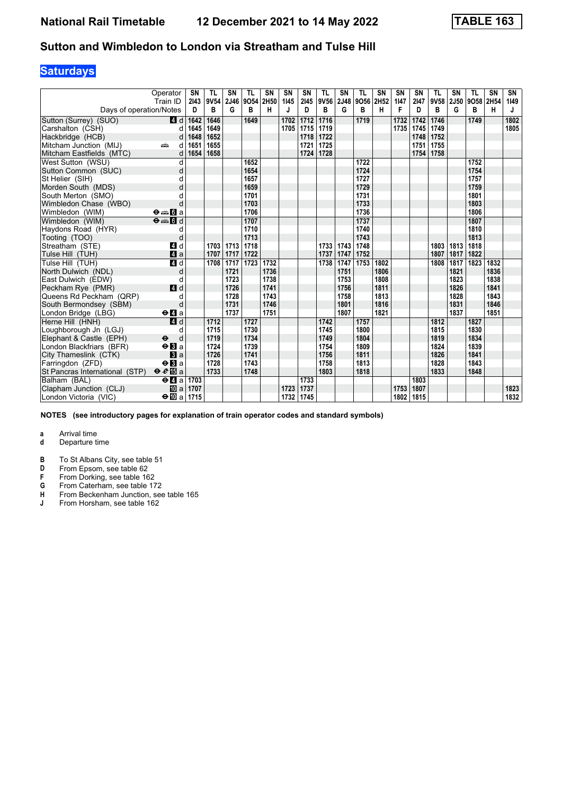## **Saturdays**

|                                | Operator<br>Train ID                        | SN<br>2143 | TL<br>9V54 | SN<br>2J46 | TL<br>9054 | <b>SN</b><br>2H50 | <b>SN</b><br>1145 | SN<br>2145 | <b>TL</b><br>9V56 | SN<br>2J48 | TL<br>9O56 2H52 | <b>SN</b> | <b>SN</b><br>1147 | <b>SN</b><br>2147 | <b>TL</b><br>9V58 | SN<br><b>2J50</b> | <b>TL</b><br>9058 | <b>SN</b><br>2H54 | SN<br>1149 |
|--------------------------------|---------------------------------------------|------------|------------|------------|------------|-------------------|-------------------|------------|-------------------|------------|-----------------|-----------|-------------------|-------------------|-------------------|-------------------|-------------------|-------------------|------------|
| Days of operation/Notes        |                                             | D          | в          | G          | в          | н                 | J                 | D          | в                 | G          | в               | н         | F                 | D                 | В                 | G                 | в                 | н                 | J          |
| Sutton (Surrey) (SUO)          | 4 d                                         | 1642       | 1646       |            | 1649       |                   | 1702              | 1712       | 1716              |            | 1719            |           | 1732              | 1742              | 1746              |                   | 1749              |                   | 1802       |
| Carshalton (CSH)               | d                                           | 1645       | 1649       |            |            |                   | 1705              | 1715       | 1719              |            |                 |           | 1735              | 1745              | 1749              |                   |                   |                   | 1805       |
| Hackbridge (HCB)               | d                                           | 1648       | 1652       |            |            |                   |                   | 1718       | 1722              |            |                 |           |                   | 1748              | 1752              |                   |                   |                   |            |
| Mitcham Junction (MIJ)         | ain<br>d                                    | 1651       | 1655       |            |            |                   |                   | 1721       | 1725              |            |                 |           |                   | 1751              | 1755              |                   |                   |                   |            |
| Mitcham Eastfields (MTC)       | d                                           | 1654       | 1658       |            |            |                   |                   | 1724       | 1728              |            |                 |           |                   | 1754              | 1758              |                   |                   |                   |            |
| West Sutton (WSU)              | d                                           |            |            |            | 1652       |                   |                   |            |                   |            | 1722            |           |                   |                   |                   |                   | 1752              |                   |            |
| Sutton Common (SUC)            | d                                           |            |            |            | 1654       |                   |                   |            |                   |            | 1724            |           |                   |                   |                   |                   | 1754              |                   |            |
| St Helier (SIH)                | d                                           |            |            |            | 1657       |                   |                   |            |                   |            | 1727            |           |                   |                   |                   |                   | 1757              |                   |            |
| Morden South (MDS)             | d                                           |            |            |            | 1659       |                   |                   |            |                   |            | 1729            |           |                   |                   |                   |                   | 1759              |                   |            |
| South Merton (SMO)             |                                             |            |            |            | 1701       |                   |                   |            |                   |            | 1731            |           |                   |                   |                   |                   | 1801              |                   |            |
| Wimbledon Chase (WBO)          | d                                           |            |            |            | 1703       |                   |                   |            |                   |            | 1733            |           |                   |                   |                   |                   | 1803              |                   |            |
| Wimbledon (WIM)                | $\Theta = \blacksquare$ $\blacksquare$ a    |            |            |            | 1706       |                   |                   |            |                   |            | 1736            |           |                   |                   |                   |                   | 1806              |                   |            |
| Wimbledon (WIM)                | $\Theta = \blacksquare$                     |            |            |            | 1707       |                   |                   |            |                   |            | 1737            |           |                   |                   |                   |                   | 1807              |                   |            |
| Haydons Road (HYR)             | d                                           |            |            |            | 1710       |                   |                   |            |                   |            | 1740            |           |                   |                   |                   |                   | 1810              |                   |            |
| Tooting (TOO)                  | d                                           |            |            |            | 1713       |                   |                   |            |                   |            | 1743            |           |                   |                   |                   |                   | 1813              |                   |            |
| Streatham (STE)                | 4 d                                         |            | 1703       | 1713       | 1718       |                   |                   |            | 1733              | 1743       | 1748            |           |                   |                   | 1803              | 1813              | 1818              |                   |            |
| Tulse Hill (TUH)               | 4a                                          |            | 1707       | 1717       | 1722       |                   |                   |            | 1737              | 1747       | 1752            |           |                   |                   | 1807              | 1817              | 1822              |                   |            |
| Tulse Hill (TUH)               | 4d                                          |            | 1708       | 1717       | 1723       | 1732              |                   |            | 1738              | 1747       | 1753            | 1802      |                   |                   | 1808              | 1817              | 1823              | 1832              |            |
| North Dulwich (NDL)            | d                                           |            |            | 1721       |            | 1736              |                   |            |                   | 1751       |                 | 1806      |                   |                   |                   | 1821              |                   | 1836              |            |
| East Dulwich (EDW)             | d                                           |            |            | 1723       |            | 1738              |                   |            |                   | 1753       |                 | 1808      |                   |                   |                   | 1823              |                   | 1838              |            |
| Peckham Rye (PMR)              | 4 d                                         |            |            | 1726       |            | 1741              |                   |            |                   | 1756       |                 | 1811      |                   |                   |                   | 1826              |                   | 1841              |            |
| Queens Rd Peckham (QRP)        | d                                           |            |            | 1728       |            | 1743              |                   |            |                   | 1758       |                 | 1813      |                   |                   |                   | 1828              |                   | 1843              |            |
| South Bermondsey (SBM)         | d                                           |            |            | 1731       |            | 1746              |                   |            |                   | 1801       |                 | 1816      |                   |                   |                   | 1831              |                   | 1846              |            |
| London Bridge (LBG)            | $\Theta$ <b><math>\blacksquare</math></b> a |            |            | 1737       |            | 1751              |                   |            |                   | 1807       |                 | 1821      |                   |                   |                   | 1837              |                   | 1851              |            |
| Herne Hill (HNH)               | $\overline{a}$ d                            |            | 1712       |            | 1727       |                   |                   |            | 1742              |            | 1757            |           |                   |                   | 1812              |                   | 1827              |                   |            |
| Loughborough Jn (LGJ)          | d                                           |            | 1715       |            | 1730       |                   |                   |            | 1745              |            | 1800            |           |                   |                   | 1815              |                   | 1830              |                   |            |
| Elephant & Castle (EPH)        | $\ddot{\boldsymbol{\Theta}}$<br>d           |            | 1719       |            | 1734       |                   |                   |            | 1749              |            | 1804            |           |                   |                   | 1819              |                   | 1834              |                   |            |
| London Blackfriars (BFR)       | $\Theta$ <b>B</b> a                         |            | 1724       |            | 1739       |                   |                   |            | 1754              |            | 1809            |           |                   |                   | 1824              |                   | 1839              |                   |            |
| City Thameslink (CTK)          | a                                           |            | 1726       |            | 1741       |                   |                   |            | 1756              |            | 1811            |           |                   |                   | 1826              |                   | 1841              |                   |            |
| Farringdon (ZFD)               | $\Theta$ <b>B</b> a                         |            | 1728       |            | 1743       |                   |                   |            | 1758              |            | 1813            |           |                   |                   | 1828              |                   | 1843              |                   |            |
| St Pancras International (STP) | $\theta e$ <b>E</b> a                       |            | 1733       |            | 1748       |                   |                   |            | 1803              |            | 1818            |           |                   |                   | 1833              |                   | 1848              |                   |            |
| Balham (BAL)                   | $\Theta$ <b><math>\blacksquare</math></b> a | 1703       |            |            |            |                   |                   | 1733       |                   |            |                 |           |                   | 1803              |                   |                   |                   |                   |            |
| Clapham Junction (CLJ)         | <b>ID</b> al                                | 1707       |            |            |            |                   | 1723              | 1737       |                   |            |                 |           | 1753              | 1807              |                   |                   |                   |                   | 1823       |
| London Victoria (VIC)          | $\div$ 10 a 1715                            |            |            |            |            |                   | 1732              | 1745       |                   |            |                 |           | 1802              | 1815              |                   |                   |                   |                   | 1832       |

**NOTES (see introductory pages for explanation of train operator codes and standard symbols)**

- **d** Departure time
- **B** To St Albans City, see table 51<br>**D** From Epsom, see table 62
- **D** From Epsom, see table 62<br>**F** From Dorking, see table 16
- **F** From Dorking, see table 162<br>**G** From Caterham, see table 17
- **\*** From Caterham see table 17
- **+** From Beckenham Junction, see table 165<br> **4** From Horsham, see table 162
- From Horsham, see table 162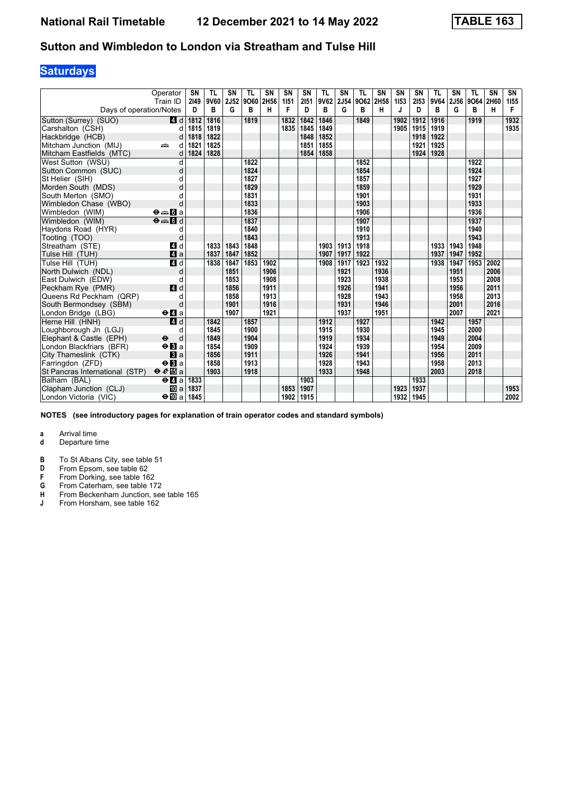## **Saturdays**

|                                | Operator<br>Train ID                              | SN<br>2149 | TL<br>9V60 | SN<br>2J52 | TL<br>9060 | <b>SN</b><br>2H56 | SN<br>1151 | SN<br>2151 | TL<br>9V62 | SΝ<br>2J54 | TL<br>9O62 2H58 | <b>SN</b> | <b>SN</b><br>1153 | <b>SN</b><br>2153 | <b>TL</b><br>9V64 | SN<br><b>2J56</b> | <b>TL</b><br>9064 | <b>SN</b><br>2H60 | SN<br>1155 |
|--------------------------------|---------------------------------------------------|------------|------------|------------|------------|-------------------|------------|------------|------------|------------|-----------------|-----------|-------------------|-------------------|-------------------|-------------------|-------------------|-------------------|------------|
| Days of operation/Notes        |                                                   | D          | в          | G          | в          | н                 | F          | D          | в          | G          | в               | н         |                   | D                 | B                 | G                 | в                 | н                 | F          |
| Sutton (Surrey) (SUO)          | 4 d                                               | 1812       | 1816       |            | 1819       |                   | 1832       | 1842       | 1846       |            | 1849            |           | 1902              | 1912              | 1916              |                   | 1919              |                   | 1932       |
| Carshalton (CSH)               | d                                                 | 1815       | 1819       |            |            |                   | 1835       | 1845       | 1849       |            |                 |           | 1905              | 1915              | 1919              |                   |                   |                   | 1935       |
| Hackbridge (HCB)               | d                                                 | 1818       | 1822       |            |            |                   |            | 1848       | 1852       |            |                 |           |                   | 1918              | 1922              |                   |                   |                   |            |
| Mitcham Junction (MIJ)         | ain<br>d                                          | 1821       | 1825       |            |            |                   |            | 1851       | 1855       |            |                 |           |                   | 1921              | 1925              |                   |                   |                   |            |
| Mitcham Eastfields (MTC)       | d                                                 | 1824       | 1828       |            |            |                   |            | 1854       | 1858       |            |                 |           |                   | 1924              | 1928              |                   |                   |                   |            |
| West Sutton (WSU)              | d                                                 |            |            |            | 1822       |                   |            |            |            |            | 1852            |           |                   |                   |                   |                   | 1922              |                   |            |
| Sutton Common (SUC)            | d                                                 |            |            |            | 1824       |                   |            |            |            |            | 1854            |           |                   |                   |                   |                   | 1924              |                   |            |
| St Helier (SIH)                | d                                                 |            |            |            | 1827       |                   |            |            |            |            | 1857            |           |                   |                   |                   |                   | 1927              |                   |            |
| Morden South (MDS)             | d                                                 |            |            |            | 1829       |                   |            |            |            |            | 1859            |           |                   |                   |                   |                   | 1929              |                   |            |
| South Merton (SMO)             |                                                   |            |            |            | 1831       |                   |            |            |            |            | 1901            |           |                   |                   |                   |                   | 1931              |                   |            |
| Wimbledon Chase (WBO)          | d                                                 |            |            |            | 1833       |                   |            |            |            |            | 1903            |           |                   |                   |                   |                   | 1933              |                   |            |
| Wimbledon (WIM)                | $\Theta = \begin{bmatrix} 1 \\ 0 \end{bmatrix}$ a |            |            |            | 1836       |                   |            |            |            |            | 1906            |           |                   |                   |                   |                   | 1936              |                   |            |
| Wimbledon (WIM)                | $\Theta = \begin{bmatrix} 1 \\ 0 \end{bmatrix}$   |            |            |            | 1837       |                   |            |            |            |            | 1907            |           |                   |                   |                   |                   | 1937              |                   |            |
| Haydons Road (HYR)             | d                                                 |            |            |            | 1840       |                   |            |            |            |            | 1910            |           |                   |                   |                   |                   | 1940              |                   |            |
| Tooting (TOO)                  | d                                                 |            |            |            | 1843       |                   |            |            |            |            | 1913            |           |                   |                   |                   |                   | 1943              |                   |            |
| Streatham (STE)                | 4 d                                               |            | 1833       | 1843       | 1848       |                   |            |            | 1903       | 1913       | 1918            |           |                   |                   | 1933              | 1943              | 1948              |                   |            |
| Tulse Hill (TUH)               | $\mathbf{A}$ a                                    |            | 1837       | 1847       | 1852       |                   |            |            | 1907       | 1917       | 1922            |           |                   |                   | 1937              | 1947              | 1952              |                   |            |
| Tulse Hill (TUH)               | 4d                                                |            | 1838       | 1847       | 1853       | 1902              |            |            | 1908       | 1917       | 1923            | 1932      |                   |                   | 1938              | 1947              | 1953              | 2002              |            |
| North Dulwich (NDL)            | d                                                 |            |            | 1851       |            | 1906              |            |            |            | 1921       |                 | 1936      |                   |                   |                   | 1951              |                   | 2006              |            |
| East Dulwich (EDW)             | d                                                 |            |            | 1853       |            | 1908              |            |            |            | 1923       |                 | 1938      |                   |                   |                   | 1953              |                   | 2008              |            |
| Peckham Rye (PMR)              | 4d                                                |            |            | 1856       |            | 1911              |            |            |            | 1926       |                 | 1941      |                   |                   |                   | 1956              |                   | 2011              |            |
| Queens Rd Peckham (QRP)        | d                                                 |            |            | 1858       |            | 1913              |            |            |            | 1928       |                 | 1943      |                   |                   |                   | 1958              |                   | 2013              |            |
| South Bermondsey (SBM)         | d                                                 |            |            | 1901       |            | 1916              |            |            |            | 1931       |                 | 1946      |                   |                   |                   | 2001              |                   | 2016              |            |
| London Bridge (LBG)            | $\Theta$ <b>d</b> a                               |            |            | 1907       |            | 1921              |            |            |            | 1937       |                 | 1951      |                   |                   |                   | 2007              |                   | 2021              |            |
| Herne Hill (HNH)               | $\overline{a}$ d                                  |            | 1842       |            | 1857       |                   |            |            | 1912       |            | 1927            |           |                   |                   | 1942              |                   | 1957              |                   |            |
| Loughborough Jn (LGJ)          | d                                                 |            | 1845       |            | 1900       |                   |            |            | 1915       |            | 1930            |           |                   |                   | 1945              |                   | 2000              |                   |            |
| Elephant & Castle (EPH)        | $\ddot{\boldsymbol{\Theta}}$<br>d                 |            | 1849       |            | 1904       |                   |            |            | 1919       |            | 1934            |           |                   |                   | 1949              |                   | 2004              |                   |            |
| London Blackfriars (BFR)       | $\Theta$ <b>B</b> a                               |            | 1854       |            | 1909       |                   |            |            | 1924       |            | 1939            |           |                   |                   | 1954              |                   | 2009              |                   |            |
| City Thameslink (CTK)          | a                                                 |            | 1856       |            | 1911       |                   |            |            | 1926       |            | 1941            |           |                   |                   | 1956              |                   | 2011              |                   |            |
| Farringdon (ZFD)               | $\Theta$ <b>B</b> a                               |            | 1858       |            | 1913       |                   |            |            | 1928       |            | 1943            |           |                   |                   | 1958              |                   | 2013              |                   |            |
| St Pancras International (STP) | $\Theta \cdot e \mathbb{E}$ a                     |            | 1903       |            | 1918       |                   |            |            | 1933       |            | 1948            |           |                   |                   | 2003              |                   | 2018              |                   |            |
| Balham (BAL)                   | $\Theta$ <b><math>\blacksquare</math></b> a       | 1833       |            |            |            |                   |            | 1903       |            |            |                 |           |                   | 1933              |                   |                   |                   |                   |            |
| Clapham Junction (CLJ)         | [l] al                                            | 1837       |            |            |            |                   | 1853       | 1907       |            |            |                 |           | 1923              | 1937              |                   |                   |                   |                   | 1953       |
| London Victoria (VIC)          | $\Theta$ III a                                    | 1845       |            |            |            |                   | 1902       | 1915       |            |            |                 |           | 1932              | 1945              |                   |                   |                   |                   | 2002       |

**NOTES (see introductory pages for explanation of train operator codes and standard symbols)**

- **d** Departure time
- **B** To St Albans City, see table 51<br>**D** From Epsom, see table 62
- **D** From Epsom, see table 62<br>**F** From Dorking, see table 16
- **F** From Dorking, see table 162<br>**G** From Caterham, see table 17
- **\*** From Caterham see table 17
- **+** From Beckenham Junction, see table 165<br> **4** From Horsham, see table 162
- From Horsham, see table 162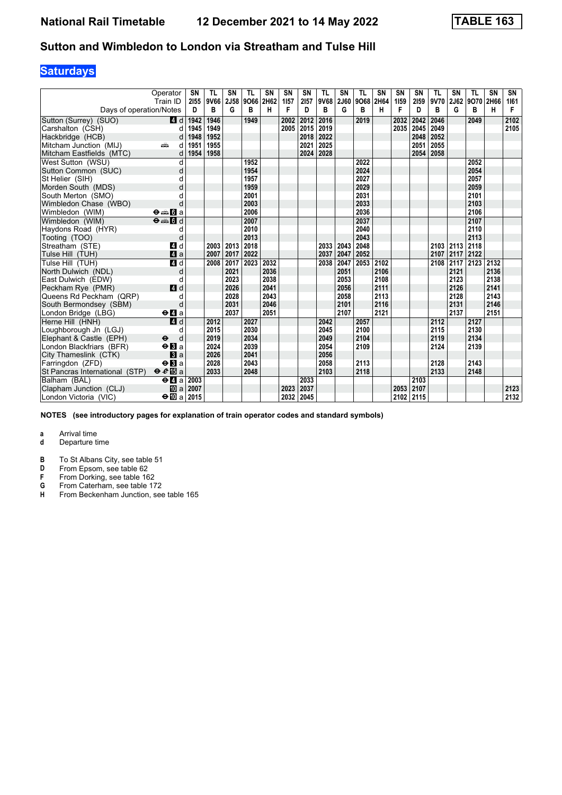# **Saturdays**

|                                | Operator<br>Train ID                        | SN        | TL<br>9V66 | SN<br>2J58 | TL<br>9066 | <b>SN</b><br>2H62 | SN<br>1157 | SN<br>2157 | TL<br>9V68 | SΝ<br><b>2J60</b> | TL<br>9068 2H64 | <b>SN</b> | <b>SN</b><br>1159 | <b>SN</b><br>2159 | <b>TL</b><br>9V70 | SN<br>2J62 | TL<br>9070 | <b>SN</b><br>2H66 | SN        |
|--------------------------------|---------------------------------------------|-----------|------------|------------|------------|-------------------|------------|------------|------------|-------------------|-----------------|-----------|-------------------|-------------------|-------------------|------------|------------|-------------------|-----------|
| Days of operation/Notes        |                                             | 2155<br>D | в          | G          | в          | н                 | F          | D          | В          | G                 | B               | н         | F                 | D                 | B                 | G          | в          | н                 | 1161<br>F |
| Sutton (Surrey) (SUO)          | 4 d                                         | 1942      | 1946       |            | 1949       |                   | 2002       | 2012       | 2016       |                   | 2019            |           | 2032              | 2042              | 2046              |            | 2049       |                   | 2102      |
| Carshalton (CSH)               | d                                           | 1945      | 1949       |            |            |                   | 2005       | 2015       | 2019       |                   |                 |           | 2035              | 2045              | 2049              |            |            |                   | 2105      |
| Hackbridge (HCB)               | d                                           | 1948      | 1952       |            |            |                   |            | 2018       | 2022       |                   |                 |           |                   | 2048              | 2052              |            |            |                   |           |
| Mitcham Junction (MIJ)         | dia 1<br>d                                  | 1951      | 1955       |            |            |                   |            | 2021       | 2025       |                   |                 |           |                   | 2051              | 2055              |            |            |                   |           |
| Mitcham Eastfields (MTC)       | d                                           | 1954      | 1958       |            |            |                   |            | 2024       | 2028       |                   |                 |           |                   | 2054              | 2058              |            |            |                   |           |
| West Sutton (WSU)              | d                                           |           |            |            | 1952       |                   |            |            |            |                   | 2022            |           |                   |                   |                   |            | 2052       |                   |           |
| Sutton Common (SUC)            | d                                           |           |            |            | 1954       |                   |            |            |            |                   | 2024            |           |                   |                   |                   |            | 2054       |                   |           |
| St Helier (SIH)                | d                                           |           |            |            | 1957       |                   |            |            |            |                   | 2027            |           |                   |                   |                   |            | 2057       |                   |           |
| Morden South (MDS)             | d                                           |           |            |            | 1959       |                   |            |            |            |                   | 2029            |           |                   |                   |                   |            | 2059       |                   |           |
| South Merton (SMO)             |                                             |           |            |            | 2001       |                   |            |            |            |                   | 2031            |           |                   |                   |                   |            | 2101       |                   |           |
| Wimbledon Chase (WBO)          | d                                           |           |            |            | 2003       |                   |            |            |            |                   | 2033            |           |                   |                   |                   |            | 2103       |                   |           |
| Wimbledon (WIM)                | $\Theta \oplus \blacksquare$ a              |           |            |            | 2006       |                   |            |            |            |                   | 2036            |           |                   |                   |                   |            | 2106       |                   |           |
| Wimbledon (WIM)                | $\theta = 1$                                |           |            |            | 2007       |                   |            |            |            |                   | 2037            |           |                   |                   |                   |            | 2107       |                   |           |
| Haydons Road (HYR)             | d                                           |           |            |            | 2010       |                   |            |            |            |                   | 2040            |           |                   |                   |                   |            | 2110       |                   |           |
| Tooting (TOO)                  | d                                           |           |            |            | 2013       |                   |            |            |            |                   | 2043            |           |                   |                   |                   |            | 2113       |                   |           |
| Streatham (STE)                | 4 d                                         |           | 2003       | 2013       | 2018       |                   |            |            | 2033       | 2043              | 2048            |           |                   |                   |                   | 2103 2113  | 2118       |                   |           |
| Tulse Hill (TUH)               | $\blacksquare$ a                            |           | 2007       | 2017       | 2022       |                   |            |            | 2037       | 2047              | 2052            |           |                   |                   | 2107              | 2117 2122  |            |                   |           |
| Tulse Hill (TUH)               | 4d                                          |           | 2008       | 2017       | 2023       | 2032              |            |            | 2038       | 2047              | 2053            | 2102      |                   |                   | 2108              | 2117       | 2123       | 2132              |           |
| North Dulwich (NDL)            | d                                           |           |            | 2021       |            | 2036              |            |            |            | 2051              |                 | 2106      |                   |                   |                   | 2121       |            | 2136              |           |
| East Dulwich (EDW)             | d                                           |           |            | 2023       |            | 2038              |            |            |            | 2053              |                 | 2108      |                   |                   |                   | 2123       |            | 2138              |           |
| Peckham Rye (PMR)              | 4 d                                         |           |            | 2026       |            | 2041              |            |            |            | 2056              |                 | 2111      |                   |                   |                   | 2126       |            | 2141              |           |
| Queens Rd Peckham (QRP)        | d                                           |           |            | 2028       |            | 2043              |            |            |            | 2058              |                 | 2113      |                   |                   |                   | 2128       |            | 2143              |           |
| South Bermondsey (SBM)         | d                                           |           |            | 2031       |            | 2046              |            |            |            | 2101              |                 | 2116      |                   |                   |                   | 2131       |            | 2146              |           |
| London Bridge (LBG)            | $\Theta$ <b>d</b> a                         |           |            | 2037       |            | 2051              |            |            |            | 2107              |                 | 2121      |                   |                   |                   | 2137       |            | 2151              |           |
| Herne Hill (HNH)               | 4d                                          |           | 2012       |            | 2027       |                   |            |            | 2042       |                   | 2057            |           |                   |                   | 2112              |            | 2127       |                   |           |
| Loughborough Jn (LGJ)          | d                                           |           | 2015       |            | 2030       |                   |            |            | 2045       |                   | 2100            |           |                   |                   | 2115              |            | 2130       |                   |           |
| Elephant & Castle (EPH)        | $\ddot{\boldsymbol{\Theta}}$<br>d           |           | 2019       |            | 2034       |                   |            |            | 2049       |                   | 2104            |           |                   |                   | 2119              |            | 2134       |                   |           |
| London Blackfriars (BFR)       | $\Theta$ <b>B</b> a                         |           | 2024       |            | 2039       |                   |            |            | 2054       |                   | 2109            |           |                   |                   | 2124              |            | 2139       |                   |           |
| City Thameslink (CTK)          | a                                           |           | 2026       |            | 2041       |                   |            |            | 2056       |                   |                 |           |                   |                   |                   |            |            |                   |           |
| Farringdon (ZFD)               | $\Theta$ <b>B</b> a                         |           | 2028       |            | 2043       |                   |            |            | 2058       |                   | 2113            |           |                   |                   | 2128              |            | 2143       |                   |           |
| St Pancras International (STP) | $\theta e$ <b>E</b> a                       |           | 2033       |            | 2048       |                   |            |            | 2103       |                   | 2118            |           |                   |                   | 2133              |            | 2148       |                   |           |
| Balham (BAL)                   | $\Theta$ <b><math>\blacksquare</math></b> a | 2003      |            |            |            |                   |            | 2033       |            |                   |                 |           |                   | 2103              |                   |            |            |                   |           |
| Clapham Junction (CLJ)         | <b>ID</b> a                                 | 2007      |            |            |            |                   | 2023       | 2037       |            |                   |                 |           | 2053              | 2107              |                   |            |            |                   | 2123      |
| London Victoria (VIC)          | $\Theta$ III a                              | 2015      |            |            |            |                   | 2032       | 2045       |            |                   |                 |           | 2102              | 2115              |                   |            |            |                   | 2132      |

**NOTES (see introductory pages for explanation of train operator codes and standard symbols)**

- **d** Departure time
- **B** To St Albans City, see table 51<br>**D** From Epsom, see table 62
- **D** From Epsom, see table 62<br>**F** From Dorking, see table 16
- **F** From Dorking, see table 162
- **6** From Caterham, see table 172
- **4** From Borking, see table 172<br>**4** From Beckenham Junction, see table 165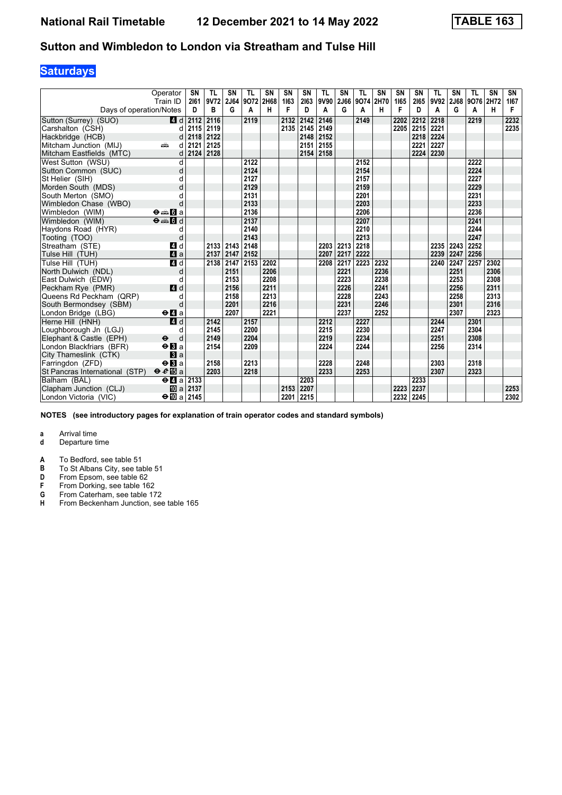## **Saturdays**

|                                | Operator<br>Train ID                        | SN<br>2161 | TL<br>9V72 | SN<br>2J64 | TL<br>9072 | <b>SN</b><br>2H68 | SN<br>1163 | SN<br>2163 | TL<br>9V90 | SN<br><b>2J66</b> | TL<br>9074 2H70 | <b>SN</b> | <b>SN</b><br>1165 | <b>SN</b><br>2165 | <b>TL</b><br>9V92 | SN<br>2J68 | TL<br>9076 | <b>SN</b><br>2H72 | SN<br>1167 |
|--------------------------------|---------------------------------------------|------------|------------|------------|------------|-------------------|------------|------------|------------|-------------------|-----------------|-----------|-------------------|-------------------|-------------------|------------|------------|-------------------|------------|
| Days of operation/Notes        |                                             | D          | в          | G          | A          | н                 | F          | D          | A          | G                 | A               | н         | F                 | D                 | A                 | G          | A          | H                 | F          |
| Sutton (Surrey) (SUO)          | 4d                                          | 2112       | 2116       |            | 2119       |                   | 2132       | 2142       | 2146       |                   | 2149            |           | 2202              | 2212              | 2218              |            | 2219       |                   | 2232       |
| Carshalton (CSH)               | d                                           | 2115       | 2119       |            |            |                   |            | 2135 2145  | 2149       |                   |                 |           | 2205              | 2215              | 2221              |            |            |                   | 2235       |
| Hackbridge (HCB)               | d                                           | 2118       | 2122       |            |            |                   |            | 2148       | 2152       |                   |                 |           |                   | 2218              | 2224              |            |            |                   |            |
| Mitcham Junction (MIJ)         | dia 1<br>d                                  | 2121       | 2125       |            |            |                   |            | 2151       | 2155       |                   |                 |           |                   | 2221              | 2227              |            |            |                   |            |
| Mitcham Eastfields (MTC)       | d                                           | 2124       | 2128       |            |            |                   |            | 2154       | 2158       |                   |                 |           |                   | 2224              | 2230              |            |            |                   |            |
| West Sutton (WSU)              | d                                           |            |            |            | 2122       |                   |            |            |            |                   | 2152            |           |                   |                   |                   |            | 2222       |                   |            |
| Sutton Common (SUC)            | d                                           |            |            |            | 2124       |                   |            |            |            |                   | 2154            |           |                   |                   |                   |            | 2224       |                   |            |
| St Helier (SIH)                | d                                           |            |            |            | 2127       |                   |            |            |            |                   | 2157            |           |                   |                   |                   |            | 2227       |                   |            |
| Morden South (MDS)             | d                                           |            |            |            | 2129       |                   |            |            |            |                   | 2159            |           |                   |                   |                   |            | 2229       |                   |            |
| South Merton (SMO)             |                                             |            |            |            | 2131       |                   |            |            |            |                   | 2201            |           |                   |                   |                   |            | 2231       |                   |            |
| Wimbledon Chase (WBO)          | d                                           |            |            |            | 2133       |                   |            |            |            |                   | 2203            |           |                   |                   |                   |            | 2233       |                   |            |
| Wimbledon (WIM)                | $\Theta = \blacksquare$ $\blacksquare$ a    |            |            |            | 2136       |                   |            |            |            |                   | 2206            |           |                   |                   |                   |            | 2236       |                   |            |
| Wimbledon (WIM)                | $\Theta = \Box$                             |            |            |            | 2137       |                   |            |            |            |                   | 2207            |           |                   |                   |                   |            | 2241       |                   |            |
| Haydons Road (HYR)             | d                                           |            |            |            | 2140       |                   |            |            |            |                   | 2210            |           |                   |                   |                   |            | 2244       |                   |            |
| Tooting (TOO)                  | d                                           |            |            |            | 2143       |                   |            |            |            |                   | 2213            |           |                   |                   |                   |            | 2247       |                   |            |
| Streatham (STE)                | 4 d                                         |            | 2133       | 2143       | 2148       |                   |            |            | 2203       | 2213              | 2218            |           |                   |                   | 2235              | 2243       | 2252       |                   |            |
| Tulse Hill (TUH)               | $\blacksquare$ a                            |            | 2137       | 2147       | 2152       |                   |            |            | 2207       | 2217              | 2222            |           |                   |                   | 2239              | 2247       | 2256       |                   |            |
| Tulse Hill (TUH)               | 4d                                          |            | 2138       | 2147       | 2153       | 2202              |            |            | 2208       | 2217              | 2223            | 2232      |                   |                   | 2240              | 2247       | 2257       | 2302              |            |
| North Dulwich (NDL)            | d                                           |            |            | 2151       |            | 2206              |            |            |            | 2221              |                 | 2236      |                   |                   |                   | 2251       |            | 2306              |            |
| East Dulwich (EDW)             | d                                           |            |            | 2153       |            | 2208              |            |            |            | 2223              |                 | 2238      |                   |                   |                   | 2253       |            | 2308              |            |
| Peckham Rye (PMR)              | 4 d                                         |            |            | 2156       |            | 2211              |            |            |            | 2226              |                 | 2241      |                   |                   |                   | 2256       |            | 2311              |            |
| Queens Rd Peckham (QRP)        | d                                           |            |            | 2158       |            | 2213              |            |            |            | 2228              |                 | 2243      |                   |                   |                   | 2258       |            | 2313              |            |
| South Bermondsey (SBM)         | d                                           |            |            | 2201       |            | 2216              |            |            |            | 2231              |                 | 2246      |                   |                   |                   | 2301       |            | 2316              |            |
| London Bridge (LBG)            | $\Theta$ <b>d</b> a                         |            |            | 2207       |            | 2221              |            |            |            | 2237              |                 | 2252      |                   |                   |                   | 2307       |            | 2323              |            |
| Herne Hill (HNH)               | 4d                                          |            | 2142       |            | 2157       |                   |            |            | 2212       |                   | 2227            |           |                   |                   | 2244              |            | 2301       |                   |            |
| Loughborough Jn (LGJ)          | d                                           |            | 2145       |            | 2200       |                   |            |            | 2215       |                   | 2230            |           |                   |                   | 2247              |            | 2304       |                   |            |
| Elephant & Castle (EPH)        | $\ddot{\boldsymbol{\Theta}}$<br>d           |            | 2149       |            | 2204       |                   |            |            | 2219       |                   | 2234            |           |                   |                   | 2251              |            | 2308       |                   |            |
| London Blackfriars (BFR)       | $\Theta$ <b>B</b> a                         |            | 2154       |            | 2209       |                   |            |            | 2224       |                   | 2244            |           |                   |                   | 2256              |            | 2314       |                   |            |
| City Thameslink (CTK)          | a                                           |            |            |            |            |                   |            |            |            |                   |                 |           |                   |                   |                   |            |            |                   |            |
| Farringdon (ZFD)               | $\Theta$ <b>B</b> a                         |            | 2158       |            | 2213       |                   |            |            | 2228       |                   | 2248            |           |                   |                   | 2303              |            | 2318       |                   |            |
| St Pancras International (STP) | $\theta e$ <b>E</b> a                       |            | 2203       |            | 2218       |                   |            |            | 2233       |                   | 2253            |           |                   |                   | 2307              |            | 2323       |                   |            |
| Balham (BAL)                   | $\Theta$ <b><math>\blacksquare</math></b> a | 2133       |            |            |            |                   |            | 2203       |            |                   |                 |           |                   | 2233              |                   |            |            |                   |            |
| Clapham Junction (CLJ)         | <b>ID</b> al                                | 2137       |            |            |            |                   | 2153       | 2207       |            |                   |                 |           | 2223              | 2237              |                   |            |            |                   | 2253       |
| London Victoria (VIC)          | $\div$ 10 a 2145                            |            |            |            |            |                   | 2201       | 2215       |            |                   |                 |           | 2232              | 2245              |                   |            |            |                   | 2302       |

**NOTES (see introductory pages for explanation of train operator codes and standard symbols)**

- **d** Departure time
- **A** To Bedford, see table 51<br>**B** To St Albans City, see ta
- **B** To St Albans City, see table 51<br>**D** From Epsom, see table 62
- **D** From Epsom, see table 62<br>**F** From Dorking, see table 16
- **F** From Dorking, see table 162<br>**G** From Caterham, see table 17
- **6** From Caterham, see table 172<br>**H** From Beckenham Junction, see
- **From Beckenham Junction, see table 165**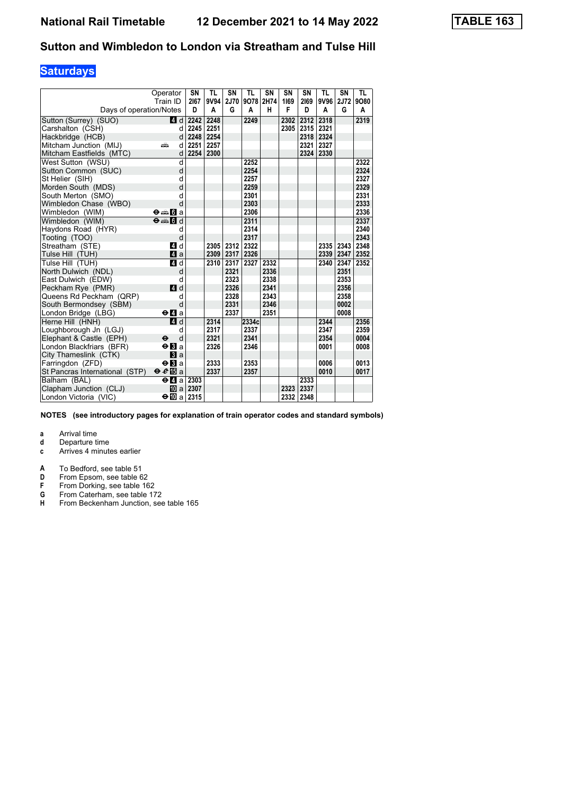# **Saturdays**

|                                | Operator<br>Train ID                            | SN<br>2167 | <b>TL</b><br>9V94 | SN<br><b>2J70</b> | <b>TL</b><br>9078 2H74 | <b>SN</b> | SN<br>1169 | SN<br>2169 | <b>TL</b><br>9V96 | SN<br>2J72 | <b>TL</b><br>9080 |
|--------------------------------|-------------------------------------------------|------------|-------------------|-------------------|------------------------|-----------|------------|------------|-------------------|------------|-------------------|
| Days of operation/Notes        |                                                 | D          | A                 | G                 | A                      | н         | F          | D          | A                 | G          | Α                 |
|                                |                                                 |            |                   |                   |                        |           |            |            |                   |            |                   |
| Sutton (Surrey) (SUO)          | 4d                                              | 2242       | 2248              |                   | 2249                   |           | 2302       | 2312       | 2318              |            | 2319              |
| Carshalton (CSH)               | d                                               | 2245       | 2251              |                   |                        |           | 2305       | 2315 2321  |                   |            |                   |
| Hackbridge (HCB)               | d                                               | 2248 2254  |                   |                   |                        |           |            | 2318 2324  |                   |            |                   |
| Mitcham Junction (MIJ)         | æ<br>d                                          | 2251       | 2257              |                   |                        |           |            | 2321 2327  |                   |            |                   |
| Mitcham Eastfields (MTC)       | d                                               | 2254 2300  |                   |                   |                        |           |            | 2324       | 2330              |            |                   |
| West Sutton (WSU)              | d                                               |            |                   |                   | 2252                   |           |            |            |                   |            | 2322              |
| Sutton Common (SUC)            | d                                               |            |                   |                   | 2254                   |           |            |            |                   |            | 2324              |
| St Helier (SIH)                | d                                               |            |                   |                   | 2257                   |           |            |            |                   |            | 2327              |
| Morden South (MDS)             | d                                               |            |                   |                   | 2259                   |           |            |            |                   |            | 2329              |
| South Merton (SMO)             | d                                               |            |                   |                   | 2301                   |           |            |            |                   |            | 2331              |
| Wimbledon Chase (WBO)          | d                                               |            |                   |                   | 2303                   |           |            |            |                   |            | 2333              |
| Wimbledon (WIM)                | <b>⊖⊯⊪[i</b> a                                  |            |                   |                   | 2306                   |           |            |            |                   |            | 2336              |
| Wimbledon (WIM)                | $\Theta = \begin{bmatrix} 1 \\ 0 \end{bmatrix}$ |            |                   |                   | 2311                   |           |            |            |                   |            | 2337              |
| Haydons Road (HYR)             | d                                               |            |                   |                   | 2314                   |           |            |            |                   |            | 2340              |
| Tooting (TOO)                  | d                                               |            |                   |                   | 2317                   |           |            |            |                   |            | 2343              |
| Streatham (STE)                | 4 d                                             |            | 2305              | 2312              | 2322                   |           |            |            | 2335              | 2343       | 2348              |
| Tulse Hill (TUH)               | Zi a                                            |            | 2309              | 2317              | 2326                   |           |            |            | 2339              | 2347       | 2352              |
| Tulse Hill (TUH)               | 41 d                                            |            | 2310              | 2317              | 2327                   | 2332      |            |            | 2340              | 2347       | 2352              |
| North Dulwich (NDL)            | d                                               |            |                   | 2321              |                        | 2336      |            |            |                   | 2351       |                   |
| East Dulwich (EDW)             | d                                               |            |                   | 2323              |                        | 2338      |            |            |                   | 2353       |                   |
| Peckham Rye (PMR)              | $\blacksquare$ d                                |            |                   | 2326              |                        | 2341      |            |            |                   | 2356       |                   |
| Queens Rd Peckham (QRP)        | d                                               |            |                   | 2328              |                        | 2343      |            |            |                   | 2358       |                   |
| South Bermondsey (SBM)         | d                                               |            |                   | 2331              |                        | 2346      |            |            |                   | 0002       |                   |
| London Bridge (LBG)            | $\Theta$ <b><math>\blacksquare</math></b> a     |            |                   | 2337              |                        | 2351      |            |            |                   | 0008       |                   |
| Herne Hill (HNH)               | 4d                                              |            | 2314              |                   | 2334c                  |           |            |            | 2344              |            | 2356              |
| Loughborough Jn (LGJ)          | d                                               |            | 2317              |                   | 2337                   |           |            |            | 2347              |            | 2359              |
| Elephant & Castle (EPH)        | d<br>$\bullet$                                  |            | 2321              |                   | 2341                   |           |            |            | 2354              |            | 0004              |
| London Blackfriars (BFR)       | $\Theta$ <b>B</b> a                             |            | 2326              |                   | 2346                   |           |            |            | 0001              |            | 0008              |
| City Thameslink (CTK)          | $\mathbf{B}$ a                                  |            |                   |                   |                        |           |            |            |                   |            |                   |
| Farringdon (ZFD)               | $\Theta$ <b>El</b> a                            |            | 2333              |                   | 2353                   |           |            |            | 0006              |            | 0013              |
| St Pancras International (STP) | $\Theta \cdot \theta$ a                         |            | 2337              |                   | 2357                   |           |            |            | 0010              |            | 0017              |
| Balham (BAL)                   | $\Theta$ <b><math>\blacksquare</math></b> a     | 2303       |                   |                   |                        |           |            | 2333       |                   |            |                   |
| Clapham Junction (CLJ)         | 10<br>al                                        | 2307       |                   |                   |                        |           | 2323       | 2337       |                   |            |                   |
| London Victoria (VIC)          | ⊖n∏al                                           | 2315       |                   |                   |                        |           | 2332 2348  |            |                   |            |                   |

**NOTES (see introductory pages for explanation of train operator codes and standard symbols)**

- **d** Departure time
- **c** Arrives 4 minutes earlier
- 
- **A** To Bedford, see table 51<br>**D** From Epsom, see table 6
- **D** From Epsom, see table 62<br>**F** From Dorking, see table 16 **F** From Dorking, see table 162<br>**G** From Caterham, see table 17
- **6** From Caterham, see table 172<br>**H** From Beckenham Junction, see
- **From Beckenham Junction, see table 165**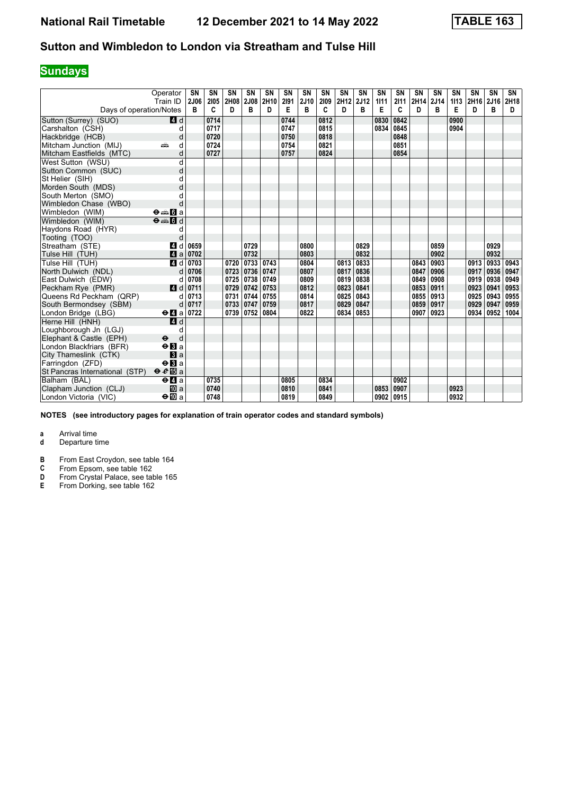## **Sundays**

|                                | Operator<br>Train ID                              | <b>SN</b><br>2J06 | <b>SN</b><br>2105 | <b>SN</b><br>2H08 | <b>SN</b><br>2J08 | <b>SN</b><br>2H10 | SN<br>2191 | <b>SN</b><br>2J10 | SN<br>2109 | SN<br>2H12 | <b>SN</b><br>2J12 | <b>SN</b><br>1111 | SN<br>2111 | SN<br>2H14 | <b>SN</b><br>2J14 | SN<br>1113 | <b>SN</b><br>2H16 | SN<br>2J16 | SN<br>2H18 |
|--------------------------------|---------------------------------------------------|-------------------|-------------------|-------------------|-------------------|-------------------|------------|-------------------|------------|------------|-------------------|-------------------|------------|------------|-------------------|------------|-------------------|------------|------------|
| Days of operation/Notes        |                                                   | B                 | C                 | D                 | в                 | D                 | Е          | B                 | C          | D          | в                 | Е                 | C          | D          | B                 | Е          | D                 | B          | D          |
| Sutton (Surrey) (SUO)          | 4 d                                               |                   | 0714              |                   |                   |                   | 0744       |                   | 0812       |            |                   | 0830              | 0842       |            |                   | 0900       |                   |            |            |
| Carshalton (CSH)               | d                                                 |                   | 0717              |                   |                   |                   | 0747       |                   | 0815       |            |                   | 0834              | 0845       |            |                   | 0904       |                   |            |            |
| Hackbridge (HCB)               | d                                                 |                   | 0720              |                   |                   |                   | 0750       |                   | 0818       |            |                   |                   | 0848       |            |                   |            |                   |            |            |
| Mitcham Junction (MIJ)         | d<br>æ                                            |                   | 0724              |                   |                   |                   | 0754       |                   | 0821       |            |                   |                   | 0851       |            |                   |            |                   |            |            |
| Mitcham Eastfields (MTC)       | d                                                 |                   | 0727              |                   |                   |                   | 0757       |                   | 0824       |            |                   |                   | 0854       |            |                   |            |                   |            |            |
| West Sutton (WSU)              | d                                                 |                   |                   |                   |                   |                   |            |                   |            |            |                   |                   |            |            |                   |            |                   |            |            |
| Sutton Common (SUC)            | d                                                 |                   |                   |                   |                   |                   |            |                   |            |            |                   |                   |            |            |                   |            |                   |            |            |
| St Helier (SIH)                | d                                                 |                   |                   |                   |                   |                   |            |                   |            |            |                   |                   |            |            |                   |            |                   |            |            |
| Morden South (MDS)             | d                                                 |                   |                   |                   |                   |                   |            |                   |            |            |                   |                   |            |            |                   |            |                   |            |            |
| South Merton (SMO)             |                                                   |                   |                   |                   |                   |                   |            |                   |            |            |                   |                   |            |            |                   |            |                   |            |            |
| Wimbledon Chase (WBO)          |                                                   |                   |                   |                   |                   |                   |            |                   |            |            |                   |                   |            |            |                   |            |                   |            |            |
| Wimbledon (WIM)                | $\Theta = \blacksquare$ $\blacksquare$ a          |                   |                   |                   |                   |                   |            |                   |            |            |                   |                   |            |            |                   |            |                   |            |            |
| Wimbledon (WIM)                | $\overline{\Theta}$ $\cong$ $\overline{\Theta}$ d |                   |                   |                   |                   |                   |            |                   |            |            |                   |                   |            |            |                   |            |                   |            |            |
| Haydons Road (HYR)             | d                                                 |                   |                   |                   |                   |                   |            |                   |            |            |                   |                   |            |            |                   |            |                   |            |            |
| Tooting (TOO)                  | d                                                 |                   |                   |                   |                   |                   |            |                   |            |            |                   |                   |            |            |                   |            |                   |            |            |
| Streatham (STE)                | 4<br>d                                            | 0659              |                   |                   | 0729              |                   |            | 0800              |            |            | 0829              |                   |            |            | 0859              |            |                   | 0929       |            |
| Tulse Hill (TUH)               | ZI a                                              | 0702              |                   |                   | 0732              |                   |            | 0803              |            |            | 0832              |                   |            |            | 0902              |            |                   | 0932       |            |
| Tulse Hill (TUH)               | 4d                                                | 0703              |                   | 0720              | 0733              | 0743              |            | 0804              |            | 0813       | 0833              |                   |            | 0843       | 0903              |            | 0913              | 0933       | 0943       |
| North Dulwich (NDL)            | d                                                 | 0706              |                   | 0723              | 0736              | 0747              |            | 0807              |            | 0817       | 0836              |                   |            | 0847       | 0906              |            | 0917              | 0936       | 0947       |
| East Dulwich (EDW)             |                                                   | 0708              |                   | 0725              | 0738              | 0749              |            | 0809              |            | 0819       | 0838              |                   |            | 0849       | 0908              |            | 0919              | 0938       | 0949       |
| Peckham Rye (PMR)              | ZI d                                              | 0711              |                   | 0729              | 0742              | 0753              |            | 0812              |            | 0823       | 0841              |                   |            | 0853       | 0911              |            | 0923              | 0941       | 0953       |
| Queens Rd Peckham (QRP)        | d                                                 | 0713              |                   | 0731              | 0744              | 0755              |            | 0814              |            | 0825       | 0843              |                   |            | 0855       | 0913              |            | 0925              | 0943       | 0955       |
| South Bermondsey (SBM)         | d                                                 | 0717              |                   | 0733              | 0747              | 0759              |            | 0817              |            | 0829       | 0847              |                   |            | 0859       | 0917              |            | 0929              | 0947       | 0959       |
| London Bridge (LBG)            | $\Theta$ <b>d</b> a                               | 0722              |                   | 0739              | 0752              | 0804              |            | 0822              |            | 0834       | 0853              |                   |            | 0907       | 0923              |            | 0934              | 0952       | 1004       |
| Herne Hill (HNH)               | 4d                                                |                   |                   |                   |                   |                   |            |                   |            |            |                   |                   |            |            |                   |            |                   |            |            |
| Loughborough Jn (LGJ)          | d                                                 |                   |                   |                   |                   |                   |            |                   |            |            |                   |                   |            |            |                   |            |                   |            |            |
| Elephant & Castle (EPH)        | d<br>$\ddot{\boldsymbol{\Theta}}$                 |                   |                   |                   |                   |                   |            |                   |            |            |                   |                   |            |            |                   |            |                   |            |            |
| London Blackfriars (BFR)       | $\Theta$ <b>B</b> a                               |                   |                   |                   |                   |                   |            |                   |            |            |                   |                   |            |            |                   |            |                   |            |            |
| City Thameslink (CTK)          | $\mathbf{B}$ a                                    |                   |                   |                   |                   |                   |            |                   |            |            |                   |                   |            |            |                   |            |                   |            |            |
| Farringdon (ZFD)               | $\Theta$ <b>B</b> a                               |                   |                   |                   |                   |                   |            |                   |            |            |                   |                   |            |            |                   |            |                   |            |            |
| St Pancras International (STP) | $\Theta \cdot e$ is a                             |                   |                   |                   |                   |                   |            |                   |            |            |                   |                   |            |            |                   |            |                   |            |            |
| Balham (BAL)                   | $\Theta$ <b><math>\blacksquare</math></b> a       |                   | 0735              |                   |                   |                   | 0805       |                   | 0834       |            |                   |                   | 0902       |            |                   |            |                   |            |            |
| Clapham Junction (CLJ)         | <b>ID</b> a                                       |                   | 0740              |                   |                   |                   | 0810       |                   | 0841       |            |                   | 0853              | 0907       |            |                   | 0923       |                   |            |            |
| London Victoria (VIC)          | $\bigoplus$ a                                     |                   | 0748              |                   |                   |                   | 0819       |                   | 0849       |            |                   | 0902              | 0915       |            |                   | 0932       |                   |            |            |

**NOTES (see introductory pages for explanation of train operator codes and standard symbols)**

- **d** Departure time
- **B** From East Croydon, see table 164<br>**C** From Epsom, see table 162
- 
- **C** From Epsom, see table 162<br>**D** From Crystal Palace, see table<br>**E** From Dorking, see table 162 From Crystal Palace, see table 165
- **From Dorking, see table 162**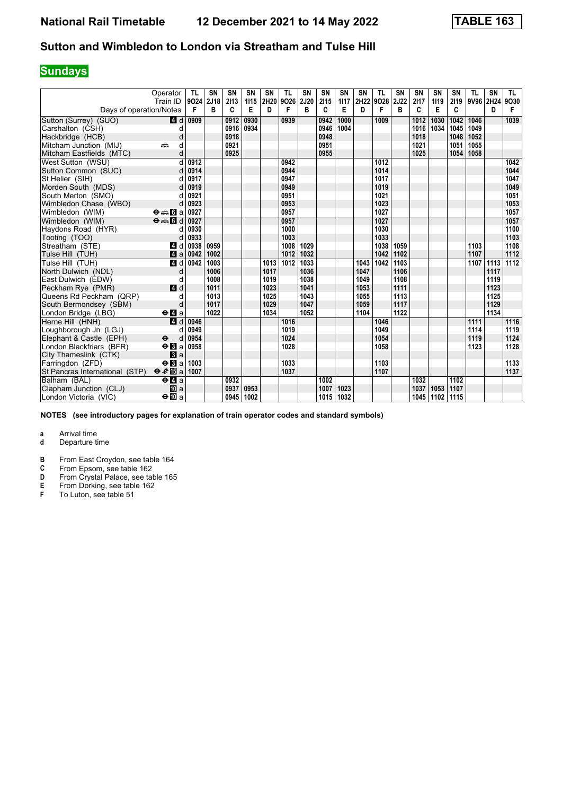## **Sundays**

|                                | Operator<br>Train ID           | TL<br>9024 | <b>SN</b><br>2J18 | SN<br>2113 | <b>SN</b><br>1115 | <b>SN</b> | <b>TL</b><br>2H20 9O26 | <b>SN</b><br>2J20 | <b>SN</b><br>2115 | SN<br>1117 | SN   | TL<br>2H22 9O28 | <b>SN</b><br>2J22 | <b>SN</b><br>2117 | SN<br>1119 | SN<br>2119 | <b>TL</b> | <b>SN</b><br>9V96 2H24 | TL.<br>9030 |
|--------------------------------|--------------------------------|------------|-------------------|------------|-------------------|-----------|------------------------|-------------------|-------------------|------------|------|-----------------|-------------------|-------------------|------------|------------|-----------|------------------------|-------------|
| Days of operation/Notes        |                                | F          | в                 | C          | Е                 | D         | F                      | в                 | C                 | E          | D    | F               | в                 | C                 | E          | C          |           | D                      | F           |
| Sutton (Surrey) (SUO)          | 4 d                            | 0909       |                   | 0912       | 0930              |           | 0939                   |                   | 0942              | 1000       |      | 1009            |                   | 1012              | 1030       | 1042       | 1046      |                        | 1039        |
| Carshalton (CSH)               | d                              |            |                   | 0916       | 0934              |           |                        |                   | 0946              | 1004       |      |                 |                   | 1016              | 1034       | 1045       | 1049      |                        |             |
| Hackbridge (HCB)               | d                              |            |                   | 0918       |                   |           |                        |                   | 0948              |            |      |                 |                   | 1018              |            | 1048       | 1052      |                        |             |
| Mitcham Junction (MIJ)         | d<br>añ,                       |            |                   | 0921       |                   |           |                        |                   | 0951              |            |      |                 |                   | 1021              |            | 1051       | 1055      |                        |             |
| Mitcham Eastfields (MTC)       | d                              |            |                   | 0925       |                   |           |                        |                   | 0955              |            |      |                 |                   | 1025              |            | 1054       | 1058      |                        |             |
| West Sutton (WSU)              | d                              | 0912       |                   |            |                   |           | 0942                   |                   |                   |            |      | 1012            |                   |                   |            |            |           |                        | 1042        |
| Sutton Common (SUC)            | d                              | 0914       |                   |            |                   |           | 0944                   |                   |                   |            |      | 1014            |                   |                   |            |            |           |                        | 1044        |
| St Helier (SIH)                | d                              | 0917       |                   |            |                   |           | 0947                   |                   |                   |            |      | 1017            |                   |                   |            |            |           |                        | 1047        |
| Morden South (MDS)             |                                | 0919       |                   |            |                   |           | 0949                   |                   |                   |            |      | 1019            |                   |                   |            |            |           |                        | 1049        |
| South Merton (SMO)             | d                              | 0921       |                   |            |                   |           | 0951                   |                   |                   |            |      | 1021            |                   |                   |            |            |           |                        | 1051        |
| Wimbledon Chase (WBO)          | d                              | 0923       |                   |            |                   |           | 0953                   |                   |                   |            |      | 1023            |                   |                   |            |            |           |                        | 1053        |
| Wimbledon (WIM)                | $\Theta \oplus \blacksquare$ a | 0927       |                   |            |                   |           | 0957                   |                   |                   |            |      | 1027            |                   |                   |            |            |           |                        | 1057        |
| Wimbledon (WIM)                | $\Theta = \Pi d$               | 0927       |                   |            |                   |           | 0957                   |                   |                   |            |      | 1027            |                   |                   |            |            |           |                        | 1057        |
| Haydons Road (HYR)             | d                              | 0930       |                   |            |                   |           | 1000                   |                   |                   |            |      | 1030            |                   |                   |            |            |           |                        | 1100        |
| Tooting (TOO)                  | d                              | 0933       |                   |            |                   |           | 1003                   |                   |                   |            |      | 1033            |                   |                   |            |            |           |                        | 1103        |
| Streatham (STE)                | 4 d                            | 0938       | 0959              |            |                   |           | 1008                   | 1029              |                   |            |      | 1038            | 1059              |                   |            |            | 1103      |                        | 1108        |
| Tulse Hill (TUH)               | 4a                             | 0942       | 1002              |            |                   |           | 1012                   | 1032              |                   |            |      | 1042            | 1102              |                   |            |            | 1107      |                        | 1112        |
| Tulse Hill (TUH)               | 4 d                            | 0942       | 1003              |            |                   | 1013      | 1012                   | 1033              |                   |            | 1043 | 1042            | 1103              |                   |            |            | 1107      | 1113                   | 1112        |
| North Dulwich (NDL)            | d                              |            | 1006              |            |                   | 1017      |                        | 1036              |                   |            | 1047 |                 | 1106              |                   |            |            |           | 1117                   |             |
| East Dulwich (EDW)             | d                              |            | 1008              |            |                   | 1019      |                        | 1038              |                   |            | 1049 |                 | 1108              |                   |            |            |           | 1119                   |             |
| Peckham Rye (PMR)              | 4 d                            |            | 1011              |            |                   | 1023      |                        | 1041              |                   |            | 1053 |                 | 1111              |                   |            |            |           | 1123                   |             |
| Queens Rd Peckham (QRP)        | d                              |            | 1013              |            |                   | 1025      |                        | 1043              |                   |            | 1055 |                 | 1113              |                   |            |            |           | 1125                   |             |
| South Bermondsey (SBM)         | d                              |            | 1017              |            |                   | 1029      |                        | 1047              |                   |            | 1059 |                 | 1117              |                   |            |            |           | 1129                   |             |
| London Bridge (LBG)            | $\Theta$ <b>d</b> a            |            | 1022              |            |                   | 1034      |                        | 1052              |                   |            | 1104 |                 | 1122              |                   |            |            |           | 1134                   |             |
| Herne Hill (HNH)               | 4d                             | 0946       |                   |            |                   |           | 1016                   |                   |                   |            |      | 1046            |                   |                   |            |            | 1111      |                        | 1116        |
| Loughborough Jn (LGJ)          | d                              | 0949       |                   |            |                   |           | 1019                   |                   |                   |            |      | 1049            |                   |                   |            |            | 1114      |                        | 1119        |
| Elephant & Castle (EPH)        | $\ddot{\mathbf{e}}$<br>d       | 0954       |                   |            |                   |           | 1024                   |                   |                   |            |      | 1054            |                   |                   |            |            | 1119      |                        | 1124        |
| London Blackfriars (BFR)       | $\Theta$ <b>B</b> a            | 0958       |                   |            |                   |           | 1028                   |                   |                   |            |      | 1058            |                   |                   |            |            | 1123      |                        | 1128        |
| City Thameslink (CTK)          | $\mathbf{B}$ a                 |            |                   |            |                   |           |                        |                   |                   |            |      |                 |                   |                   |            |            |           |                        |             |
| Farringdon (ZFD)               | $\Theta$ <b>N</b> a            | 1003       |                   |            |                   |           | 1033                   |                   |                   |            |      | 1103            |                   |                   |            |            |           |                        | 1133        |
| St Pancras International (STP) | $\theta e$ <b>B</b> a          | 1007       |                   |            |                   |           | 1037                   |                   |                   |            |      | 1107            |                   |                   |            |            |           |                        | 1137        |
| Balham (BAL)                   | $e$ $q$ a                      |            |                   | 0932       |                   |           |                        |                   | 1002              |            |      |                 |                   | 1032              |            | 1102       |           |                        |             |
| Clapham Junction (CLJ)         | <b>ID</b> a                    |            |                   | 0937       | 0953              |           |                        |                   | 1007              | 1023       |      |                 |                   | 1037              | 1053       | 1107       |           |                        |             |
| London Victoria (VIC)          | $\Theta$ III a                 |            |                   | 0945       | 1002              |           |                        |                   | 1015              | 1032       |      |                 |                   | 1045              | 1102       | 1115       |           |                        |             |

**NOTES (see introductory pages for explanation of train operator codes and standard symbols)**

- **d** Departure time
- **B** From East Croydon, see table 164<br>**C** From Epsom, see table 162
- **C** From Epsom, see table 162<br>**D** From Crystal Palace, see tal
- **D** From Crystal Palace, see table 165<br>**E** From Dorking, see table 162<br>**F** To Luton, see table 51
- **E** From Dorking, see table 162
- **F** To Luton, see table 51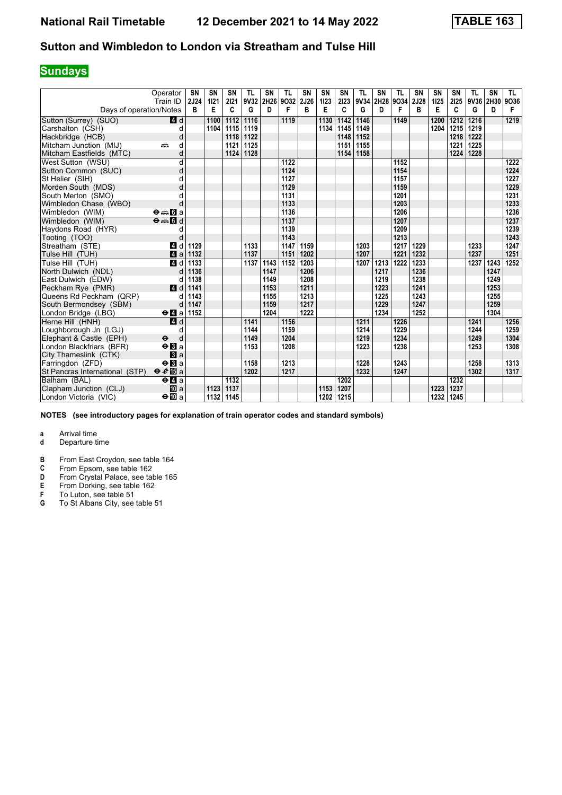## **Sundays**

|                                | Operator<br>Train ID                            | SN<br>2J24 | <b>SN</b><br>1121 | <b>SN</b><br>2121 | TL<br>9V32 | <b>SN</b><br>2H26 | TL<br>9032 | <b>SN</b><br>2J26 | <b>SN</b><br>1123 | SΝ<br>2123 | TL<br>9V34 | <b>SN</b><br>2H28 | TL<br>9034 | SN<br>2J28 | <b>SN</b><br>1125 | SN<br>2125 | TL<br>9V36 | SN<br>2H30 | TL.<br>9036 |
|--------------------------------|-------------------------------------------------|------------|-------------------|-------------------|------------|-------------------|------------|-------------------|-------------------|------------|------------|-------------------|------------|------------|-------------------|------------|------------|------------|-------------|
| Days of operation/Notes        |                                                 | B          | Е                 | C                 | G          | D                 | F          | в                 | Е                 | C          | G          | D                 | F          | в          | Е                 | C          | G          | D          | F           |
| Sutton (Surrey) (SUO)          | 4 d                                             |            | 1100              | 1112              | 1116       |                   | 1119       |                   | 1130              | 1142       | 1146       |                   | 1149       |            | 1200              | 1212       | 1216       |            | 1219        |
| Carshalton (CSH)               | d                                               |            | 1104              | 1115              | 1119       |                   |            |                   | 1134              | 1145       | 1149       |                   |            |            | 1204              | 1215       | 1219       |            |             |
| Hackbridge (HCB)               | d                                               |            |                   | 1118              | 1122       |                   |            |                   |                   | 1148       | 1152       |                   |            |            |                   | 1218       | 1222       |            |             |
| Mitcham Junction (MIJ)         | d<br>پیش                                        |            |                   | 1121              | 1125       |                   |            |                   |                   | 1151       | 1155       |                   |            |            |                   | 1221       | 1225       |            |             |
| Mitcham Eastfields (MTC)       | d                                               |            |                   | 1124              | 1128       |                   |            |                   |                   | 1154       | 1158       |                   |            |            |                   | 1224       | 1228       |            |             |
| West Sutton (WSU)              | d                                               |            |                   |                   |            |                   | 1122       |                   |                   |            |            |                   | 1152       |            |                   |            |            |            | 1222        |
| Sutton Common (SUC)            | d                                               |            |                   |                   |            |                   | 1124       |                   |                   |            |            |                   | 1154       |            |                   |            |            |            | 1224        |
| St Helier (SIH)                | d                                               |            |                   |                   |            |                   | 1127       |                   |                   |            |            |                   | 1157       |            |                   |            |            |            | 1227        |
| Morden South (MDS)             | d                                               |            |                   |                   |            |                   | 1129       |                   |                   |            |            |                   | 1159       |            |                   |            |            |            | 1229        |
| South Merton (SMO)             | d                                               |            |                   |                   |            |                   | 1131       |                   |                   |            |            |                   | 1201       |            |                   |            |            |            | 1231        |
| Wimbledon Chase (WBO)          | d                                               |            |                   |                   |            |                   | 1133       |                   |                   |            |            |                   | 1203       |            |                   |            |            |            | 1233        |
| Wimbledon (WIM)                | $\Theta = \blacksquare$ $\blacksquare$ a        |            |                   |                   |            |                   | 1136       |                   |                   |            |            |                   | 1206       |            |                   |            |            |            | 1236        |
| Wimbledon (WIM)                | $\Theta = \begin{bmatrix} 1 \\ 0 \end{bmatrix}$ |            |                   |                   |            |                   | 1137       |                   |                   |            |            |                   | 1207       |            |                   |            |            |            | 1237        |
| Haydons Road (HYR)             | d                                               |            |                   |                   |            |                   | 1139       |                   |                   |            |            |                   | 1209       |            |                   |            |            |            | 1239        |
| Tooting (TOO)                  | d                                               |            |                   |                   |            |                   | 1143       |                   |                   |            |            |                   | 1213       |            |                   |            |            |            | 1243        |
| Streatham (STE)                | 4 d                                             | 1129       |                   |                   | 1133       |                   | 1147       | 1159              |                   |            | 1203       |                   | 1217       | 1229       |                   |            | 1233       |            | 1247        |
| Tulse Hill (TUH)               | ZI a                                            | 1132       |                   |                   | 1137       |                   | 1151       | 1202              |                   |            | 1207       |                   | 1221       | 1232       |                   |            | 1237       |            | 1251        |
| Tulse Hill (TUH)               | 4d                                              | 1133       |                   |                   | 1137       | 1143              | 1152       | 1203              |                   |            | 1207       | 1213              | 1222       | 1233       |                   |            | 1237       | 1243       | 1252        |
| North Dulwich (NDL)            | d                                               | 1136       |                   |                   |            | 1147              |            | 1206              |                   |            |            | 1217              |            | 1236       |                   |            |            | 1247       |             |
| East Dulwich (EDW)             | d                                               | 1138       |                   |                   |            | 1149              |            | 1208              |                   |            |            | 1219              |            | 1238       |                   |            |            | 1249       |             |
| Peckham Rye (PMR)              | <b>4</b> d                                      | 1141       |                   |                   |            | 1153              |            | 1211              |                   |            |            | 1223              |            | 1241       |                   |            |            | 1253       |             |
| Queens Rd Peckham (QRP)        | d                                               | 1143       |                   |                   |            | 1155              |            | 1213              |                   |            |            | 1225              |            | 1243       |                   |            |            | 1255       |             |
| South Bermondsey (SBM)         | d                                               | 1147       |                   |                   |            | 1159              |            | 1217              |                   |            |            | 1229              |            | 1247       |                   |            |            | 1259       |             |
| London Bridge (LBG)            | $\Theta$ <b><math>\blacksquare</math></b> a     | 1152       |                   |                   |            | 1204              |            | 1222              |                   |            |            | 1234              |            | 1252       |                   |            |            | 1304       |             |
| Herne Hill (HNH)               | 4d                                              |            |                   |                   | 1141       |                   | 1156       |                   |                   |            | 1211       |                   | 1226       |            |                   |            | 1241       |            | 1256        |
| Loughborough Jn (LGJ)          | d                                               |            |                   |                   | 1144       |                   | 1159       |                   |                   |            | 1214       |                   | 1229       |            |                   |            | 1244       |            | 1259        |
| Elephant & Castle (EPH)        | $\ddot{\boldsymbol{\Theta}}$<br>d               |            |                   |                   | 1149       |                   | 1204       |                   |                   |            | 1219       |                   | 1234       |            |                   |            | 1249       |            | 1304        |
| London Blackfriars (BFR)       | $\Theta$ <b>B</b> a                             |            |                   |                   | 1153       |                   | 1208       |                   |                   |            | 1223       |                   | 1238       |            |                   |            | 1253       |            | 1308        |
| City Thameslink (CTK)          | $\blacksquare$                                  |            |                   |                   |            |                   |            |                   |                   |            |            |                   |            |            |                   |            |            |            |             |
| Farringdon (ZFD)               | $\Theta$ <b>B</b> a                             |            |                   |                   | 1158       |                   | 1213       |                   |                   |            | 1228       |                   | 1243       |            |                   |            | 1258       |            | 1313        |
| St Pancras International (STP) | $\theta e \mathbb{E}$ a                         |            |                   |                   | 1202       |                   | 1217       |                   |                   |            | 1232       |                   | 1247       |            |                   |            | 1302       |            | 1317        |
| Balham (BAL)                   | $\Theta$ <b><math>\blacksquare</math></b> a     |            |                   | 1132              |            |                   |            |                   |                   | 1202       |            |                   |            |            |                   | 1232       |            |            |             |
| Clapham Junction (CLJ)         | <b>ID</b> a                                     |            | 1123              | 1137              |            |                   |            |                   | 1153              | 1207       |            |                   |            |            | 1223              | 1237       |            |            |             |
| London Victoria (VIC)          | $\Theta$ $\mathbf{m}$ a                         |            | 1132              | 1145              |            |                   |            |                   | 1202              | 1215       |            |                   |            |            | 1232              | 1245       |            |            |             |

**NOTES (see introductory pages for explanation of train operator codes and standard symbols)**

- **d** Departure time
- **B** From East Croydon, see table 164<br>**C** From Epsom, see table 162
- **C** From Epsom, see table 162<br>**D** From Crystal Palace, see tal
- **D** From Crystal Palace, see table 165<br>**E** From Dorking, see table 162<br>**F** To Luton, see table 51
- **E** From Dorking, see table 162
- **F** To Luton, see table 51
- **6** To St Albans City, see table 51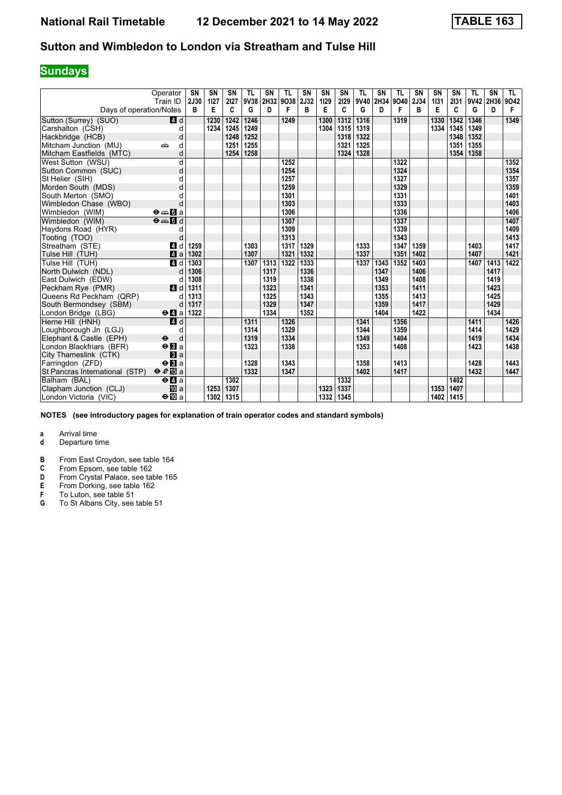## **Sundays**

|                                | Operator                                                           | <b>SN</b> | <b>SN</b> | SN        | <b>TL</b> | <b>SN</b> | <b>TL</b>      | <b>SN</b> | <b>SN</b> | SN        | <b>TL</b> | <b>SN</b> | <b>TL</b> | <b>SN</b> | SN        | SN        | <b>TL</b> | <b>SN</b>      | TL.       |
|--------------------------------|--------------------------------------------------------------------|-----------|-----------|-----------|-----------|-----------|----------------|-----------|-----------|-----------|-----------|-----------|-----------|-----------|-----------|-----------|-----------|----------------|-----------|
| Days of operation/Notes        | Train ID                                                           | 2J30<br>в | 1127<br>Е | 2127<br>C | 9V38<br>G | D         | 2H32 9O38<br>F | 2J32<br>в | 1129<br>E | 2129<br>C | 9V40<br>G | 2H34<br>D | 9040<br>F | 2J34<br>в | 1131<br>Е | 2131<br>C | G         | 9V42 2H36<br>D | 9042<br>F |
|                                |                                                                    |           |           |           |           |           |                |           |           |           |           |           |           |           |           |           |           |                |           |
| Sutton (Surrey) (SUO)          | 4 d                                                                |           | 1230      | 1242      | 1246      |           | 1249           |           | 1300      | 1312      | 1316      |           | 1319      |           | 1330      | 1342      | 1346      |                | 1349      |
| Carshalton (CSH)               | d                                                                  |           | 1234      | 1245      | 1249      |           |                |           | 1304      | 1315      | 1319      |           |           |           | 1334      | 1345      | 1349      |                |           |
| Hackbridge (HCB)               | d                                                                  |           |           | 1248      | 1252      |           |                |           |           | 1318      | 1322      |           |           |           |           | 1348      | 1352      |                |           |
| Mitcham Junction (MIJ)         | d<br>яŵ                                                            |           |           | 1251      | 1255      |           |                |           |           | 1321      | 1325      |           |           |           |           | 1351      | 1355      |                |           |
| Mitcham Eastfields (MTC)       | d                                                                  |           |           | 1254      | 1258      |           |                |           |           | 1324      | 1328      |           |           |           |           | 1354      | 1358      |                |           |
| West Sutton (WSU)              | d                                                                  |           |           |           |           |           | 1252           |           |           |           |           |           | 1322      |           |           |           |           |                | 1352      |
| Sutton Common (SUC)            | d                                                                  |           |           |           |           |           | 1254           |           |           |           |           |           | 1324      |           |           |           |           |                | 1354      |
| St Helier (SIH)                | d                                                                  |           |           |           |           |           | 1257           |           |           |           |           |           | 1327      |           |           |           |           |                | 1357      |
| Morden South (MDS)             | d                                                                  |           |           |           |           |           | 1259           |           |           |           |           |           | 1329      |           |           |           |           |                | 1359      |
| South Merton (SMO)             | d                                                                  |           |           |           |           |           | 1301           |           |           |           |           |           | 1331      |           |           |           |           |                | 1401      |
| Wimbledon Chase (WBO)          | d                                                                  |           |           |           |           |           | 1303           |           |           |           |           |           | 1333      |           |           |           |           |                | 1403      |
| Wimbledon (WIM)                | $\Theta = \blacksquare$ $\blacksquare$ a                           |           |           |           |           |           | 1306           |           |           |           |           |           | 1336      |           |           |           |           |                | 1406      |
| Wimbledon (WIM)                | $\overline{\Theta}$ $\overline{\bullet}$ $\overline{\mathbf{G}}$ d |           |           |           |           |           | 1307           |           |           |           |           |           | 1337      |           |           |           |           |                | 1407      |
| Haydons Road (HYR)             | d                                                                  |           |           |           |           |           | 1309           |           |           |           |           |           | 1339      |           |           |           |           |                | 1409      |
| Tooting (TOO)                  | d                                                                  |           |           |           |           |           | 1313           |           |           |           |           |           | 1343      |           |           |           |           |                | 1413      |
| Streatham (STE)                | ZI d                                                               | 1259      |           |           | 1303      |           | 1317           | 1329      |           |           | 1333      |           | 1347      | 1359      |           |           | 1403      |                | 1417      |
| Tulse Hill (TUH)               | 4a                                                                 | 1302      |           |           | 1307      |           | 1321           | 1332      |           |           | 1337      |           | 1351      | 1402      |           |           | 1407      |                | 1421      |
| Tulse Hill (TUH)               | 4 d                                                                | 1303      |           |           | 1307      | 1313      | 1322           | 1333      |           |           | 1337      | 1343      | 1352      | 1403      |           |           | 1407      | 1413           | 1422      |
| North Dulwich (NDL)            | d                                                                  | 1306      |           |           |           | 1317      |                | 1336      |           |           |           | 1347      |           | 1406      |           |           |           | 1417           |           |
| East Dulwich (EDW)             | d                                                                  | 1308      |           |           |           | 1319      |                | 1338      |           |           |           | 1349      |           | 1408      |           |           |           | 1419           |           |
| Peckham Rye (PMR)              | 4d                                                                 | 1311      |           |           |           | 1323      |                | 1341      |           |           |           | 1353      |           | 1411      |           |           |           | 1423           |           |
| Queens Rd Peckham (QRP)        | d                                                                  | 1313      |           |           |           | 1325      |                | 1343      |           |           |           | 1355      |           | 1413      |           |           |           | 1425           |           |
| South Bermondsey (SBM)         | d                                                                  | 1317      |           |           |           | 1329      |                | 1347      |           |           |           | 1359      |           | 1417      |           |           |           | 1429           |           |
| London Bridge (LBG)            | $\Theta$ <b>d</b> a                                                | 1322      |           |           |           | 1334      |                | 1352      |           |           |           | 1404      |           | 1422      |           |           |           | 1434           |           |
| Herne Hill (HNH)               | 4d                                                                 |           |           |           | 1311      |           | 1326           |           |           |           | 1341      |           | 1356      |           |           |           | 1411      |                | 1426      |
| Loughborough Jn (LGJ)          | d                                                                  |           |           |           | 1314      |           | 1329           |           |           |           | 1344      |           | 1359      |           |           |           | 1414      |                | 1429      |
| Elephant & Castle (EPH)        | $\ddot{\boldsymbol{\Theta}}$<br>d                                  |           |           |           | 1319      |           | 1334           |           |           |           | 1349      |           | 1404      |           |           |           | 1419      |                | 1434      |
| London Blackfriars (BFR)       | $\Theta$ <b>B</b> a                                                |           |           |           | 1323      |           | 1338           |           |           |           | 1353      |           | 1408      |           |           |           | 1423      |                | 1438      |
| City Thameslink (CTK)          | a                                                                  |           |           |           |           |           |                |           |           |           |           |           |           |           |           |           |           |                |           |
| Farringdon (ZFD)               | $\Theta$ <b>B</b> a                                                |           |           |           | 1328      |           | 1343           |           |           |           | 1358      |           | 1413      |           |           |           | 1428      |                | 1443      |
| St Pancras International (STP) | $\theta e$ <b>E</b> a                                              |           |           |           | 1332      |           | 1347           |           |           |           | 1402      |           | 1417      |           |           |           | 1432      |                | 1447      |
| Balham (BAL)                   | $e$ $q$ a                                                          |           |           | 1302      |           |           |                |           |           | 1332      |           |           |           |           |           | 1402      |           |                |           |
| Clapham Junction (CLJ)         | <b>ID</b> a                                                        |           | 1253      | 1307      |           |           |                |           | 1323      | 1337      |           |           |           |           | 1353      | 1407      |           |                |           |
| London Victoria (VIC)          | $\Theta$ III a                                                     |           | 1302      | 1315      |           |           |                |           | 1332      | 1345      |           |           |           |           | 1402      | 1415      |           |                |           |

**NOTES (see introductory pages for explanation of train operator codes and standard symbols)**

- **d** Departure time
- **B** From East Croydon, see table 164<br>**C** From Epsom, see table 162
- **C** From Epsom, see table 162<br>**D** From Crystal Palace, see tal
- **D** From Crystal Palace, see table 165<br>**E** From Dorking, see table 162<br>**F** To Luton, see table 51
- **E** From Dorking, see table 162
- **F** To Luton, see table 51
- **6** To St Albans City, see table 51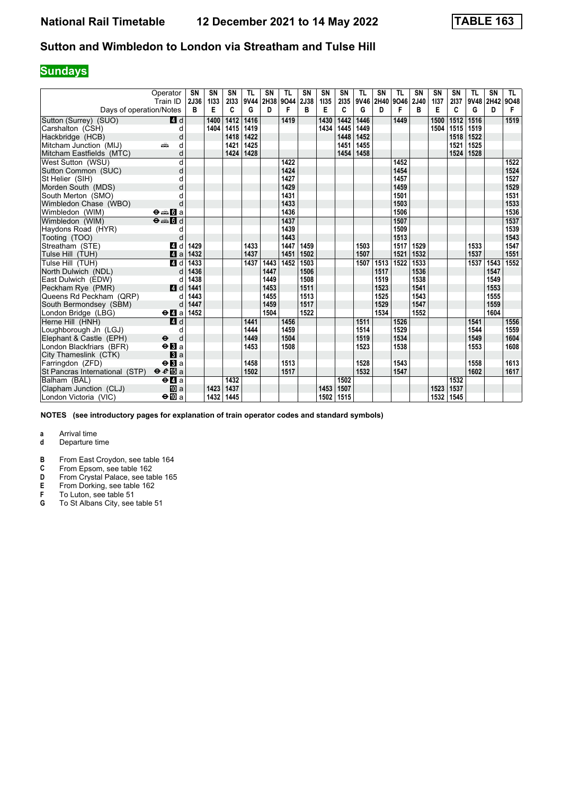## **Sundays**

|                                | Operator                                 | <b>SN</b><br>2J36 | <b>SN</b><br>1133 | SN<br>2133 | <b>TL</b><br>9V44 | <b>SN</b> | <b>TL</b><br>2H38 9O44 | <b>SN</b><br>2J38 | <b>SN</b> | SN        | <b>TL</b><br>9V46 | <b>SN</b><br>2H40 9O46 | <b>TL</b> | <b>SN</b><br>2J40 | SN<br>1137 | SN<br>2137 | <b>TL</b><br>9V48 | <b>SN</b><br>2H42 | TL.       |
|--------------------------------|------------------------------------------|-------------------|-------------------|------------|-------------------|-----------|------------------------|-------------------|-----------|-----------|-------------------|------------------------|-----------|-------------------|------------|------------|-------------------|-------------------|-----------|
| Days of operation/Notes        | Train ID                                 | B                 | E                 | C          | G                 | D         | F                      | в                 | 1135<br>E | 2135<br>C | G                 | D                      | F         | B                 | Е          | C          | G                 | D                 | 9048<br>F |
| Sutton (Surrey) (SUO)          | 4 d                                      |                   | 1400              | 1412       | 1416              |           | 1419                   |                   | 1430      | 1442      | 1446              |                        | 1449      |                   | 1500       | 1512       | 1516              |                   | 1519      |
| Carshalton (CSH)               | d                                        |                   | 1404              | 1415       | 1419              |           |                        |                   | 1434      | 1445      | 1449              |                        |           |                   | 1504       | 1515       | 1519              |                   |           |
| Hackbridge (HCB)               | d                                        |                   |                   | 1418       | 1422              |           |                        |                   |           | 1448      | 1452              |                        |           |                   |            | 1518       | 1522              |                   |           |
| Mitcham Junction (MIJ)         | d<br>æ                                   |                   |                   | 1421       | 1425              |           |                        |                   |           | 1451      | 1455              |                        |           |                   |            | 1521       | 1525              |                   |           |
| Mitcham Eastfields (MTC)       | d                                        |                   |                   | 1424       | 1428              |           |                        |                   |           | 1454      | 1458              |                        |           |                   |            | 1524       | 1528              |                   |           |
| West Sutton (WSU)              | d                                        |                   |                   |            |                   |           | 1422                   |                   |           |           |                   |                        | 1452      |                   |            |            |                   |                   | 1522      |
| Sutton Common (SUC)            | d                                        |                   |                   |            |                   |           | 1424                   |                   |           |           |                   |                        | 1454      |                   |            |            |                   |                   | 1524      |
| St Helier (SIH)                | d                                        |                   |                   |            |                   |           | 1427                   |                   |           |           |                   |                        | 1457      |                   |            |            |                   |                   | 1527      |
| Morden South (MDS)             | d                                        |                   |                   |            |                   |           | 1429                   |                   |           |           |                   |                        | 1459      |                   |            |            |                   |                   | 1529      |
| South Merton (SMO)             | d                                        |                   |                   |            |                   |           | 1431                   |                   |           |           |                   |                        | 1501      |                   |            |            |                   |                   | 1531      |
| Wimbledon Chase (WBO)          | d                                        |                   |                   |            |                   |           | 1433                   |                   |           |           |                   |                        | 1503      |                   |            |            |                   |                   | 1533      |
| Wimbledon (WIM)                | $\Theta = \blacksquare$ $\blacksquare$ a |                   |                   |            |                   |           | 1436                   |                   |           |           |                   |                        | 1506      |                   |            |            |                   |                   | 1536      |
| Wimbledon (WIM)                | $\Theta = \Pi d$                         |                   |                   |            |                   |           | 1437                   |                   |           |           |                   |                        | 1507      |                   |            |            |                   |                   | 1537      |
| Haydons Road (HYR)             | d                                        |                   |                   |            |                   |           | 1439                   |                   |           |           |                   |                        | 1509      |                   |            |            |                   |                   | 1539      |
| Tooting (TOO)                  | d                                        |                   |                   |            |                   |           | 1443                   |                   |           |           |                   |                        | 1513      |                   |            |            |                   |                   | 1543      |
| Streatham (STE)                | ZI d                                     | 1429              |                   |            | 1433              |           | 1447                   | 1459              |           |           | 1503              |                        | 1517      | 1529              |            |            | 1533              |                   | 1547      |
| Tulse Hill (TUH)               | a                                        | 1432              |                   |            | 1437              |           | 1451                   | 1502              |           |           | 1507              |                        | 1521      | 1532              |            |            | 1537              |                   | 1551      |
| Tulse Hill (TUH)               | 4d                                       | 1433              |                   |            | 1437              | 1443      | 1452                   | 1503              |           |           | 1507              | 1513                   | 1522      | 1533              |            |            | 1537              | 1543              | 1552      |
| North Dulwich (NDL)            | d                                        | 1436              |                   |            |                   | 1447      |                        | 1506              |           |           |                   | 1517                   |           | 1536              |            |            |                   | 1547              |           |
| East Dulwich (EDW)             | d                                        | 1438              |                   |            |                   | 1449      |                        | 1508              |           |           |                   | 1519                   |           | 1538              |            |            |                   | 1549              |           |
| Peckham Rye (PMR)              | $\blacksquare$                           | 1441              |                   |            |                   | 1453      |                        | 1511              |           |           |                   | 1523                   |           | 1541              |            |            |                   | 1553              |           |
| Queens Rd Peckham (QRP)        | d                                        | 1443              |                   |            |                   | 1455      |                        | 1513              |           |           |                   | 1525                   |           | 1543              |            |            |                   | 1555              |           |
| South Bermondsey (SBM)         | d                                        | 1447              |                   |            |                   | 1459      |                        | 1517              |           |           |                   | 1529                   |           | 1547              |            |            |                   | 1559              |           |
| London Bridge (LBG)            | $\Theta$ <b>d</b> a                      | 1452              |                   |            |                   | 1504      |                        | 1522              |           |           |                   | 1534                   |           | 1552              |            |            |                   | 1604              |           |
| Herne Hill (HNH)               | 4d                                       |                   |                   |            | 1441              |           | 1456                   |                   |           |           | 1511              |                        | 1526      |                   |            |            | 1541              |                   | 1556      |
| Loughborough Jn (LGJ)          | d                                        |                   |                   |            | 1444              |           | 1459                   |                   |           |           | 1514              |                        | 1529      |                   |            |            | 1544              |                   | 1559      |
| Elephant & Castle (EPH)        | d<br>$\ddot{\mathbf{e}}$                 |                   |                   |            | 1449              |           | 1504                   |                   |           |           | 1519              |                        | 1534      |                   |            |            | 1549              |                   | 1604      |
| London Blackfriars (BFR)       | $\Theta$ <b>B</b> a                      |                   |                   |            | 1453              |           | 1508                   |                   |           |           | 1523              |                        | 1538      |                   |            |            | 1553              |                   | 1608      |
| City Thameslink (CTK)          | $\blacksquare$ a                         |                   |                   |            |                   |           |                        |                   |           |           |                   |                        |           |                   |            |            |                   |                   |           |
| Farringdon (ZFD)               | $\Theta$ <b>R</b> a                      |                   |                   |            | 1458              |           | 1513                   |                   |           |           | 1528              |                        | 1543      |                   |            |            | 1558              |                   | 1613      |
| St Pancras International (STP) | $\theta e$ <b>E</b> a                    |                   |                   |            | 1502              |           | 1517                   |                   |           |           | 1532              |                        | 1547      |                   |            |            | 1602              |                   | 1617      |
| Balham (BAL)                   | $e$ $a$                                  |                   |                   | 1432       |                   |           |                        |                   |           | 1502      |                   |                        |           |                   |            | 1532       |                   |                   |           |
| Clapham Junction (CLJ)         | <b>ID</b> a                              |                   | 1423              | 1437       |                   |           |                        |                   | 1453      | 1507      |                   |                        |           |                   | 1523       | 1537       |                   |                   |           |
| London Victoria (VIC)          | $\Theta$ <b>III</b> a                    |                   | 1432              | 1445       |                   |           |                        |                   | 1502      | 1515      |                   |                        |           |                   | 1532       | 1545       |                   |                   |           |

**NOTES (see introductory pages for explanation of train operator codes and standard symbols)**

- **d** Departure time
- **B** From East Croydon, see table 164<br>**C** From Epsom, see table 162
- **C** From Epsom, see table 162<br>**D** From Crystal Palace, see tal
- **D** From Crystal Palace, see table 165<br>**E** From Dorking, see table 162<br>**F** To Luton, see table 51
- **E** From Dorking, see table 162
- **F** To Luton, see table 51
- **6** To St Albans City, see table 51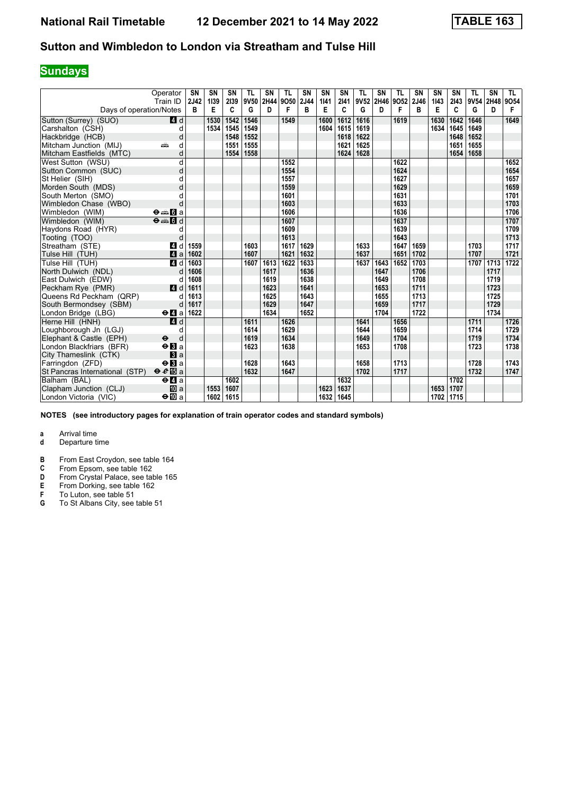## **Sundays**

|                                | Operator                                                           | <b>SN</b> | SN        | SN        | <b>TL</b> | SN   | <b>TL</b>      | <b>SN</b> | <b>SN</b> | SN        | <b>TL</b> | <b>SN</b>      | <b>TL</b> | <b>SN</b> | SN        | SN        | <b>TL</b> | <b>SN</b>      | TL.       |
|--------------------------------|--------------------------------------------------------------------|-----------|-----------|-----------|-----------|------|----------------|-----------|-----------|-----------|-----------|----------------|-----------|-----------|-----------|-----------|-----------|----------------|-----------|
| Days of operation/Notes        | Train ID                                                           | 2J42<br>в | 1139<br>E | 2139<br>C | 9V50<br>G | D    | 2H44 9O50<br>F | 2J44<br>в | 1141<br>E | 2141<br>C | G         | 9V52 2H46<br>D | 9052<br>F | 2J46<br>B | 1143<br>Е | 2143<br>C | G         | 9V54 2H48<br>D | 9054<br>F |
| Sutton (Surrey) (SUO)          | 4 d                                                                |           | 1530      | 1542      | 1546      |      | 1549           |           | 1600      | 1612      | 1616      |                | 1619      |           | 1630      | 1642      | 1646      |                | 1649      |
| Carshalton (CSH)               | d                                                                  |           | 1534      | 1545      | 1549      |      |                |           | 1604      | 1615      | 1619      |                |           |           | 1634      | 1645      | 1649      |                |           |
| Hackbridge (HCB)               | d                                                                  |           |           | 1548      | 1552      |      |                |           |           | 1618      | 1622      |                |           |           |           | 1648      | 1652      |                |           |
| Mitcham Junction (MIJ)         | d<br>añ,                                                           |           |           | 1551      | 1555      |      |                |           |           | 1621      | 1625      |                |           |           |           | 1651      | 1655      |                |           |
| Mitcham Eastfields (MTC)       | d                                                                  |           |           | 1554      | 1558      |      |                |           |           | 1624      | 1628      |                |           |           |           | 1654      | 1658      |                |           |
| West Sutton (WSU)              | d                                                                  |           |           |           |           |      | 1552           |           |           |           |           |                | 1622      |           |           |           |           |                | 1652      |
| Sutton Common (SUC)            | d                                                                  |           |           |           |           |      | 1554           |           |           |           |           |                | 1624      |           |           |           |           |                | 1654      |
| St Helier (SIH)                | d                                                                  |           |           |           |           |      | 1557           |           |           |           |           |                | 1627      |           |           |           |           |                | 1657      |
| Morden South (MDS)             | d                                                                  |           |           |           |           |      | 1559           |           |           |           |           |                | 1629      |           |           |           |           |                | 1659      |
| South Merton (SMO)             | d                                                                  |           |           |           |           |      | 1601           |           |           |           |           |                | 1631      |           |           |           |           |                | 1701      |
| Wimbledon Chase (WBO)          | d                                                                  |           |           |           |           |      | 1603           |           |           |           |           |                | 1633      |           |           |           |           |                | 1703      |
| Wimbledon (WIM)                | $\Theta = \blacksquare$ $\blacksquare$ a                           |           |           |           |           |      | 1606           |           |           |           |           |                | 1636      |           |           |           |           |                | 1706      |
| Wimbledon (WIM)                | $\overline{\Theta}$ $\overline{\bullet}$ $\overline{\mathbf{G}}$ d |           |           |           |           |      | 1607           |           |           |           |           |                | 1637      |           |           |           |           |                | 1707      |
| Haydons Road (HYR)             | d                                                                  |           |           |           |           |      | 1609           |           |           |           |           |                | 1639      |           |           |           |           |                | 1709      |
| Tooting (TOO)                  | d                                                                  |           |           |           |           |      | 1613           |           |           |           |           |                | 1643      |           |           |           |           |                | 1713      |
| Streatham (STE)                | ZI d                                                               | 1559      |           |           | 1603      |      | 1617           | 1629      |           |           | 1633      |                | 1647      | 1659      |           |           | 1703      |                | 1717      |
| Tulse Hill (TUH)               | 4a                                                                 | 1602      |           |           | 1607      |      | 1621           | 1632      |           |           | 1637      |                | 1651      | 1702      |           |           | 1707      |                | 1721      |
| Tulse Hill (TUH)               | 4 d                                                                | 1603      |           |           | 1607      | 1613 | 1622           | 1633      |           |           | 1637      | 1643           | 1652      | 1703      |           |           | 1707      | 1713           | 1722      |
| North Dulwich (NDL)            | d                                                                  | 1606      |           |           |           | 1617 |                | 1636      |           |           |           | 1647           |           | 1706      |           |           |           | 1717           |           |
| East Dulwich (EDW)             | d                                                                  | 1608      |           |           |           | 1619 |                | 1638      |           |           |           | 1649           |           | 1708      |           |           |           | 1719           |           |
| Peckham Rye (PMR)              | 4d                                                                 | 1611      |           |           |           | 1623 |                | 1641      |           |           |           | 1653           |           | 1711      |           |           |           | 1723           |           |
| Queens Rd Peckham (QRP)        |                                                                    | 1613      |           |           |           | 1625 |                | 1643      |           |           |           | 1655           |           | 1713      |           |           |           | 1725           |           |
| South Bermondsey (SBM)         | d                                                                  | 1617      |           |           |           | 1629 |                | 1647      |           |           |           | 1659           |           | 1717      |           |           |           | 1729           |           |
| London Bridge (LBG)            | $\Theta$ <b>d</b> a                                                | 1622      |           |           |           | 1634 |                | 1652      |           |           |           | 1704           |           | 1722      |           |           |           | 1734           |           |
| Herne Hill (HNH)               | 4d                                                                 |           |           |           | 1611      |      | 1626           |           |           |           | 1641      |                | 1656      |           |           |           | 1711      |                | 1726      |
| Loughborough Jn (LGJ)          | d                                                                  |           |           |           | 1614      |      | 1629           |           |           |           | 1644      |                | 1659      |           |           |           | 1714      |                | 1729      |
| Elephant & Castle (EPH)        | $\ddot{\boldsymbol{\Theta}}$<br>d                                  |           |           |           | 1619      |      | 1634           |           |           |           | 1649      |                | 1704      |           |           |           | 1719      |                | 1734      |
| London Blackfriars (BFR)       | $\Theta$ <b>B</b> a                                                |           |           |           | 1623      |      | 1638           |           |           |           | 1653      |                | 1708      |           |           |           | 1723      |                | 1738      |
| City Thameslink (CTK)          | a                                                                  |           |           |           |           |      |                |           |           |           |           |                |           |           |           |           |           |                |           |
| Farringdon (ZFD)               | $\Theta$ <b>B</b> a                                                |           |           |           | 1628      |      | 1643           |           |           |           | 1658      |                | 1713      |           |           |           | 1728      |                | 1743      |
| St Pancras International (STP) | $\theta e$ <b>E</b> a                                              |           |           |           | 1632      |      | 1647           |           |           |           | 1702      |                | 1717      |           |           |           | 1732      |                | 1747      |
| Balham (BAL)                   | $e$ $q$ a                                                          |           |           | 1602      |           |      |                |           |           | 1632      |           |                |           |           |           | 1702      |           |                |           |
| Clapham Junction (CLJ)         | <b>ID</b> a                                                        |           | 1553      | 1607      |           |      |                |           | 1623      | 1637      |           |                |           |           | 1653      | 1707      |           |                |           |
| London Victoria (VIC)          | $\Theta$ III a                                                     |           | 1602      | 1615      |           |      |                |           | 1632      | 1645      |           |                |           |           | 1702      | 1715      |           |                |           |

**NOTES (see introductory pages for explanation of train operator codes and standard symbols)**

- **d** Departure time
- **B** From East Croydon, see table 164<br>**C** From Epsom, see table 162
- **C** From Epsom, see table 162<br>**D** From Crystal Palace, see tal
- **D** From Crystal Palace, see table 165<br>**E** From Dorking, see table 162<br>**F** To Luton, see table 51
- **E** From Dorking, see table 162
- **F** To Luton, see table 51
- **6** To St Albans City, see table 51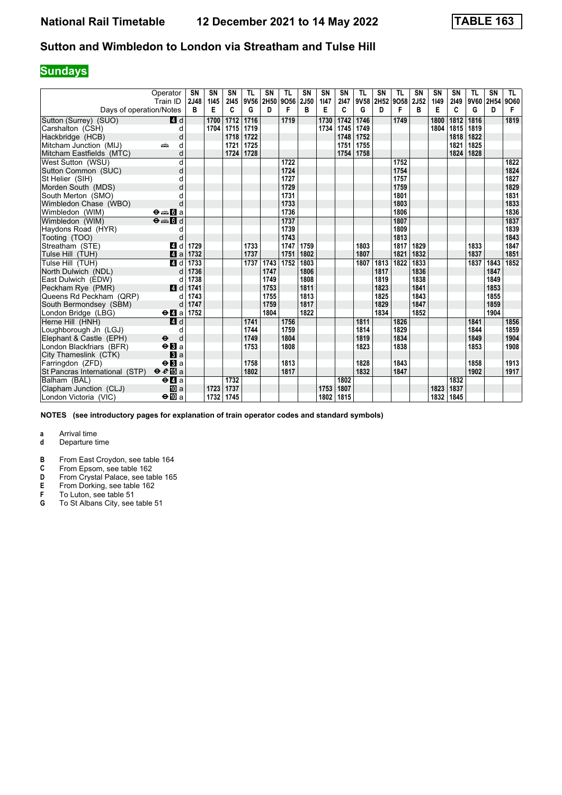## **Sundays**

|                                | Operator                                 | <b>SN</b><br>2J48 | SN<br>1145 | SN<br>2145 | <b>TL</b><br>9V56 | SN   | <b>TL</b><br>2H50 9O56 | <b>SN</b> | <b>SN</b> | SN        | <b>TL</b> | <b>SN</b><br>9V58 2H52 9O58 | <b>TL</b> | <b>SN</b><br><b>2J52</b> | SN<br>1149 | SN<br>2149 | <b>TL</b><br>9V60 | <b>SN</b><br>2H54 | TL.       |
|--------------------------------|------------------------------------------|-------------------|------------|------------|-------------------|------|------------------------|-----------|-----------|-----------|-----------|-----------------------------|-----------|--------------------------|------------|------------|-------------------|-------------------|-----------|
| Days of operation/Notes        | Train ID                                 | B                 | E          | C          | G                 | D    | F                      | 2J50<br>в | 1147<br>E | 2147<br>C | G         | D                           | F         | B                        | Е          | C          | G                 | D                 | 9060<br>F |
| Sutton (Surrey) (SUO)          | 4 d                                      |                   | 1700       | 1712       | 1716              |      | 1719                   |           | 1730      | 1742      | 1746      |                             | 1749      |                          | 1800       | 1812       | 1816              |                   | 1819      |
| Carshalton (CSH)               | d                                        |                   | 1704       | 1715       | 1719              |      |                        |           | 1734      | 1745      | 1749      |                             |           |                          | 1804       | 1815       | 1819              |                   |           |
| Hackbridge (HCB)               | d                                        |                   |            | 1718       | 1722              |      |                        |           |           | 1748      | 1752      |                             |           |                          |            | 1818       | 1822              |                   |           |
| Mitcham Junction (MIJ)         | d<br>æ                                   |                   |            | 1721       | 1725              |      |                        |           |           | 1751      | 1755      |                             |           |                          |            | 1821       | 1825              |                   |           |
| Mitcham Eastfields (MTC)       | d                                        |                   |            | 1724       | 1728              |      |                        |           |           | 1754      | 1758      |                             |           |                          |            | 1824       | 1828              |                   |           |
| West Sutton (WSU)              | d                                        |                   |            |            |                   |      | 1722                   |           |           |           |           |                             | 1752      |                          |            |            |                   |                   | 1822      |
| Sutton Common (SUC)            | d                                        |                   |            |            |                   |      | 1724                   |           |           |           |           |                             | 1754      |                          |            |            |                   |                   | 1824      |
| St Helier (SIH)                | d                                        |                   |            |            |                   |      | 1727                   |           |           |           |           |                             | 1757      |                          |            |            |                   |                   | 1827      |
| Morden South (MDS)             | d                                        |                   |            |            |                   |      | 1729                   |           |           |           |           |                             | 1759      |                          |            |            |                   |                   | 1829      |
| South Merton (SMO)             | d                                        |                   |            |            |                   |      | 1731                   |           |           |           |           |                             | 1801      |                          |            |            |                   |                   | 1831      |
| Wimbledon Chase (WBO)          | d                                        |                   |            |            |                   |      | 1733                   |           |           |           |           |                             | 1803      |                          |            |            |                   |                   | 1833      |
| Wimbledon (WIM)                | $\Theta = \blacksquare$ $\blacksquare$ a |                   |            |            |                   |      | 1736                   |           |           |           |           |                             | 1806      |                          |            |            |                   |                   | 1836      |
| Wimbledon (WIM)                | $\Theta = \Pi d$                         |                   |            |            |                   |      | 1737                   |           |           |           |           |                             | 1807      |                          |            |            |                   |                   | 1837      |
| Haydons Road (HYR)             | d                                        |                   |            |            |                   |      | 1739                   |           |           |           |           |                             | 1809      |                          |            |            |                   |                   | 1839      |
| Tooting (TOO)                  | d                                        |                   |            |            |                   |      | 1743                   |           |           |           |           |                             | 1813      |                          |            |            |                   |                   | 1843      |
| Streatham (STE)                | ZI d                                     | 1729              |            |            | 1733              |      | 1747                   | 1759      |           |           | 1803      |                             | 1817      | 1829                     |            |            | 1833              |                   | 1847      |
| Tulse Hill (TUH)               | a                                        | 1732              |            |            | 1737              |      | 1751                   | 1802      |           |           | 1807      |                             | 1821      | 1832                     |            |            | 1837              |                   | 1851      |
| Tulse Hill (TUH)               | 4 d                                      | 1733              |            |            | 1737              | 1743 | 1752                   | 1803      |           |           | 1807      | 1813                        | 1822      | 1833                     |            |            | 1837              | 1843              | 1852      |
| North Dulwich (NDL)            |                                          | 1736              |            |            |                   | 1747 |                        | 1806      |           |           |           | 1817                        |           | 1836                     |            |            |                   | 1847              |           |
| East Dulwich (EDW)             | d                                        | 1738              |            |            |                   | 1749 |                        | 1808      |           |           |           | 1819                        |           | 1838                     |            |            |                   | 1849              |           |
| Peckham Rye (PMR)              | $\blacksquare$                           | 1741              |            |            |                   | 1753 |                        | 1811      |           |           |           | 1823                        |           | 1841                     |            |            |                   | 1853              |           |
| Queens Rd Peckham (QRP)        | d                                        | 1743              |            |            |                   | 1755 |                        | 1813      |           |           |           | 1825                        |           | 1843                     |            |            |                   | 1855              |           |
| South Bermondsey (SBM)         | d                                        | 1747              |            |            |                   | 1759 |                        | 1817      |           |           |           | 1829                        |           | 1847                     |            |            |                   | 1859              |           |
| London Bridge (LBG)            | $\Theta$ <b>d</b> a                      | 1752              |            |            |                   | 1804 |                        | 1822      |           |           |           | 1834                        |           | 1852                     |            |            |                   | 1904              |           |
| Herne Hill (HNH)               | 4d                                       |                   |            |            | 1741              |      | 1756                   |           |           |           | 1811      |                             | 1826      |                          |            |            | 1841              |                   | 1856      |
| Loughborough Jn (LGJ)          | d                                        |                   |            |            | 1744              |      | 1759                   |           |           |           | 1814      |                             | 1829      |                          |            |            | 1844              |                   | 1859      |
| Elephant & Castle (EPH)        | d<br>$\ddot{\mathbf{e}}$                 |                   |            |            | 1749              |      | 1804                   |           |           |           | 1819      |                             | 1834      |                          |            |            | 1849              |                   | 1904      |
| London Blackfriars (BFR)       | $\Theta$ <b>B</b> a                      |                   |            |            | 1753              |      | 1808                   |           |           |           | 1823      |                             | 1838      |                          |            |            | 1853              |                   | 1908      |
| City Thameslink (CTK)          | $\blacksquare$ a                         |                   |            |            |                   |      |                        |           |           |           |           |                             |           |                          |            |            |                   |                   |           |
| Farringdon (ZFD)               | $\Theta$ <b>R</b> a                      |                   |            |            | 1758              |      | 1813                   |           |           |           | 1828      |                             | 1843      |                          |            |            | 1858              |                   | 1913      |
| St Pancras International (STP) | $eE$ a                                   |                   |            |            | 1802              |      | 1817                   |           |           |           | 1832      |                             | 1847      |                          |            |            | 1902              |                   | 1917      |
| Balham (BAL)                   | $e$ $a$                                  |                   |            | 1732       |                   |      |                        |           |           | 1802      |           |                             |           |                          |            | 1832       |                   |                   |           |
| Clapham Junction (CLJ)         | <b>ID</b> a                              |                   | 1723       | 1737       |                   |      |                        |           | 1753      | 1807      |           |                             |           |                          | 1823       | 1837       |                   |                   |           |
| London Victoria (VIC)          | $\Theta$ <b>III</b> a                    |                   | 1732       | 1745       |                   |      |                        |           | 1802      | 1815      |           |                             |           |                          | 1832       | 1845       |                   |                   |           |

**NOTES (see introductory pages for explanation of train operator codes and standard symbols)**

- **d** Departure time
- **B** From East Croydon, see table 164<br>**C** From Epsom, see table 162
- **C** From Epsom, see table 162<br>**D** From Crystal Palace, see tal
- **D** From Crystal Palace, see table 165<br>**E** From Dorking, see table 162<br>**F** To Luton, see table 51
- **E** From Dorking, see table 162
- **F** To Luton, see table 51
- **6** To St Albans City, see table 51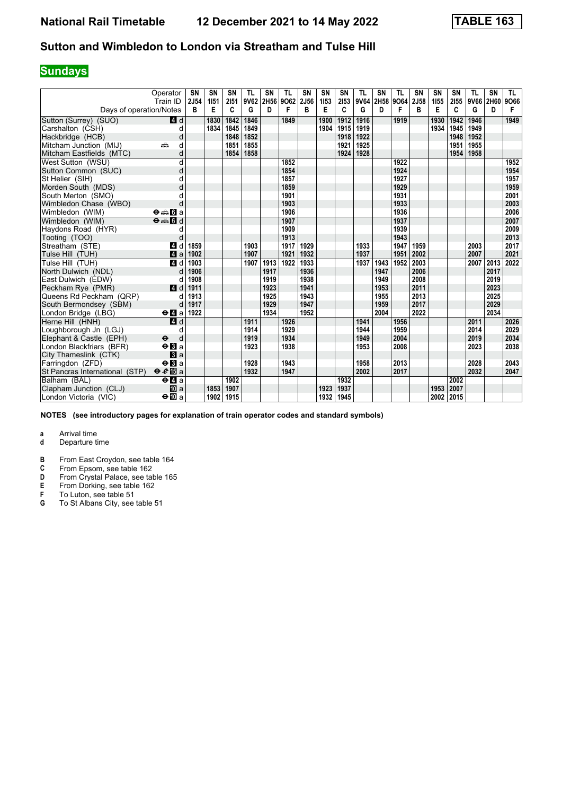## **Sundays**

|                                | Operator                                                           | <b>SN</b> | <b>SN</b> | SN        | <b>TL</b> | SN   | <b>TL</b>      | <b>SN</b> | <b>SN</b> | SN        | <b>TL</b> | <b>SN</b> | <b>TL</b> | <b>SN</b>        | SN        | SN        | <b>TL</b> | <b>SN</b> | TL.       |
|--------------------------------|--------------------------------------------------------------------|-----------|-----------|-----------|-----------|------|----------------|-----------|-----------|-----------|-----------|-----------|-----------|------------------|-----------|-----------|-----------|-----------|-----------|
| Days of operation/Notes        | Train ID                                                           | 2J54<br>в | 1151<br>Е | 2151<br>C | 9V62<br>G | D    | 2H56 9O62<br>F | 2J56<br>в | 1153<br>E | 2153<br>C | 9V64<br>G | 2H58<br>D | 9064<br>F | <b>2J58</b><br>в | 1155<br>Е | 2155<br>C | 9V66<br>G | 2H60<br>D | 9066<br>F |
| Sutton (Surrey) (SUO)          | 4 d                                                                |           | 1830      | 1842      | 1846      |      | 1849           |           | 1900      | 1912      | 1916      |           | 1919      |                  | 1930      | 1942      | 1946      |           | 1949      |
| Carshalton (CSH)               | d                                                                  |           | 1834      | 1845      | 1849      |      |                |           | 1904      | 1915      | 1919      |           |           |                  | 1934      | 1945      | 1949      |           |           |
| Hackbridge (HCB)               | d                                                                  |           |           | 1848      | 1852      |      |                |           |           | 1918      | 1922      |           |           |                  |           | 1948      | 1952      |           |           |
| Mitcham Junction (MIJ)         | d<br>۵Ë                                                            |           |           | 1851      | 1855      |      |                |           |           | 1921      | 1925      |           |           |                  |           | 1951      | 1955      |           |           |
| Mitcham Eastfields (MTC)       | d                                                                  |           |           | 1854      | 1858      |      |                |           |           | 1924      | 1928      |           |           |                  |           | 1954      | 1958      |           |           |
| West Sutton (WSU)              | d                                                                  |           |           |           |           |      | 1852           |           |           |           |           |           | 1922      |                  |           |           |           |           | 1952      |
| Sutton Common (SUC)            | d                                                                  |           |           |           |           |      | 1854           |           |           |           |           |           | 1924      |                  |           |           |           |           | 1954      |
| St Helier (SIH)                | d                                                                  |           |           |           |           |      | 1857           |           |           |           |           |           | 1927      |                  |           |           |           |           | 1957      |
| Morden South (MDS)             | d                                                                  |           |           |           |           |      | 1859           |           |           |           |           |           | 1929      |                  |           |           |           |           | 1959      |
| South Merton (SMO)             | d                                                                  |           |           |           |           |      | 1901           |           |           |           |           |           | 1931      |                  |           |           |           |           | 2001      |
| Wimbledon Chase (WBO)          | d                                                                  |           |           |           |           |      | 1903           |           |           |           |           |           | 1933      |                  |           |           |           |           | 2003      |
| Wimbledon (WIM)                | $\Theta = \blacksquare$ $\blacksquare$ a                           |           |           |           |           |      | 1906           |           |           |           |           |           | 1936      |                  |           |           |           |           | 2006      |
| Wimbledon (WIM)                | $\overline{\Theta}$ $\overline{\bullet}$ $\overline{\mathbf{G}}$ d |           |           |           |           |      | 1907           |           |           |           |           |           | 1937      |                  |           |           |           |           | 2007      |
| Haydons Road (HYR)             | d                                                                  |           |           |           |           |      | 1909           |           |           |           |           |           | 1939      |                  |           |           |           |           | 2009      |
| Tooting (TOO)                  | d                                                                  |           |           |           |           |      | 1913           |           |           |           |           |           | 1943      |                  |           |           |           |           | 2013      |
| Streatham (STE)                | ZI d                                                               | 1859      |           |           | 1903      |      | 1917           | 1929      |           |           | 1933      |           | 1947      | 1959             |           |           | 2003      |           | 2017      |
| Tulse Hill (TUH)               | 4a                                                                 | 1902      |           |           | 1907      |      | 1921           | 1932      |           |           | 1937      |           | 1951      | 2002             |           |           | 2007      |           | 2021      |
| Tulse Hill (TUH)               | 4 d                                                                | 1903      |           |           | 1907      | 1913 | 1922           | 1933      |           |           | 1937      | 1943      | 1952      | 2003             |           |           | 2007      | 2013      | 2022      |
| North Dulwich (NDL)            | d                                                                  | 1906      |           |           |           | 1917 |                | 1936      |           |           |           | 1947      |           | 2006             |           |           |           | 2017      |           |
| East Dulwich (EDW)             | d                                                                  | 1908      |           |           |           | 1919 |                | 1938      |           |           |           | 1949      |           | 2008             |           |           |           | 2019      |           |
| Peckham Rye (PMR)              | 4d                                                                 | 1911      |           |           |           | 1923 |                | 1941      |           |           |           | 1953      |           | 2011             |           |           |           | 2023      |           |
| Queens Rd Peckham (QRP)        |                                                                    | 1913      |           |           |           | 1925 |                | 1943      |           |           |           | 1955      |           | 2013             |           |           |           | 2025      |           |
| South Bermondsey (SBM)         | d                                                                  | 1917      |           |           |           | 1929 |                | 1947      |           |           |           | 1959      |           | 2017             |           |           |           | 2029      |           |
| London Bridge (LBG)            | $\Theta$ <b>d</b> a                                                | 1922      |           |           |           | 1934 |                | 1952      |           |           |           | 2004      |           | 2022             |           |           |           | 2034      |           |
| Herne Hill (HNH)               | 4d                                                                 |           |           |           | 1911      |      | 1926           |           |           |           | 1941      |           | 1956      |                  |           |           | 2011      |           | 2026      |
| Loughborough Jn (LGJ)          | d                                                                  |           |           |           | 1914      |      | 1929           |           |           |           | 1944      |           | 1959      |                  |           |           | 2014      |           | 2029      |
| Elephant & Castle (EPH)        | $\ddot{\boldsymbol{\Theta}}$<br>d                                  |           |           |           | 1919      |      | 1934           |           |           |           | 1949      |           | 2004      |                  |           |           | 2019      |           | 2034      |
| London Blackfriars (BFR)       | $\Theta$ <b>B</b> a                                                |           |           |           | 1923      |      | 1938           |           |           |           | 1953      |           | 2008      |                  |           |           | 2023      |           | 2038      |
| City Thameslink (CTK)          | a                                                                  |           |           |           |           |      |                |           |           |           |           |           |           |                  |           |           |           |           |           |
| Farringdon (ZFD)               | $\Theta$ <b>B</b> a                                                |           |           |           | 1928      |      | 1943           |           |           |           | 1958      |           | 2013      |                  |           |           | 2028      |           | 2043      |
| St Pancras International (STP) | $\theta e$ <b>E</b> a                                              |           |           |           | 1932      |      | 1947           |           |           |           | 2002      |           | 2017      |                  |           |           | 2032      |           | 2047      |
| Balham (BAL)                   | $e$ $q$ a                                                          |           |           | 1902      |           |      |                |           |           | 1932      |           |           |           |                  |           | 2002      |           |           |           |
| Clapham Junction (CLJ)         | <b>ID</b> a                                                        |           | 1853      | 1907      |           |      |                |           | 1923      | 1937      |           |           |           |                  | 1953      | 2007      |           |           |           |
| London Victoria (VIC)          | $\Theta$ III a                                                     |           | 1902      | 1915      |           |      |                |           | 1932      | 1945      |           |           |           |                  | 2002      | 2015      |           |           |           |

**NOTES (see introductory pages for explanation of train operator codes and standard symbols)**

- **d** Departure time
- **B** From East Croydon, see table 164<br>**C** From Epsom, see table 162
- **C** From Epsom, see table 162<br>**D** From Crystal Palace, see tal
- **D** From Crystal Palace, see table 165<br>**E** From Dorking, see table 162<br>**F** To Luton, see table 51
- **E** From Dorking, see table 162
- **F** To Luton, see table 51
- **6** To St Albans City, see table 51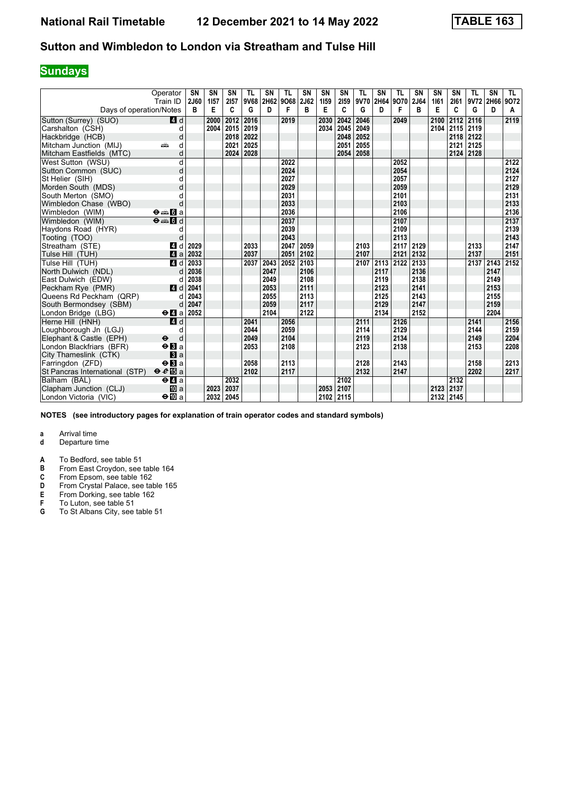## **Sundays**

|                                | Operator<br>Train ID                                               | <b>SN</b><br>2J60 | <b>SN</b><br>1157 | SN<br>2157 | <b>TL</b><br>9V68 | SN   | <b>TL</b><br>2H62 9O68 | <b>SN</b><br>2J62 | <b>SN</b><br>1159 | SN<br>2159 | <b>TL</b><br>9V70 | <b>SN</b><br>2H64 | <b>TL</b><br>9070 | <b>SN</b><br>2J64 | SN<br>1161 | SN<br>2161 | <b>TL</b> | <b>SN</b><br>9V72 2H66 | TL.<br>9072 |
|--------------------------------|--------------------------------------------------------------------|-------------------|-------------------|------------|-------------------|------|------------------------|-------------------|-------------------|------------|-------------------|-------------------|-------------------|-------------------|------------|------------|-----------|------------------------|-------------|
| Days of operation/Notes        |                                                                    | в                 | E                 | C          | G                 | D    | F                      | в                 | E                 | C          | G                 | D                 | F                 | B                 | Е          | C          | G         | D                      | A           |
| Sutton (Surrey) (SUO)          | 4 d                                                                |                   | 2000              | 2012       | 2016              |      | 2019                   |                   | 2030              | 2042       | 2046              |                   | 2049              |                   | 2100       | 2112       | 2116      |                        | 2119        |
| Carshalton (CSH)               | d                                                                  |                   | 2004              | 2015       | 2019              |      |                        |                   | 2034              | 2045       | 2049              |                   |                   |                   | 2104       | 2115       | 2119      |                        |             |
| Hackbridge (HCB)               | d                                                                  |                   |                   | 2018       | 2022              |      |                        |                   |                   | 2048       | 2052              |                   |                   |                   |            | 2118       | 2122      |                        |             |
| Mitcham Junction (MIJ)         | d<br>aîn                                                           |                   |                   | 2021       | 2025              |      |                        |                   |                   | 2051       | 2055              |                   |                   |                   |            | 2121       | 2125      |                        |             |
| Mitcham Eastfields (MTC)       | d                                                                  |                   |                   | 2024       | 2028              |      |                        |                   |                   | 2054       | 2058              |                   |                   |                   |            | 2124       | 2128      |                        |             |
| West Sutton (WSU)              | d                                                                  |                   |                   |            |                   |      | 2022                   |                   |                   |            |                   |                   | 2052              |                   |            |            |           |                        | 2122        |
| Sutton Common (SUC)            | d                                                                  |                   |                   |            |                   |      | 2024                   |                   |                   |            |                   |                   | 2054              |                   |            |            |           |                        | 2124        |
| St Helier (SIH)                | d                                                                  |                   |                   |            |                   |      | 2027                   |                   |                   |            |                   |                   | 2057              |                   |            |            |           |                        | 2127        |
| Morden South (MDS)             | d                                                                  |                   |                   |            |                   |      | 2029                   |                   |                   |            |                   |                   | 2059              |                   |            |            |           |                        | 2129        |
| South Merton (SMO)             | d                                                                  |                   |                   |            |                   |      | 2031                   |                   |                   |            |                   |                   | 2101              |                   |            |            |           |                        | 2131        |
| Wimbledon Chase (WBO)          | d                                                                  |                   |                   |            |                   |      | 2033                   |                   |                   |            |                   |                   | 2103              |                   |            |            |           |                        | 2133        |
| Wimbledon (WIM)                | $\Theta = \blacksquare$ $\blacksquare$ a                           |                   |                   |            |                   |      | 2036                   |                   |                   |            |                   |                   | 2106              |                   |            |            |           |                        | 2136        |
| Wimbledon (WIM)                | $\overline{\Theta}$ $\overline{\bullet}$ $\overline{\mathbf{G}}$ d |                   |                   |            |                   |      | 2037                   |                   |                   |            |                   |                   | 2107              |                   |            |            |           |                        | 2137        |
| Haydons Road (HYR)             | d                                                                  |                   |                   |            |                   |      | 2039                   |                   |                   |            |                   |                   | 2109              |                   |            |            |           |                        | 2139        |
| Tooting (TOO)                  | d                                                                  |                   |                   |            |                   |      | 2043                   |                   |                   |            |                   |                   | 2113              |                   |            |            |           |                        | 2143        |
| Streatham (STE)                | 4 d                                                                | 2029              |                   |            | 2033              |      | 2047                   | 2059              |                   |            | 2103              |                   | 2117              | 2129              |            |            | 2133      |                        | 2147        |
| Tulse Hill (TUH)               | 4a                                                                 | 2032              |                   |            | 2037              |      | 2051 2102              |                   |                   |            | 2107              |                   | 2121              | 2132              |            |            | 2137      |                        | 2151        |
| Tulse Hill (TUH)               | 4 d                                                                | 2033              |                   |            | 2037              | 2043 | 2052                   | 2103              |                   |            | 2107              | 2113              | 2122              | 2133              |            |            | 2137      | 2143                   | 2152        |
| North Dulwich (NDL)            | d                                                                  | 2036              |                   |            |                   | 2047 |                        | 2106              |                   |            |                   | 2117              |                   | 2136              |            |            |           | 2147                   |             |
| East Dulwich (EDW)             | d                                                                  | 2038              |                   |            |                   | 2049 |                        | 2108              |                   |            |                   | 2119              |                   | 2138              |            |            |           | 2149                   |             |
| Peckham Rye (PMR)              | 4d                                                                 | 2041              |                   |            |                   | 2053 |                        | 2111              |                   |            |                   | 2123              |                   | 2141              |            |            |           | 2153                   |             |
| Queens Rd Peckham (QRP)        | d                                                                  | 2043              |                   |            |                   | 2055 |                        | 2113              |                   |            |                   | 2125              |                   | 2143              |            |            |           | 2155                   |             |
| South Bermondsey (SBM)         | d                                                                  | 2047              |                   |            |                   | 2059 |                        | 2117              |                   |            |                   | 2129              |                   | 2147              |            |            |           | 2159                   |             |
| London Bridge (LBG)            | $\Theta$ <b>d</b> a                                                | 2052              |                   |            |                   | 2104 |                        | 2122              |                   |            |                   | 2134              |                   | 2152              |            |            |           | 2204                   |             |
| Herne Hill (HNH)               | 4d                                                                 |                   |                   |            | 2041              |      | 2056                   |                   |                   |            | 2111              |                   | 2126              |                   |            |            | 2141      |                        | 2156        |
| Loughborough Jn (LGJ)          | d                                                                  |                   |                   |            | 2044              |      | 2059                   |                   |                   |            | 2114              |                   | 2129              |                   |            |            | 2144      |                        | 2159        |
| Elephant & Castle (EPH)        | $\ddot{\boldsymbol{\Theta}}$<br>d                                  |                   |                   |            | 2049              |      | 2104                   |                   |                   |            | 2119              |                   | 2134              |                   |            |            | 2149      |                        | 2204        |
| London Blackfriars (BFR)       | $\Theta$ <b>B</b> a                                                |                   |                   |            | 2053              |      | 2108                   |                   |                   |            | 2123              |                   | 2138              |                   |            |            | 2153      |                        | 2208        |
| City Thameslink (CTK)          | a                                                                  |                   |                   |            |                   |      |                        |                   |                   |            |                   |                   |                   |                   |            |            |           |                        |             |
| Farringdon (ZFD)               | $\Theta$ <b>B</b> a                                                |                   |                   |            | 2058              |      | 2113                   |                   |                   |            | 2128              |                   | 2143              |                   |            |            | 2158      |                        | 2213        |
| St Pancras International (STP) | $\theta e$ <b>E</b> a                                              |                   |                   |            | 2102              |      | 2117                   |                   |                   |            | 2132              |                   | 2147              |                   |            |            | 2202      |                        | 2217        |
| Balham (BAL)                   | $e$ $q$ a                                                          |                   |                   | 2032       |                   |      |                        |                   |                   | 2102       |                   |                   |                   |                   |            | 2132       |           |                        |             |
| Clapham Junction (CLJ)         | <b>ID</b> a                                                        |                   | 2023              | 2037       |                   |      |                        |                   | 2053              | 2107       |                   |                   |                   |                   | 2123       | 2137       |           |                        |             |
| London Victoria (VIC)          | $\Theta$ III a                                                     |                   | 2032              | 2045       |                   |      |                        |                   | 2102              | 2115       |                   |                   |                   |                   | 2132       | 2145       |           |                        |             |

**NOTES (see introductory pages for explanation of train operator codes and standard symbols)**

- **d** Departure time
- **A** To Bedford, see table 51<br>**B** From East Croydon, see
- **B** From East Croydon, see table 164<br>**C** From Epsom, see table 162
- 
- **C** From Epsom, see table 162<br>**D** From Crystal Palace, see tal<br>**E** From Dorking, see table 162 Prom Crystal Palace, see table 165
- **E** From Dorking, see table 162<br>**F** To Luton, see table 51
- **F** To Luton, see table 51<br>**G** To St Albans City, see
- To St Albans City, see table 51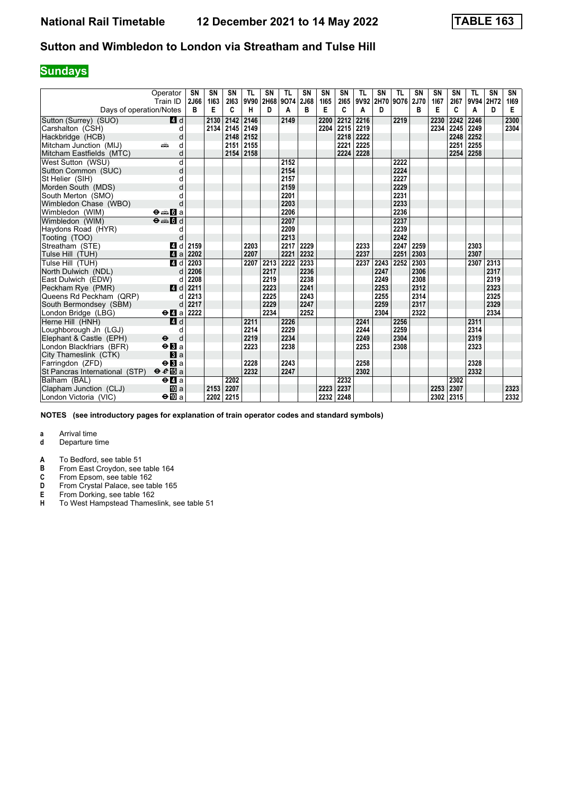## **Sundays**

|                                | Operator<br>Train ID                        | <b>SN</b><br>2J66 | <b>SN</b><br>1163 | SN<br>2163 | <b>TL</b><br>9V90 | SN   | <b>TL</b><br>2H68 9O74 | <b>SN</b><br>2J68 | <b>SN</b><br>1165 | SN<br>2165 | <b>TL</b> | <b>SN</b><br>9V92 2H70 9O76 | <b>TL</b> | <b>SN</b><br><b>2J70</b> | SN<br>1167 | SN<br>2167 | <b>TL</b><br>9V94 2H72 | <b>SN</b> | SN<br>1169 |
|--------------------------------|---------------------------------------------|-------------------|-------------------|------------|-------------------|------|------------------------|-------------------|-------------------|------------|-----------|-----------------------------|-----------|--------------------------|------------|------------|------------------------|-----------|------------|
| Days of operation/Notes        |                                             | в                 | E                 | C          | н                 | D    | A                      | в                 | Е                 | C          | A         | D                           |           | B                        | Е          | C          | A                      | D         | Е          |
| Sutton (Surrey) (SUO)          | 4 d                                         |                   | 2130              | 2142       | 2146              |      | 2149                   |                   | 2200              | 2212       | 2216      |                             | 2219      |                          | 2230       | 2242       | 2246                   |           | 2300       |
| Carshalton (CSH)               | d                                           |                   | 2134              | 2145       | 2149              |      |                        |                   | 2204              | 2215       | 2219      |                             |           |                          | 2234       | 2245       | 2249                   |           | 2304       |
| Hackbridge (HCB)               | d                                           |                   |                   | 2148       | 2152              |      |                        |                   |                   | 2218       | 2222      |                             |           |                          |            | 2248       | 2252                   |           |            |
| Mitcham Junction (MIJ)         | d<br>۵Ě                                     |                   |                   | 2151       | 2155              |      |                        |                   |                   | 2221       | 2225      |                             |           |                          |            | 2251       | 2255                   |           |            |
| Mitcham Eastfields (MTC)       | d                                           |                   |                   | 2154       | 2158              |      |                        |                   |                   | 2224       | 2228      |                             |           |                          |            | 2254       | 2258                   |           |            |
| West Sutton (WSU)              | d                                           |                   |                   |            |                   |      | 2152                   |                   |                   |            |           |                             | 2222      |                          |            |            |                        |           |            |
| Sutton Common (SUC)            | d                                           |                   |                   |            |                   |      | 2154                   |                   |                   |            |           |                             | 2224      |                          |            |            |                        |           |            |
| St Helier (SIH)                | d                                           |                   |                   |            |                   |      | 2157                   |                   |                   |            |           |                             | 2227      |                          |            |            |                        |           |            |
| Morden South (MDS)             | d                                           |                   |                   |            |                   |      | 2159                   |                   |                   |            |           |                             | 2229      |                          |            |            |                        |           |            |
| South Merton (SMO)             | d                                           |                   |                   |            |                   |      | 2201                   |                   |                   |            |           |                             | 2231      |                          |            |            |                        |           |            |
| Wimbledon Chase (WBO)          | d                                           |                   |                   |            |                   |      | 2203                   |                   |                   |            |           |                             | 2233      |                          |            |            |                        |           |            |
| Wimbledon (WIM)                | $\Theta = \blacksquare$ $\blacksquare$ a    |                   |                   |            |                   |      | 2206                   |                   |                   |            |           |                             | 2236      |                          |            |            |                        |           |            |
| Wimbledon (WIM)                | $\Theta = \blacksquare$                     |                   |                   |            |                   |      | 2207                   |                   |                   |            |           |                             | 2237      |                          |            |            |                        |           |            |
| Haydons Road (HYR)             | d                                           |                   |                   |            |                   |      | 2209                   |                   |                   |            |           |                             | 2239      |                          |            |            |                        |           |            |
| Tooting (TOO)                  | d                                           |                   |                   |            |                   |      | 2213                   |                   |                   |            |           |                             | 2242      |                          |            |            |                        |           |            |
| Streatham (STE)                | 4 d                                         | 2159              |                   |            | 2203              |      | 2217                   | 2229              |                   |            | 2233      |                             | 2247      | 2259                     |            |            | 2303                   |           |            |
| Tulse Hill (TUH)               | 4a                                          | 2202              |                   |            | 2207              |      | 2221                   | 2232              |                   |            | 2237      |                             | 2251      | 2303                     |            |            | 2307                   |           |            |
| Tulse Hill (TUH)               | 4 d                                         | 2203              |                   |            | 2207              | 2213 | 2222                   | 2233              |                   |            | 2237      | 2243                        | 2252      | 2303                     |            |            | 2307 2313              |           |            |
| North Dulwich (NDL)            | d                                           | 2206              |                   |            |                   | 2217 |                        | 2236              |                   |            |           | 2247                        |           | 2306                     |            |            |                        | 2317      |            |
| East Dulwich (EDW)             | d                                           | 2208              |                   |            |                   | 2219 |                        | 2238              |                   |            |           | 2249                        |           | 2308                     |            |            |                        | 2319      |            |
| Peckham Rye (PMR)              | 4d                                          | 2211              |                   |            |                   | 2223 |                        | 2241              |                   |            |           | 2253                        |           | 2312                     |            |            |                        | 2323      |            |
| Queens Rd Peckham (QRP)        | d                                           | 2213              |                   |            |                   | 2225 |                        | 2243              |                   |            |           | 2255                        |           | 2314                     |            |            |                        | 2325      |            |
| South Bermondsey (SBM)         | d                                           | 2217              |                   |            |                   | 2229 |                        | 2247              |                   |            |           | 2259                        |           | 2317                     |            |            |                        | 2329      |            |
| London Bridge (LBG)            | $\Theta$ <b><math>\blacksquare</math></b> a | 2222              |                   |            |                   | 2234 |                        | 2252              |                   |            |           | 2304                        |           | 2322                     |            |            |                        | 2334      |            |
| Herne Hill (HNH)               | 4d                                          |                   |                   |            | 2211              |      | 2226                   |                   |                   |            | 2241      |                             | 2256      |                          |            |            | 2311                   |           |            |
| Loughborough Jn (LGJ)          | d                                           |                   |                   |            | 2214              |      | 2229                   |                   |                   |            | 2244      |                             | 2259      |                          |            |            | 2314                   |           |            |
| Elephant & Castle (EPH)        | $\ddot{\boldsymbol{\Theta}}$<br>d           |                   |                   |            | 2219              |      | 2234                   |                   |                   |            | 2249      |                             | 2304      |                          |            |            | 2319                   |           |            |
| London Blackfriars (BFR)       | $\Theta$ <b>B</b> a                         |                   |                   |            | 2223              |      | 2238                   |                   |                   |            | 2253      |                             | 2308      |                          |            |            | 2323                   |           |            |
| City Thameslink (CTK)          | a                                           |                   |                   |            |                   |      |                        |                   |                   |            |           |                             |           |                          |            |            |                        |           |            |
| Farringdon (ZFD)               | $\Theta$ <b>B</b> a                         |                   |                   |            | 2228              |      | 2243                   |                   |                   |            | 2258      |                             |           |                          |            |            | 2328                   |           |            |
| St Pancras International (STP) | $\theta e$ <b>E</b> a                       |                   |                   |            | 2232              |      | 2247                   |                   |                   |            | 2302      |                             |           |                          |            |            | 2332                   |           |            |
| Balham (BAL)                   | $e$ $q$ a                                   |                   |                   | 2202       |                   |      |                        |                   |                   | 2232       |           |                             |           |                          |            | 2302       |                        |           |            |
| Clapham Junction (CLJ)         | <b>ID</b> a                                 |                   | 2153              | 2207       |                   |      |                        |                   | 2223              | 2237       |           |                             |           |                          | 2253       | 2307       |                        |           | 2323       |
| London Victoria (VIC)          | $\Theta$ III a                              |                   | 2202              | 2215       |                   |      |                        |                   | 2232              | 2248       |           |                             |           |                          | 2302       | 2315       |                        |           | 2332       |

**NOTES (see introductory pages for explanation of train operator codes and standard symbols)**

- **d** Departure time
- **A** To Bedford, see table 51<br>**B** From East Croydon, see
- **B** From East Croydon, see table 164<br>**C** From Epsom, see table 162
- **C** From Epsom, see table 162<br>**D** From Crystal Palace, see tal<br>**E** From Dorking, see table 162
- Prom Crystal Palace, see table 165
- **E** From Dorking, see table 162<br>**H** To West Hampstead Thames
- To West Hampstead Thameslink, see table 51